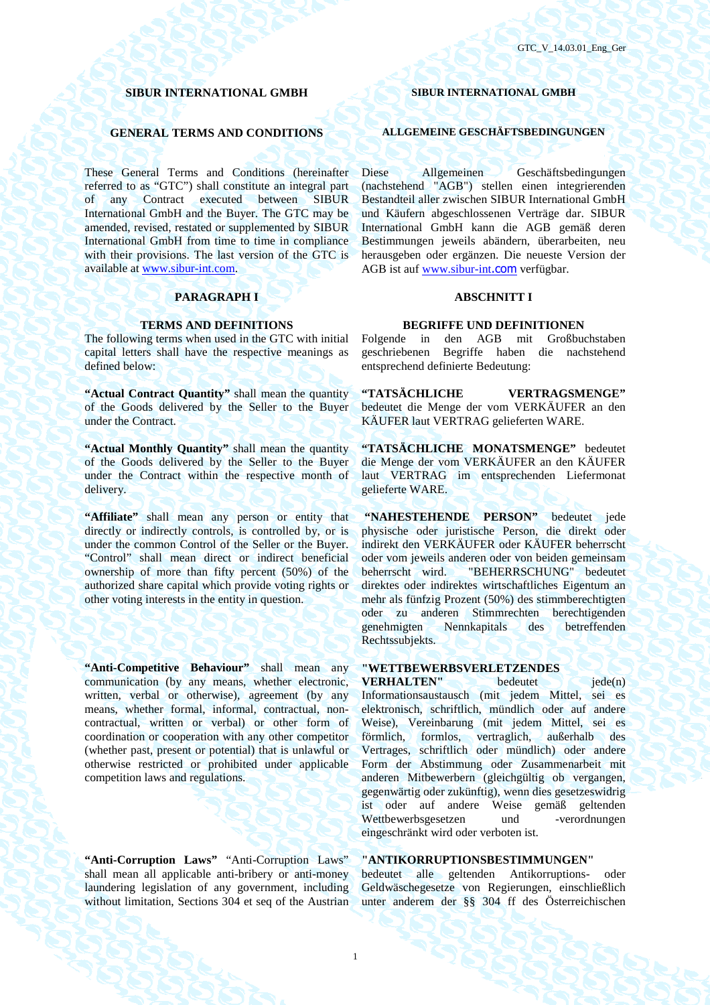### **SIBUR INTERNATIONAL GMBH SIBUR INTERNATIONAL GMBH**

These General Terms and Conditions (hereinafter referred to as "GTC") shall constitute an integral part of any Contract executed between SIBUR International GmbH and the Buyer. The GTC may be amended, revised, restated or supplemented by SIBUR International GmbH from time to time in compliance with their provisions. The last version of the GTC is available at www.sibur-int.com.

### **PARAGRAPH I** ABSCHNITT I

The following terms when used in the GTC with initial capital letters shall have the respective meanings as defined below:

**"Actual Contract Quantity"** shall mean the quantity of the Goods delivered by the Seller to the Buyer under the Contract.

**"Actual Monthly Quantity"** shall mean the quantity of the Goods delivered by the Seller to the Buyer under the Contract within the respective month of delivery.

**"Affiliate"** shall mean any person or entity that directly or indirectly controls, is controlled by, or is under the common Control of the Seller or the Buyer. "Control" shall mean direct or indirect beneficial ownership of more than fifty percent (50%) of the authorized share capital which provide voting rights or other voting interests in the entity in question.

**"Anti-Competitive Behaviour"** shall mean any communication (by any means, whether electronic, written, verbal or otherwise), agreement (by any means, whether formal, informal, contractual, noncontractual, written or verbal) or other form of coordination or cooperation with any other competitor (whether past, present or potential) that is unlawful or otherwise restricted or prohibited under applicable competition laws and regulations.

**"Anti-Corruption Laws"** "Anti-Corruption Laws" shall mean all applicable anti-bribery or anti-money laundering legislation of any government, including without limitation, Sections 304 et seq of the Austrian

### **GENERAL TERMS AND CONDITIONS ALLGEMEINE GESCHÄFTSBEDINGUNGEN**

Diese Allgemeinen Geschäftsbedingungen (nachstehend "AGB") stellen einen integrierenden Bestandteil aller zwischen SIBUR International GmbH und Käufern abgeschlossenen Verträge dar. SIBUR International GmbH kann die AGB gemäß deren Bestimmungen jeweils abändern, überarbeiten, neu herausgeben oder ergänzen. Die neueste Version der AGB ist auf www.sibur-int.com verfügbar.

### **TERMS AND DEFINITIONS BEGRIFFE UND DEFINITIONEN**

Folgende in den AGB mit Großbuchstaben geschriebenen Begriffe haben die nachstehend entsprechend definierte Bedeutung:

**"TATSÄCHLICHE VERTRAGSMENGE"**  bedeutet die Menge der vom VERKÄUFER an den KÄUFER laut VERTRAG gelieferten WARE.

**"TATSÄCHLICHE MONATSMENGE"** bedeutet die Menge der vom VERKÄUFER an den KÄUFER laut VERTRAG im entsprechenden Liefermonat gelieferte WARE.

**"NAHESTEHENDE PERSON"** bedeutet jede physische oder juristische Person, die direkt oder indirekt den VERKÄUFER oder KÄUFER beherrscht oder vom jeweils anderen oder von beiden gemeinsam beherrscht wird. "BEHERRSCHUNG" bedeutet direktes oder indirektes wirtschaftliches Eigentum an mehr als fünfzig Prozent (50%) des stimmberechtigten oder zu anderen Stimmrechten berechtigenden genehmigten Nennkapitals des betreffenden Rechtssubjekts.

## **"WETTBEWERBSVERLETZENDES**

**VERHALTEN"** bedeutet jede(n) Informationsaustausch (mit jedem Mittel, sei es elektronisch, schriftlich, mündlich oder auf andere Weise), Vereinbarung (mit jedem Mittel, sei es förmlich, formlos, vertraglich, außerhalb des Vertrages, schriftlich oder mündlich) oder andere Form der Abstimmung oder Zusammenarbeit mit anderen Mitbewerbern (gleichgültig ob vergangen, gegenwärtig oder zukünftig), wenn dies gesetzeswidrig ist oder auf andere Weise gemäß geltenden Wettbewerbsgesetzen eingeschränkt wird oder verboten ist.

### **"ANTIKORRUPTIONSBESTIMMUNGEN"**

bedeutet alle geltenden Antikorruptions- oder Geldwäschegesetze von Regierungen, einschließlich unter anderem der §§ 304 ff des Österreichischen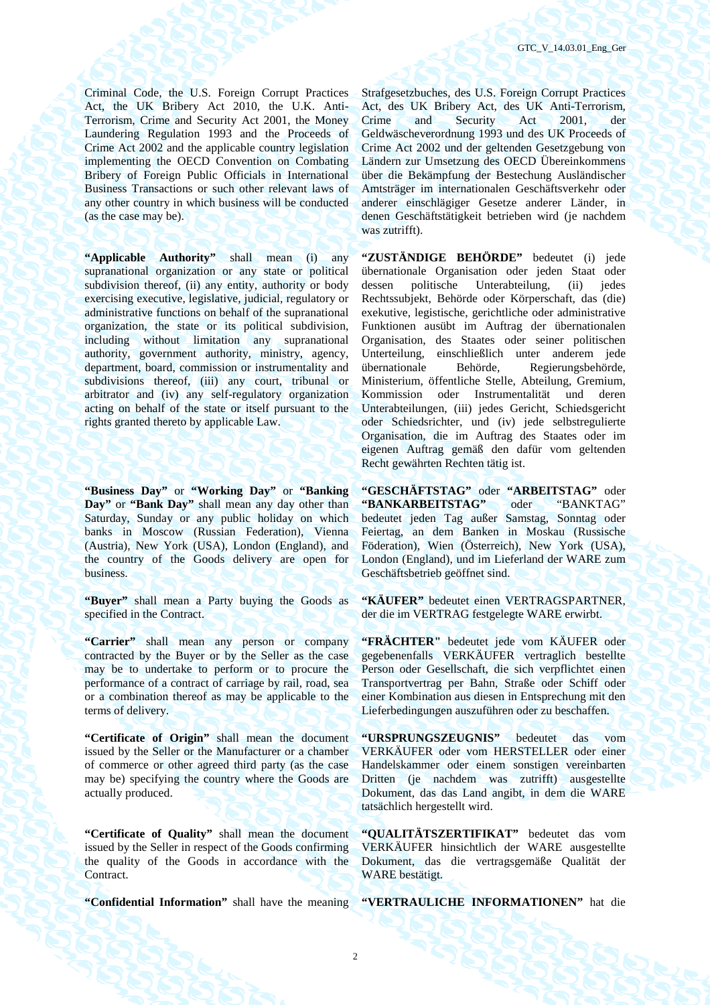Criminal Code, the U.S. Foreign Corrupt Practices Act, the UK Bribery Act 2010, the U.K. Anti-Terrorism, Crime and Security Act 2001, the Money Laundering Regulation 1993 and the Proceeds of Crime Act 2002 and the applicable country legislation implementing the OECD Convention on Combating Bribery of Foreign Public Officials in International Business Transactions or such other relevant laws of any other country in which business will be conducted (as the case may be).

**"Applicable Authority"** shall mean (i) any supranational organization or any state or political subdivision thereof, (ii) any entity, authority or body exercising executive, legislative, judicial, regulatory or administrative functions on behalf of the supranational organization, the state or its political subdivision, including without limitation any supranational authority, government authority, ministry, agency, department, board, commission or instrumentality and subdivisions thereof, (iii) any court, tribunal or arbitrator and (iv) any self-regulatory organization acting on behalf of the state or itself pursuant to the rights granted thereto by applicable Law.

**"Business Day"** or **"Working Day"** or **"Banking Day"** or **"Bank Day"** shall mean any day other than Saturday, Sunday or any public holiday on which banks in Moscow (Russian Federation), Vienna (Austria), New York (USA), London (England), and the country of the Goods delivery are open for business.

**"Buyer"** shall mean a Party buying the Goods as specified in the Contract.

**"Carrier"** shall mean any person or company contracted by the Buyer or by the Seller as the case may be to undertake to perform or to procure the performance of a contract of carriage by rail, road, sea or a combination thereof as may be applicable to the terms of delivery.

**"Certificate of Origin"** shall mean the document issued by the Seller or the Manufacturer or a chamber of commerce or other agreed third party (as the case may be) specifying the country where the Goods are actually produced.

**"Certificate of Quality"** shall mean the document issued by the Seller in respect of the Goods confirming the quality of the Goods in accordance with the Contract.

Strafgesetzbuches, des U.S. Foreign Corrupt Practices Act, des UK Bribery Act, des UK Anti-Terrorism, Crime and Security Act 2001, der Geldwäscheverordnung 1993 und des UK Proceeds of Crime Act 2002 und der geltenden Gesetzgebung von Ländern zur Umsetzung des OECD Übereinkommens über die Bekämpfung der Bestechung Ausländischer Amtsträger im internationalen Geschäftsverkehr oder anderer einschlägiger Gesetze anderer Länder, in denen Geschäftstätigkeit betrieben wird (je nachdem was zutrifft).

**"ZUSTÄNDIGE BEHÖRDE"** bedeutet (i) jede übernationale Organisation oder jeden Staat oder dessen politische Unterabteilung, (ii) jedes Rechtssubjekt, Behörde oder Körperschaft, das (die) exekutive, legistische, gerichtliche oder administrative Funktionen ausübt im Auftrag der übernationalen Organisation, des Staates oder seiner politischen Unterteilung, einschließlich unter anderem jede übernationale Behörde, Regierungsbehörde, Ministerium, öffentliche Stelle, Abteilung, Gremium, Kommission oder Instrumentalität und deren Unterabteilungen, (iii) jedes Gericht, Schiedsgericht oder Schiedsrichter, und (iv) jede selbstregulierte Organisation, die im Auftrag des Staates oder im eigenen Auftrag gemäß den dafür vom geltenden Recht gewährten Rechten tätig ist.

**"GESCHÄFTSTAG"** oder **"ARBEITSTAG"** oder **"BANKARBEITSTAG"** oder "BANKTAG" bedeutet jeden Tag außer Samstag, Sonntag oder Feiertag, an dem Banken in Moskau (Russische Föderation), Wien (Österreich), New York (USA), London (England), und im Lieferland der WARE zum Geschäftsbetrieb geöffnet sind.

**"KÄUFER"** bedeutet einen VERTRAGSPARTNER, der die im VERTRAG festgelegte WARE erwirbt.

**"FRÄCHTER"** bedeutet jede vom KÄUFER oder gegebenenfalls VERKÄUFER vertraglich bestellte Person oder Gesellschaft, die sich verpflichtet einen Transportvertrag per Bahn, Straße oder Schiff oder einer Kombination aus diesen in Entsprechung mit den Lieferbedingungen auszuführen oder zu beschaffen.

**"URSPRUNGSZEUGNIS"** bedeutet das vom VERKÄUFER oder vom HERSTELLER oder einer Handelskammer oder einem sonstigen vereinbarten Dritten (je nachdem was zutrifft) ausgestellte Dokument, das das Land angibt, in dem die WARE tatsächlich hergestellt wird.

**"QUALITÄTSZERTIFIKAT"** bedeutet das vom VERKÄUFER hinsichtlich der WARE ausgestellte Dokument, das die vertragsgemäße Qualität der WARE bestätigt.

**"Confidential Information"** shall have the meaning **"VERTRAULICHE INFORMATIONEN"** hat die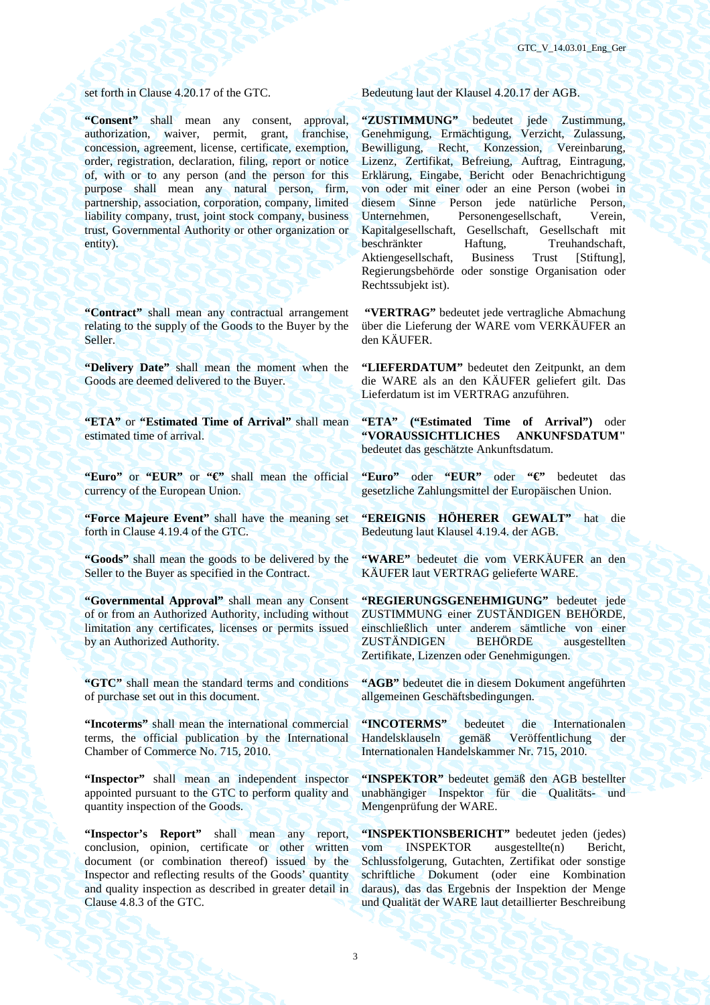**"Consent"** shall mean any consent, approval, authorization, waiver, permit, grant, franchise, concession, agreement, license, certificate, exemption, order, registration, declaration, filing, report or notice of, with or to any person (and the person for this purpose shall mean any natural person, firm, partnership, association, corporation, company, limited liability company, trust, joint stock company, business trust, Governmental Authority or other organization or entity).

**"Contract"** shall mean any contractual arrangement relating to the supply of the Goods to the Buyer by the Seller.

**"Delivery Date"** shall mean the moment when the Goods are deemed delivered to the Buyer.

**"ETA"** or **"Estimated Time of Arrival"** shall mean estimated time of arrival.

**"Euro"** or **"EUR"** or **"€"** shall mean the official currency of the European Union.

**"Force Majeure Event"** shall have the meaning set forth in Clause 4.19.4 of the GTC.

**"Goods"** shall mean the goods to be delivered by the Seller to the Buyer as specified in the Contract.

**"Governmental Approval"** shall mean any Consent of or from an Authorized Authority, including without limitation any certificates, licenses or permits issued by an Authorized Authority.

**"GTC"** shall mean the standard terms and conditions of purchase set out in this document.

**"Incoterms"** shall mean the international commercial terms, the official publication by the International Chamber of Commerce No. 715, 2010.

**"Inspector"** shall mean an independent inspector appointed pursuant to the GTC to perform quality and quantity inspection of the Goods.

**"Inspector's Report"** shall mean any report, conclusion, opinion, certificate or other written document (or combination thereof) issued by the Inspector and reflecting results of the Goods' quantity and quality inspection as described in greater detail in Clause 4.8.3 of the GTC.

set forth in Clause 4.20.17 of the GTC. Bedeutung laut der Klausel 4.20.17 der AGB.

**"ZUSTIMMUNG"** bedeutet jede Zustimmung, Genehmigung, Ermächtigung, Verzicht, Zulassung, Bewilligung, Recht, Konzession, Vereinbarung, Lizenz, Zertifikat, Befreiung, Auftrag, Eintragung, Erklärung, Eingabe, Bericht oder Benachrichtigung von oder mit einer oder an eine Person (wobei in diesem Sinne Person jede natürliche Person,<br>Unternehmen, Personengesellschaft, Verein, Personengesellschaft, Kapitalgesellschaft, Gesellschaft, Gesellschaft mit beschränkter Haftung, Treuhandschaft, Aktiengesellschaft, Business Trust [Stiftung], Regierungsbehörde oder sonstige Organisation oder Rechtssubjekt ist).

 **"VERTRAG"** bedeutet jede vertragliche Abmachung über die Lieferung der WARE vom VERKÄUFER an den KÄUFER.

**"LIEFERDATUM"** bedeutet den Zeitpunkt, an dem die WARE als an den KÄUFER geliefert gilt. Das Lieferdatum ist im VERTRAG anzuführen.

**"ETA" ("Estimated Time of Arrival")** oder **"VORAUSSICHTLICHES ANKUNFSDATUM"** bedeutet das geschätzte Ankunftsdatum.

**"Euro"** oder **"EUR"** oder **"€"** bedeutet das gesetzliche Zahlungsmittel der Europäischen Union.

**"EREIGNIS HÖHERER GEWALT"** hat die Bedeutung laut Klausel 4.19.4. der AGB.

**"WARE"** bedeutet die vom VERKÄUFER an den KÄUFER laut VERTRAG gelieferte WARE.

**"REGIERUNGSGENEHMIGUNG"** bedeutet jede ZUSTIMMUNG einer ZUSTÄNDIGEN BEHÖRDE, einschließlich unter anderem sämtliche von einer ZUSTÄNDIGEN BEHÖRDE ausgestellten Zertifikate, Lizenzen oder Genehmigungen.

**"AGB"** bedeutet die in diesem Dokument angeführten allgemeinen Geschäftsbedingungen.

**"INCOTERMS"** bedeutet die Internationalen Handelsklauseln gemäß Veröffentlichung der Internationalen Handelskammer Nr. 715, 2010.

**"INSPEKTOR"** bedeutet gemäß den AGB bestellter unabhängiger Inspektor für die Qualitäts- und Mengenprüfung der WARE.

**"INSPEKTIONSBERICHT"** bedeutet jeden (jedes) vom INSPEKTOR ausgestellte(n) Bericht, Schlussfolgerung, Gutachten, Zertifikat oder sonstige schriftliche Dokument (oder eine Kombination daraus), das das Ergebnis der Inspektion der Menge und Qualität der WARE laut detaillierter Beschreibung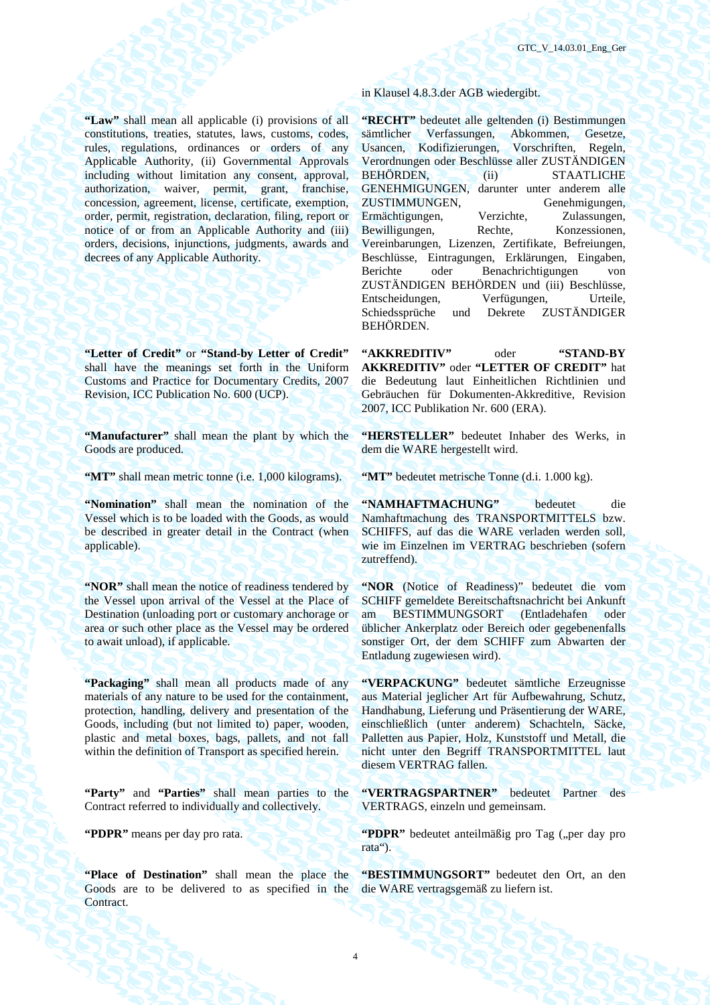**"Law"** shall mean all applicable (i) provisions of all constitutions, treaties, statutes, laws, customs, codes, rules, regulations, ordinances or orders of any Applicable Authority, (ii) Governmental Approvals including without limitation any consent, approval, authorization, waiver, permit, grant, franchise, concession, agreement, license, certificate, exemption, order, permit, registration, declaration, filing, report or notice of or from an Applicable Authority and (iii) orders, decisions, injunctions, judgments, awards and decrees of any Applicable Authority.

**"Letter of Credit"** or **"Stand-by Letter of Credit"** shall have the meanings set forth in the Uniform Customs and Practice for Documentary Credits, 2007 Revision, ICC Publication No. 600 (UCP).

**"Manufacturer"** shall mean the plant by which the Goods are produced.

**"MT"** shall mean metric tonne (i.e. 1,000 kilograms). **"MT"** bedeutet metrische Tonne (d.i. 1.000 kg).

**"Nomination"** shall mean the nomination of the Vessel which is to be loaded with the Goods, as would be described in greater detail in the Contract (when applicable).

**"NOR"** shall mean the notice of readiness tendered by the Vessel upon arrival of the Vessel at the Place of Destination (unloading port or customary anchorage or area or such other place as the Vessel may be ordered to await unload), if applicable.

**"Packaging"** shall mean all products made of any materials of any nature to be used for the containment, protection, handling, delivery and presentation of the Goods, including (but not limited to) paper, wooden, plastic and metal boxes, bags, pallets, and not fall within the definition of Transport as specified herein.

**"Party"** and **"Parties"** shall mean parties to the Contract referred to individually and collectively.

**"Place of Destination"** shall mean the place the Goods are to be delivered to as specified in the Contract.

in Klausel 4.8.3.der AGB wiedergibt.

**"RECHT"** bedeutet alle geltenden (i) Bestimmungen sämtlicher Verfassungen, Abkommen, Gesetze, Usancen, Kodifizierungen, Vorschriften, Regeln, Verordnungen oder Beschlüsse aller ZUSTÄNDIGEN BEHÖRDEN, (ii) STAATLICHE GENEHMIGUNGEN, darunter unter anderem alle ZUSTIMMUNGEN, Genehmigungen, Ermächtigungen, Verzichte, Zulassungen, Bewilligungen, Rechte, Konzessionen, Vereinbarungen, Lizenzen, Zertifikate, Befreiungen, Beschlüsse, Eintragungen, Erklärungen, Eingaben, Berichte oder Benachrichtigungen von ZUSTÄNDIGEN BEHÖRDEN und (iii) Beschlüsse, Entscheidungen, Verfügungen, Urteile, Schiedssprüche und Dekrete ZUSTÄNDIGER BEHÖRDEN.

**"AKKREDITIV"** oder **"STAND-BY AKKREDITIV"** oder **"LETTER OF CREDIT"** hat die Bedeutung laut Einheitlichen Richtlinien und Gebräuchen für Dokumenten-Akkreditive, Revision 2007, ICC Publikation Nr. 600 (ERA).

**"HERSTELLER"** bedeutet Inhaber des Werks, in dem die WARE hergestellt wird.

**"NAMHAFTMACHUNG"** bedeutet die Namhaftmachung des TRANSPORTMITTELS bzw. SCHIFFS, auf das die WARE verladen werden soll, wie im Einzelnen im VERTRAG beschrieben (sofern zutreffend).

**"NOR** (Notice of Readiness)" bedeutet die vom SCHIFF gemeldete Bereitschaftsnachricht bei Ankunft am BESTIMMUNGSORT (Entladehafen oder üblicher Ankerplatz oder Bereich oder gegebenenfalls sonstiger Ort, der dem SCHIFF zum Abwarten der Entladung zugewiesen wird).

**"VERPACKUNG"** bedeutet sämtliche Erzeugnisse aus Material jeglicher Art für Aufbewahrung, Schutz, Handhabung, Lieferung und Präsentierung der WARE, einschließlich (unter anderem) Schachteln, Säcke, Palletten aus Papier, Holz, Kunststoff und Metall, die nicht unter den Begriff TRANSPORTMITTEL laut diesem VERTRAG fallen.

**"VERTRAGSPARTNER"** bedeutet Partner des VERTRAGS, einzeln und gemeinsam.

**"PDPR"** means per day pro rata. **"PDPR"** bedeutet anteilmäßig pro Tag ("per day pro rata").

> **"BESTIMMUNGSORT"** bedeutet den Ort, an den die WARE vertragsgemäß zu liefern ist.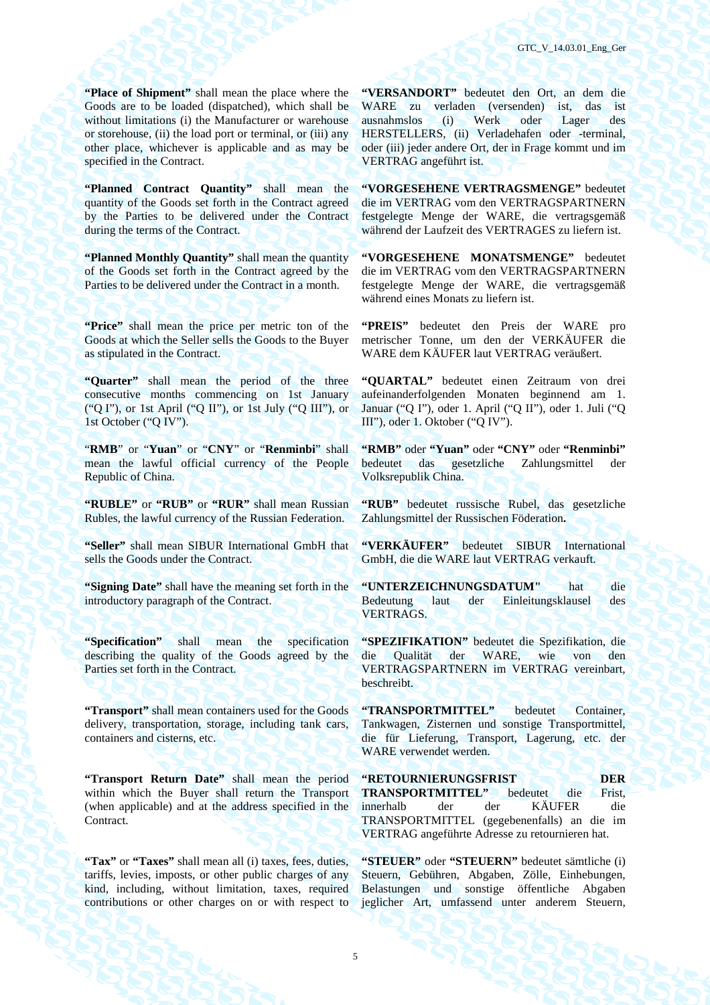**"Place of Shipment"** shall mean the place where the Goods are to be loaded (dispatched), which shall be without limitations (i) the Manufacturer or warehouse or storehouse, (ii) the load port or terminal, or (iii) any other place, whichever is applicable and as may be specified in the Contract.

**"Planned Contract Quantity"** shall mean the quantity of the Goods set forth in the Contract agreed by the Parties to be delivered under the Contract during the terms of the Contract.

**"Planned Monthly Quantity"** shall mean the quantity" of the Goods set forth in the Contract agreed by the Parties to be delivered under the Contract in a month.

**"Price"** shall mean the price per metric ton of the Goods at which the Seller sells the Goods to the Buyer as stipulated in the Contract.

**"Quarter"** shall mean the period of the three consecutive months commencing on 1st January ("Q I"), or 1st April ("Q II"), or 1st July ("Q III"), or 1st October ("Q IV").

"**RMB**" or "**Yuan**" or "**CNY**" or "**Renminbi**" shall mean the lawful official currency of the People Republic of China.

**"RUBLE"** or **"RUB"** or **"RUR"** shall mean Russian Rubles, the lawful currency of the Russian Federation.

**"Seller"** shall mean SIBUR International GmbH that sells the Goods under the Contract.

**"Signing Date"** shall have the meaning set forth in the introductory paragraph of the Contract.

**"Specification"** shall mean the specification describing the quality of the Goods agreed by the Parties set forth in the Contract.

**"Transport"** shall mean containers used for the Goods delivery, transportation, storage, including tank cars, containers and cisterns, etc.

**"Transport Return Date"** shall mean the period within which the Buyer shall return the Transport (when applicable) and at the address specified in the Contract.

**"Tax"** or **"Taxes"** shall mean all (i) taxes, fees, duties, tariffs, levies, imposts, or other public charges of any kind, including, without limitation, taxes, required contributions or other charges on or with respect to **"VERSANDORT"** bedeutet den Ort, an dem die WARE zu verladen (versenden) ist, das ist ausnahmslos (i) Werk oder Lager des HERSTELLERS, (ii) Verladehafen oder -terminal, oder (iii) jeder andere Ort, der in Frage kommt und im VERTRAG angeführt ist.

**"VORGESEHENE VERTRAGSMENGE"** bedeutet die im VERTRAG vom den VERTRAGSPARTNERN festgelegte Menge der WARE, die vertragsgemäß während der Laufzeit des VERTRAGES zu liefern ist.

**"VORGESEHENE MONATSMENGE"** bedeutet die im VERTRAG vom den VERTRAGSPARTNERN festgelegte Menge der WARE, die vertragsgemäß während eines Monats zu liefern ist.

**"PREIS"** bedeutet den Preis der WARE pro metrischer Tonne, um den der VERKÄUFER die WARE dem KÄUFER laut VERTRAG veräußert.

**"QUARTAL"** bedeutet einen Zeitraum von drei aufeinanderfolgenden Monaten beginnend am 1. Januar ("Q I"), oder 1. April ("Q II"), oder 1. Juli ("Q III"), oder 1. Oktober ("Q IV").

**"RMB"** oder **"Yuan"** oder **"CNY"** oder **"Renminbi"** bedeutet das gesetzliche Zahlungsmittel der Volksrepublik China.

**"RUB"** bedeutet russische Rubel, das gesetzliche Zahlungsmittel der Russischen Föderation**.** 

**"VERKÄUFER"** bedeutet SIBUR International GmbH, die die WARE laut VERTRAG verkauft.

**"UNTERZEICHNUNGSDATUM"** hat die Bedeutung laut der Einleitungsklausel des VERTRAGS.

**"SPEZIFIKATION"** bedeutet die Spezifikation, die die Qualität der WARE, wie von den VERTRAGSPARTNERN im VERTRAG vereinbart, beschreibt.

**"TRANSPORTMITTEL"** bedeutet Container, Tankwagen, Zisternen und sonstige Transportmittel, die für Lieferung, Transport, Lagerung, etc. der WARE verwendet werden.

**"RETOURNIERUNGSFRIST DER DER TRANSPORTMITTEL"** bedeutet die Frist, TRANSPORTMITTEL" bedeutet die innerhalb der der KÄUFER die TRANSPORTMITTEL (gegebenenfalls) an die im VERTRAG angeführte Adresse zu retournieren hat.

**"STEUER"** oder **"STEUERN"** bedeutet sämtliche (i) Steuern, Gebühren, Abgaben, Zölle, Einhebungen, Belastungen und sonstige öffentliche Abgaben jeglicher Art, umfassend unter anderem Steuern,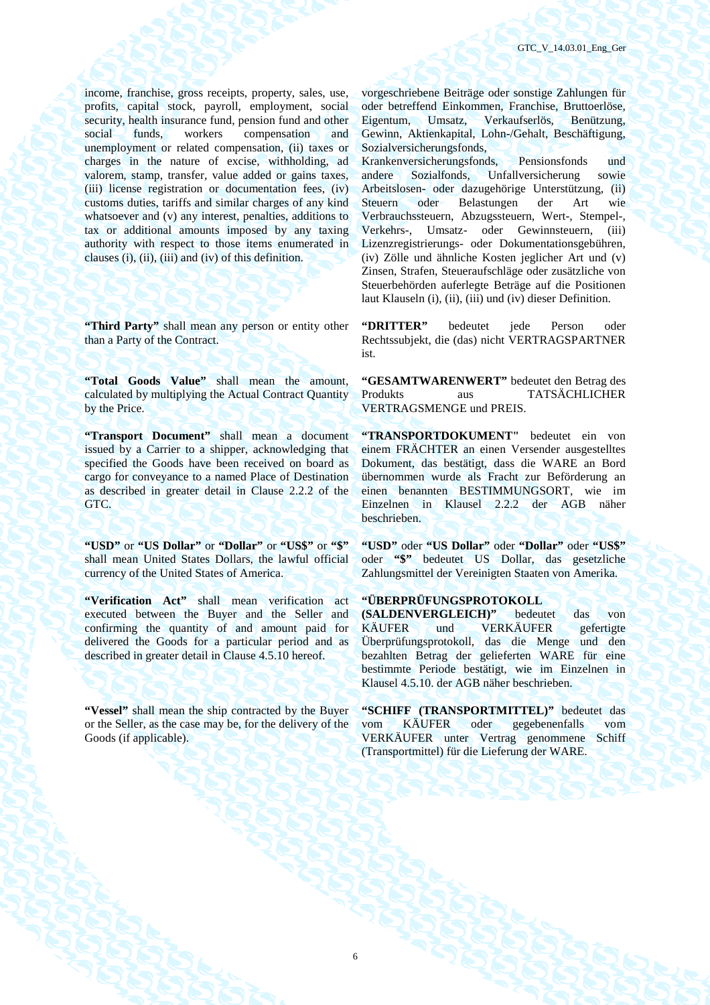income, franchise, gross receipts, property, sales, use, profits, capital stock, payroll, employment, social security, health insurance fund, pension fund and other social funds, workers compensation and unemployment or related compensation, (ii) taxes or charges in the nature of excise, withholding, ad valorem, stamp, transfer, value added or gains taxes, (iii) license registration or documentation fees, (iv) customs duties, tariffs and similar charges of any kind whatsoever and (v) any interest, penalties, additions to tax or additional amounts imposed by any taxing authority with respect to those items enumerated in clauses (i), (ii), (iii) and (iv) of this definition.

"Third Party" shall mean any person or entity other than a Party of the Contract.

**"Total Goods Value"** shall mean the amount, calculated by multiplying the Actual Contract Quantity by the Price.

**"Transport Document"** shall mean a document issued by a Carrier to a shipper, acknowledging that specified the Goods have been received on board as cargo for conveyance to a named Place of Destination as described in greater detail in Clause 2.2.2 of the GTC.

**"USD"** or **"US Dollar"** or **"Dollar"** or **"US\$"** or **"\$"** shall mean United States Dollars, the lawful official currency of the United States of America.

**"Verification Act"** shall mean verification act executed between the Buyer and the Seller and confirming the quantity of and amount paid for delivered the Goods for a particular period and as described in greater detail in Clause 4.5.10 hereof.

"Vessel" shall mean the ship contracted by the Buyer or the Seller, as the case may be, for the delivery of the Goods (if applicable).

vorgeschriebene Beiträge oder sonstige Zahlungen für oder betreffend Einkommen, Franchise, Bruttoerlöse, Eigentum, Umsatz, Verkaufserlös, Benützung, Gewinn, Aktienkapital, Lohn-/Gehalt, Beschäftigung, Sozialversicherungsfonds,

Krankenversicherungsfonds, Pensionsfonds und andere Sozialfonds, Unfallversicherung sowie Arbeitslosen- oder dazugehörige Unterstützung, (ii) Steuern oder Belastungen der Art wie Verbrauchssteuern, Abzugssteuern, Wert-, Stempel-, Verkehrs-, Umsatz- oder Gewinnsteuern, (iii) Lizenzregistrierungs- oder Dokumentationsgebühren, (iv) Zölle und ähnliche Kosten jeglicher Art und (v) Zinsen, Strafen, Steueraufschläge oder zusätzliche von Steuerbehörden auferlegte Beträge auf die Positionen laut Klauseln (i), (ii), (iii) und (iv) dieser Definition.

**"DRITTER"** bedeutet jede Person oder Rechtssubjekt, die (das) nicht VERTRAGSPARTNER ist.

**"GESAMTWARENWERT"** bedeutet den Betrag des Produkts aus TATSÄCHLICHER VERTRAGSMENGE und PREIS.

**"TRANSPORTDOKUMENT"** bedeutet ein von einem FRÄCHTER an einen Versender ausgestelltes Dokument, das bestätigt, dass die WARE an Bord übernommen wurde als Fracht zur Beförderung an einen benannten BESTIMMUNGSORT, wie im Einzelnen in Klausel 2.2.2 der AGB näher beschrieben.

**"USD"** oder **"US Dollar"** oder **"Dollar"** oder **"US\$"**  oder **"\$"** bedeutet US Dollar, das gesetzliche Zahlungsmittel der Vereinigten Staaten von Amerika.

### **"ÜBERPRÜFUNGSPROTOKOLL**

**(SALDENVERGLEICH)"** bedeutet das von KÄUFER und VERKÄUFER gefertigte Überprüfungsprotokoll, das die Menge und den bezahlten Betrag der gelieferten WARE für eine bestimmte Periode bestätigt, wie im Einzelnen in Klausel 4.5.10. der AGB näher beschrieben.

**"SCHIFF (TRANSPORTMITTEL)"** bedeutet das vom KÄUFER oder gegebenenfalls vom VERKÄUFER unter Vertrag genommene Schiff (Transportmittel) für die Lieferung der WARE.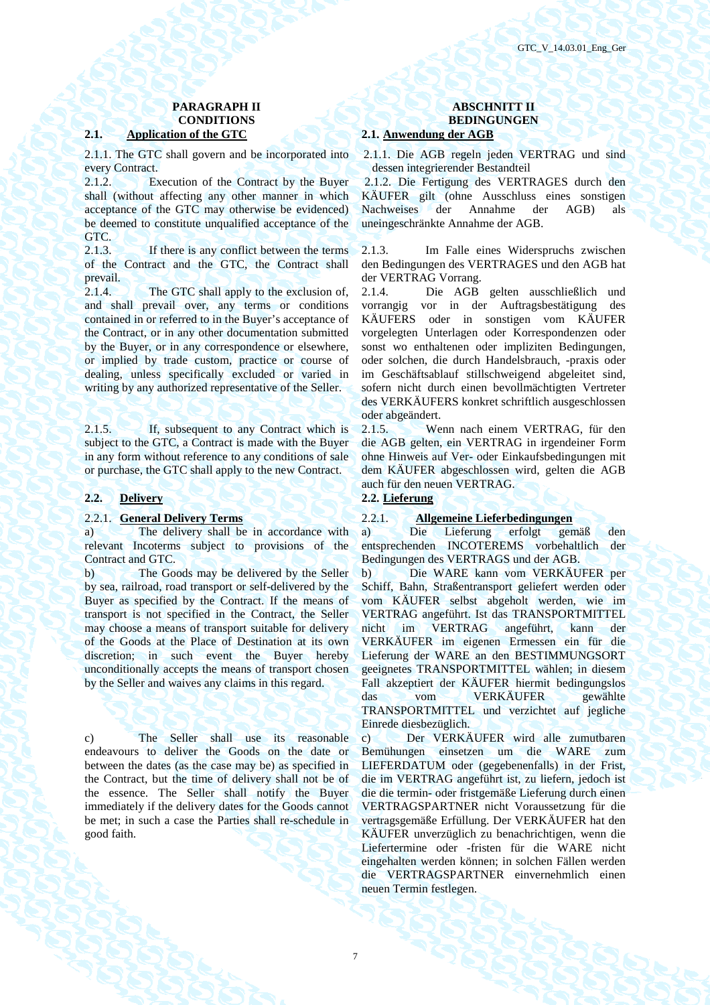### **2.1. Application of the GTC 2.1. Anwendung der AGB**

2.1.1. The GTC shall govern and be incorporated into every Contract.

2.1.2. Execution of the Contract by the Buyer shall (without affecting any other manner in which acceptance of the GTC may otherwise be evidenced) be deemed to constitute unqualified acceptance of the GTC.

2.1.3. If there is any conflict between the terms of the Contract and the GTC, the Contract shall prevail.

2.1.4. The GTC shall apply to the exclusion of, and shall prevail over, any terms or conditions contained in or referred to in the Buyer's acceptance of the Contract, or in any other documentation submitted by the Buyer, or in any correspondence or elsewhere, or implied by trade custom, practice or course of dealing, unless specifically excluded or varied in writing by any authorized representative of the Seller.

2.1.5. If, subsequent to any Contract which is subject to the GTC, a Contract is made with the Buyer in any form without reference to any conditions of sale or purchase, the GTC shall apply to the new Contract.

### **2.2. Delivery 2.2. Lieferung**

a) The delivery shall be in accordance with relevant Incoterms subject to provisions of the Contract and GTC.

b) The Goods may be delivered by the Seller by sea, railroad, road transport or self-delivered by the Buyer as specified by the Contract. If the means of transport is not specified in the Contract, the Seller may choose a means of transport suitable for delivery of the Goods at the Place of Destination at its own discretion; in such event the Buyer hereby unconditionally accepts the means of transport chosen by the Seller and waives any claims in this regard.

c) The Seller shall use its reasonable endeavours to deliver the Goods on the date or between the dates (as the case may be) as specified in the Contract, but the time of delivery shall not be of the essence. The Seller shall notify the Buyer immediately if the delivery dates for the Goods cannot be met; in such a case the Parties shall re-schedule in good faith.

### **PARAGRAPH II ABSCHNITT II CONDITIONS BEDINGUNGEN**

2.1.1. Die AGB regeln jeden VERTRAG und sind dessen integrierender Bestandteil

2.1.2. Die Fertigung des VERTRAGES durch den KÄUFER gilt (ohne Ausschluss eines sonstigen Nachweises der Annahme der AGB) als uneingeschränkte Annahme der AGB.

2.1.3. Im Falle eines Widerspruchs zwischen den Bedingungen des VERTRAGES und den AGB hat der VERTRAG Vorrang.

2.1.4. Die AGB gelten ausschließlich und vorrangig vor in der Auftragsbestätigung des KÄUFERS oder in sonstigen vom KÄUFER vorgelegten Unterlagen oder Korrespondenzen oder sonst wo enthaltenen oder impliziten Bedingungen, oder solchen, die durch Handelsbrauch, -praxis oder im Geschäftsablauf stillschweigend abgeleitet sind, sofern nicht durch einen bevollmächtigten Vertreter des VERKÄUFERS konkret schriftlich ausgeschlossen oder abgeändert.

2.1.5. Wenn nach einem VERTRAG, für den die AGB gelten, ein VERTRAG in irgendeiner Form ohne Hinweis auf Ver- oder Einkaufsbedingungen mit dem KÄUFER abgeschlossen wird, gelten die AGB auch für den neuen VERTRAG.

### 2.2.1. **General Delivery Terms** 2.2.1. **Allgemeine Lieferbedingungen**

а) Die Lieferung erfolgt gemäß den entsprechenden INCOTEREMS vorbehaltlich der Bedingungen des VERTRAGS und der AGB.

b) Die WARE kann vom VERKÄUFER per Schiff, Bahn, Straßentransport geliefert werden oder vom KÄUFER selbst abgeholt werden, wie im VERTRAG angeführt. Ist das TRANSPORTMITTEL nicht im VERTRAG angeführt, kann der VERKÄUFER im eigenen Ermessen ein für die Lieferung der WARE an den BESTIMMUNGSORT geeignetes TRANSPORTMITTEL wählen; in diesem Fall akzeptiert der KÄUFER hiermit bedingungslos das vom VERKÄUFER gewählte TRANSPORTMITTEL und verzichtet auf jegliche Einrede diesbezüglich.

c) Der VERKÄUFER wird alle zumutbaren Bemühungen einsetzen um die WARE zum LIEFERDATUM oder (gegebenenfalls) in der Frist, die im VERTRAG angeführt ist, zu liefern, jedoch ist die die termin- oder fristgemäße Lieferung durch einen VERTRAGSPARTNER nicht Voraussetzung für die vertragsgemäße Erfüllung. Der VERKÄUFER hat den KÄUFER unverzüglich zu benachrichtigen, wenn die Liefertermine oder -fristen für die WARE nicht eingehalten werden können; in solchen Fällen werden die VERTRAGSPARTNER einvernehmlich einen neuen Termin festlegen.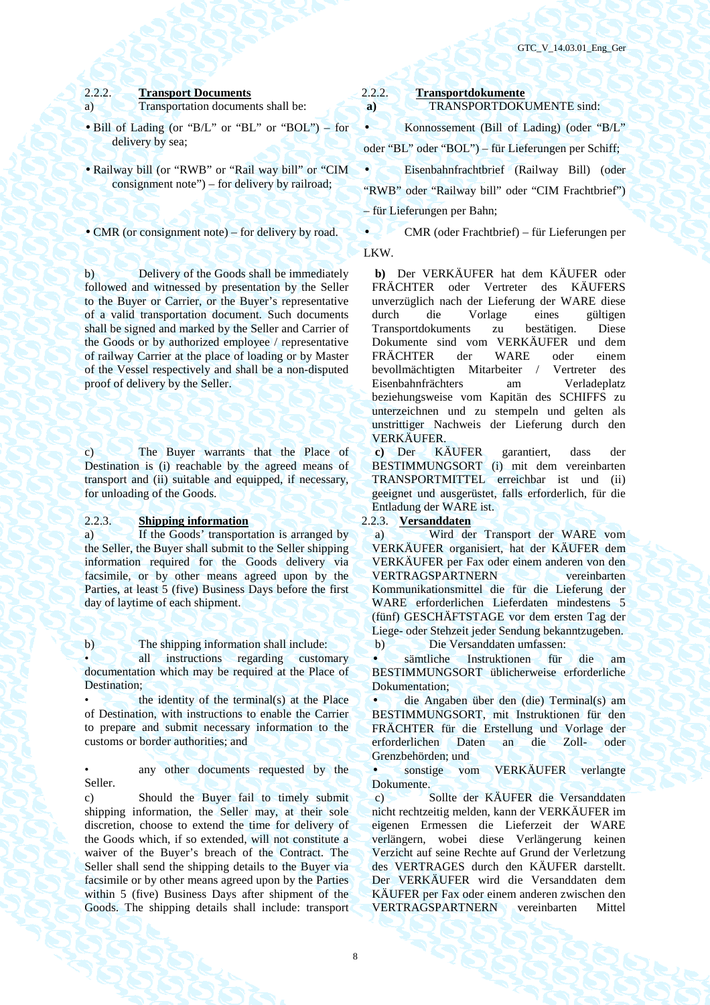a) Transportation documents shall be: **a**)

- Bill of Lading (or "B/L" or "BL" or "BOL") for delivery by sea;
- Railway bill (or "RWB" or "Rail way bill" or "CIM consignment note") – for delivery by railroad;

b) Delivery of the Goods shall be immediately followed and witnessed by presentation by the Seller to the Buyer or Carrier, or the Buyer's representative of a valid transportation document. Such documents shall be signed and marked by the Seller and Carrier of the Goods or by authorized employee / representative of railway Carrier at the place of loading or by Master of the Vessel respectively and shall be a non-disputed proof of delivery by the Seller.

c) The Buyer warrants that the Place of Destination is (i) reachable by the agreed means of transport and (ii) suitable and equipped, if necessary, for unloading of the Goods.

### 2.2.3. **Shipping information** 2.2.3. **Versanddaten**

a) If the Goods' transportation is arranged by the Seller, the Buyer shall submit to the Seller shipping information required for the Goods delivery via facsimile, or by other means agreed upon by the Parties, at least 5 (five) Business Days before the first day of laytime of each shipment.

b) The shipping information shall include: b) Die Versanddaten umfassen:

all instructions regarding customary documentation which may be required at the Place of Destination:

the identity of the terminal(s) at the Place of Destination, with instructions to enable the Carrier to prepare and submit necessary information to the customs or border authorities; and

any other documents requested by the Seller.

c) Should the Buyer fail to timely submit shipping information, the Seller may, at their sole discretion, choose to extend the time for delivery of the Goods which, if so extended, will not constitute a waiver of the Buyer's breach of the Contract. The Seller shall send the shipping details to the Buyer via facsimile or by other means agreed upon by the Parties within 5 (five) Business Days after shipment of the Goods. The shipping details shall include: transport

# 2.2.2. **Transport Documents**<br> **Example 3.2.2. Transportdokumente a TRANSPORTDOKUMENTE** sind:

• Konnossement (Bill of Lading) (oder "B/L" oder "BL" oder "BOL") – für Lieferungen per Schiff; • Eisenbahnfrachtbrief (Railway Bill) (oder "RWB" oder "Railway bill" oder "CIM Frachtbrief") – für Lieferungen per Bahn;

• CMR (or consignment note) – for delivery by road. • CMR (oder Frachtbrief) – für Lieferungen per LKW.

> **b)** Der VERKÄUFER hat dem KÄUFER oder FRÄCHTER oder Vertreter des KÄUFERS unverzüglich nach der Lieferung der WARE diese durch die Vorlage eines gültigen Transportdokuments zu bestätigen. Diese Dokumente sind vom VERKÄUFER und dem FRÄCHTER der WARE oder einem bevollmächtigten Mitarbeiter / Vertreter des Eisenbahnfrächters am Verladeplatz beziehungsweise vom Kapitän des SCHIFFS zu unterzeichnen und zu stempeln und gelten als unstrittiger Nachweis der Lieferung durch den VERKÄUFER.

> **c)** Der KÄUFER garantiert, dass der BESTIMMUNGSORT (i) mit dem vereinbarten TRANSPORTMITTEL erreichbar ist und (ii) geeignet und ausgerüstet, falls erforderlich, für die Entladung der WARE ist.

 a) Wird der Transport der WARE vom VERKÄUFER organisiert, hat der KÄUFER dem VERKÄUFER per Fax oder einem anderen von den VERTRAGSPARTNERN vereinbarten Kommunikationsmittel die für die Lieferung der WARE erforderlichen Lieferdaten mindestens 5 (fünf) GESCHÄFTSTAGE vor dem ersten Tag der Liege- oder Stehzeit jeder Sendung bekanntzugeben.

• sämtliche Instruktionen für die am BESTIMMUNGSORT üblicherweise erforderliche Dokumentation;

• die Angaben über den (die) Terminal(s) am BESTIMMUNGSORT, mit Instruktionen für den FRÄCHTER für die Erstellung und Vorlage der erforderlichen Daten an die Zoll- oder Grenzbehörden; und

• sonstige vom VERKÄUFER verlangte Dokumente.

 c) Sollte der KÄUFER die Versanddaten nicht rechtzeitig melden, kann der VERKÄUFER im eigenen Ermessen die Lieferzeit der WARE verlängern, wobei diese Verlängerung keinen Verzicht auf seine Rechte auf Grund der Verletzung des VERTRAGES durch den KÄUFER darstellt. Der VERKÄUFER wird die Versanddaten dem KÄUFER per Fax oder einem anderen zwischen den VERTRAGSPARTNERN vereinbarten Mittel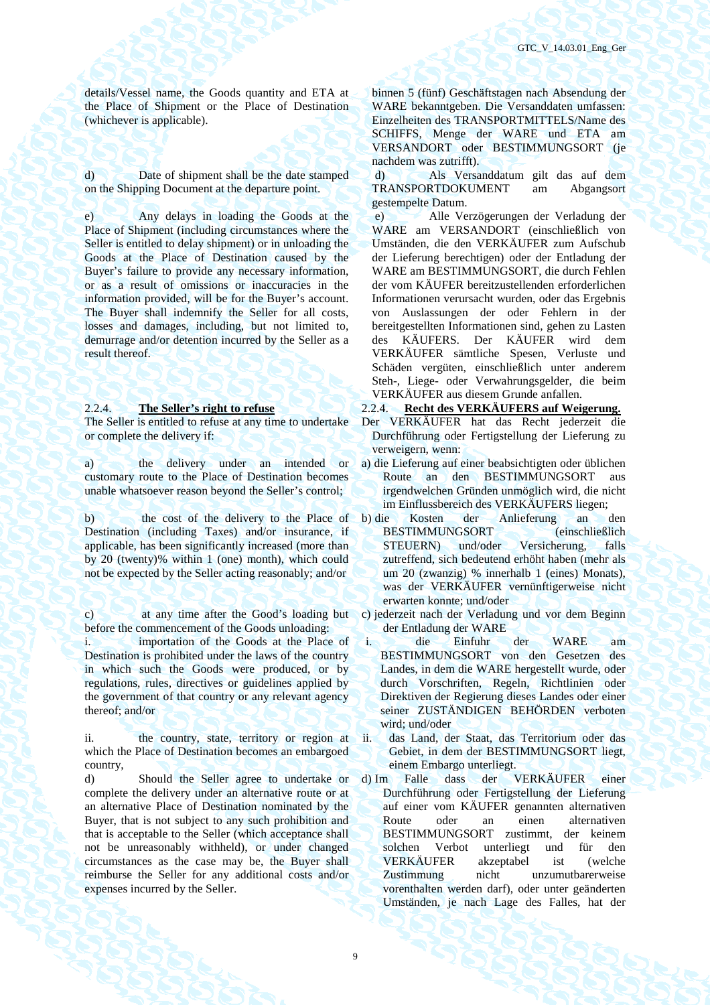details/Vessel name, the Goods quantity and ETA at the Place of Shipment or the Place of Destination (whichever is applicable).

d) Date of shipment shall be the date stamped on the Shipping Document at the departure point.

e) Any delays in loading the Goods at the Place of Shipment (including circumstances where the Seller is entitled to delay shipment) or in unloading the Goods at the Place of Destination caused by the Buyer's failure to provide any necessary information, or as a result of omissions or inaccuracies in the information provided, will be for the Buyer's account. The Buyer shall indemnify the Seller for all costs, losses and damages, including, but not limited to, demurrage and/or detention incurred by the Seller as a result thereof.

The Seller is entitled to refuse at any time to undertake or complete the delivery if:

a) the delivery under an intended or customary route to the Place of Destination becomes unable whatsoever reason beyond the Seller's control;

b) the cost of the delivery to the Place of Destination (including Taxes) and/or insurance, if applicable, has been significantly increased (more than by 20 (twenty)% within 1 (one) month), which could not be expected by the Seller acting reasonably; and/or

c) at any time after the Good's loading but before the commencement of the Goods unloading:

importation of the Goods at the Place of Destination is prohibited under the laws of the country in which such the Goods were produced, or by regulations, rules, directives or guidelines applied by the government of that country or any relevant agency thereof; and/or

ii. the country, state, territory or region at which the Place of Destination becomes an embargoed country,

d) Should the Seller agree to undertake or complete the delivery under an alternative route or at an alternative Place of Destination nominated by the Buyer, that is not subject to any such prohibition and that is acceptable to the Seller (which acceptance shall not be unreasonably withheld), or under changed circumstances as the case may be, the Buyer shall reimburse the Seller for any additional costs and/or expenses incurred by the Seller.

binnen 5 (fünf) Geschäftstagen nach Absendung der WARE bekanntgeben. Die Versanddaten umfassen: Einzelheiten des TRANSPORTMITTELS/Name des SCHIFFS, Menge der WARE und ETA am VERSANDORT oder BESTIMMUNGSORT (je nachdem was zutrifft).

 d) Als Versanddatum gilt das auf dem TRANSPORTDOKUMENT am Abgangsort gestempelte Datum.

 e) Alle Verzögerungen der Verladung der WARE am VERSANDORT (einschließlich von Umständen, die den VERKÄUFER zum Aufschub der Lieferung berechtigen) oder der Entladung der WARE am BESTIMMUNGSORT, die durch Fehlen der vom KÄUFER bereitzustellenden erforderlichen Informationen verursacht wurden, oder das Ergebnis von Auslassungen der oder Fehlern in der bereitgestellten Informationen sind, gehen zu Lasten des KÄUFERS. Der KÄUFER wird dem VERKÄUFER sämtliche Spesen, Verluste und Schäden vergüten, einschließlich unter anderem Steh-, Liege- oder Verwahrungsgelder, die beim VERKÄUFER aus diesem Grunde anfallen.

### 2.2.4. **The Seller's right to refuse** 2.2.4. **Recht des VERKÄUFERS auf Weigerung.**

- Der VERKÄUFER hat das Recht jederzeit die Durchführung oder Fertigstellung der Lieferung zu verweigern, wenn:
- a) die Lieferung auf einer beabsichtigten oder üblichen Route an den BESTIMMUNGSORT aus irgendwelchen Gründen unmöglich wird, die nicht im Einflussbereich des VERKÄUFERS liegen;
- b) die Kosten der Anlieferung an den BESTIMMUNGSORT (einschließlich STEUERN) und/oder Versicherung, falls zutreffend, sich bedeutend erhöht haben (mehr als um 20 (zwanzig) % innerhalb 1 (eines) Monats), was der VERKÄUFER vernünftigerweise nicht erwarten konnte; und/oder
- c) jederzeit nach der Verladung und vor dem Beginn der Entladung der WARE
- i. die Einfuhr der WARE am BESTIMMUNGSORT von den Gesetzen des Landes, in dem die WARE hergestellt wurde, oder durch Vorschriften, Regeln, Richtlinien oder Direktiven der Regierung dieses Landes oder einer seiner ZUSTÄNDIGEN BEHÖRDEN verboten wird; und/oder
- ii. das Land, der Staat, das Territorium oder das Gebiet, in dem der BESTIMMUNGSORT liegt, einem Embargo unterliegt.
- d) Im Falle dass der VERKÄUFER einer Durchführung oder Fertigstellung der Lieferung auf einer vom KÄUFER genannten alternativen Route oder an einen alternativen BESTIMMUNGSORT zustimmt, der keinem solchen Verbot unterliegt und für den VERKÄUFER akzeptabel ist (welche Zustimmung nicht unzumutbarerweise vorenthalten werden darf), oder unter geänderten Umständen, je nach Lage des Falles, hat der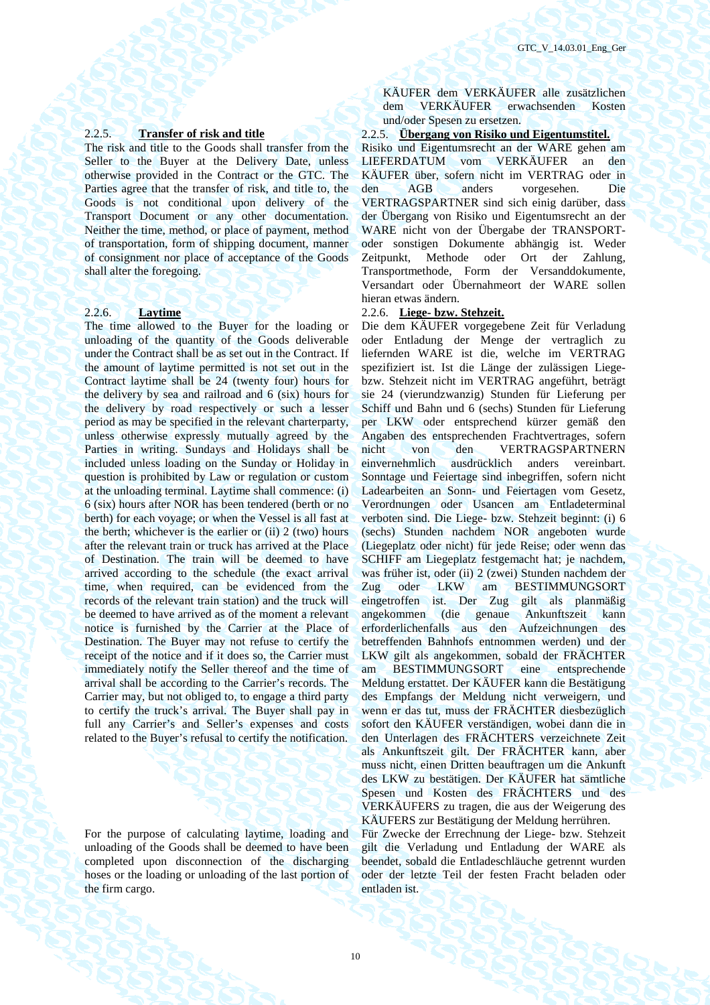The risk and title to the Goods shall transfer from the Seller to the Buyer at the Delivery Date, unless otherwise provided in the Contract or the GTC. The Parties agree that the transfer of risk, and title to, the Goods is not conditional upon delivery of the Transport Document or any other documentation. Neither the time, method, or place of payment, method of transportation, form of shipping document, manner of consignment nor place of acceptance of the Goods shall alter the foregoing.

The time allowed to the Buyer for the loading or unloading of the quantity of the Goods deliverable under the Contract shall be as set out in the Contract. If the amount of laytime permitted is not set out in the Contract laytime shall be 24 (twenty four) hours for the delivery by sea and railroad and 6 (six) hours for the delivery by road respectively or such a lesser period as may be specified in the relevant charterparty, unless otherwise expressly mutually agreed by the Parties in writing. Sundays and Holidays shall be included unless loading on the Sunday or Holiday in question is prohibited by Law or regulation or custom at the unloading terminal. Laytime shall commence: (i) 6 (six) hours after NOR has been tendered (berth or no berth) for each voyage; or when the Vessel is all fast at the berth; whichever is the earlier or  $(ii)$  2 (two) hours after the relevant train or truck has arrived at the Place of Destination. The train will be deemed to have arrived according to the schedule (the exact arrival time, when required, can be evidenced from the records of the relevant train station) and the truck will be deemed to have arrived as of the moment a relevant notice is furnished by the Carrier at the Place of Destination. The Buyer may not refuse to certify the receipt of the notice and if it does so, the Carrier must immediately notify the Seller thereof and the time of arrival shall be according to the Carrier's records. The Carrier may, but not obliged to, to engage a third party to certify the truck's arrival. The Buyer shall pay in full any Carrier's and Seller's expenses and costs related to the Buyer's refusal to certify the notification.

For the purpose of calculating laytime, loading and unloading of the Goods shall be deemed to have been completed upon disconnection of the discharging hoses or the loading or unloading of the last portion of the firm cargo.

KÄUFER dem VERKÄUFER alle zusätzlichen dem VERKÄUFER erwachsenden Kosten und/oder Spesen zu ersetzen.

### 2.2.5. **Transfer of risk and title** 2.2.5. **Übergang von Risiko und Eigentumstitel.**

Risiko und Eigentumsrecht an der WARE gehen am LIEFERDATUM vom VERKÄUFER an den KÄUFER über, sofern nicht im VERTRAG oder in den AGB anders vorgesehen. Die VERTRAGSPARTNER sind sich einig darüber, dass der Übergang von Risiko und Eigentumsrecht an der WARE nicht von der Übergabe der TRANSPORToder sonstigen Dokumente abhängig ist. Weder Zeitpunkt, Methode oder Ort der Zahlung, Transportmethode, Form der Versanddokumente, Versandart oder Übernahmeort der WARE sollen hieran etwas ändern.

### 2.2.6. **Laytime** 2.2.6. **Liege- bzw. Stehzeit.**

Die dem KÄUFER vorgegebene Zeit für Verladung oder Entladung der Menge der vertraglich zu liefernden WARE ist die, welche im VERTRAG spezifiziert ist. Ist die Länge der zulässigen Liegebzw. Stehzeit nicht im VERTRAG angeführt, beträgt sie 24 (vierundzwanzig) Stunden für Lieferung per Schiff und Bahn und 6 (sechs) Stunden für Lieferung per LKW oder entsprechend kürzer gemäß den Angaben des entsprechenden Frachtvertrages, sofern nicht von den VERTRAGSPARTNERN einvernehmlich ausdrücklich anders vereinbart. Sonntage und Feiertage sind inbegriffen, sofern nicht Ladearbeiten an Sonn- und Feiertagen vom Gesetz, Verordnungen oder Usancen am Entladeterminal verboten sind. Die Liege- bzw. Stehzeit beginnt: (i) 6 (sechs) Stunden nachdem NOR angeboten wurde (Liegeplatz oder nicht) für jede Reise; oder wenn das SCHIFF am Liegeplatz festgemacht hat; je nachdem, was früher ist, oder (ii) 2 (zwei) Stunden nachdem der Zug oder LKW am BESTIMMUNGSORT eingetroffen ist. Der Zug gilt als planmäßig angekommen (die genaue Ankunftszeit kann erforderlichenfalls aus den Aufzeichnungen des betreffenden Bahnhofs entnommen werden) und der LKW gilt als angekommen, sobald der FRÄCHTER am BESTIMMUNGSORT eine entsprechende Meldung erstattet. Der KÄUFER kann die Bestätigung des Empfangs der Meldung nicht verweigern, und wenn er das tut, muss der FRÄCHTER diesbezüglich sofort den KÄUFER verständigen, wobei dann die in den Unterlagen des FRÄCHTERS verzeichnete Zeit als Ankunftszeit gilt. Der FRÄCHTER kann, aber muss nicht, einen Dritten beauftragen um die Ankunft des LKW zu bestätigen. Der KÄUFER hat sämtliche Spesen und Kosten des FRÄCHTERS und des VERKÄUFERS zu tragen, die aus der Weigerung des KÄUFERS zur Bestätigung der Meldung herrühren.

Für Zwecke der Errechnung der Liege- bzw. Stehzeit gilt die Verladung und Entladung der WARE als beendet, sobald die Entladeschläuche getrennt wurden oder der letzte Teil der festen Fracht beladen oder entladen ist.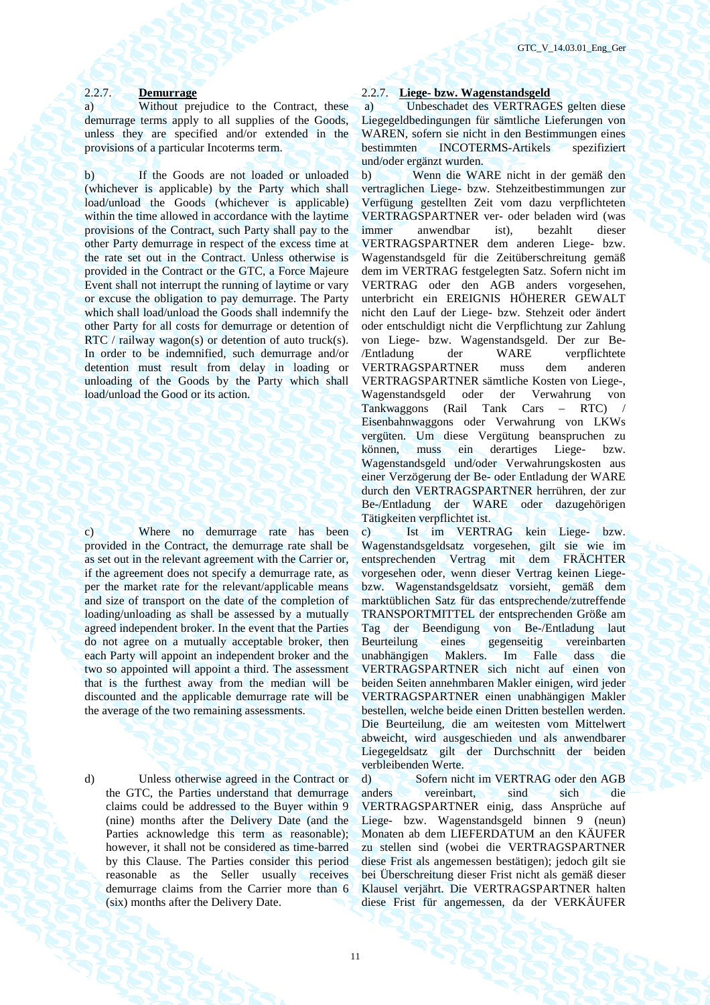a) Without prejudice to the Contract, these demurrage terms apply to all supplies of the Goods, unless they are specified and/or extended in the provisions of a particular Incoterms term.

b) If the Goods are not loaded or unloaded (whichever is applicable) by the Party which shall load/unload the Goods (whichever is applicable) within the time allowed in accordance with the laytime provisions of the Contract, such Party shall pay to the other Party demurrage in respect of the excess time at the rate set out in the Contract. Unless otherwise is provided in the Contract or the GTC, a Force Majeure Event shall not interrupt the running of laytime or vary or excuse the obligation to pay demurrage. The Party which shall load/unload the Goods shall indemnify the other Party for all costs for demurrage or detention of RTC / railway wagon(s) or detention of auto truck(s). In order to be indemnified, such demurrage and/or detention must result from delay in loading or unloading of the Goods by the Party which shall load/unload the Good or its action.

c) Where no demurrage rate has been provided in the Contract, the demurrage rate shall be as set out in the relevant agreement with the Carrier or, if the agreement does not specify a demurrage rate, as per the market rate for the relevant/applicable means and size of transport on the date of the completion of loading/unloading as shall be assessed by a mutually agreed independent broker. In the event that the Parties do not agree on a mutually acceptable broker, then each Party will appoint an independent broker and the two so appointed will appoint a third. The assessment that is the furthest away from the median will be discounted and the applicable demurrage rate will be the average of the two remaining assessments.

d) Unless otherwise agreed in the Contract or the GTC, the Parties understand that demurrage claims could be addressed to the Buyer within 9 (nine) months after the Delivery Date (and the Parties acknowledge this term as reasonable); however, it shall not be considered as time-barred by this Clause. The Parties consider this period reasonable as the Seller usually receives demurrage claims from the Carrier more than 6 (six) months after the Delivery Date.

### 2.2.7. **Demurrage** 2.2.7. **Liege- bzw. Wagenstandsgeld**

 a) Unbeschadet des VERTRAGES gelten diese Liegegeldbedingungen für sämtliche Lieferungen von WAREN, sofern sie nicht in den Bestimmungen eines bestimmten INCOTERMS-Artikels spezifiziert und/oder ergänzt wurden.

b) Wenn die WARE nicht in der gemäß den vertraglichen Liege- bzw. Stehzeitbestimmungen zur Verfügung gestellten Zeit vom dazu verpflichteten VERTRAGSPARTNER ver- oder beladen wird (was immer anwendbar ist), bezahlt dieser VERTRAGSPARTNER dem anderen Liege- bzw. Wagenstandsgeld für die Zeitüberschreitung gemäß dem im VERTRAG festgelegten Satz. Sofern nicht im VERTRAG oder den AGB anders vorgesehen, unterbricht ein EREIGNIS HÖHERER GEWALT nicht den Lauf der Liege- bzw. Stehzeit oder ändert oder entschuldigt nicht die Verpflichtung zur Zahlung von Liege- bzw. Wagenstandsgeld. Der zur Be-<br>Entladung der WARE vernflichtete /Entladung der WARE verpflichtete VERTRAGSPARTNER muss dem anderen VERTRAGSPARTNER sämtliche Kosten von Liege-, Wagenstandsgeld oder der Verwahrung von Tankwaggons (Rail Tank Cars – RTC) / Eisenbahnwaggons oder Verwahrung von LKWs vergüten. Um diese Vergütung beanspruchen zu können, muss ein derartiges Liege- bzw. Wagenstandsgeld und/oder Verwahrungskosten aus einer Verzögerung der Be- oder Entladung der WARE durch den VERTRAGSPARTNER herrühren, der zur Be-/Entladung der WARE oder dazugehörigen Tätigkeiten verpflichtet ist.

c) Ist im VERTRAG kein Liege- bzw. Wagenstandsgeldsatz vorgesehen, gilt sie wie im entsprechenden Vertrag mit dem FRÄCHTER vorgesehen oder, wenn dieser Vertrag keinen Liegebzw. Wagenstandsgeldsatz vorsieht, gemäß dem marktüblichen Satz für das entsprechende/zutreffende TRANSPORTMITTEL der entsprechenden Größe am Tag der Beendigung von Be-/Entladung laut Beurteilung eines gegenseitig vereinbarten unabhängigen Maklers. Im Falle dass die VERTRAGSPARTNER sich nicht auf einen von beiden Seiten annehmbaren Makler einigen, wird jeder VERTRAGSPARTNER einen unabhängigen Makler bestellen, welche beide einen Dritten bestellen werden. Die Beurteilung, die am weitesten vom Mittelwert abweicht, wird ausgeschieden und als anwendbarer Liegegeldsatz gilt der Durchschnitt der beiden verbleibenden Werte.

d) Sofern nicht im VERTRAG oder den AGB anders vereinbart, sind sich die VERTRAGSPARTNER einig, dass Ansprüche auf Liege- bzw. Wagenstandsgeld binnen 9 (neun) Monaten ab dem LIEFERDATUM an den KÄUFER zu stellen sind (wobei die VERTRAGSPARTNER diese Frist als angemessen bestätigen); jedoch gilt sie bei Überschreitung dieser Frist nicht als gemäß dieser Klausel verjährt. Die VERTRAGSPARTNER halten diese Frist für angemessen, da der VERKÄUFER

11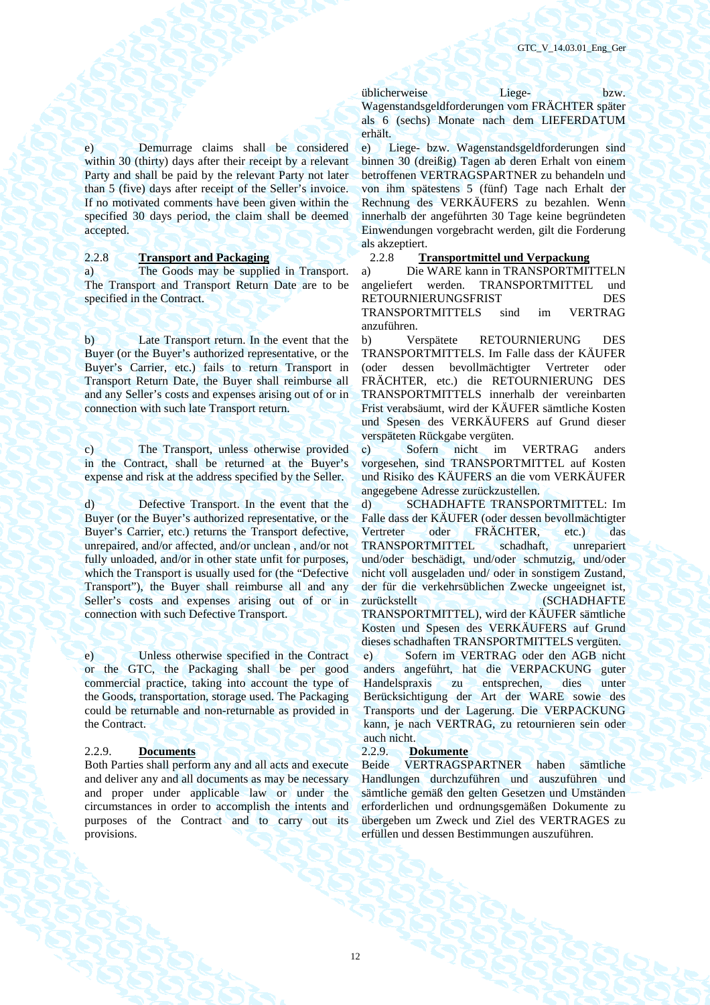e) Demurrage claims shall be considered within 30 (thirty) days after their receipt by a relevant Party and shall be paid by the relevant Party not later than 5 (five) days after receipt of the Seller's invoice. If no motivated comments have been given within the specified 30 days period, the claim shall be deemed accepted.

a) The Goods may be supplied in Transport. The Transport and Transport Return Date are to be specified in the Contract.

b) Late Transport return. In the event that the Buyer (or the Buyer's authorized representative, or the Buyer's Carrier, etc.) fails to return Transport in Transport Return Date, the Buyer shall reimburse all and any Seller's costs and expenses arising out of or in connection with such late Transport return.

c) The Transport, unless otherwise provided in the Contract, shall be returned at the Buyer's expense and risk at the address specified by the Seller.

d) Defective Transport. In the event that the Buyer (or the Buyer's authorized representative, or the Buyer's Carrier, etc.) returns the Transport defective, unrepaired, and/or affected, and/or unclean , and/or not fully unloaded, and/or in other state unfit for purposes. which the Transport is usually used for (the "Defective Transport"), the Buyer shall reimburse all and any Seller's costs and expenses arising out of or in connection with such Defective Transport.

e) Unless otherwise specified in the Contract or the GTC, the Packaging shall be per good commercial practice, taking into account the type of the Goods, transportation, storage used. The Packaging could be returnable and non-returnable as provided in the Contract.

2.2.9. **Documents** 2.2.9. **Dokumente** Both Parties shall perform any and all acts and execute and deliver any and all documents as may be necessary and proper under applicable law or under the circumstances in order to accomplish the intents and purposes of the Contract and to carry out its provisions.

üblicherweise Liege- bzw. Wagenstandsgeldforderungen vom FRÄCHTER später als 6 (sechs) Monate nach dem LIEFERDATUM erhält.

e) Liege- bzw. Wagenstandsgeldforderungen sind binnen 30 (dreißig) Tagen ab deren Erhalt von einem betroffenen VERTRAGSPARTNER zu behandeln und von ihm spätestens 5 (fünf) Tage nach Erhalt der Rechnung des VERKÄUFERS zu bezahlen. Wenn innerhalb der angeführten 30 Tage keine begründeten Einwendungen vorgebracht werden, gilt die Forderung als akzeptiert.

### 2.2.8 **Transport and Packaging** 2.2.8 **Transportmittel und Verpackung**

a) Die WARE kann in TRANSPORTMITTELN angeliefert werden. TRANSPORTMITTEL und RETOURNIERUNGSFRIST DES TRANSPORTMITTELS sind im VERTRAG anzuführen.

b) Verspätete RETOURNIERUNG DES TRANSPORTMITTELS. Im Falle dass der KÄUFER (oder dessen bevollmächtigter Vertreter oder FRÄCHTER, etc.) die RETOURNIERUNG DES TRANSPORTMITTELS innerhalb der vereinbarten Frist verabsäumt, wird der KÄUFER sämtliche Kosten und Spesen des VERKÄUFERS auf Grund dieser verspäteten Rückgabe vergüten.

с) Sofern nicht im VERTRAG anders vorgesehen, sind TRANSPORTMITTEL auf Kosten und Risiko des KÄUFERS an die vom VERKÄUFER angegebene Adresse zurückzustellen.

d) SCHADHAFTE TRANSPORTMITTEL: Im Falle dass der KÄUFER (oder dessen bevollmächtigter Vertreter oder FRÄCHTER, etc.) das TRANSPORTMITTEL schadhaft, unrepariert und/oder beschädigt, und/oder schmutzig, und/oder nicht voll ausgeladen und/ oder in sonstigem Zustand, der für die verkehrsüblichen Zwecke ungeeignet ist, zurückstellt (SCHADHAFTE TRANSPORTMITTEL), wird der KÄUFER sämtliche Kosten und Spesen des VERKÄUFERS auf Grund dieses schadhaften TRANSPORTMITTELS vergüten. е) Sofern im VERTRAG oder den AGB nicht anders angeführt, hat die VERPACKUNG guter Handelspraxis zu entsprechen, dies unter

Berücksichtigung der Art der WARE sowie des Transports und der Lagerung. Die VERPACKUNG kann, je nach VERTRAG, zu retournieren sein oder auch nicht.

VERTRAGSPARTNER haben sämtliche Handlungen durchzuführen und auszuführen und sämtliche gemäß den gelten Gesetzen und Umständen erforderlichen und ordnungsgemäßen Dokumente zu übergeben um Zweck und Ziel des VERTRAGES zu erfüllen und dessen Bestimmungen auszuführen.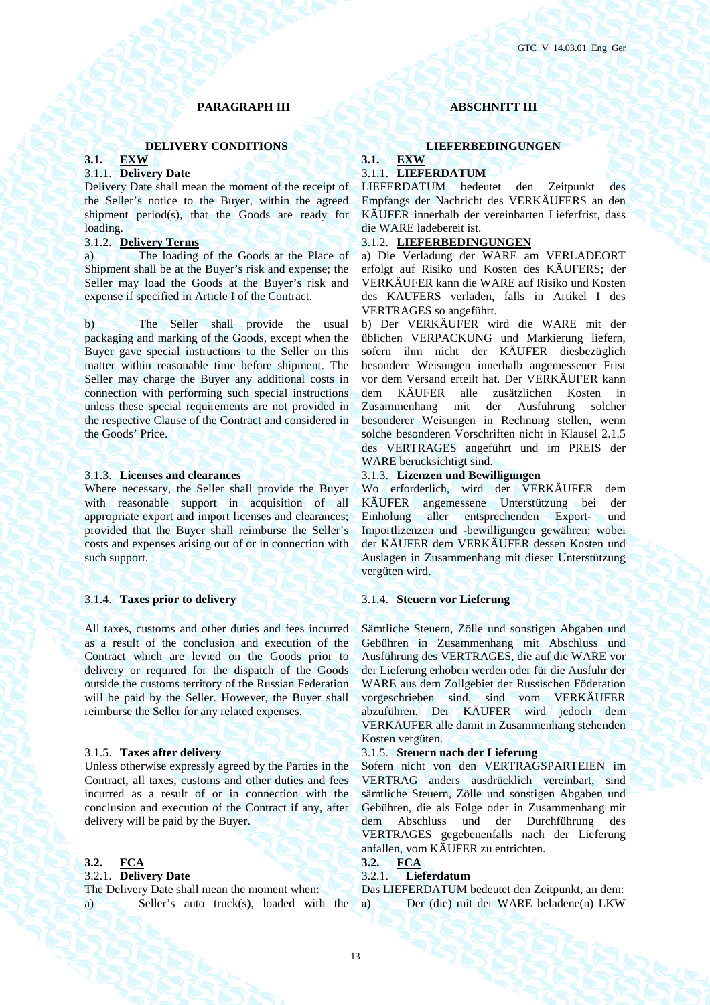### **PARAGRAPH III ABSCHNITT III**

### **DELIVERY CONDITIONS** LIEFERBEDINGUNGEN

### **3.1. EXW 3.1. EXW**

Delivery Date shall mean the moment of the receipt of the Seller's notice to the Buyer, within the agreed shipment period(s), that the Goods are ready for loading.

a) The loading of the Goods at the Place of Shipment shall be at the Buyer's risk and expense; the Seller may load the Goods at the Buyer's risk and expense if specified in Article I of the Contract.

b) The Seller shall provide the usual packaging and marking of the Goods, except when the Buyer gave special instructions to the Seller on this matter within reasonable time before shipment. The Seller may charge the Buyer any additional costs in connection with performing such special instructions unless these special requirements are not provided in the respective Clause of the Contract and considered in the Goods' Price.

Where necessary, the Seller shall provide the Buyer with reasonable support in acquisition of all appropriate export and import licenses and clearances; provided that the Buyer shall reimburse the Seller's costs and expenses arising out of or in connection with such support.

### 3.1.4. **Taxes prior to delivery** 3.1.4. **Steuern vor Lieferung**

All taxes, customs and other duties and fees incurred as a result of the conclusion and execution of the Contract which are levied on the Goods prior to delivery or required for the dispatch of the Goods outside the customs territory of the Russian Federation will be paid by the Seller. However, the Buyer shall reimburse the Seller for any related expenses.

Unless otherwise expressly agreed by the Parties in the Contract, all taxes, customs and other duties and fees incurred as a result of or in connection with the conclusion and execution of the Contract if any, after delivery will be paid by the Buyer.

### **3.2. FCA 3.2. FCA**

### 3.2.1. **Delivery Date** 3.2.1. **Lieferdatum**

The Delivery Date shall mean the moment when: Das LIEFERDATUM bedeutet den Zeitpunkt, an dem:

## 3.1.1. **Delivery Date** 3.1.1. **LIEFERDATUM**

LIEFERDATUM bedeutet den Zeitpunkt des Empfangs der Nachricht des VERKÄUFERS an den KÄUFER innerhalb der vereinbarten Lieferfrist, dass die WARE ladebereit ist.

### 3.1.2. **Delivery Terms** 3.1.2. **LIEFERBEDINGUNGEN**

а) Die Verladung der WARE am VERLADEORT erfolgt auf Risiko und Kosten des KÄUFERS; der VERKÄUFER kann die WARE auf Risiko und Kosten des KÄUFERS verladen, falls in Artikel I des VERTRAGES so angeführt.

b) Der VERKÄUFER wird die WARE mit der üblichen VERPACKUNG und Markierung liefern, sofern ihm nicht der KÄUFER diesbezüglich besondere Weisungen innerhalb angemessener Frist vor dem Versand erteilt hat. Der VERKÄUFER kann dem KÄUFER alle zusätzlichen Kosten in<br>Zusammenhang mit der Ausführung solcher Zusammenhang mit der Ausführung solcher besonderer Weisungen in Rechnung stellen, wenn solche besonderen Vorschriften nicht in Klausel 2.1.5 des VERTRAGES angeführt und im PREIS der WARE berücksichtigt sind.

### 3.1.3. **Licenses and clearances** 3.1.3. **Lizenzen und Bewilligungen**

Wo erforderlich, wird der VERKÄUFER dem KÄUFER angemessene Unterstützung bei der Einholung aller entsprechenden Export- und Importlizenzen und -bewilligungen gewähren; wobei der KÄUFER dem VERKÄUFER dessen Kosten und Auslagen in Zusammenhang mit dieser Unterstützung vergüten wird.

Sämtliche Steuern, Zölle und sonstigen Abgaben und Gebühren in Zusammenhang mit Abschluss und Ausführung des VERTRAGES, die auf die WARE vor der Lieferung erhoben werden oder für die Ausfuhr der WARE aus dem Zollgebiet der Russischen Föderation vorgeschrieben sind, sind vom VERKÄUFER abzuführen. Der KÄUFER wird jedoch dem VERKÄUFER alle damit in Zusammenhang stehenden Kosten vergüten.

### 3.1.5. **Taxes after delivery** 3.1.5. **Steuern nach der Lieferung**

Sofern nicht von den VERTRAGSPARTEIEN im VERTRAG anders ausdrücklich vereinbart, sind sämtliche Steuern, Zölle und sonstigen Abgaben und Gebühren, die als Folge oder in Zusammenhang mit dem Abschluss und der Durchführung des VERTRAGES gegebenenfalls nach der Lieferung anfallen, vom KÄUFER zu entrichten.<br>3.2.  $\mathbf{FCA}$ 

a) Seller's auto truck(s), loaded with the а) Der (die) mit der WARE beladene(n) LKW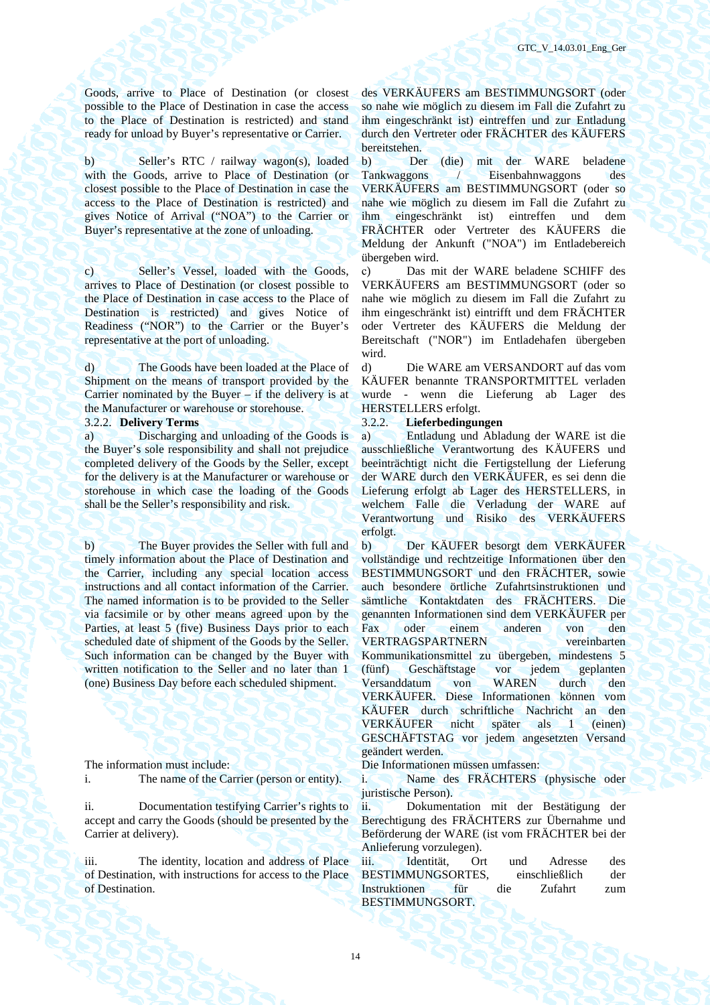Goods, arrive to Place of Destination (or closest possible to the Place of Destination in case the access to the Place of Destination is restricted) and stand ready for unload by Buyer's representative or Carrier.

b) Seller's RTC / railway wagon(s), loaded with the Goods, arrive to Place of Destination (or closest possible to the Place of Destination in case the access to the Place of Destination is restricted) and gives Notice of Arrival ("NOA") to the Carrier or Buyer's representative at the zone of unloading.

c) Seller's Vessel, loaded with the Goods, arrives to Place of Destination (or closest possible to the Place of Destination in case access to the Place of Destination is restricted) and gives Notice of Readiness ("NOR") to the Carrier or the Buyer's representative at the port of unloading.

d) The Goods have been loaded at the Place of Shipment on the means of transport provided by the Carrier nominated by the Buyer – if the delivery is at the Manufacturer or warehouse or storehouse.

a) Discharging and unloading of the Goods is the Buyer's sole responsibility and shall not prejudice completed delivery of the Goods by the Seller, except for the delivery is at the Manufacturer or warehouse or storehouse in which case the loading of the Goods shall be the Seller's responsibility and risk.

b) The Buyer provides the Seller with full and timely information about the Place of Destination and the Carrier, including any special location access instructions and all contact information of the Carrier. The named information is to be provided to the Seller via facsimile or by other means agreed upon by the Parties, at least 5 (five) Business Days prior to each scheduled date of shipment of the Goods by the Seller. Such information can be changed by the Buyer with written notification to the Seller and no later than 1 (one) Business Day before each scheduled shipment.

i. The name of the Carrier (person or entity). i. Name des FRÄCHTERS (physische oder

ii. Documentation testifying Carrier's rights to accept and carry the Goods (should be presented by the Carrier at delivery).

iii. The identity, location and address of Place of Destination, with instructions for access to the Place of Destination.

des VERKÄUFERS am BESTIMMUNGSORT (oder so nahe wie möglich zu diesem im Fall die Zufahrt zu ihm eingeschränkt ist) eintreffen und zur Entladung durch den Vertreter oder FRÄCHTER des KÄUFERS bereitstehen.

b) Der (die) mit der WARE beladene Tankwaggons / Eisenbahnwaggons des VERKÄUFERS am BESTIMMUNGSORT (oder so nahe wie möglich zu diesem im Fall die Zufahrt zu ihm eingeschränkt ist) eintreffen und dem FRÄCHTER oder Vertreter des KÄUFERS die Meldung der Ankunft ("NOA") im Entladebereich übergeben wird.

с) Das mit der WARE beladene SCHIFF des VERKÄUFERS am BESTIMMUNGSORT (oder so nahe wie möglich zu diesem im Fall die Zufahrt zu ihm eingeschränkt ist) eintrifft und dem FRÄCHTER oder Vertreter des KÄUFERS die Meldung der Bereitschaft ("NOR") im Entladehafen übergeben wird.

d) Die WARE am VERSANDORT auf das vom KÄUFER benannte TRANSPORTMITTEL verladen wurde - wenn die Lieferung ab Lager des HERSTELLERS erfolgt.

### 3.2.2. **Delivery Terms** 3.2.2. **Lieferbedingungen**

а) Entladung und Abladung der WARE ist die ausschließliche Verantwortung des KÄUFERS und beeinträchtigt nicht die Fertigstellung der Lieferung der WARE durch den VERKÄUFER, es sei denn die Lieferung erfolgt ab Lager des HERSTELLERS, in welchem Falle die Verladung der WARE auf Verantwortung und Risiko des VERKÄUFERS erfolgt.

b) Der KÄUFER besorgt dem VERKÄUFER vollständige und rechtzeitige Informationen über den BESTIMMUNGSORT und den FRÄCHTER, sowie auch besondere örtliche Zufahrtsinstruktionen und sämtliche Kontaktdaten des FRÄCHTERS. Die genannten Informationen sind dem VERKÄUFER per Fax oder einem anderen von den VERTRAGSPARTNERN vereinbarten Kommunikationsmittel zu übergeben, mindestens 5 (fünf) Geschäftstage vor jedem geplanten Versanddatum von WAREN durch den VERKÄUFER. Diese Informationen können vom KÄUFER durch schriftliche Nachricht an den VERKÄUFER nicht später als 1 (einen) GESCHÄFTSTAG vor jedem angesetzten Versand geändert werden.

The information must include: Die Informationen müssen umfassen:

juristische Person).

ii. Dokumentation mit der Bestätigung der Berechtigung des FRÄCHTERS zur Übernahme und Beförderung der WARE (ist vom FRÄCHTER bei der Anlieferung vorzulegen).

iii. Identität. Ort und Adresse des BESTIMMUNGSORTES, einschließlich der Instruktionen für die Zufahrt zum BESTIMMUNGSORT.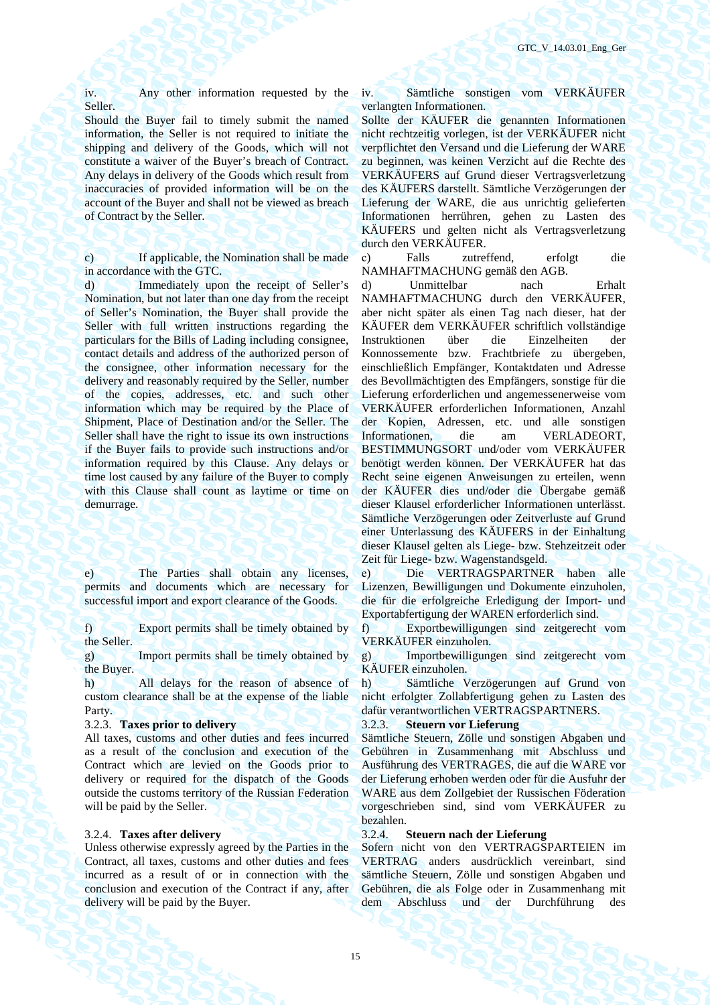iv. Any other information requested by the Seller.

Should the Buyer fail to timely submit the named information, the Seller is not required to initiate the shipping and delivery of the Goods, which will not constitute a waiver of the Buyer's breach of Contract. Any delays in delivery of the Goods which result from inaccuracies of provided information will be on the account of the Buyer and shall not be viewed as breach of Contract by the Seller.

c) If applicable, the Nomination shall be made in accordance with the GTC.

d) Immediately upon the receipt of Seller's Nomination, but not later than one day from the receipt of Seller's Nomination, the Buyer shall provide the Seller with full written instructions regarding the particulars for the Bills of Lading including consignee, contact details and address of the authorized person of the consignee, other information necessary for the delivery and reasonably required by the Seller, number of the copies, addresses, etc. and such other information which may be required by the Place of Shipment, Place of Destination and/or the Seller. The Seller shall have the right to issue its own instructions if the Buyer fails to provide such instructions and/or information required by this Clause. Any delays or time lost caused by any failure of the Buyer to comply with this Clause shall count as laytime or time on demurrage.

e) The Parties shall obtain any licenses, permits and documents which are necessary for successful import and export clearance of the Goods.

f) Export permits shall be timely obtained by the Seller.

g) Import permits shall be timely obtained by the Buyer.

h) All delays for the reason of absence of custom clearance shall be at the expense of the liable Party.

All taxes, customs and other duties and fees incurred as a result of the conclusion and execution of the Contract which are levied on the Goods prior to delivery or required for the dispatch of the Goods outside the customs territory of the Russian Federation will be paid by the Seller.

Unless otherwise expressly agreed by the Parties in the Contract, all taxes, customs and other duties and fees incurred as a result of or in connection with the conclusion and execution of the Contract if any, after delivery will be paid by the Buyer.

iv. Sämtliche sonstigen vom VERKÄUFER verlangten Informationen.

Sollte der KÄUFER die genannten Informationen nicht rechtzeitig vorlegen, ist der VERKÄUFER nicht verpflichtet den Versand und die Lieferung der WARE zu beginnen, was keinen Verzicht auf die Rechte des VERKÄUFERS auf Grund dieser Vertragsverletzung des KÄUFERS darstellt. Sämtliche Verzögerungen der Lieferung der WARE, die aus unrichtig gelieferten Informationen herrühren, gehen zu Lasten des KÄUFERS und gelten nicht als Vertragsverletzung durch den VERKÄUFER.

с) Falls zutreffend, erfolgt die NAMHAFTMACHUNG gemäß den AGB.

d) Unmittelbar nach Erhalt NAMHAFTMACHUNG durch den VERKÄUFER, aber nicht später als einen Tag nach dieser, hat der KÄUFER dem VERKÄUFER schriftlich vollständige Instruktionen über die Einzelheiten der Konnossemente bzw. Frachtbriefe zu übergeben, einschließlich Empfänger, Kontaktdaten und Adresse des Bevollmächtigten des Empfängers, sonstige für die Lieferung erforderlichen und angemessenerweise vom VERKÄUFER erforderlichen Informationen, Anzahl der Kopien, Adressen, etc. und alle sonstigen Informationen, die am VERLADEORT, BESTIMMUNGSORT und/oder vom VERKÄUFER benötigt werden können. Der VERKÄUFER hat das Recht seine eigenen Anweisungen zu erteilen, wenn der KÄUFER dies und/oder die Übergabe gemäß dieser Klausel erforderlicher Informationen unterlässt. Sämtliche Verzögerungen oder Zeitverluste auf Grund einer Unterlassung des KÄUFERS in der Einhaltung dieser Klausel gelten als Liege- bzw. Stehzeitzeit oder Zeit für Liege- bzw. Wagenstandsgeld.

е) Die VERTRAGSPARTNER haben alle Lizenzen, Bewilligungen und Dokumente einzuholen, die für die erfolgreiche Erledigung der Import- und Exportabfertigung der WAREN erforderlich sind.

f) Exportbewilligungen sind zeitgerecht vom VERKÄUFER einzuholen.

g) Importbewilligungen sind zeitgerecht vom KÄUFER einzuholen.

h) Sämtliche Verzögerungen auf Grund von nicht erfolgter Zollabfertigung gehen zu Lasten des dafür verantwortlichen VERTRAGSPARTNERS.

### 3.2.3. **Taxes prior to delivery** 3.2.3. **Steuern vor Lieferung**

Sämtliche Steuern, Zölle und sonstigen Abgaben und Gebühren in Zusammenhang mit Abschluss und Ausführung des VERTRAGES, die auf die WARE vor der Lieferung erhoben werden oder für die Ausfuhr der WARE aus dem Zollgebiet der Russischen Föderation vorgeschrieben sind, sind vom VERKÄUFER zu bezahlen.

### 3.2.4. **Taxes after delivery** 3.2.4. **Steuern nach der Lieferung**

Sofern nicht von den VERTRAGSPARTEIEN im VERTRAG anders ausdrücklich vereinbart, sind sämtliche Steuern, Zölle und sonstigen Abgaben und Gebühren, die als Folge oder in Zusammenhang mit dem Abschluss und der Durchführung des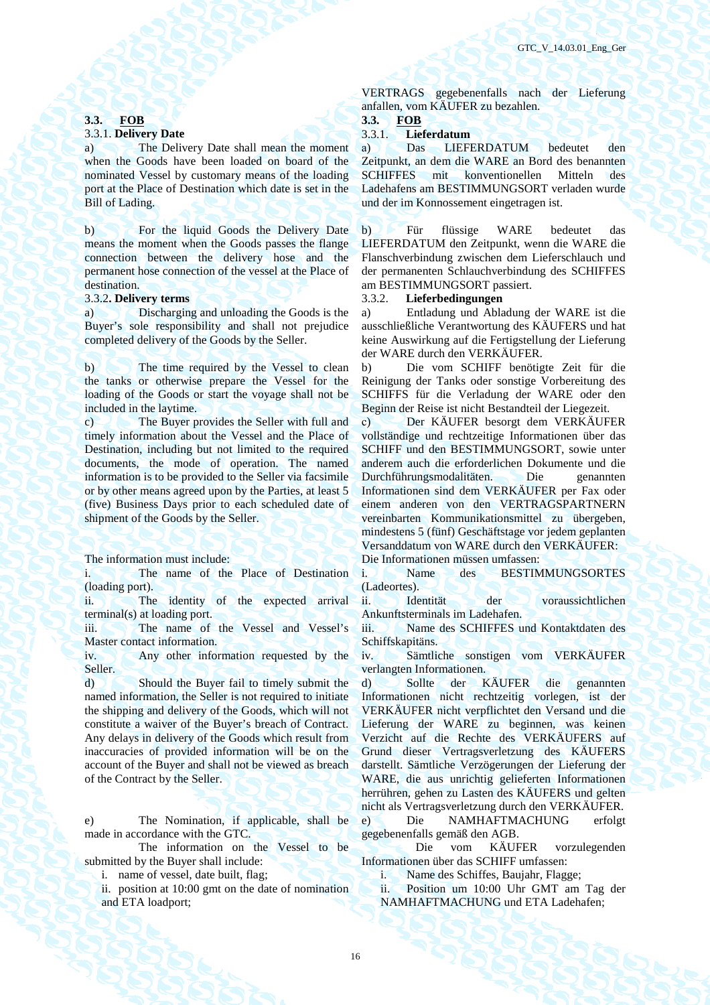### **3.3. FOB 3.3. FOB**

a) The Delivery Date shall mean the moment when the Goods have been loaded on board of the nominated Vessel by customary means of the loading port at the Place of Destination which date is set in the Bill of Lading.

b) For the liquid Goods the Delivery Date means the moment when the Goods passes the flange connection between the delivery hose and the permanent hose connection of the vessel at the Place of destination.

a) Discharging and unloading the Goods is the Buyer's sole responsibility and shall not prejudice completed delivery of the Goods by the Seller.

b) The time required by the Vessel to clean the tanks or otherwise prepare the Vessel for the loading of the Goods or start the voyage shall not be included in the laytime.

c) The Buyer provides the Seller with full and timely information about the Vessel and the Place of Destination, including but not limited to the required documents, the mode of operation. The named information is to be provided to the Seller via facsimile or by other means agreed upon by the Parties, at least 5 (five) Business Days prior to each scheduled date of shipment of the Goods by the Seller.

i. The name of the Place of Destination (loading port).

ii. The identity of the expected arrival terminal(s) at loading port.

iii. The name of the Vessel and Vessel's Master contact information.

iv. Any other information requested by the Seller.

d) Should the Buyer fail to timely submit the named information, the Seller is not required to initiate the shipping and delivery of the Goods, which will not constitute a waiver of the Buyer's breach of Contract. Any delays in delivery of the Goods which result from inaccuracies of provided information will be on the account of the Buyer and shall not be viewed as breach of the Contract by the Seller.

e) The Nomination, if applicable, shall be made in accordance with the GTC.

 The information on the Vessel to be submitted by the Buyer shall include:

ii. position at 10:00 gmt on the date of nomination and ETA loadport;

VERTRAGS gegebenenfalls nach der Lieferung anfallen, vom KÄUFER zu bezahlen.

### 3.3.1. **Delivery Date** 3.3.1. **Lieferdatum**

а) Das LIEFERDATUM bedeutet den Zeitpunkt, an dem die WARE an Bord des benannten SCHIFFES mit konventionellen Mitteln des Ladehafens am BESTIMMUNGSORT verladen wurde und der im Konnossement eingetragen ist.

b) Für flüssige WARE bedeutet das LIEFERDATUM den Zeitpunkt, wenn die WARE die Flanschverbindung zwischen dem Lieferschlauch und der permanenten Schlauchverbindung des SCHIFFES am BESTIMMUNGSORT passiert.

### 3.3.2**. Delivery terms** 3.3.2. **Lieferbedingungen**

a) Entladung und Abladung der WARE ist die ausschließliche Verantwortung des KÄUFERS und hat keine Auswirkung auf die Fertigstellung der Lieferung der WARE durch den VERKÄUFER.

b) Die vom SCHIFF benötigte Zeit für die Reinigung der Tanks oder sonstige Vorbereitung des SCHIFFS für die Verladung der WARE oder den Beginn der Reise ist nicht Bestandteil der Liegezeit.

с) Der KÄUFER besorgt dem VERKÄUFER vollständige und rechtzeitige Informationen über das SCHIFF und den BESTIMMUNGSORT, sowie unter anderem auch die erforderlichen Dokumente und die Durchführungsmodalitäten. Die genannten Informationen sind dem VERKÄUFER per Fax oder einem anderen von den VERTRAGSPARTNERN vereinbarten Kommunikationsmittel zu übergeben, mindestens 5 (fünf) Geschäftstage vor jedem geplanten Versanddatum von WARE durch den VERKÄUFER: The information must include: Die Informationen müssen umfassen:

> i. Name des BESTIMMUNGSORTES (Ladeortes).

> ii. Identität der voraussichtlichen Ankunftsterminals im Ladehafen.

> iii. Name des SCHIFFES und Kontaktdaten des Schiffskapitäns.

> iv. Sämtliche sonstigen vom VERKÄUFER verlangten Informationen.

> d) Sollte der KÄUFER die genannten Informationen nicht rechtzeitig vorlegen, ist der VERKÄUFER nicht verpflichtet den Versand und die Lieferung der WARE zu beginnen, was keinen Verzicht auf die Rechte des VERKÄUFERS auf Grund dieser Vertragsverletzung des KÄUFERS darstellt. Sämtliche Verzögerungen der Lieferung der WARE, die aus unrichtig gelieferten Informationen herrühren, gehen zu Lasten des KÄUFERS und gelten nicht als Vertragsverletzung durch den VERKÄUFER.

> e) Die NAMHAFTMACHUNG erfolgt gegebenenfalls gemäß den AGB.

> Die vom KÄUFER vorzulegenden Informationen über das SCHIFF umfassen:

i. name of vessel, date built, flag; i. Name des Schiffes, Baujahr, Flagge;

ii. Position um 10:00 Uhr GMT am Tag der NAMHAFTMACHUNG und ETA Ladehafen;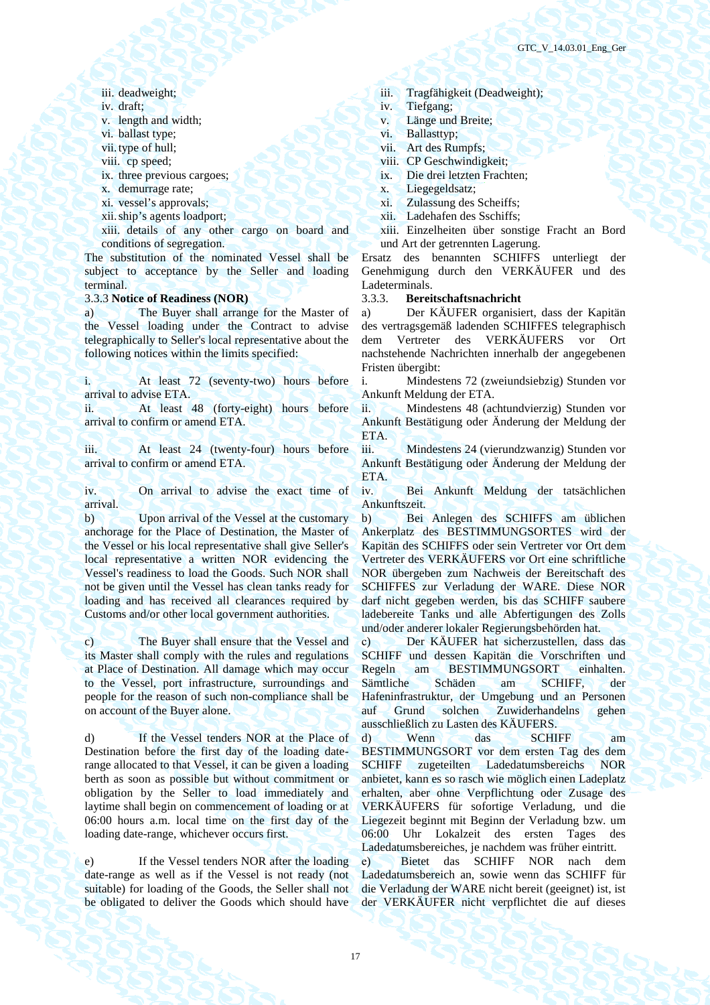- 
- 
- 
- 
- 
- 
- 
- 
- 
- 

xiii. details of any other cargo on board and conditions of segregation.

The substitution of the nominated Vessel shall be subject to acceptance by the Seller and loading terminal.

### 3.3.3 **Notice of Readiness (NOR)** 3.3.3. **Bereitschaftsnachricht**

a) The Buyer shall arrange for the Master of the Vessel loading under the Contract to advise telegraphically to Seller's local representative about the following notices within the limits specified:

i. At least 72 (seventy-two) hours before arrival to advise ETA.

ii. At least 48 (forty-eight) hours before arrival to confirm or amend ETA.

iii. At least 24 (twenty-four) hours before arrival to confirm or amend ETA.

iv. On arrival to advise the exact time of arrival.

b) Upon arrival of the Vessel at the customary anchorage for the Place of Destination, the Master of the Vessel or his local representative shall give Seller's local representative a written NOR evidencing the Vessel's readiness to load the Goods. Such NOR shall not be given until the Vessel has clean tanks ready for loading and has received all clearances required by Customs and/or other local government authorities.

c) The Buyer shall ensure that the Vessel and its Master shall comply with the rules and regulations at Place of Destination. All damage which may occur to the Vessel, port infrastructure, surroundings and people for the reason of such non-compliance shall be on account of the Buyer alone.

d) If the Vessel tenders NOR at the Place of Destination before the first day of the loading daterange allocated to that Vessel, it can be given a loading berth as soon as possible but without commitment or obligation by the Seller to load immediately and laytime shall begin on commencement of loading or at 06:00 hours a.m. local time on the first day of the loading date-range, whichever occurs first.

e) If the Vessel tenders NOR after the loading date-range as well as if the Vessel is not ready (not suitable) for loading of the Goods, the Seller shall not be obligated to deliver the Goods which should have

- iii. deadweight; iii. Tragfähigkeit (Deadweight); iii. Tragfähigkeit (Deadweight);
- iv. draft; iv. Tiefgang; iv. Tiefgang;
- v. length and width; v. Länge und Breite;
- vi. ballast type; vi. Ballasttyp;
- vii. Art des Rumpfs;
- viii. cp speed; viii. CP Geschwindigkeit;
- ix. three previous cargoes; ix. Die drei letzten Frachten;
- x. demurrage rate; x. Liegegeldsatz;
- xi. vessel's approvals; vi. Zulassung des Scheiffs;
- xii. Ship's agents loadport; xii. Ladehafen des Sschiffs;
	- xiii. Einzelheiten über sonstige Fracht an Bord und Art der getrennten Lagerung.

Ersatz des benannten SCHIFFS unterliegt der Genehmigung durch den VERKÄUFER und des Ladeterminals.

а) Der KÄUFER organisiert, dass der Kapitän des vertragsgemäß ladenden SCHIFFES telegraphisch dem Vertreter des VERKÄUFERS vor Ort nachstehende Nachrichten innerhalb der angegebenen Fristen übergibt:

i. Mindestens 72 (zweiundsiebzig) Stunden vor Ankunft Meldung der ETA.

ii. Mindestens 48 (achtundvierzig) Stunden vor Ankunft Bestätigung oder Änderung der Meldung der ETA.

iii. Mindestens 24 (vierundzwanzig) Stunden vor Ankunft Bestätigung oder Änderung der Meldung der ETA.

iv. Bei Ankunft Meldung der tatsächlichen Ankunftszeit.

b) Bei Anlegen des SCHIFFS am üblichen Ankerplatz des BESTIMMUNGSORTES wird der Kapitän des SCHIFFS oder sein Vertreter vor Ort dem Vertreter des VERKÄUFERS vor Ort eine schriftliche NOR übergeben zum Nachweis der Bereitschaft des SCHIFFES zur Verladung der WARE. Diese NOR darf nicht gegeben werden, bis das SCHIFF saubere ladebereite Tanks und alle Abfertigungen des Zolls und/oder anderer lokaler Regierungsbehörden hat.

с) Der KÄUFER hat sicherzustellen, dass das SCHIFF und dessen Kapitän die Vorschriften und Regeln am BESTIMMUNGSORT einhalten. Sämtliche Schäden am SCHIFF, der Hafeninfrastruktur, der Umgebung und an Personen auf Grund solchen Zuwiderhandelns gehen ausschließlich zu Lasten des KÄUFERS.

d) Wenn das SCHIFF am BESTIMMUNGSORT vor dem ersten Tag des dem SCHIFF zugeteilten Ladedatumsbereichs NOR anbietet, kann es so rasch wie möglich einen Ladeplatz erhalten, aber ohne Verpflichtung oder Zusage des VERKÄUFERS für sofortige Verladung, und die Liegezeit beginnt mit Beginn der Verladung bzw. um 06:00 Uhr Lokalzeit des ersten Tages des Ladedatumsbereiches, je nachdem was früher eintritt.

е) Bietet das SCHIFF NOR nach dem Ladedatumsbereich an, sowie wenn das SCHIFF für die Verladung der WARE nicht bereit (geeignet) ist, ist der VERKÄUFER nicht verpflichtet die auf dieses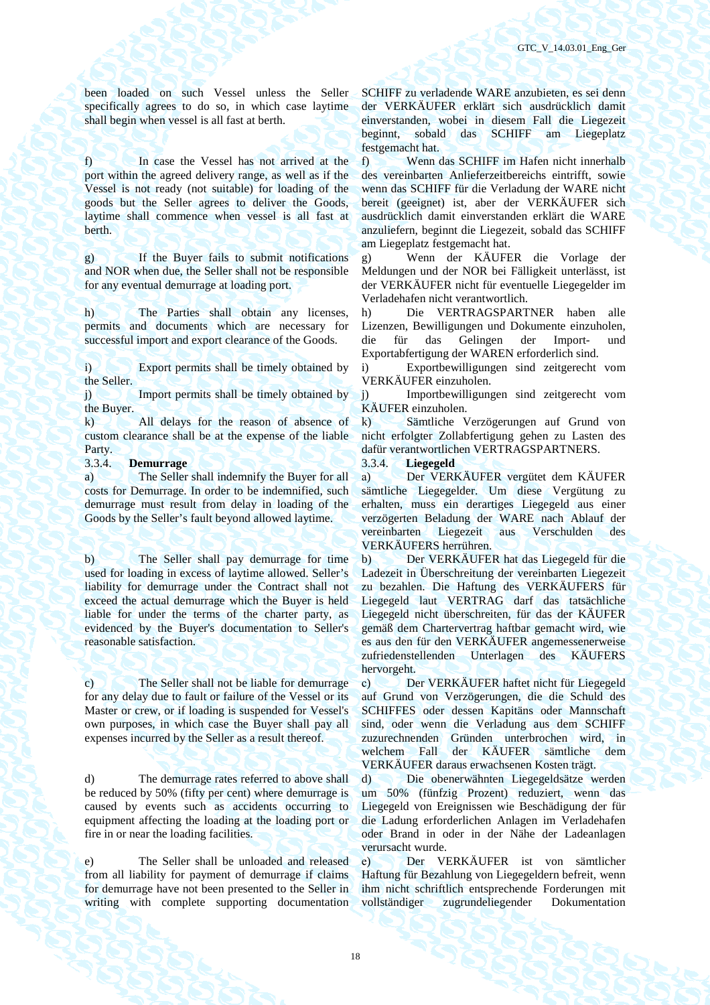been loaded on such Vessel unless the Seller specifically agrees to do so, in which case laytime shall begin when vessel is all fast at berth.

f) In case the Vessel has not arrived at the port within the agreed delivery range, as well as if the Vessel is not ready (not suitable) for loading of the goods but the Seller agrees to deliver the Goods, laytime shall commence when vessel is all fast at berth.

g) If the Buyer fails to submit notifications and NOR when due, the Seller shall not be responsible for any eventual demurrage at loading port.

h) The Parties shall obtain any licenses, permits and documents which are necessary for successful import and export clearance of the Goods.

i) Export permits shall be timely obtained by the Seller.

j) Import permits shall be timely obtained by the Buyer.

k) All delays for the reason of absence of custom clearance shall be at the expense of the liable Party.

3.3.4. **Demurrage** 3.3.4. **Liegegeld** 

a) The Seller shall indemnify the Buyer for all costs for Demurrage. In order to be indemnified, such demurrage must result from delay in loading of the Goods by the Seller's fault beyond allowed laytime.

b) The Seller shall pay demurrage for time used for loading in excess of laytime allowed. Seller's liability for demurrage under the Contract shall not exceed the actual demurrage which the Buyer is held liable for under the terms of the charter party, as evidenced by the Buyer's documentation to Seller's reasonable satisfaction.

c) The Seller shall not be liable for demurrage for any delay due to fault or failure of the Vessel or its Master or crew, or if loading is suspended for Vessel's own purposes, in which case the Buyer shall pay all expenses incurred by the Seller as a result thereof.

d) The demurrage rates referred to above shall be reduced by 50% (fifty per cent) where demurrage is caused by events such as accidents occurring to equipment affecting the loading at the loading port or fire in or near the loading facilities.

e) The Seller shall be unloaded and released from all liability for payment of demurrage if claims for demurrage have not been presented to the Seller in writing with complete supporting documentation

SCHIFF zu verladende WARE anzubieten, es sei denn der VERKÄUFER erklärt sich ausdrücklich damit einverstanden, wobei in diesem Fall die Liegezeit beginnt, sobald das SCHIFF am Liegeplatz festgemacht hat.

f) Wenn das SCHIFF im Hafen nicht innerhalb des vereinbarten Anlieferzeitbereichs eintrifft, sowie wenn das SCHIFF für die Verladung der WARE nicht bereit (geeignet) ist, aber der VERKÄUFER sich ausdrücklich damit einverstanden erklärt die WARE anzuliefern, beginnt die Liegezeit, sobald das SCHIFF am Liegeplatz festgemacht hat.

g) Wenn der KÄUFER die Vorlage der Meldungen und der NOR bei Fälligkeit unterlässt, ist der VERKÄUFER nicht für eventuelle Liegegelder im Verladehafen nicht verantwortlich.

h) Die VERTRAGSPARTNER haben alle Lizenzen, Bewilligungen und Dokumente einzuholen, die für das Gelingen der Import- und Exportabfertigung der WAREN erforderlich sind.

i) Exportbewilligungen sind zeitgerecht vom VERKÄUFER einzuholen.

j) Importbewilligungen sind zeitgerecht vom KÄUFER einzuholen.

k) Sämtliche Verzögerungen auf Grund von nicht erfolgter Zollabfertigung gehen zu Lasten des dafür verantwortlichen VERTRAGSPARTNERS.

а) Der VERKÄUFER vergütet dem KÄUFER sämtliche Liegegelder. Um diese Vergütung zu erhalten, muss ein derartiges Liegegeld aus einer verzögerten Beladung der WARE nach Ablauf der vereinbarten Liegezeit aus Verschulden des VERKÄUFERS herrühren.

b) Der VERKÄUFER hat das Liegegeld für die Ladezeit in Überschreitung der vereinbarten Liegezeit zu bezahlen. Die Haftung des VERKÄUFERS für Liegegeld laut VERTRAG darf das tatsächliche Liegegeld nicht überschreiten, für das der KÄUFER gemäß dem Chartervertrag haftbar gemacht wird, wie es aus den für den VERKÄUFER angemessenerweise zufriedenstellenden Unterlagen des KÄUFERS hervorgeht.

с) Der VERKÄUFER haftet nicht für Liegegeld auf Grund von Verzögerungen, die die Schuld des SCHIFFES oder dessen Kapitäns oder Mannschaft sind, oder wenn die Verladung aus dem SCHIFF zuzurechnenden Gründen unterbrochen wird, in welchem Fall der KÄUFER sämtliche dem VERKÄUFER daraus erwachsenen Kosten trägt.

d) Die obenerwähnten Liegegeldsätze werden um 50% (fünfzig Prozent) reduziert, wenn das Liegegeld von Ereignissen wie Beschädigung der für die Ladung erforderlichen Anlagen im Verladehafen oder Brand in oder in der Nähe der Ladeanlagen verursacht wurde.

е) Der VERKÄUFER ist von sämtlicher Haftung für Bezahlung von Liegegeldern befreit, wenn ihm nicht schriftlich entsprechende Forderungen mit vollständiger zugrundeliegender Dokumentation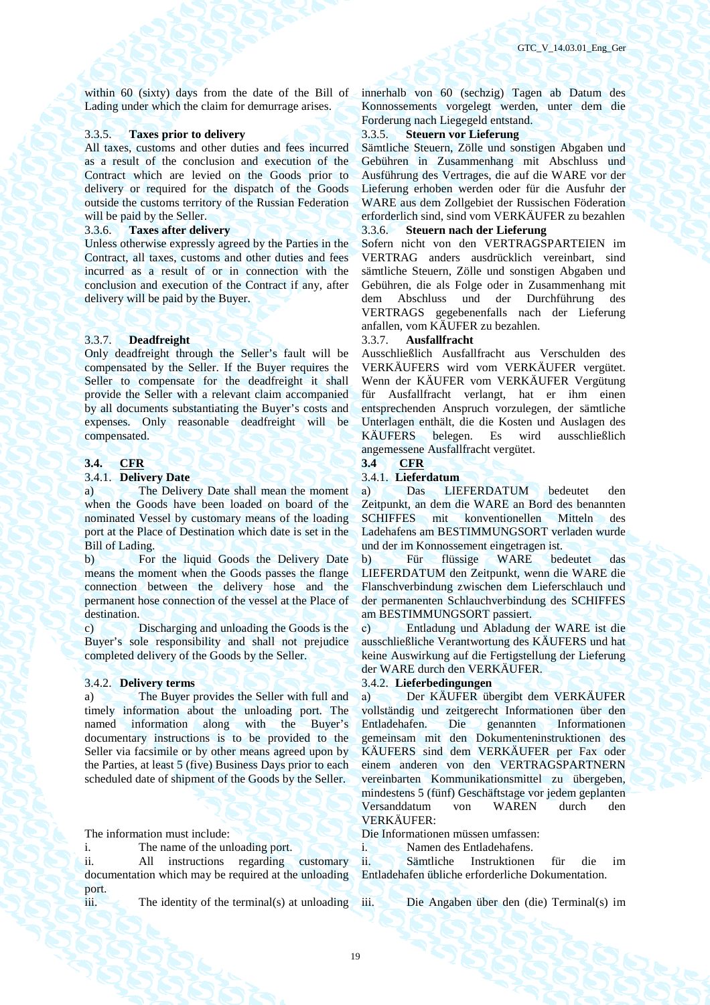within 60 (sixty) days from the date of the Bill of Lading under which the claim for demurrage arises.

### 3.3.5. **Taxes prior to delivery** 3.3.5. **Steuern vor Lieferung**

All taxes, customs and other duties and fees incurred as a result of the conclusion and execution of the Contract which are levied on the Goods prior to delivery or required for the dispatch of the Goods outside the customs territory of the Russian Federation will be paid by the Seller.

Unless otherwise expressly agreed by the Parties in the Contract, all taxes, customs and other duties and fees incurred as a result of or in connection with the conclusion and execution of the Contract if any, after delivery will be paid by the Buyer.

### 3.3.7. **Deadfreight** 3.3.7. **Ausfallfracht**

Only deadfreight through the Seller's fault will be compensated by the Seller. If the Buyer requires the Seller to compensate for the deadfreight it shall provide the Seller with a relevant claim accompanied by all documents substantiating the Buyer's costs and expenses. Only reasonable deadfreight will be compensated.

### **3.4. CFR 3.4 CFR**

### 3.4.1. **Delivery Date** 3.4.1. **Lieferdatum**

a) The Delivery Date shall mean the moment when the Goods have been loaded on board of the nominated Vessel by customary means of the loading port at the Place of Destination which date is set in the Bill of Lading.

b) For the liquid Goods the Delivery Date means the moment when the Goods passes the flange connection between the delivery hose and the permanent hose connection of the vessel at the Place of destination.

c) Discharging and unloading the Goods is the Buyer's sole responsibility and shall not prejudice completed delivery of the Goods by the Seller.

a) The Buyer provides the Seller with full and timely information about the unloading port. The named information along with the Buyer's documentary instructions is to be provided to the Seller via facsimile or by other means agreed upon by the Parties, at least 5 (five) Business Days prior to each scheduled date of shipment of the Goods by the Seller.

ii. All instructions regarding customary documentation which may be required at the unloading port.

iii. The identity of the terminal(s) at unloading iii. Die Angaben über den (die) Terminal(s) im

innerhalb von 60 (sechzig) Tagen ab Datum des Konnossements vorgelegt werden, unter dem die Forderung nach Liegegeld entstand.

Sämtliche Steuern, Zölle und sonstigen Abgaben und Gebühren in Zusammenhang mit Abschluss und Ausführung des Vertrages, die auf die WARE vor der Lieferung erhoben werden oder für die Ausfuhr der WARE aus dem Zollgebiet der Russischen Föderation erforderlich sind, sind vom VERKÄUFER zu bezahlen 3.3.6. **Taxes after delivery** 3.3.6. **Steuern nach der Lieferung** 

> Sofern nicht von den VERTRAGSPARTEIEN im VERTRAG anders ausdrücklich vereinbart, sind sämtliche Steuern, Zölle und sonstigen Abgaben und Gebühren, die als Folge oder in Zusammenhang mit dem Abschluss und der Durchführung des VERTRAGS gegebenenfalls nach der Lieferung anfallen, vom KÄUFER zu bezahlen.

Ausschließlich Ausfallfracht aus Verschulden des VERKÄUFERS wird vom VERKÄUFER vergütet. Wenn der KÄUFER vom VERKÄUFER Vergütung für Ausfallfracht verlangt, hat er ihm einen entsprechenden Anspruch vorzulegen, der sämtliche Unterlagen enthält, die die Kosten und Auslagen des KÄUFERS belegen. Es wird ausschließlich angemessene Ausfallfracht vergütet.<br>3.4 CFR

а) Das LIEFERDATUM bedeutet den Zeitpunkt, an dem die WARE an Bord des benannten SCHIFFES mit konventionellen Mitteln des Ladehafens am BESTIMMUNGSORT verladen wurde und der im Konnossement eingetragen ist.

b) Für flüssige WARE bedeutet das LIEFERDATUM den Zeitpunkt, wenn die WARE die Flanschverbindung zwischen dem Lieferschlauch und der permanenten Schlauchverbindung des SCHIFFES am BESTIMMUNGSORT passiert.

с) Entladung und Abladung der WARE ist die ausschließliche Verantwortung des KÄUFERS und hat keine Auswirkung auf die Fertigstellung der Lieferung der WARE durch den VERKÄUFER.

### 3.4.2. **Delivery terms** 3.4.2. **Lieferbedingungen**

а) Der KÄUFER übergibt dem VERKÄUFER vollständig und zeitgerecht Informationen über den Entladehafen. Die genannten Informationen gemeinsam mit den Dokumenteninstruktionen des KÄUFERS sind dem VERKÄUFER per Fax oder einem anderen von den VERTRAGSPARTNERN vereinbarten Kommunikationsmittel zu übergeben, mindestens 5 (fünf) Geschäftstage vor jedem geplanten Versanddatum von WAREN durch den VERKÄUFER:

### The information must include: Die Informationen müssen umfassen:

i. The name of the unloading port.  $\overrightarrow{\ }$  i. Namen des Entladehafens.

ii. Sämtliche Instruktionen für die im Entladehafen übliche erforderliche Dokumentation.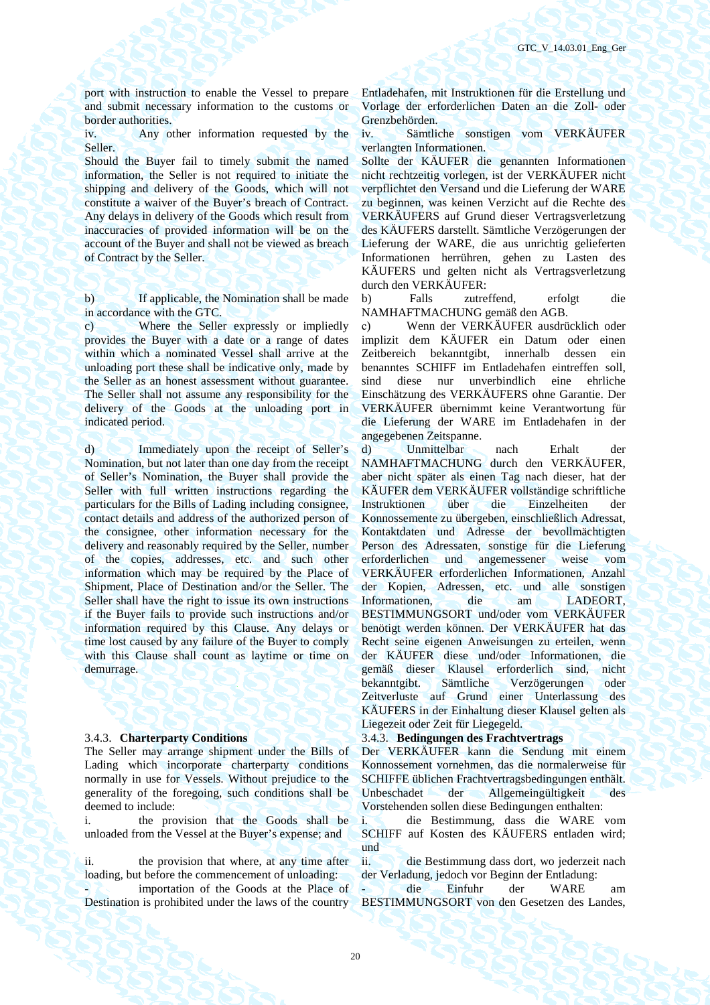port with instruction to enable the Vessel to prepare and submit necessary information to the customs or border authorities.

iv. Any other information requested by the Seller.

Should the Buyer fail to timely submit the named information, the Seller is not required to initiate the shipping and delivery of the Goods, which will not constitute a waiver of the Buyer's breach of Contract. Any delays in delivery of the Goods which result from inaccuracies of provided information will be on the account of the Buyer and shall not be viewed as breach of Contract by the Seller.

b) If applicable, the Nomination shall be made in accordance with the GTC.

c) Where the Seller expressly or impliedly provides the Buyer with a date or a range of dates within which a nominated Vessel shall arrive at the unloading port these shall be indicative only, made by the Seller as an honest assessment without guarantee. The Seller shall not assume any responsibility for the delivery of the Goods at the unloading port in indicated period.

d) Immediately upon the receipt of Seller's Nomination, but not later than one day from the receipt of Seller's Nomination, the Buyer shall provide the Seller with full written instructions regarding the particulars for the Bills of Lading including consignee, contact details and address of the authorized person of the consignee, other information necessary for the delivery and reasonably required by the Seller, number of the copies, addresses, etc. and such other information which may be required by the Place of Shipment, Place of Destination and/or the Seller. The Seller shall have the right to issue its own instructions if the Buyer fails to provide such instructions and/or information required by this Clause. Any delays or time lost caused by any failure of the Buyer to comply with this Clause shall count as laytime or time on demurrage.

The Seller may arrange shipment under the Bills of Lading which incorporate charterparty conditions normally in use for Vessels. Without prejudice to the generality of the foregoing, such conditions shall be deemed to include:

i. the provision that the Goods shall be unloaded from the Vessel at the Buyer's expense; and

ii. the provision that where, at any time after loading, but before the commencement of unloading:

importation of the Goods at the Place of Destination is prohibited under the laws of the country

Entladehafen, mit Instruktionen für die Erstellung und Vorlage der erforderlichen Daten an die Zoll- oder Grenzbehörden.

iv. Sämtliche sonstigen vom VERKÄUFER verlangten Informationen.

Sollte der KÄUFER die genannten Informationen nicht rechtzeitig vorlegen, ist der VERKÄUFER nicht verpflichtet den Versand und die Lieferung der WARE zu beginnen, was keinen Verzicht auf die Rechte des VERKÄUFERS auf Grund dieser Vertragsverletzung des KÄUFERS darstellt. Sämtliche Verzögerungen der Lieferung der WARE, die aus unrichtig gelieferten Informationen herrühren, gehen zu Lasten des KÄUFERS und gelten nicht als Vertragsverletzung durch den VERKÄUFER:

b) Falls zutreffend, erfolgt die NAMHAFTMACHUNG gemäß den AGB.

с) Wenn der VERKÄUFER ausdrücklich oder implizit dem KÄUFER ein Datum oder einen Zeitbereich bekanntgibt, innerhalb dessen ein benanntes SCHIFF im Entladehafen eintreffen soll, sind diese nur unverbindlich eine ehrliche Einschätzung des VERKÄUFERS ohne Garantie. Der VERKÄUFER übernimmt keine Verantwortung für die Lieferung der WARE im Entladehafen in der angegebenen Zeitspanne.

d) Unmittelbar nach Erhalt der NAMHAFTMACHUNG durch den VERKÄUFER, aber nicht später als einen Tag nach dieser, hat der KÄUFER dem VERKÄUFER vollständige schriftliche Instruktionen über die Einzelheiten der Konnossemente zu übergeben, einschließlich Adressat, Kontaktdaten und Adresse der bevollmächtigten Person des Adressaten, sonstige für die Lieferung erforderlichen und angemessener weise vom VERKÄUFER erforderlichen Informationen, Anzahl der Kopien, Adressen, etc. und alle sonstigen Informationen, die am LADEORT, BESTIMMUNGSORT und/oder vom VERKÄUFER benötigt werden können. Der VERKÄUFER hat das Recht seine eigenen Anweisungen zu erteilen, wenn der KÄUFER diese und/oder Informationen, die gemäß dieser Klausel erforderlich sind, nicht bekanntgibt. Sämtliche Verzögerungen oder Zeitverluste auf Grund einer Unterlassung des KÄUFERS in der Einhaltung dieser Klausel gelten als Liegezeit oder Zeit für Liegegeld.

### 3.4.3. **Charterparty Conditions** 3.4.3. **Bedingungen des Frachtvertrags**

Der VERKÄUFER kann die Sendung mit einem Konnossement vornehmen, das die normalerweise für SCHIFFE üblichen Frachtvertragsbedingungen enthält. Unbeschadet der Allgemeingültigkeit des Vorstehenden sollen diese Bedingungen enthalten:

i. die Bestimmung, dass die WARE vom SCHIFF auf Kosten des KÄUFERS entladen wird; und

ii. die Bestimmung dass dort, wo jederzeit nach der Verladung, jedoch vor Beginn der Entladung:

- die Einfuhr der WARE am BESTIMMUNGSORT von den Gesetzen des Landes,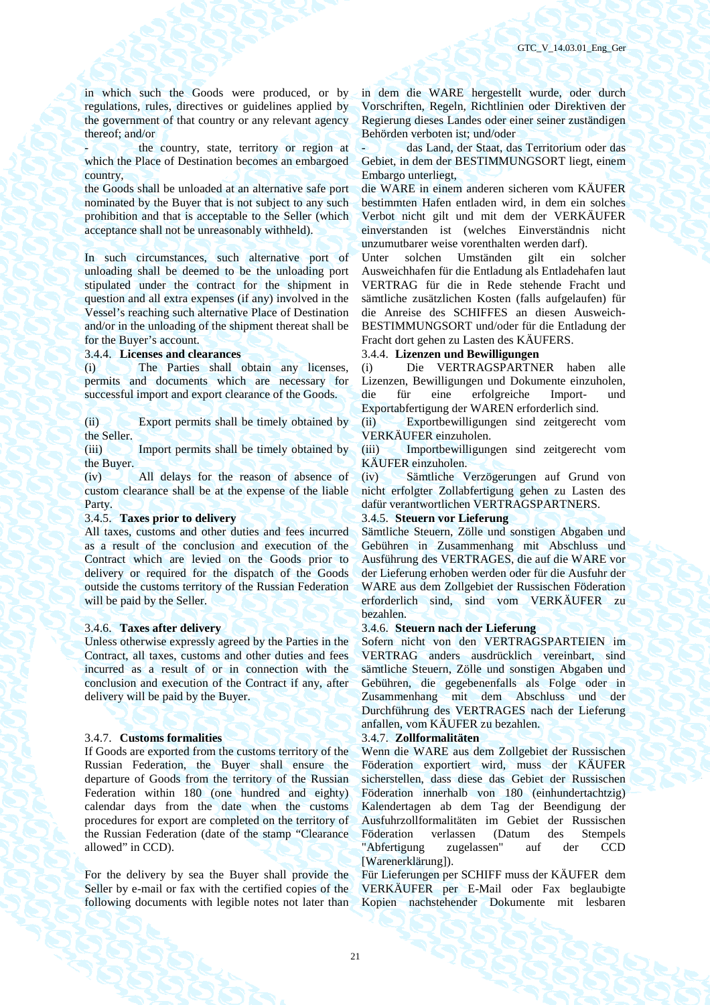in which such the Goods were produced, or by regulations, rules, directives or guidelines applied by the government of that country or any relevant agency thereof; and/or

the country, state, territory or region at which the Place of Destination becomes an embargoed country,

the Goods shall be unloaded at an alternative safe port nominated by the Buyer that is not subject to any such prohibition and that is acceptable to the Seller (which acceptance shall not be unreasonably withheld).

In such circumstances, such alternative port of unloading shall be deemed to be the unloading port stipulated under the contract for the shipment in question and all extra expenses (if any) involved in the Vessel's reaching such alternative Place of Destination and/or in the unloading of the shipment thereat shall be for the Buyer's account.

(i) The Parties shall obtain any licenses, permits and documents which are necessary for successful import and export clearance of the Goods.

(ii) Export permits shall be timely obtained by the Seller.

(iii) Import permits shall be timely obtained by the Buyer.

(iv) All delays for the reason of absence of custom clearance shall be at the expense of the liable Party.

### 3.4.5. **Taxes prior to delivery** 3.4.5. **Steuern vor Lieferung**

All taxes, customs and other duties and fees incurred as a result of the conclusion and execution of the Contract which are levied on the Goods prior to delivery or required for the dispatch of the Goods outside the customs territory of the Russian Federation will be paid by the Seller.

Unless otherwise expressly agreed by the Parties in the Contract, all taxes, customs and other duties and fees incurred as a result of or in connection with the conclusion and execution of the Contract if any, after delivery will be paid by the Buyer.

### 3.4.7. **Customs formalities** 3.4.7. **Zollformalitäten**

If Goods are exported from the customs territory of the Russian Federation, the Buyer shall ensure the departure of Goods from the territory of the Russian Federation within 180 (one hundred and eighty) calendar days from the date when the customs procedures for export are completed on the territory of the Russian Federation (date of the stamp "Clearance allowed" in CCD).

For the delivery by sea the Buyer shall provide the Seller by e-mail or fax with the certified copies of the following documents with legible notes not later than in dem die WARE hergestellt wurde, oder durch Vorschriften, Regeln, Richtlinien oder Direktiven der Regierung dieses Landes oder einer seiner zuständigen Behörden verboten ist; und/oder

- das Land, der Staat, das Territorium oder das Gebiet, in dem der BESTIMMUNGSORT liegt, einem Embargo unterliegt,

die WARE in einem anderen sicheren vom KÄUFER bestimmten Hafen entladen wird, in dem ein solches Verbot nicht gilt und mit dem der VERKÄUFER einverstanden ist (welches Einverständnis nicht unzumutbarer weise vorenthalten werden darf).

Unter solchen Umständen gilt ein solcher Ausweichhafen für die Entladung als Entladehafen laut VERTRAG für die in Rede stehende Fracht und sämtliche zusätzlichen Kosten (falls aufgelaufen) für die Anreise des SCHIFFES an diesen Ausweich-BESTIMMUNGSORT und/oder für die Entladung der Fracht dort gehen zu Lasten des KÄUFERS.

### 3.4.4. **Licenses and clearances** 3.4.4. **Lizenzen und Bewilligungen**

(i) Die VERTRAGSPARTNER haben alle Lizenzen, Bewilligungen und Dokumente einzuholen, die für eine erfolgreiche Import- und Exportabfertigung der WAREN erforderlich sind.

(ii) Exportbewilligungen sind zeitgerecht vom VERKÄUFER einzuholen.

(iii) Importbewilligungen sind zeitgerecht vom KÄUFER einzuholen.

(iv) Sämtliche Verzögerungen auf Grund von nicht erfolgter Zollabfertigung gehen zu Lasten des dafür verantwortlichen VERTRAGSPARTNERS.

Sämtliche Steuern, Zölle und sonstigen Abgaben und Gebühren in Zusammenhang mit Abschluss und Ausführung des VERTRAGES, die auf die WARE vor der Lieferung erhoben werden oder für die Ausfuhr der WARE aus dem Zollgebiet der Russischen Föderation erforderlich sind, sind vom VERKÄUFER zu bezahlen.

### 3.4.6. **Taxes after delivery** 3.4.6. **Steuern nach der Lieferung**

Sofern nicht von den VERTRAGSPARTEIEN im VERTRAG anders ausdrücklich vereinbart, sind sämtliche Steuern, Zölle und sonstigen Abgaben und Gebühren, die gegebenenfalls als Folge oder in Zusammenhang mit dem Abschluss und der Durchführung des VERTRAGES nach der Lieferung anfallen, vom KÄUFER zu bezahlen.

Wenn die WARE aus dem Zollgebiet der Russischen Föderation exportiert wird, muss der KÄUFER sicherstellen, dass diese das Gebiet der Russischen Föderation innerhalb von 180 (einhundertachtzig) Kalendertagen ab dem Tag der Beendigung der Ausfuhrzollformalitäten im Gebiet der Russischen Föderation verlassen (Datum des Stempels "Abfertigung zugelassen" auf der CCD [Warenerklärung]).

Für Lieferungen per SCHIFF muss der KÄUFER dem VERKÄUFER per E-Mail oder Fax beglaubigte Kopien nachstehender Dokumente mit lesbaren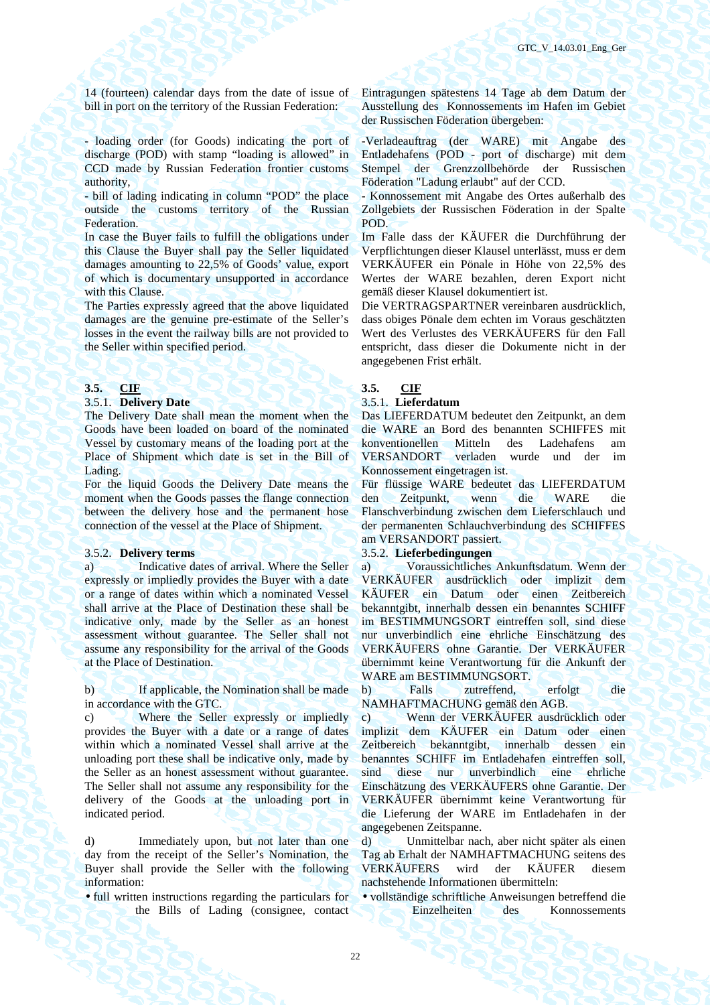14 (fourteen) calendar days from the date of issue of bill in port on the territory of the Russian Federation:

- loading order (for Goods) indicating the port of discharge (POD) with stamp "loading is allowed" in CCD made by Russian Federation frontier customs authority,

- bill of lading indicating in column "POD" the place outside the customs territory of the Russian Federation.

In case the Buyer fails to fulfill the obligations under this Clause the Buyer shall pay the Seller liquidated damages amounting to 22,5% of Goods' value, export of which is documentary unsupported in accordance with this Clause.

The Parties expressly agreed that the above liquidated damages are the genuine pre-estimate of the Seller's losses in the event the railway bills are not provided to the Seller within specified period.

### 3.5.1. **Delivery Date** 3.5.1. **Lieferdatum**

The Delivery Date shall mean the moment when the Goods have been loaded on board of the nominated Vessel by customary means of the loading port at the Place of Shipment which date is set in the Bill of Lading.

For the liquid Goods the Delivery Date means the moment when the Goods passes the flange connection between the delivery hose and the permanent hose connection of the vessel at the Place of Shipment.

a) Indicative dates of arrival. Where the Seller expressly or impliedly provides the Buyer with a date or a range of dates within which a nominated Vessel shall arrive at the Place of Destination these shall be indicative only, made by the Seller as an honest assessment without guarantee. The Seller shall not assume any responsibility for the arrival of the Goods at the Place of Destination.

b) If applicable, the Nomination shall be made in accordance with the GTC.

c) Where the Seller expressly or impliedly provides the Buyer with a date or a range of dates within which a nominated Vessel shall arrive at the unloading port these shall be indicative only, made by the Seller as an honest assessment without guarantee. The Seller shall not assume any responsibility for the delivery of the Goods at the unloading port in indicated period.

d) Immediately upon, but not later than one day from the receipt of the Seller's Nomination, the Buyer shall provide the Seller with the following information:

• full written instructions regarding the particulars for the Bills of Lading (consignee, contact Eintragungen spätestens 14 Tage ab dem Datum der Ausstellung des Konnossements im Hafen im Gebiet der Russischen Föderation übergeben:

-Verladeauftrag (der WARE) mit Angabe des Entladehafens (POD - port of discharge) mit dem Stempel der Grenzzollbehörde der Russischen Föderation "Ladung erlaubt" auf der CCD.

- Konnossement mit Angabe des Ortes außerhalb des Zollgebiets der Russischen Föderation in der Spalte POD.

Im Falle dass der KÄUFER die Durchführung der Verpflichtungen dieser Klausel unterlässt, muss er dem VERKÄUFER ein Pönale in Höhe von 22,5% des Wertes der WARE bezahlen, deren Export nicht gemäß dieser Klausel dokumentiert ist.

Die VERTRAGSPARTNER vereinbaren ausdrücklich, dass obiges Pönale dem echten im Voraus geschätzten Wert des Verlustes des VERKÄUFERS für den Fall entspricht, dass dieser die Dokumente nicht in der angegebenen Frist erhält.

### **3.5. CIF 3.5. CIF**

Das LIEFERDATUM bedeutet den Zeitpunkt, an dem die WARE an Bord des benannten SCHIFFES mit konventionellen Mitteln des Ladehafens am VERSANDORT verladen wurde und der im Konnossement eingetragen ist.

Für flüssige WARE bedeutet das LIEFERDATUM den Zeitpunkt, wenn die WARE die Flanschverbindung zwischen dem Lieferschlauch und der permanenten Schlauchverbindung des SCHIFFES am VERSANDORT passiert.

### 3.5.2. **Delivery terms** 3.5.2. **Lieferbedingungen**

а) Voraussichtliches Ankunftsdatum. Wenn der VERKÄUFER ausdrücklich oder implizit dem KÄUFER ein Datum oder einen Zeitbereich bekanntgibt, innerhalb dessen ein benanntes SCHIFF im BESTIMMUNGSORT eintreffen soll, sind diese nur unverbindlich eine ehrliche Einschätzung des VERKÄUFERS ohne Garantie. Der VERKÄUFER übernimmt keine Verantwortung für die Ankunft der WARE am BESTIMMUNGSORT.

b) Falls zutreffend, erfolgt die NAMHAFTMACHUNG gemäß den AGB.

c) Wenn der VERKÄUFER ausdrücklich oder implizit dem KÄUFER ein Datum oder einen Zeitbereich bekanntgibt, innerhalb dessen ein benanntes SCHIFF im Entladehafen eintreffen soll, sind diese nur unverbindlich eine ehrliche Einschätzung des VERKÄUFERS ohne Garantie. Der VERKÄUFER übernimmt keine Verantwortung für die Lieferung der WARE im Entladehafen in der angegebenen Zeitspanne.

d) Unmittelbar nach, aber nicht später als einen Tag ab Erhalt der NAMHAFTMACHUNG seitens des VERKÄUFERS wird der KÄUFER diesem nachstehende Informationen übermitteln:

• vollständige schriftliche Anweisungen betreffend die Einzelheiten des Konnossements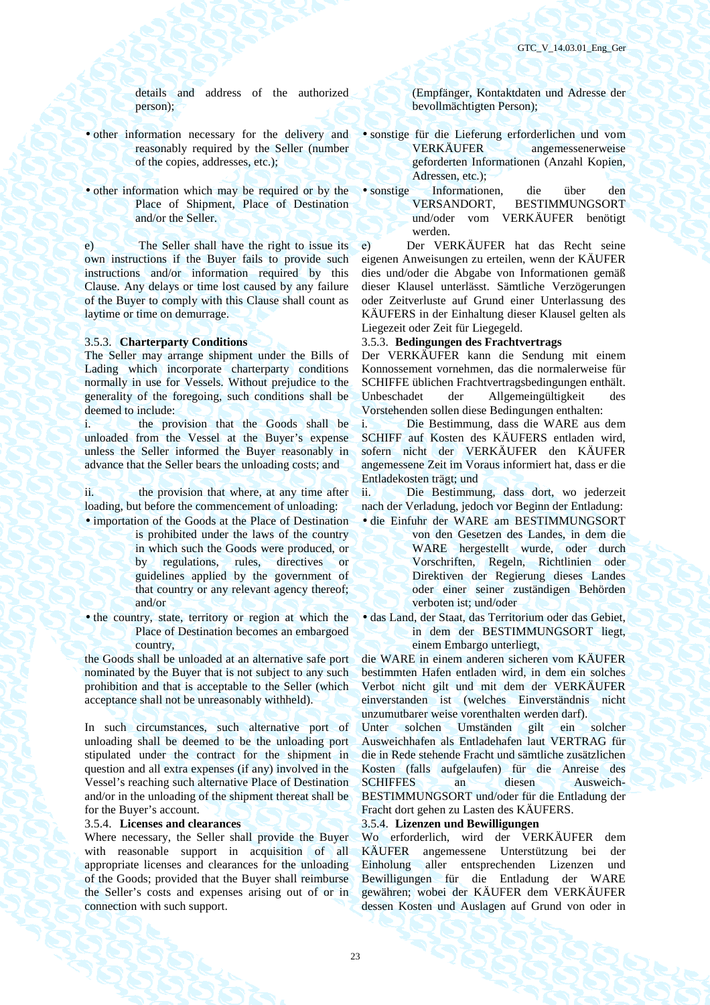details and address of the authorized person);

- other information necessary for the delivery and reasonably required by the Seller (number of the copies, addresses, etc.);
- other information which may be required or by the Place of Shipment, Place of Destination and/or the Seller.

e) The Seller shall have the right to issue its own instructions if the Buyer fails to provide such instructions and/or information required by this Clause. Any delays or time lost caused by any failure of the Buyer to comply with this Clause shall count as laytime or time on demurrage.

The Seller may arrange shipment under the Bills of Lading which incorporate charterparty conditions normally in use for Vessels. Without prejudice to the generality of the foregoing, such conditions shall be deemed to include:

i. the provision that the Goods shall be unloaded from the Vessel at the Buyer's expense unless the Seller informed the Buyer reasonably in advance that the Seller bears the unloading costs; and

ii. the provision that where, at any time after loading, but before the commencement of unloading: • importation of the Goods at the Place of Destination

- is prohibited under the laws of the country in which such the Goods were produced, or by regulations, rules, directives or guidelines applied by the government of that country or any relevant agency thereof; and/or
- the country, state, territory or region at which the Place of Destination becomes an embargoed country,

the Goods shall be unloaded at an alternative safe port nominated by the Buyer that is not subject to any such prohibition and that is acceptable to the Seller (which acceptance shall not be unreasonably withheld).

In such circumstances, such alternative port of unloading shall be deemed to be the unloading port stipulated under the contract for the shipment in question and all extra expenses (if any) involved in the Vessel's reaching such alternative Place of Destination and/or in the unloading of the shipment thereat shall be for the Buyer's account.

Where necessary, the Seller shall provide the Buyer with reasonable support in acquisition of all appropriate licenses and clearances for the unloading of the Goods; provided that the Buyer shall reimburse the Seller's costs and expenses arising out of or in connection with such support.

(Empfänger, Kontaktdaten und Adresse der bevollmächtigten Person);

- sonstige für die Lieferung erforderlichen und vom VERKÄUFER angemessenerweise geforderten Informationen (Anzahl Kopien, Adressen, etc.);
- sonstige Informationen, die über den VERSANDORT, BESTIMMUNGSORT und/oder vom VERKÄUFER benötigt werden.

е) Der VERKÄUFER hat das Recht seine eigenen Anweisungen zu erteilen, wenn der KÄUFER dies und/oder die Abgabe von Informationen gemäß dieser Klausel unterlässt. Sämtliche Verzögerungen oder Zeitverluste auf Grund einer Unterlassung des KÄUFERS in der Einhaltung dieser Klausel gelten als Liegezeit oder Zeit für Liegegeld.

### 3.5.3. **Charterparty Conditions** 3.5.3. **Bedingungen des Frachtvertrags**

Der VERKÄUFER kann die Sendung mit einem Konnossement vornehmen, das die normalerweise für SCHIFFE üblichen Frachtvertragsbedingungen enthält. Unbeschadet der Allgemeingültigkeit des Vorstehenden sollen diese Bedingungen enthalten:

i. Die Bestimmung, dass die WARE aus dem SCHIFF auf Kosten des KÄUFERS entladen wird, sofern nicht der VERKÄUFER den KÄUFER angemessene Zeit im Voraus informiert hat, dass er die Entladekosten trägt; und

ii. Die Bestimmung, dass dort, wo jederzeit nach der Verladung, jedoch vor Beginn der Entladung: • die Einfuhr der WARE am BESTIMMUNGSORT

> von den Gesetzen des Landes, in dem die WARE hergestellt wurde, oder durch Vorschriften, Regeln, Richtlinien oder Direktiven der Regierung dieses Landes oder einer seiner zuständigen Behörden verboten ist; und/oder

• das Land, der Staat, das Territorium oder das Gebiet, in dem der BESTIMMUNGSORT liegt, einem Embargo unterliegt,

die WARE in einem anderen sicheren vom KÄUFER bestimmten Hafen entladen wird, in dem ein solches Verbot nicht gilt und mit dem der VERKÄUFER einverstanden ist (welches Einverständnis nicht unzumutbarer weise vorenthalten werden darf).

Unter solchen Umständen gilt ein solcher Ausweichhafen als Entladehafen laut VERTRAG für die in Rede stehende Fracht und sämtliche zusätzlichen Kosten (falls aufgelaufen) für die Anreise des SCHIFFES an diesen Ausweich-BESTIMMUNGSORT und/oder für die Entladung der Fracht dort gehen zu Lasten des KÄUFERS.

### 3.5.4. **Licenses and clearances** 3.5.4. **Lizenzen und Bewilligungen**

Wo erforderlich, wird der VERKÄUFER dem KÄUFER angemessene Unterstützung bei der Einholung aller entsprechenden Lizenzen und Bewilligungen für die Entladung der WARE gewähren; wobei der KÄUFER dem VERKÄUFER dessen Kosten und Auslagen auf Grund von oder in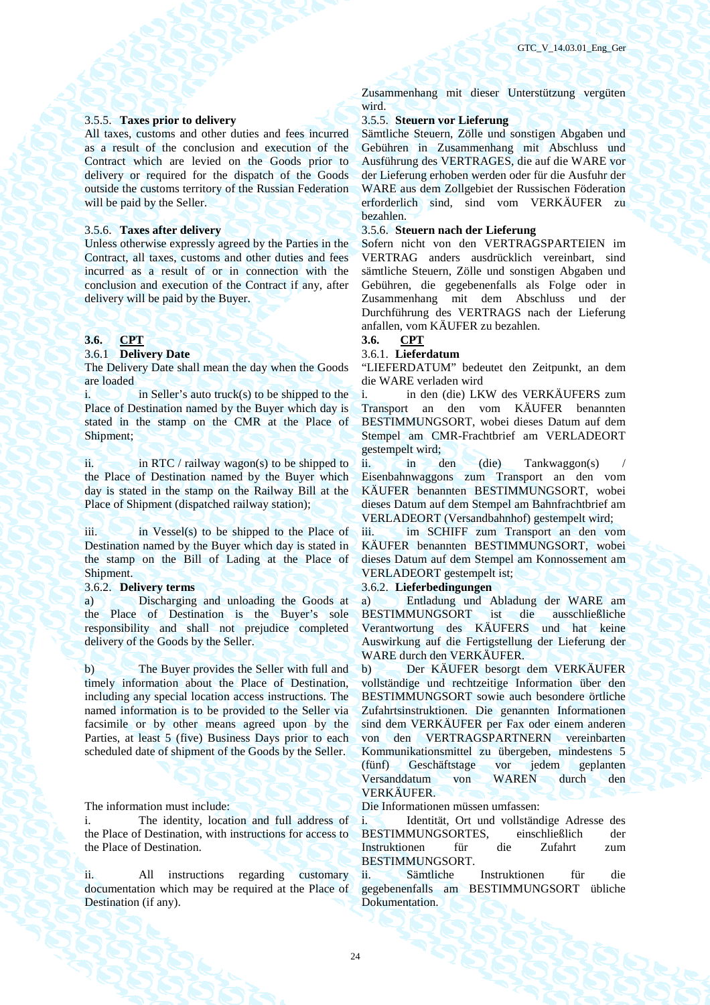### 3.5.5. **Taxes prior to delivery** 3.5.5. **Steuern vor Lieferung**

All taxes, customs and other duties and fees incurred as a result of the conclusion and execution of the Contract which are levied on the Goods prior to delivery or required for the dispatch of the Goods outside the customs territory of the Russian Federation will be paid by the Seller.

Unless otherwise expressly agreed by the Parties in the Contract, all taxes, customs and other duties and fees incurred as a result of or in connection with the conclusion and execution of the Contract if any, after delivery will be paid by the Buyer.

### 3.6.1 **Delivery Date** 3.6.1. **Lieferdatum**

The Delivery Date shall mean the day when the Goods are loaded

i.  $\qquad$  in Seller's auto truck(s) to be shipped to the Place of Destination named by the Buyer which day is stated in the stamp on the CMR at the Place of Shipment;

ii. in RTC / railway wagon(s) to be shipped to the Place of Destination named by the Buyer which day is stated in the stamp on the Railway Bill at the Place of Shipment (dispatched railway station);

 $iii.$  in Vessel(s) to be shipped to the Place of Destination named by the Buyer which day is stated in the stamp on the Bill of Lading at the Place of Shipment.

a) Discharging and unloading the Goods at the Place of Destination is the Buyer's sole responsibility and shall not prejudice completed delivery of the Goods by the Seller.

b) The Buyer provides the Seller with full and timely information about the Place of Destination, including any special location access instructions. The named information is to be provided to the Seller via facsimile or by other means agreed upon by the Parties, at least 5 (five) Business Days prior to each scheduled date of shipment of the Goods by the Seller.

The information must include: Die Informationen müssen umfassen:

The identity, location and full address of the Place of Destination, with instructions for access to the Place of Destination.

ii. All instructions regarding customary documentation which may be required at the Place of Destination (if any).

Zusammenhang mit dieser Unterstützung vergüten wird.

Sämtliche Steuern, Zölle und sonstigen Abgaben und Gebühren in Zusammenhang mit Abschluss und Ausführung des VERTRAGES, die auf die WARE vor der Lieferung erhoben werden oder für die Ausfuhr der WARE aus dem Zollgebiet der Russischen Föderation erforderlich sind, sind vom VERKÄUFER zu bezahlen.

### 3.5.6. **Taxes after delivery** 3.5.6. **Steuern nach der Lieferung**

Sofern nicht von den VERTRAGSPARTEIEN im VERTRAG anders ausdrücklich vereinbart, sind sämtliche Steuern, Zölle und sonstigen Abgaben und Gebühren, die gegebenenfalls als Folge oder in Zusammenhang mit dem Abschluss und der Durchführung des VERTRAGS nach der Lieferung anfallen, vom KÄUFER zu bezahlen.

### **3.6. CPT 3.6. CPT**

"LIEFERDATUM" bedeutet den Zeitpunkt, an dem die WARE verladen wird

i. in den (die) LKW des VERKÄUFERS zum Transport an den vom KÄUFER benannten BESTIMMUNGSORT, wobei dieses Datum auf dem Stempel am CMR-Frachtbrief am VERLADEORT gestempelt wird;

ii. in den (die) Tankwaggon(s) Eisenbahnwaggons zum Transport an den vom KÄUFER benannten BESTIMMUNGSORT, wobei dieses Datum auf dem Stempel am Bahnfrachtbrief am VERLADEORT (Versandbahnhof) gestempelt wird;

iii. im SCHIFF zum Transport an den vom KÄUFER benannten BESTIMMUNGSORT, wobei dieses Datum auf dem Stempel am Konnossement am VERLADEORT gestempelt ist;

### 3.6.2. **Delivery terms** 3.6.2. **Lieferbedingungen**

a) Entladung und Abladung der WARE am<br>BESTIMMUNGSORT ist die ausschließliche BESTIMMUNGSORT ist die Verantwortung des KÄUFERS und hat keine Auswirkung auf die Fertigstellung der Lieferung der WARE durch den VERKÄUFER.

b) Der KÄUFER besorgt dem VERKÄUFER vollständige und rechtzeitige Information über den BESTIMMUNGSORT sowie auch besondere örtliche Zufahrtsinstruktionen. Die genannten Informationen sind dem VERKÄUFER per Fax oder einem anderen von den VERTRAGSPARTNERN vereinbarten Kommunikationsmittel zu übergeben, mindestens 5 (fünf) Geschäftstage vor Versanddatum von WAREN durch den VERKÄUFER.

i. Identität, Ort und vollständige Adresse des BESTIMMUNGSORTES, einschließlich der Instruktionen für die Zufahrt zum BESTIMMUNGSORT.

ii. Sämtliche Instruktionen für die gegebenenfalls am BESTIMMUNGSORT übliche Dokumentation.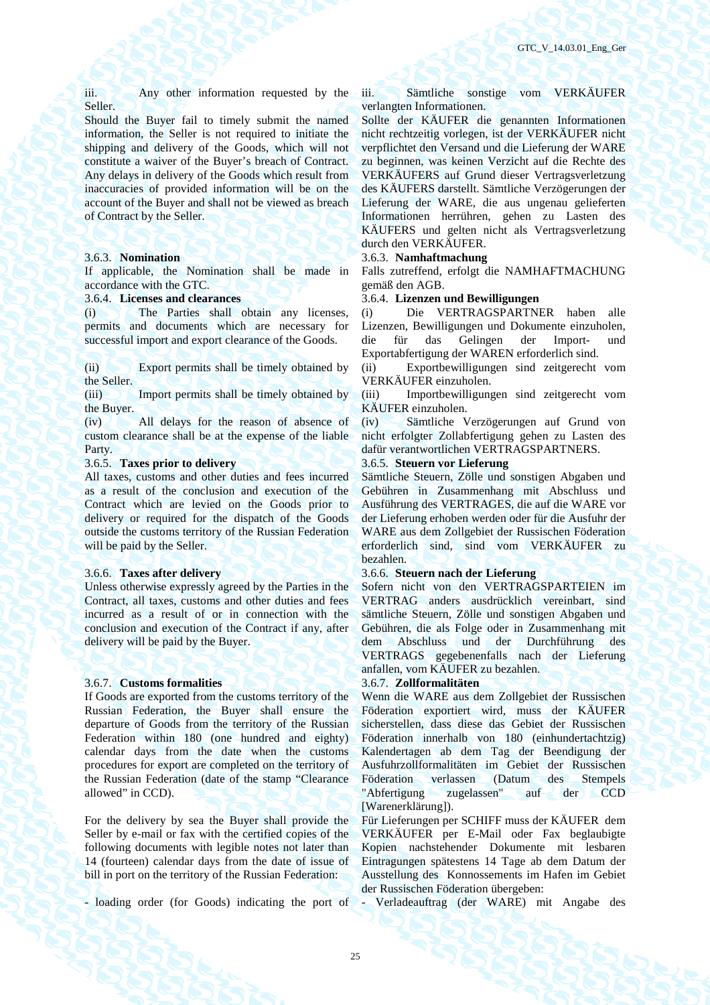iii. Any other information requested by the Seller.

Should the Buyer fail to timely submit the named information, the Seller is not required to initiate the shipping and delivery of the Goods, which will not constitute a waiver of the Buyer's breach of Contract. Any delays in delivery of the Goods which result from inaccuracies of provided information will be on the account of the Buyer and shall not be viewed as breach of Contract by the Seller.

If applicable, the Nomination shall be made in accordance with the GTC.

(i) The Parties shall obtain any licenses, permits and documents which are necessary for successful import and export clearance of the Goods.

(ii) Export permits shall be timely obtained by the Seller.

(iii) Import permits shall be timely obtained by the Buyer.

(iv) All delays for the reason of absence of custom clearance shall be at the expense of the liable Party.

### 3.6.5. **Taxes prior to delivery**

All taxes, customs and other duties and fees incurred as a result of the conclusion and execution of the Contract which are levied on the Goods prior to delivery or required for the dispatch of the Goods outside the customs territory of the Russian Federation will be paid by the Seller.

Unless otherwise expressly agreed by the Parties in the Contract, all taxes, customs and other duties and fees incurred as a result of or in connection with the conclusion and execution of the Contract if any, after delivery will be paid by the Buyer.

### 3.6.7. **Customs formalities** 3.6.7. **Zollformalitäten**

If Goods are exported from the customs territory of the Russian Federation, the Buyer shall ensure the departure of Goods from the territory of the Russian Federation within 180 (one hundred and eighty) calendar days from the date when the customs procedures for export are completed on the territory of the Russian Federation (date of the stamp "Clearance allowed" in CCD).

For the delivery by sea the Buyer shall provide the Seller by e-mail or fax with the certified copies of the following documents with legible notes not later than 14 (fourteen) calendar days from the date of issue of bill in port on the territory of the Russian Federation:

- loading order (for Goods) indicating the port of

iii. Sämtliche sonstige vom VERKÄUFER verlangten Informationen.

Sollte der KÄUFER die genannten Informationen nicht rechtzeitig vorlegen, ist der VERKÄUFER nicht verpflichtet den Versand und die Lieferung der WARE zu beginnen, was keinen Verzicht auf die Rechte des VERKÄUFERS auf Grund dieser Vertragsverletzung des KÄUFERS darstellt. Sämtliche Verzögerungen der Lieferung der WARE, die aus ungenau gelieferten Informationen herrühren, gehen zu Lasten des KÄUFERS und gelten nicht als Vertragsverletzung durch den VERKÄUFER.

### 3.6.3. **Nomination** 3.6.3. **Namhaftmachung**

Falls zutreffend, erfolgt die NAMHAFTMACHUNG gemäß den AGB.

### 3.6.4. **Licenses and clearances** 3.6.4. **Lizenzen und Bewilligungen**

(i) Die VERTRAGSPARTNER haben alle Lizenzen, Bewilligungen und Dokumente einzuholen, die für das Gelingen der Import- und Exportabfertigung der WAREN erforderlich sind.

(ii) Exportbewilligungen sind zeitgerecht vom VERKÄUFER einzuholen.

(iii) Importbewilligungen sind zeitgerecht vom KÄUFER einzuholen.

(iv) Sämtliche Verzögerungen auf Grund von nicht erfolgter Zollabfertigung gehen zu Lasten des dafür verantwortlichen VERTRAGSPARTNERS.<br>3.6.5. Steuern vor Lieferung

Sämtliche Steuern, Zölle und sonstigen Abgaben und Gebühren in Zusammenhang mit Abschluss und Ausführung des VERTRAGES, die auf die WARE vor der Lieferung erhoben werden oder für die Ausfuhr der WARE aus dem Zollgebiet der Russischen Föderation erforderlich sind, sind vom VERKÄUFER zu bezahlen.

### 3.6.6. **Taxes after delivery** 3.6.6. **Steuern nach der Lieferung**

Sofern nicht von den VERTRAGSPARTEIEN im VERTRAG anders ausdrücklich vereinbart, sind sämtliche Steuern, Zölle und sonstigen Abgaben und Gebühren, die als Folge oder in Zusammenhang mit dem Abschluss und der Durchführung des VERTRAGS gegebenenfalls nach der Lieferung anfallen, vom KÄUFER zu bezahlen.

Wenn die WARE aus dem Zollgebiet der Russischen Föderation exportiert wird, muss der KÄUFER sicherstellen, dass diese das Gebiet der Russischen Föderation innerhalb von 180 (einhundertachtzig) Kalendertagen ab dem Tag der Beendigung der Ausfuhrzollformalitäten im Gebiet der Russischen Föderation verlassen (Datum des Stempels "Abfertigung zugelassen" auf der CCD [Warenerklärung]).

Für Lieferungen per SCHIFF muss der KÄUFER dem VERKÄUFER per E-Mail oder Fax beglaubigte Kopien nachstehender Dokumente mit lesbaren Eintragungen spätestens 14 Tage ab dem Datum der Ausstellung des Konnossements im Hafen im Gebiet der Russischen Föderation übergeben:

- Verladeauftrag (der WARE) mit Angabe des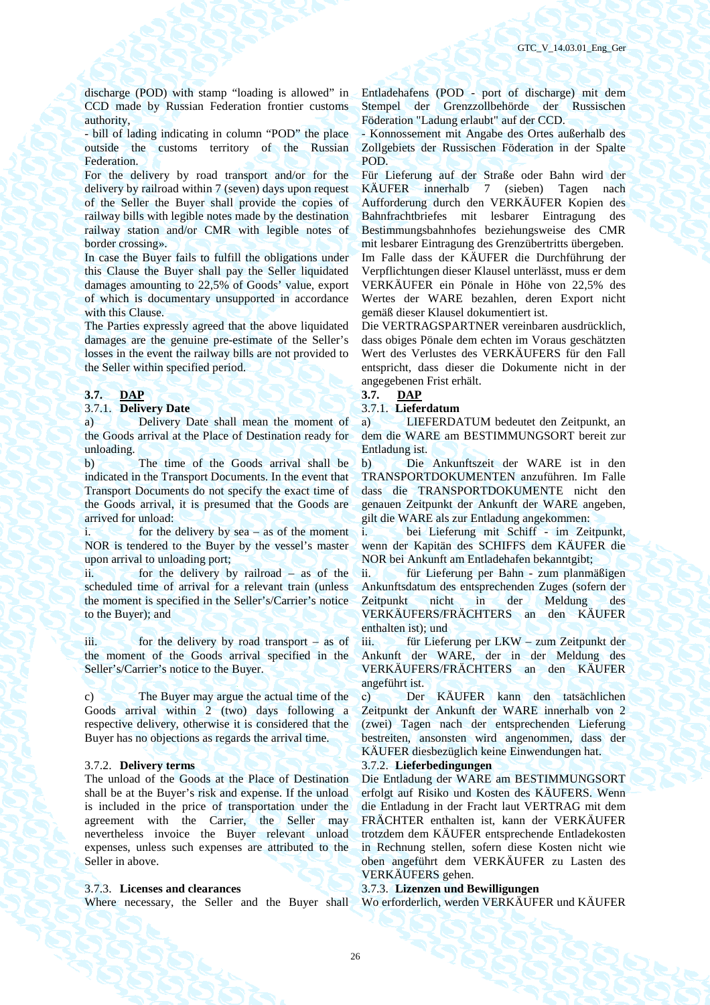discharge (POD) with stamp "loading is allowed" in CCD made by Russian Federation frontier customs authority,

- bill of lading indicating in column "POD" the place outside the customs territory of the Russian Federation.

For the delivery by road transport and/or for the delivery by railroad within 7 (seven) days upon request of the Seller the Buyer shall provide the copies of railway bills with legible notes made by the destination railway station and/or CMR with legible notes of border crossing».

In case the Buyer fails to fulfill the obligations under this Clause the Buyer shall pay the Seller liquidated damages amounting to 22,5% of Goods' value, export of which is documentary unsupported in accordance with this Clause.

The Parties expressly agreed that the above liquidated damages are the genuine pre-estimate of the Seller's losses in the event the railway bills are not provided to the Seller within specified period.

### **3.7. DAP**  $\overline{\phantom{a}}$  **DAP**

### 3.7.1. **Delivery Date** 3.7.1. **Lieferdatum**

a) Delivery Date shall mean the moment of the Goods arrival at the Place of Destination ready for unloading.

b) The time of the Goods arrival shall be indicated in the Transport Documents. In the event that Transport Documents do not specify the exact time of the Goods arrival, it is presumed that the Goods are arrived for unload:

 $i.$  for the delivery by sea – as of the moment NOR is tendered to the Buyer by the vessel's master upon arrival to unloading port;

ii. for the delivery by railroad – as of the scheduled time of arrival for a relevant train (unless the moment is specified in the Seller's/Carrier's notice to the Buyer); and

iii. for the delivery by road transport – as of the moment of the Goods arrival specified in the Seller's/Carrier's notice to the Buyer.

c) The Buyer may argue the actual time of the Goods arrival within 2 (two) days following a respective delivery, otherwise it is considered that the Buyer has no objections as regards the arrival time.

The unload of the Goods at the Place of Destination shall be at the Buyer's risk and expense. If the unload is included in the price of transportation under the agreement with the Carrier, the Seller may nevertheless invoice the Buyer relevant unload expenses, unless such expenses are attributed to the Seller in above.

Entladehafens (POD - port of discharge) mit dem Stempel der Grenzzollbehörde der Russischen Föderation "Ladung erlaubt" auf der CCD.

- Konnossement mit Angabe des Ortes außerhalb des Zollgebiets der Russischen Föderation in der Spalte POD.

Für Lieferung auf der Straße oder Bahn wird der KÄUFER innerhalb 7 (sieben) Tagen nach Aufforderung durch den VERKÄUFER Kopien des Bahnfrachtbriefes mit lesbarer Eintragung des Bestimmungsbahnhofes beziehungsweise des CMR mit lesbarer Eintragung des Grenzübertritts übergeben. Im Falle dass der KÄUFER die Durchführung der Verpflichtungen dieser Klausel unterlässt, muss er dem VERKÄUFER ein Pönale in Höhe von 22,5% des Wertes der WARE bezahlen, deren Export nicht gemäß dieser Klausel dokumentiert ist.

Die VERTRAGSPARTNER vereinbaren ausdrücklich, dass obiges Pönale dem echten im Voraus geschätzten Wert des Verlustes des VERKÄUFERS für den Fall entspricht, dass dieser die Dokumente nicht in der angegebenen Frist erhält.

а) LIEFERDATUM bedeutet den Zeitpunkt, an dem die WARE am BESTIMMUNGSORT bereit zur Entladung ist.

b) Die Ankunftszeit der WARE ist in den TRANSPORTDOKUMENTEN anzuführen. Im Falle dass die TRANSPORTDOKUMENTE nicht den genauen Zeitpunkt der Ankunft der WARE angeben, gilt die WARE als zur Entladung angekommen:

i. bei Lieferung mit Schiff - im Zeitpunkt, wenn der Kapitän des SCHIFFS dem KÄUFER die NOR bei Ankunft am Entladehafen bekanntgibt;

ii. für Lieferung per Bahn - zum planmäßigen Ankunftsdatum des entsprechenden Zuges (sofern der Zeitpunkt nicht in der Meldung des VERKÄUFERS/FRÄCHTERS an den KÄUFER enthalten ist); und

iii. für Lieferung per LKW – zum Zeitpunkt der Ankunft der WARE, der in der Meldung des VERKÄUFERS/FRÄCHTERS an den KÄUFER angeführt ist.

с) Der KÄUFER kann den tatsächlichen Zeitpunkt der Ankunft der WARE innerhalb von 2 (zwei) Tagen nach der entsprechenden Lieferung bestreiten, ansonsten wird angenommen, dass der KÄUFER diesbezüglich keine Einwendungen hat.

### 3.7.2. **Delivery terms** 3.7.2. **Lieferbedingungen**

Die Entladung der WARE am BESTIMMUNGSORT erfolgt auf Risiko und Kosten des KÄUFERS. Wenn die Entladung in der Fracht laut VERTRAG mit dem FRÄCHTER enthalten ist, kann der VERKÄUFER trotzdem dem KÄUFER entsprechende Entladekosten in Rechnung stellen, sofern diese Kosten nicht wie oben angeführt dem VERKÄUFER zu Lasten des VERKÄUFERS gehen.

### 3.7.3. **Licenses and clearances** 3.7.3. **Lizenzen und Bewilligungen**

Where necessary, the Seller and the Buyer shall Wo erforderlich, werden VERKÄUFER und KÄUFER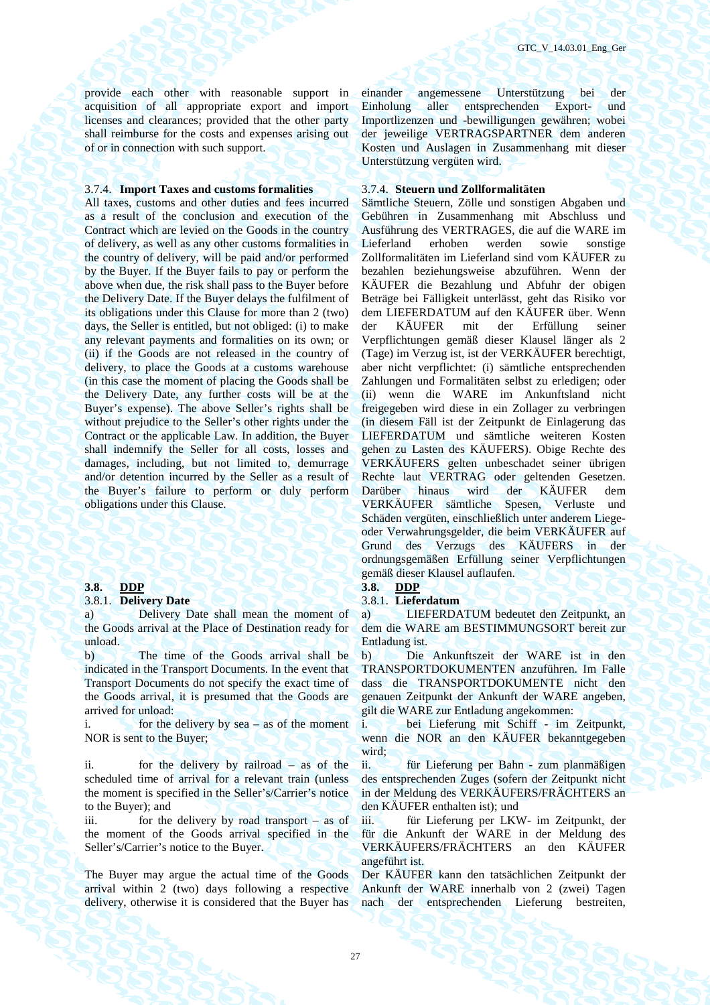provide each other with reasonable support in acquisition of all appropriate export and import licenses and clearances; provided that the other party shall reimburse for the costs and expenses arising out of or in connection with such support.

### 3.7.4. **Import Taxes and customs formalities** 3.7.4. **Steuern und Zollformalitäten**

All taxes, customs and other duties and fees incurred as a result of the conclusion and execution of the Contract which are levied on the Goods in the country of delivery, as well as any other customs formalities in the country of delivery, will be paid and/or performed by the Buyer. If the Buyer fails to pay or perform the above when due, the risk shall pass to the Buyer before the Delivery Date. If the Buyer delays the fulfilment of its obligations under this Clause for more than 2 (two) days, the Seller is entitled, but not obliged: (i) to make any relevant payments and formalities on its own; or (ii) if the Goods are not released in the country of delivery, to place the Goods at a customs warehouse (in this case the moment of placing the Goods shall be the Delivery Date, any further costs will be at the Buyer's expense). The above Seller's rights shall be without prejudice to the Seller's other rights under the Contract or the applicable Law. In addition, the Buyer shall indemnify the Seller for all costs, losses and damages, including, but not limited to, demurrage and/or detention incurred by the Seller as a result of the Buyer's failure to perform or duly perform obligations under this Clause.

### **3.8. DDP** 3.8. **DDP**

### 3.8.1. **Delivery Date** 3.8.1. **Lieferdatum**

Delivery Date shall mean the moment of the Goods arrival at the Place of Destination ready for unload.

b) The time of the Goods arrival shall be indicated in the Transport Documents. In the event that Transport Documents do not specify the exact time of the Goods arrival, it is presumed that the Goods are arrived for unload:

i. for the delivery by sea – as of the moment NOR is sent to the Buyer;

ii. for the delivery by railroad – as of the scheduled time of arrival for a relevant train (unless the moment is specified in the Seller's/Carrier's notice to the Buyer); and

iii. for the delivery by road transport – as of the moment of the Goods arrival specified in the Seller's/Carrier's notice to the Buyer.

The Buyer may argue the actual time of the Goods arrival within 2 (two) days following a respective delivery, otherwise it is considered that the Buyer has

einander angemessene Unterstützung bei der Einholung aller entsprechenden Export- und Importlizenzen und -bewilligungen gewähren; wobei der jeweilige VERTRAGSPARTNER dem anderen Kosten und Auslagen in Zusammenhang mit dieser Unterstützung vergüten wird.

Sämtliche Steuern, Zölle und sonstigen Abgaben und Gebühren in Zusammenhang mit Abschluss und Ausführung des VERTRAGES, die auf die WARE im Lieferland erhoben werden sowie sonstige Zollformalitäten im Lieferland sind vom KÄUFER zu bezahlen beziehungsweise abzuführen. Wenn der KÄUFER die Bezahlung und Abfuhr der obigen Beträge bei Fälligkeit unterlässt, geht das Risiko vor dem LIEFERDATUM auf den KÄUFER über. Wenn der KÄUFER mit der Erfüllung seiner Verpflichtungen gemäß dieser Klausel länger als 2 (Tage) im Verzug ist, ist der VERKÄUFER berechtigt, aber nicht verpflichtet: (i) sämtliche entsprechenden Zahlungen und Formalitäten selbst zu erledigen; oder (ii) wenn die WARE im Ankunftsland nicht freigegeben wird diese in ein Zollager zu verbringen (in diesem Fäll ist der Zeitpunkt de Einlagerung das LIEFERDATUM und sämtliche weiteren Kosten gehen zu Lasten des KÄUFERS). Obige Rechte des VERKÄUFERS gelten unbeschadet seiner übrigen Rechte laut VERTRAG oder geltenden Gesetzen. Darüber hinaus wird der KÄUFER dem VERKÄUFER sämtliche Spesen, Verluste und Schäden vergüten, einschließlich unter anderem Liegeoder Verwahrungsgelder, die beim VERKÄUFER auf Grund des Verzugs des KÄUFERS in der ordnungsgemäßen Erfüllung seiner Verpflichtungen gemäß dieser Klausel auflaufen.

а) LIEFERDATUM bedeutet den Zeitpunkt, an dem die WARE am BESTIMMUNGSORT bereit zur Entladung ist.

b) Die Ankunftszeit der WARE ist in den TRANSPORTDOKUMENTEN anzuführen. Im Falle dass die TRANSPORTDOKUMENTE nicht den genauen Zeitpunkt der Ankunft der WARE angeben, gilt die WARE zur Entladung angekommen:

i. bei Lieferung mit Schiff - im Zeitpunkt, wenn die NOR an den KÄUFER bekanntgegeben wird:

ii. für Lieferung per Bahn - zum planmäßigen des entsprechenden Zuges (sofern der Zeitpunkt nicht in der Meldung des VERKÄUFERS/FRÄCHTERS an den KÄUFER enthalten ist); und

iii. für Lieferung per LKW- im Zeitpunkt, der für die Ankunft der WARE in der Meldung des VERKÄUFERS/FRÄCHTERS an den KÄUFER angeführt ist.

Der KÄUFER kann den tatsächlichen Zeitpunkt der Ankunft der WARE innerhalb von 2 (zwei) Tagen nach der entsprechenden Lieferung bestreiten,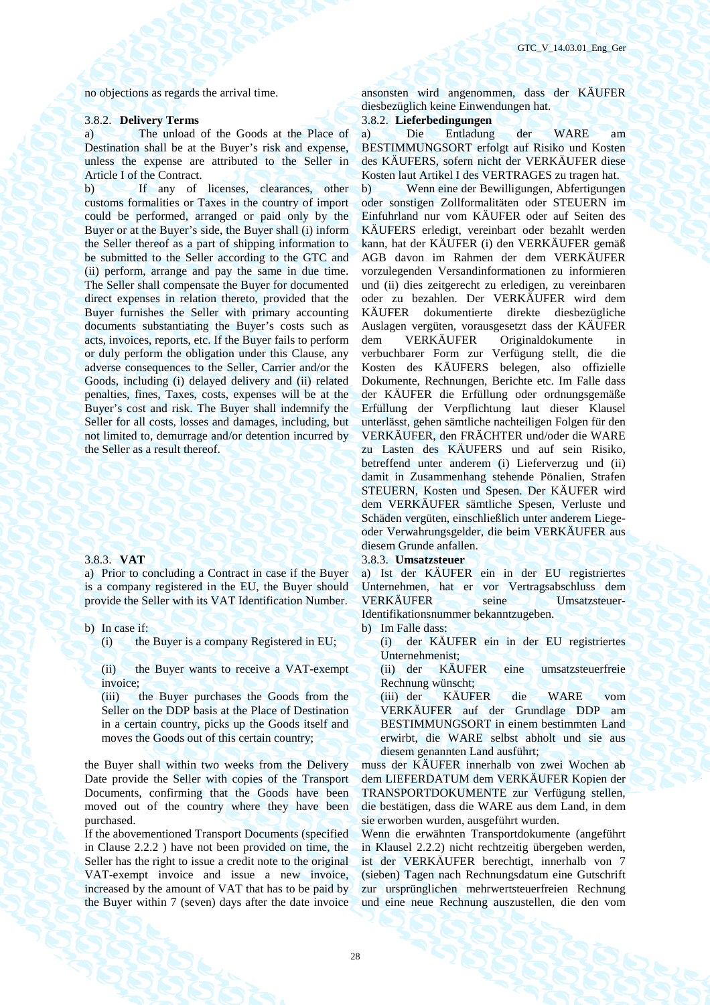### 3.8.2. **Delivery Terms** 3.8.2. **Lieferbedingungen**

a) The unload of the Goods at the Place of Destination shall be at the Buyer's risk and expense, unless the expense are attributed to the Seller in Article I of the Contract.

b) If any of licenses, clearances, other customs formalities or Taxes in the country of import could be performed, arranged or paid only by the Buyer or at the Buyer's side, the Buyer shall (i) inform the Seller thereof as a part of shipping information to be submitted to the Seller according to the GTC and (ii) perform, arrange and pay the same in due time. The Seller shall compensate the Buyer for documented direct expenses in relation thereto, provided that the Buyer furnishes the Seller with primary accounting documents substantiating the Buyer's costs such as acts, invoices, reports, etc. If the Buyer fails to perform or duly perform the obligation under this Clause, any adverse consequences to the Seller, Carrier and/or the Goods, including (i) delayed delivery and (ii) related penalties, fines, Taxes, costs, expenses will be at the Buyer's cost and risk. The Buyer shall indemnify the Seller for all costs, losses and damages, including, but not limited to, demurrage and/or detention incurred by the Seller as a result thereof.

a) Prior to concluding a Contract in case if the Buyer is a company registered in the EU, the Buyer should provide the Seller with its VAT Identification Number.

b) In case if: b) Im Falle dass:

(ii) the Buyer wants to receive a VAT-exempt invoice;

(iii) the Buyer purchases the Goods from the Seller on the DDP basis at the Place of Destination in a certain country, picks up the Goods itself and moves the Goods out of this certain country;

the Buyer shall within two weeks from the Delivery Date provide the Seller with copies of the Transport Documents, confirming that the Goods have been moved out of the country where they have been purchased.

If the abovementioned Transport Documents (specified in Clause 2.2.2 ) have not been provided on time, the Seller has the right to issue a credit note to the original VAT-exempt invoice and issue a new invoice, increased by the amount of VAT that has to be paid by the Buyer within 7 (seven) days after the date invoice

no objections as regards the arrival time. ansonsten wird angenommen, dass der KÄUFER diesbezüglich keine Einwendungen hat.

а) Die Entladung der WARE am BESTIMMUNGSORT erfolgt auf Risiko und Kosten des KÄUFERS, sofern nicht der VERKÄUFER diese Kosten laut Artikel I des VERTRAGES zu tragen hat. b) Wenn eine der Bewilligungen, Abfertigungen oder sonstigen Zollformalitäten oder STEUERN im Einfuhrland nur vom KÄUFER oder auf Seiten des KÄUFERS erledigt, vereinbart oder bezahlt werden kann, hat der KÄUFER (i) den VERKÄUFER gemäß AGB davon im Rahmen der dem VERKÄUFER vorzulegenden Versandinformationen zu informieren und (ii) dies zeitgerecht zu erledigen, zu vereinbaren oder zu bezahlen. Der VERKÄUFER wird dem KÄUFER dokumentierte direkte diesbezügliche Auslagen vergüten, vorausgesetzt dass der KÄUFER dem VERKÄUFER Originaldokumente in verbuchbarer Form zur Verfügung stellt, die die Kosten des KÄUFERS belegen, also offizielle Dokumente, Rechnungen, Berichte etc. Im Falle dass der KÄUFER die Erfüllung oder ordnungsgemäße Erfüllung der Verpflichtung laut dieser Klausel unterlässt, gehen sämtliche nachteiligen Folgen für den VERKÄUFER, den FRÄCHTER und/oder die WARE zu Lasten des KÄUFERS und auf sein Risiko, betreffend unter anderem (i) Lieferverzug und (ii) damit in Zusammenhang stehende Pönalien, Strafen STEUERN, Kosten und Spesen. Der KÄUFER wird dem VERKÄUFER sämtliche Spesen, Verluste und Schäden vergüten, einschließlich unter anderem Liegeoder Verwahrungsgelder, die beim VERKÄUFER aus diesem Grunde anfallen.

### 3.8.3. **VAT** 3.8.3. **Umsatzsteuer**

а) Ist der KÄUFER ein in der EU registriertes Unternehmen, hat er vor Vertragsabschluss dem VERKÄUFER seine Umsatzsteuer-Identifikationsnummer bekanntzugeben.

(i) the Buyer is a company Registered in EU; (i) der KÄUFER ein in der EU registriertes Unternehmenist;

> (ii) der KÄUFER eine umsatzsteuerfreie Rechnung wünscht;

> (iii) der KÄUFER die WARE vom VERKÄUFER auf der Grundlage DDP am BESTIMMUNGSORT in einem bestimmten Land erwirbt, die WARE selbst abholt und sie aus diesem genannten Land ausführt;

muss der KÄUFER innerhalb von zwei Wochen ab dem LIEFERDATUM dem VERKÄUFER Kopien der TRANSPORTDOKUMENTE zur Verfügung stellen, die bestätigen, dass die WARE aus dem Land, in dem sie erworben wurden, ausgeführt wurden.

Wenn die erwähnten Transportdokumente (angeführt in Klausel 2.2.2) nicht rechtzeitig übergeben werden, ist der VERKÄUFER berechtigt, innerhalb von 7 (sieben) Tagen nach Rechnungsdatum eine Gutschrift zur ursprünglichen mehrwertsteuerfreien Rechnung und eine neue Rechnung auszustellen, die den vom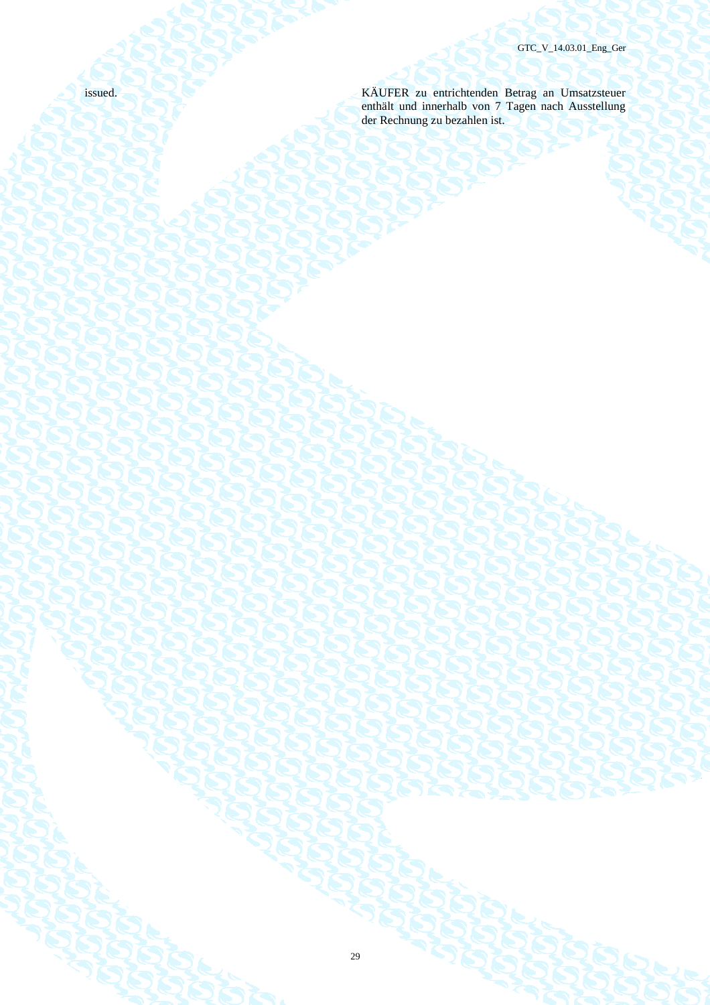issued. KÄUFER zu entrichtenden Betrag an Umsatzsteuer enthält und innerhalb von 7 Tagen nach Ausstellung der Rechnung zu bezahlen ist.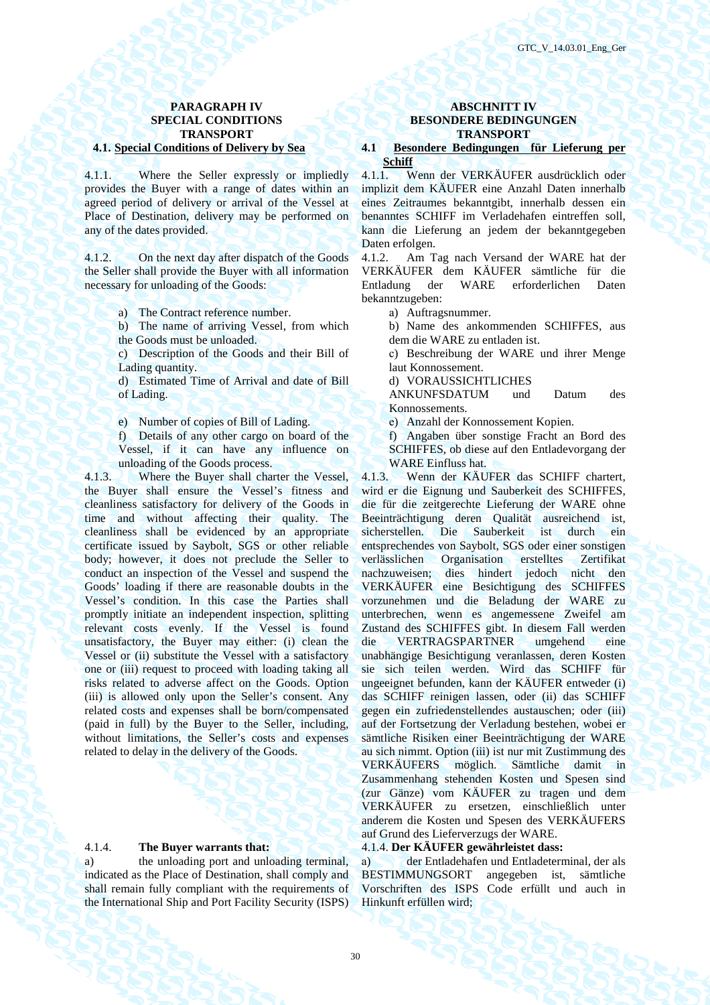4.1.1. Where the Seller expressly or impliedly provides the Buyer with a range of dates within an agreed period of delivery or arrival of the Vessel at Place of Destination, delivery may be performed on any of the dates provided.

4.1.2. On the next day after dispatch of the Goods the Seller shall provide the Buyer with all information necessary for unloading of the Goods:

- a) The Contract reference number. а) Auftragsnummer.
- b) The name of arriving Vessel, from which the Goods must be unloaded.
- c) Description of the Goods and their Bill of Lading quantity.
- d) Estimated Time of Arrival and date of Bill of Lading.
- e) Number of copies of Bill of Lading. (e) Anzahl der Konnossement Kopien.
- f) Details of any other cargo on board of the Vessel, if it can have any influence on unloading of the Goods process.

4.1.3. Where the Buyer shall charter the Vessel, the Buyer shall ensure the Vessel's fitness and cleanliness satisfactory for delivery of the Goods in time and without affecting their quality. The cleanliness shall be evidenced by an appropriate certificate issued by Saybolt, SGS or other reliable body; however, it does not preclude the Seller to conduct an inspection of the Vessel and suspend the Goods' loading if there are reasonable doubts in the Vessel's condition. In this case the Parties shall promptly initiate an independent inspection, splitting relevant costs evenly. If the Vessel is found unsatisfactory, the Buyer may either: (i) clean the Vessel or (ii) substitute the Vessel with a satisfactory one or (iii) request to proceed with loading taking all risks related to adverse affect on the Goods. Option (iii) is allowed only upon the Seller's consent. Any related costs and expenses shall be born/compensated (paid in full) by the Buyer to the Seller, including, without limitations, the Seller's costs and expenses related to delay in the delivery of the Goods.

a) the unloading port and unloading terminal, indicated as the Place of Destination, shall comply and shall remain fully compliant with the requirements of the International Ship and Port Facility Security (ISPS)

### **PARAGRAPH IV ABSCHNITT IV SPECIAL CONDITIONS BESONDERE BEDINGUNGEN TRANSPORT AND TRANSPORT**

### **4.1. Special Conditions of Delivery by Sea 4.1 Besondere Bedingungen für Lieferung per Schiff**

4.1.1. Wenn der VERKÄUFER ausdrücklich oder implizit dem KÄUFER eine Anzahl Daten innerhalb eines Zeitraumes bekanntgibt, innerhalb dessen ein benanntes SCHIFF im Verladehafen eintreffen soll, kann die Lieferung an jedem der bekanntgegeben Daten erfolgen.

4.1.2. Am Tag nach Versand der WARE hat der VERKÄUFER dem KÄUFER sämtliche für die Entladung der WARE erforderlichen Daten bekanntzugeben:

- 
- b) Name des ankommenden SCHIFFES, aus dem die WARE zu entladen ist.
- с) Beschreibung der WARE und ihrer Menge laut Konnossement.
- d) VORAUSSICHTLICHES

ANKUNFSDATUM und Datum des Konnossements.

f) Angaben über sonstige Fracht an Bord des SCHIFFES, ob diese auf den Entladevorgang der WARE Einfluss hat.

4.1.3. Wenn der KÄUFER das SCHIFF chartert, wird er die Eignung und Sauberkeit des SCHIFFES, die für die zeitgerechte Lieferung der WARE ohne Beeinträchtigung deren Qualität ausreichend ist, sicherstellen. Die Sauberkeit ist durch ein entsprechendes von Saybolt, SGS oder einer sonstigen verlässlichen Organisation erstelltes Zertifikat nachzuweisen; dies hindert jedoch nicht den VERKÄUFER eine Besichtigung des SCHIFFES vorzunehmen und die Beladung der WARE zu unterbrechen, wenn es angemessene Zweifel am Zustand des SCHIFFES gibt. In diesem Fall werden die VERTRAGSPARTNER umgehend eine unabhängige Besichtigung veranlassen, deren Kosten sie sich teilen werden. Wird das SCHIFF für ungeeignet befunden, kann der KÄUFER entweder (i) das SCHIFF reinigen lassen, oder (ii) das SCHIFF gegen ein zufriedenstellendes austauschen; oder (iii) auf der Fortsetzung der Verladung bestehen, wobei er sämtliche Risiken einer Beeinträchtigung der WARE au sich nimmt. Option (iii) ist nur mit Zustimmung des VERKÄUFERS möglich. Sämtliche damit in Zusammenhang stehenden Kosten und Spesen sind (zur Gänze) vom KÄUFER zu tragen und dem VERKÄUFER zu ersetzen, einschließlich unter anderem die Kosten und Spesen des VERKÄUFERS auf Grund des Lieferverzugs der WARE.

### 4.1.4. **The Buyer warrants that:** 4.1.4. **Der KÄUFER gewährleistet dass:**

а) der Entladehafen und Entladeterminal, der als BESTIMMUNGSORT angegeben ist, sämtliche Vorschriften des ISPS Code erfüllt und auch in Hinkunft erfüllen wird;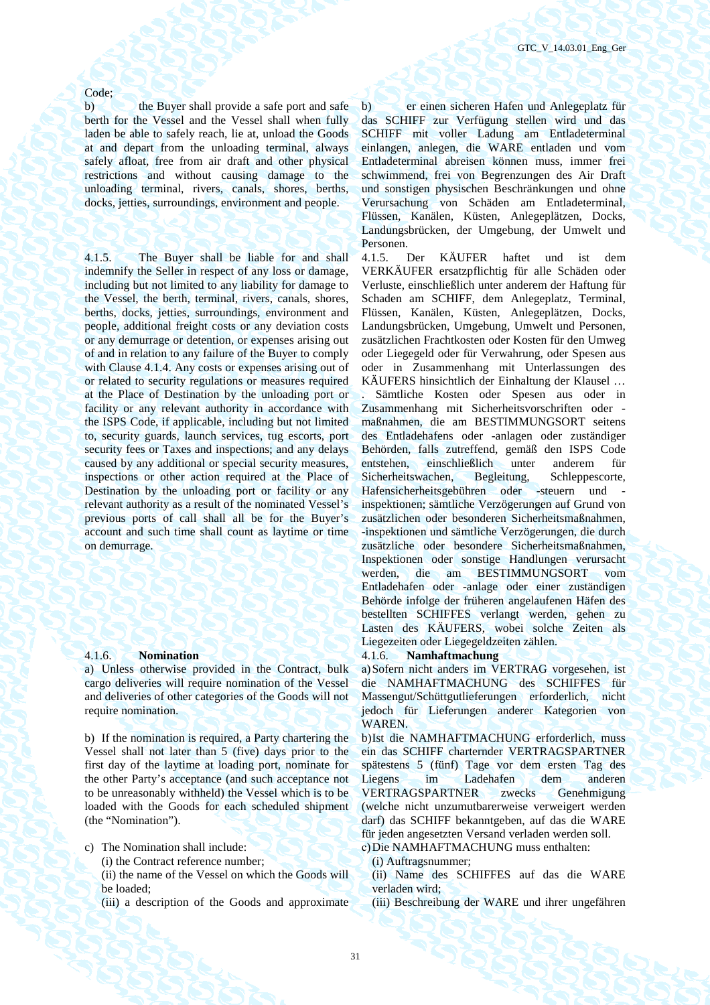### Code;

b) the Buyer shall provide a safe port and safe berth for the Vessel and the Vessel shall when fully laden be able to safely reach, lie at, unload the Goods at and depart from the unloading terminal, always safely afloat, free from air draft and other physical restrictions and without causing damage to the unloading terminal, rivers, canals, shores, berths, docks, jetties, surroundings, environment and people.

4.1.5. The Buyer shall be liable for and shall indemnify the Seller in respect of any loss or damage, including but not limited to any liability for damage to the Vessel, the berth, terminal, rivers, canals, shores, berths, docks, jetties, surroundings, environment and people, additional freight costs or any deviation costs or any demurrage or detention, or expenses arising out of and in relation to any failure of the Buyer to comply with Clause 4.1.4. Any costs or expenses arising out of or related to security regulations or measures required at the Place of Destination by the unloading port or facility or any relevant authority in accordance with the ISPS Code, if applicable, including but not limited to, security guards, launch services, tug escorts, port security fees or Taxes and inspections; and any delays caused by any additional or special security measures, inspections or other action required at the Place of Destination by the unloading port or facility or any relevant authority as a result of the nominated Vessel's previous ports of call shall all be for the Buyer's account and such time shall count as laytime or time on demurrage.

a) Unless otherwise provided in the Contract, bulk cargo deliveries will require nomination of the Vessel and deliveries of other categories of the Goods will not require nomination.

b) If the nomination is required, a Party chartering the Vessel shall not later than 5 (five) days prior to the first day of the laytime at loading port, nominate for the other Party's acceptance (and such acceptance not to be unreasonably withheld) the Vessel which is to be loaded with the Goods for each scheduled shipment (the "Nomination").

- c) The Nomination shall include: с) Die NAMHAFTMACHUNG muss enthalten:
	- (i) the Contract reference number; (i) Auftragsnummer;
	- (ii) the name of the Vessel on which the Goods will be loaded;

b) er einen sicheren Hafen und Anlegeplatz für das SCHIFF zur Verfügung stellen wird und das SCHIFF mit voller Ladung am Entladeterminal einlangen, anlegen, die WARE entladen und vom Entladeterminal abreisen können muss, immer frei schwimmend, frei von Begrenzungen des Air Draft und sonstigen physischen Beschränkungen und ohne Verursachung von Schäden am Entladeterminal, Flüssen, Kanälen, Küsten, Anlegeplätzen, Docks, Landungsbrücken, der Umgebung, der Umwelt und Personen.

4.1.5. Der KÄUFER haftet und ist dem VERKÄUFER ersatzpflichtig für alle Schäden oder Verluste, einschließlich unter anderem der Haftung für Schaden am SCHIFF, dem Anlegeplatz, Terminal, Flüssen, Kanälen, Küsten, Anlegeplätzen, Docks, Landungsbrücken, Umgebung, Umwelt und Personen, zusätzlichen Frachtkosten oder Kosten für den Umweg oder Liegegeld oder für Verwahrung, oder Spesen aus oder in Zusammenhang mit Unterlassungen des KÄUFERS hinsichtlich der Einhaltung der Klausel …

. Sämtliche Kosten oder Spesen aus oder in Zusammenhang mit Sicherheitsvorschriften oder maßnahmen, die am BESTIMMUNGSORT seitens des Entladehafens oder -anlagen oder zuständiger Behörden, falls zutreffend, gemäß den ISPS Code entstehen, einschließlich unter anderem für Sicherheitswachen, Begleitung, Schleppescorte, Hafensicherheitsgebühren oder -steuern und inspektionen; sämtliche Verzögerungen auf Grund von zusätzlichen oder besonderen Sicherheitsmaßnahmen, -inspektionen und sämtliche Verzögerungen, die durch zusätzliche oder besondere Sicherheitsmaßnahmen, Inspektionen oder sonstige Handlungen verursacht werden, die am BESTIMMUNGSORT vom Entladehafen oder -anlage oder einer zuständigen Behörde infolge der früheren angelaufenen Häfen des bestellten SCHIFFES verlangt werden, gehen zu Lasten des KÄUFERS, wobei solche Zeiten als Liegezeiten oder Liegegeldzeiten zählen.

### 4.1.6. **Nomination** 4.1.6. **Namhaftmachung**

а) Sofern nicht anders im VERTRAG vorgesehen, ist die NAMHAFTMACHUNG des SCHIFFES für Massengut/Schüttgutlieferungen erforderlich, nicht jedoch für Lieferungen anderer Kategorien von WAREN.

b) Ist die NAMHAFTMACHUNG erforderlich, muss ein das SCHIFF charternder VERTRAGSPARTNER spätestens 5 (fünf) Tage vor dem ersten Tag des Liegens im Ladehafen dem anderen VERTRAGSPARTNER zwecks Genehmigung (welche nicht unzumutbarerweise verweigert werden darf) das SCHIFF bekanntgeben, auf das die WARE für jeden angesetzten Versand verladen werden soll.

(ii) Name des SCHIFFES auf das die WARE verladen wird;

(iii) a description of the Goods and approximate (iii) Beschreibung der WARE und ihrer ungefähren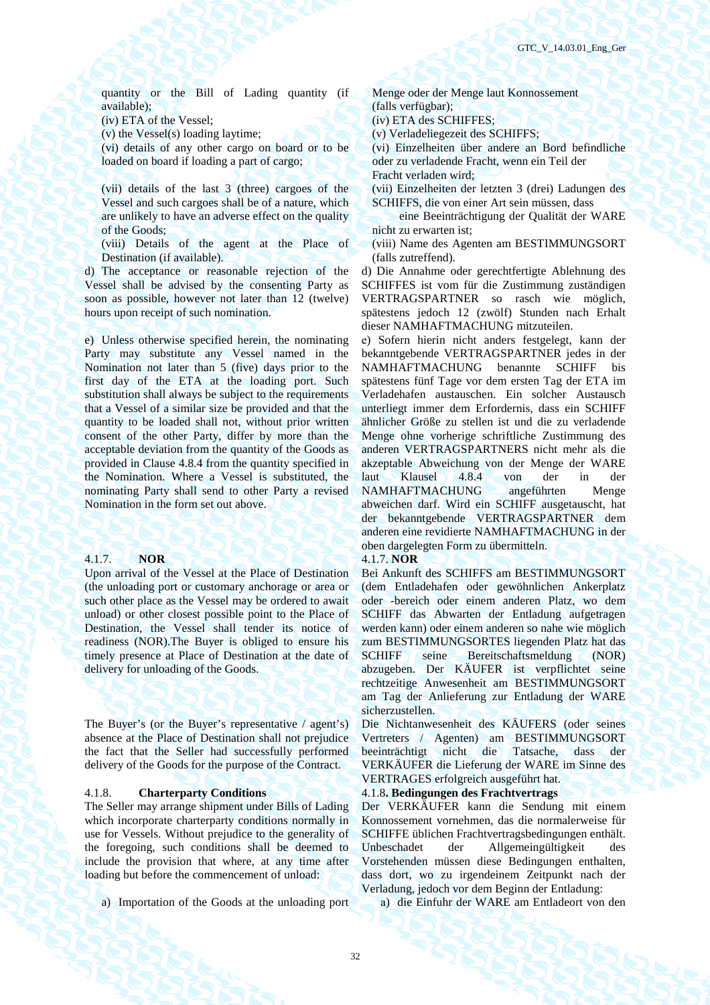quantity or the Bill of Lading quantity (if available);

(iv) ETA of the Vessel; (iv) ETA des SCHIFFES;

(v) the Vessel(s) loading laytime; (v) Verladeliegezeit des SCHIFFS;

(vi) details of any other cargo on board or to be loaded on board if loading a part of cargo;

(vii) details of the last 3 (three) cargoes of the Vessel and such cargoes shall be of a nature, which are unlikely to have an adverse effect on the quality of the Goods;

(viii) Details of the agent at the Place of Destination (if available).

d) The acceptance or reasonable rejection of the Vessel shall be advised by the consenting Party as soon as possible, however not later than 12 (twelve) hours upon receipt of such nomination.

e) Unless otherwise specified herein, the nominating Party may substitute any Vessel named in the Nomination not later than 5 (five) days prior to the first day of the ETA at the loading port. Such substitution shall always be subject to the requirements that a Vessel of a similar size be provided and that the quantity to be loaded shall not, without prior written consent of the other Party, differ by more than the acceptable deviation from the quantity of the Goods as provided in Clause 4.8.4 from the quantity specified in the Nomination. Where a Vessel is substituted, the nominating Party shall send to other Party a revised Nomination in the form set out above.

### 4.1.7. **NOR** 4.1.7. **NOR**

Upon arrival of the Vessel at the Place of Destination (the unloading port or customary anchorage or area or such other place as the Vessel may be ordered to await unload) or other closest possible point to the Place of Destination, the Vessel shall tender its notice of readiness (NOR).The Buyer is obliged to ensure his timely presence at Place of Destination at the date of delivery for unloading of the Goods.

The Buyer's (or the Buyer's representative / agent's) absence at the Place of Destination shall not prejudice the fact that the Seller had successfully performed delivery of the Goods for the purpose of the Contract.

The Seller may arrange shipment under Bills of Lading which incorporate charterparty conditions normally in use for Vessels. Without prejudice to the generality of the foregoing, such conditions shall be deemed to include the provision that where, at any time after loading but before the commencement of unload:

a) Importation of the Goods at the unloading port a) die Einfuhr der WARE am Entladeort von den

Menge oder der Menge laut Konnossement (falls verfügbar);

(vi) Einzelheiten über andere an Bord befindliche oder zu verladende Fracht, wenn ein Teil der Fracht verladen wird;

(vii) Einzelheiten der letzten 3 (drei) Ladungen des SCHIFFS, die von einer Art sein müssen, dass

 eine Beeinträchtigung der Qualität der WARE nicht zu erwarten ist;

(viii) Name des Agenten am BESTIMMUNGSORT (falls zutreffend).

d) Die Annahme oder gerechtfertigte Ablehnung des SCHIFFES ist vom für die Zustimmung zuständigen VERTRAGSPARTNER so rasch wie möglich, spätestens jedoch 12 (zwölf) Stunden nach Erhalt dieser NAMHAFTMACHUNG mitzuteilen.

е) Sofern hierin nicht anders festgelegt, kann der bekanntgebende VERTRAGSPARTNER jedes in der NAMHAFTMACHUNG benannte SCHIFF bis spätestens fünf Tage vor dem ersten Tag der ETA im Verladehafen austauschen. Ein solcher Austausch unterliegt immer dem Erfordernis, dass ein SCHIFF ähnlicher Größe zu stellen ist und die zu verladende Menge ohne vorherige schriftliche Zustimmung des anderen VERTRAGSPARTNERS nicht mehr als die akzeptable Abweichung von der Menge der WARE<br>laut Klausel 4.8.4 von der in der Klausel 4.8.4 von der in der NAMHAFTMACHUNG angeführten Menge abweichen darf. Wird ein SCHIFF ausgetauscht, hat der bekanntgebende VERTRAGSPARTNER dem anderen eine revidierte NAMHAFTMACHUNG in der oben dargelegten Form zu übermitteln.

Bei Ankunft des SCHIFFS am BESTIMMUNGSORT (dem Entladehafen oder gewöhnlichen Ankerplatz oder -bereich oder einem anderen Platz, wo dem SCHIFF das Abwarten der Entladung aufgetragen werden kann) oder einem anderen so nahe wie möglich zum BESTIMMUNGSORTES liegenden Platz hat das SCHIFF seine Bereitschaftsmeldung (NOR) abzugeben. Der KÄUFER ist verpflichtet seine rechtzeitige Anwesenheit am BESTIMMUNGSORT am Tag der Anlieferung zur Entladung der WARE sicherzustellen.

Die Nichtanwesenheit des KÄUFERS (oder seines Vertreters / Agenten) am BESTIMMUNGSORT beeinträchtigt nicht die Tatsache, dass der VERKÄUFER die Lieferung der WARE im Sinne des VERTRAGES erfolgreich ausgeführt hat.

### 4.1.8. **Charterparty Conditions** 4.1.8**. Bedingungen des Frachtvertrags**

Der VERKÄUFER kann die Sendung mit einem Konnossement vornehmen, das die normalerweise für SCHIFFE üblichen Frachtvertragsbedingungen enthält. Unbeschadet der Allgemeingültigkeit Vorstehenden müssen diese Bedingungen enthalten, dass dort, wo zu irgendeinem Zeitpunkt nach der Verladung, jedoch vor dem Beginn der Entladung: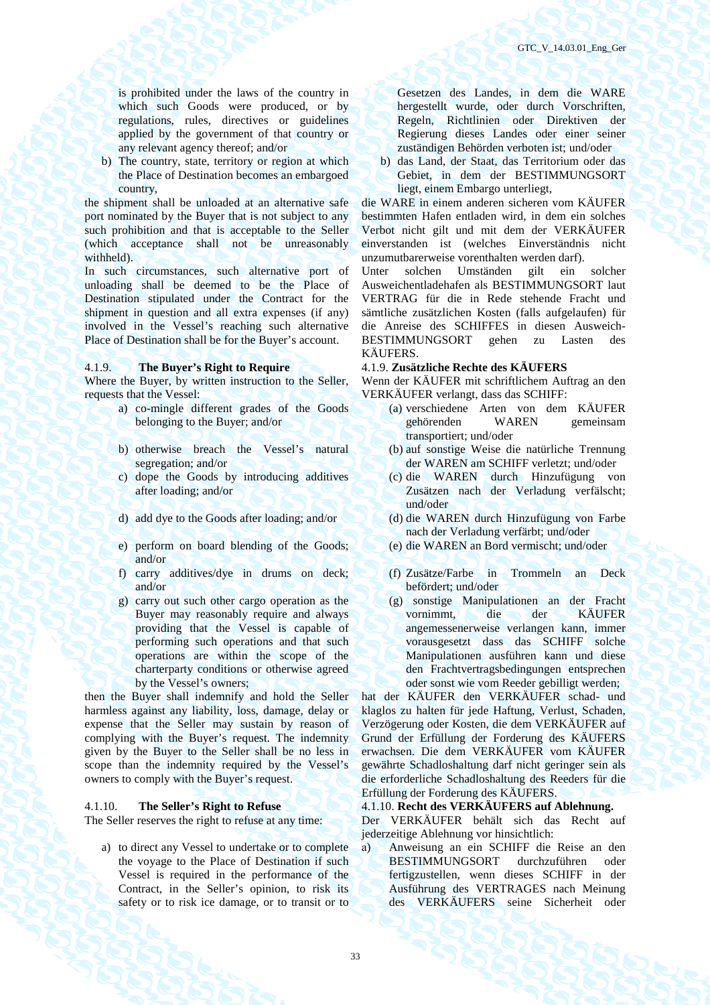is prohibited under the laws of the country in which such Goods were produced, or by regulations, rules, directives or guidelines applied by the government of that country or any relevant agency thereof; and/or

b) The country, state, territory or region at which the Place of Destination becomes an embargoed country,

the shipment shall be unloaded at an alternative safe port nominated by the Buyer that is not subject to any such prohibition and that is acceptable to the Seller (which acceptance shall not be unreasonably withheld).

In such circumstances, such alternative port of unloading shall be deemed to be the Place of Destination stipulated under the Contract for the shipment in question and all extra expenses (if any) involved in the Vessel's reaching such alternative Place of Destination shall be for the Buyer's account.

Where the Buyer, by written instruction to the Seller, requests that the Vessel:

- a) co-mingle different grades of the Goods belonging to the Buyer; and/or
- b) otherwise breach the Vessel's natural segregation; and/or
- c) dope the Goods by introducing additives after loading; and/or
- 
- e) perform on board blending of the Goods; and/or
- f) carry additives/dye in drums on deck; and/or
- g) carry out such other cargo operation as the Buyer may reasonably require and always providing that the Vessel is capable of performing such operations and that such operations are within the scope of the charterparty conditions or otherwise agreed by the Vessel's owners;

then the Buyer shall indemnify and hold the Seller harmless against any liability, loss, damage, delay or expense that the Seller may sustain by reason of complying with the Buyer's request. The indemnity given by the Buyer to the Seller shall be no less in scope than the indemnity required by the Vessel's owners to comply with the Buyer's request.

a) to direct any Vessel to undertake or to complete the voyage to the Place of Destination if such Vessel is required in the performance of the Contract, in the Seller's opinion, to risk its safety or to risk ice damage, or to transit or to

Gesetzen des Landes, in dem die WARE hergestellt wurde, oder durch Vorschriften, Regeln, Richtlinien oder Direktiven der Regierung dieses Landes oder einer seiner zuständigen Behörden verboten ist; und/oder

b) das Land, der Staat, das Territorium oder das Gebiet, in dem der BESTIMMUNGSORT liegt, einem Embargo unterliegt,

die WARE in einem anderen sicheren vom KÄUFER bestimmten Hafen entladen wird, in dem ein solches Verbot nicht gilt und mit dem der VERKÄUFER einverstanden ist (welches Einverständnis nicht unzumutbarerweise vorenthalten werden darf).

Unter solchen Umständen gilt ein solcher Ausweichentladehafen als BESTIMMUNGSORT laut VERTRAG für die in Rede stehende Fracht und sämtliche zusätzlichen Kosten (falls aufgelaufen) für die Anreise des SCHIFFES in diesen Ausweich-BESTIMMUNGSORT gehen zu Lasten des KÄUFERS.

### 4.1.9. **The Buyer's Right to Require** 4.1.9. **Zusätzliche Rechte des KÄUFERS**

Wenn der KÄUFER mit schriftlichem Auftrag an den VERKÄUFER verlangt, dass das SCHIFF:

- (a) verschiedene Arten von dem KÄUFER gehörenden WAREN gemeinsam transportiert; und/oder
- (b) auf sonstige Weise die natürliche Trennung der WAREN am SCHIFF verletzt; und/oder
- (c) die WAREN durch Hinzufügung von Zusätzen nach der Verladung verfälscht; und/oder
- d) add dye to the Goods after loading; and/or (d) die WAREN durch Hinzufügung von Farbe nach der Verladung verfärbt; und/oder
	- (e) die WAREN an Bord vermischt; und/oder
	- (f) Zusätze/Farbe in Trommeln an Deck befördert; und/oder
	- (g) sonstige Manipulationen an der Fracht vornimmt, die der KÄUFER angemessenerweise verlangen kann, immer vorausgesetzt dass das SCHIFF solche Manipulationen ausführen kann und diese den Frachtvertragsbedingungen entsprechen oder sonst wie vom Reeder gebilligt werden;

hat der KÄUFER den VERKÄUFER schad- und klaglos zu halten für jede Haftung, Verlust, Schaden, Verzögerung oder Kosten, die dem VERKÄUFER auf Grund der Erfüllung der Forderung des KÄUFERS erwachsen. Die dem VERKÄUFER vom KÄUFER gewährte Schadloshaltung darf nicht geringer sein als die erforderliche Schadloshaltung des Reeders für die Erfüllung der Forderung des KÄUFERS.

### 4.1.10. **The Seller's Right to Refuse** 4.1.10. **Recht des VERKÄUFERS auf Ablehnung.**

The Seller reserves the right to refuse at any time: Der VERKÄUFER behält sich das Recht auf jederzeitige Ablehnung vor hinsichtlich:

> а) Anweisung an ein SCHIFF die Reise an den BESTIMMUNGSORT durchzuführen oder fertigzustellen, wenn dieses SCHIFF in der Ausführung des VERTRAGES nach Meinung des VERKÄUFERS seine Sicherheit oder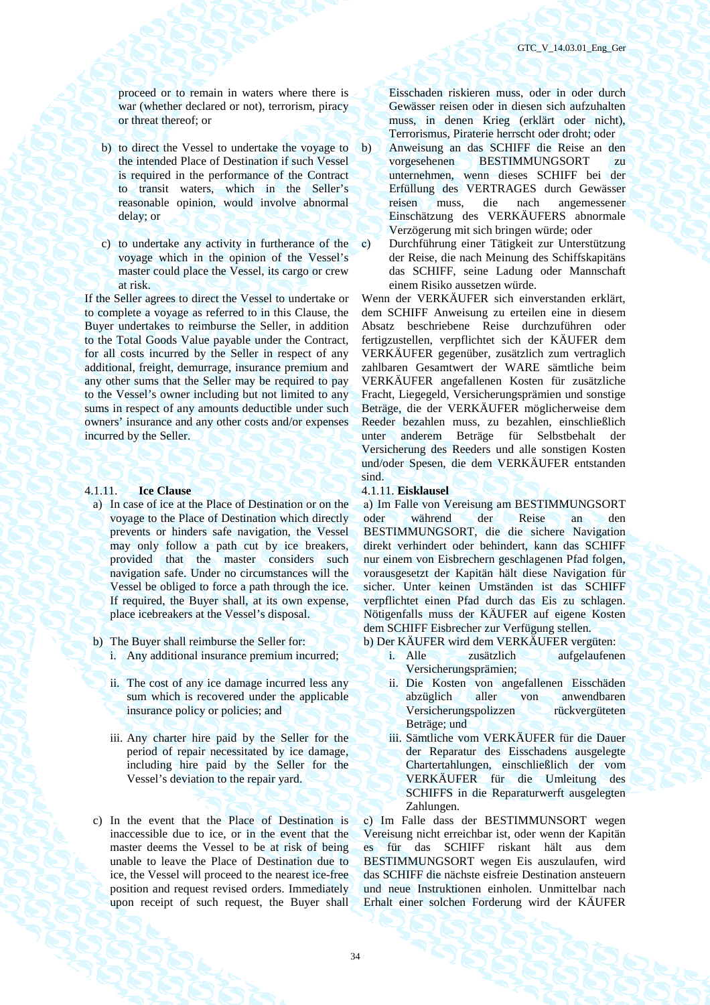proceed or to remain in waters where there is war (whether declared or not), terrorism, piracy or threat thereof; or

- b) to direct the Vessel to undertake the voyage to the intended Place of Destination if such Vessel is required in the performance of the Contract to transit waters, which in the Seller's reasonable opinion, would involve abnormal delay; or
- c) to undertake any activity in furtherance of the voyage which in the opinion of the Vessel's master could place the Vessel, its cargo or crew at risk.

If the Seller agrees to direct the Vessel to undertake or to complete a voyage as referred to in this Clause, the Buyer undertakes to reimburse the Seller, in addition to the Total Goods Value payable under the Contract, for all costs incurred by the Seller in respect of any additional, freight, demurrage, insurance premium and any other sums that the Seller may be required to pay to the Vessel's owner including but not limited to any sums in respect of any amounts deductible under such owners' insurance and any other costs and/or expenses incurred by the Seller.

### 4.1.11. **Ice Clause** 4.1.11. **Eisklausel**

- a) In case of ice at the Place of Destination or on the voyage to the Place of Destination which directly prevents or hinders safe navigation, the Vessel may only follow a path cut by ice breakers, provided that the master considers such navigation safe. Under no circumstances will the Vessel be obliged to force a path through the ice. If required, the Buyer shall, at its own expense, place icebreakers at the Vessel's disposal.
- -
	- ii. The cost of any ice damage incurred less any sum which is recovered under the applicable insurance policy or policies; and
	- iii. Any charter hire paid by the Seller for the period of repair necessitated by ice damage, including hire paid by the Seller for the Vessel's deviation to the repair yard.
- c) In the event that the Place of Destination is inaccessible due to ice, or in the event that the master deems the Vessel to be at risk of being unable to leave the Place of Destination due to ice, the Vessel will proceed to the nearest ice-free position and request revised orders. Immediately upon receipt of such request, the Buyer shall

Eisschaden riskieren muss, oder in oder durch Gewässer reisen oder in diesen sich aufzuhalten muss, in denen Krieg (erklärt oder nicht), Terrorismus, Piraterie herrscht oder droht; oder

- b) Anweisung an das SCHIFF die Reise an den vorgesehenen BESTIMMUNGSORT zu unternehmen, wenn dieses SCHIFF bei der Erfüllung des VERTRAGES durch Gewässer reisen muss, die nach angemessener Einschätzung des VERKÄUFERS abnormale Verzögerung mit sich bringen würde; oder
- с) Durchführung einer Tätigkeit zur Unterstützung der Reise, die nach Meinung des Schiffskapitäns das SCHIFF, seine Ladung oder Mannschaft einem Risiko aussetzen würde.

Wenn der VERKÄUFER sich einverstanden erklärt, dem SCHIFF Anweisung zu erteilen eine in diesem Absatz beschriebene Reise durchzuführen oder fertigzustellen, verpflichtet sich der KÄUFER dem VERKÄUFER gegenüber, zusätzlich zum vertraglich zahlbaren Gesamtwert der WARE sämtliche beim VERKÄUFER angefallenen Kosten für zusätzliche Fracht, Liegegeld, Versicherungsprämien und sonstige Beträge, die der VERKÄUFER möglicherweise dem Reeder bezahlen muss, zu bezahlen, einschließlich unter anderem Beträge für Selbstbehalt der Versicherung des Reeders und alle sonstigen Kosten und/oder Spesen, die dem VERKÄUFER entstanden sind.

а) Im Falle von Vereisung am BESTIMMUNGSORT oder während der Reise an den BESTIMMUNGSORT, die die sichere Navigation direkt verhindert oder behindert, kann das SCHIFF nur einem von Eisbrechern geschlagenen Pfad folgen, vorausgesetzt der Kapitän hält diese Navigation für sicher. Unter keinen Umständen ist das SCHIFF verpflichtet einen Pfad durch das Eis zu schlagen. Nötigenfalls muss der KÄUFER auf eigene Kosten dem SCHIFF Eisbrecher zur Verfügung stellen.

b) The Buyer shall reimburse the Seller for: b) Der KÄUFER wird dem VERKÄUFER vergüten:

- i. Any additional insurance premium incurred; i. Alle zusätzlich aufgelaufenen Versicherungsprämien;
	- ii. Die Kosten von angefallenen Eisschäden abzüglich aller von anwendbaren Versicherungspolizzen rückvergüteten Beträge; und
	- iii. Sämtliche vom VERKÄUFER für die Dauer der Reparatur des Eisschadens ausgelegte Chartertahlungen, einschließlich der vom VERKÄUFER für die Umleitung des SCHIFFS in die Reparaturwerft ausgelegten Zahlungen.

с) Im Falle dass der BESTIMMUNSORT wegen Vereisung nicht erreichbar ist, oder wenn der Kapitän es für das SCHIFF riskant hält aus dem BESTIMMUNGSORT wegen Eis auszulaufen, wird das SCHIFF die nächste eisfreie Destination ansteuern und neue Instruktionen einholen. Unmittelbar nach Erhalt einer solchen Forderung wird der KÄUFER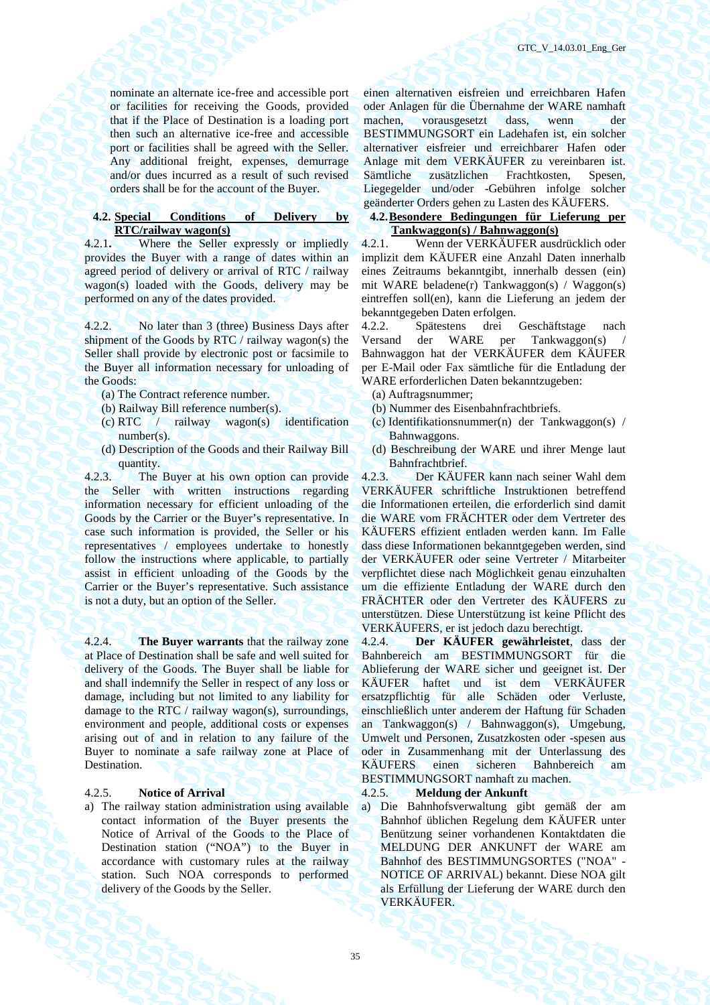nominate an alternate ice-free and accessible port or facilities for receiving the Goods, provided that if the Place of Destination is a loading port then such an alternative ice-free and accessible port or facilities shall be agreed with the Seller. Any additional freight, expenses, demurrage and/or dues incurred as a result of such revised orders shall be for the account of the Buyer.

### **4.2. Special Conditions of Delivery by RTC/railway wagon(s)**

4.2.1**.** Where the Seller expressly or impliedly provides the Buyer with a range of dates within an agreed period of delivery or arrival of RTC / railway wagon(s) loaded with the Goods, delivery may be performed on any of the dates provided.

4.2.2. No later than 3 (three) Business Days after shipment of the Goods by RTC / railway wagon(s) the Seller shall provide by electronic post or facsimile to the Buyer all information necessary for unloading of the Goods:

- (a) The Contract reference number. (а) Auftragsnummer;
- 
- (c) RTC / railway wagon(s) identification number(s).
- (d) Description of the Goods and their Railway Bill quantity.

4.2.3. The Buyer at his own option can provide the Seller with written instructions regarding information necessary for efficient unloading of the Goods by the Carrier or the Buyer's representative. In case such information is provided, the Seller or his representatives / employees undertake to honestly follow the instructions where applicable, to partially assist in efficient unloading of the Goods by the Carrier or the Buyer's representative. Such assistance is not a duty, but an option of the Seller.

4.2.4. **The Buyer warrants** that the railway zone at Place of Destination shall be safe and well suited for delivery of the Goods. The Buyer shall be liable for and shall indemnify the Seller in respect of any loss or damage, including but not limited to any liability for damage to the RTC / railway wagon(s), surroundings, environment and people, additional costs or expenses arising out of and in relation to any failure of the Buyer to nominate a safe railway zone at Place of Destination.

a) The railway station administration using available contact information of the Buyer presents the Notice of Arrival of the Goods to the Place of Destination station ("NOA") to the Buyer in accordance with customary rules at the railway station. Such NOA corresponds to performed delivery of the Goods by the Seller.

einen alternativen eisfreien und erreichbaren Hafen oder Anlagen für die Übernahme der WARE namhaft machen, vorausgesetzt dass, wenn der BESTIMMUNGSORT ein Ladehafen ist, ein solcher alternativer eisfreier und erreichbarer Hafen oder Anlage mit dem VERKÄUFER zu vereinbaren ist. Sämtliche zusätzlichen Frachtkosten, Liegegelder und/oder -Gebühren infolge solcher geänderter Orders gehen zu Lasten des KÄUFERS.

### **4.2.Besondere Bedingungen für Lieferung per Tankwaggon(s) / Bahnwaggon(s)**

4.2.1. Wenn der VERKÄUFER ausdrücklich oder implizit dem KÄUFER eine Anzahl Daten innerhalb eines Zeitraums bekanntgibt, innerhalb dessen (ein) mit WARE beladene(r) Tankwaggon(s) / Waggon(s) eintreffen soll(en), kann die Lieferung an jedem der bekanntgegeben Daten erfolgen.

4.2.2. Spätestens drei Geschäftstage nach Versand der WARE per Tankwaggon(s) / Bahnwaggon hat der VERKÄUFER dem KÄUFER per E-Mail oder Fax sämtliche für die Entladung der WARE erforderlichen Daten bekanntzugeben:

- 
- (b) Railway Bill reference number(s). (b) Nummer des Eisenbahnfrachtbriefs.
	- (с) Identifikationsnummer(n) der Tankwaggon(s) / Bahnwaggons.
	- (d) Beschreibung der WARE und ihrer Menge laut Bahnfrachtbrief.

4.2.3. Der KÄUFER kann nach seiner Wahl dem VERKÄUFER schriftliche Instruktionen betreffend die Informationen erteilen, die erforderlich sind damit die WARE vom FRÄCHTER oder dem Vertreter des KÄUFERS effizient entladen werden kann. Im Falle dass diese Informationen bekanntgegeben werden, sind der VERKÄUFER oder seine Vertreter / Mitarbeiter verpflichtet diese nach Möglichkeit genau einzuhalten um die effiziente Entladung der WARE durch den FRÄCHTER oder den Vertreter des KÄUFERS zu unterstützen. Diese Unterstützung ist keine Pflicht des VERKÄUFERS, er ist jedoch dazu berechtigt.

4.2.4. **Der KÄUFER gewährleistet**, dass der Bahnbereich am BESTIMMUNGSORT für die Ablieferung der WARE sicher und geeignet ist. Der KÄUFER haftet und ist dem VERKÄUFER ersatzpflichtig für alle Schäden oder Verluste, einschließlich unter anderem der Haftung für Schaden an Tankwaggon(s) / Bahnwaggon(s), Umgebung, Umwelt und Personen, Zusatzkosten oder -spesen aus oder in Zusammenhang mit der Unterlassung des<br>KÄUFERS einen sicheren Bahnbereich am sicheren Bahnbereich am BESTIMMUNGSORT namhaft zu machen.

### 4.2.5. **Notice of Arrival** 4.2.5. **Meldung der Ankunft**

a) Die Bahnhofsverwaltung gibt gemäß der am Bahnhof üblichen Regelung dem KÄUFER unter Benützung seiner vorhandenen Kontaktdaten die MELDUNG DER ANKUNFT der WARE am Bahnhof des BESTIMMUNGSORTES ("NOA" - NOTICE OF ARRIVAL) bekannt. Diese NOA gilt als Erfüllung der Lieferung der WARE durch den VERKÄUFER.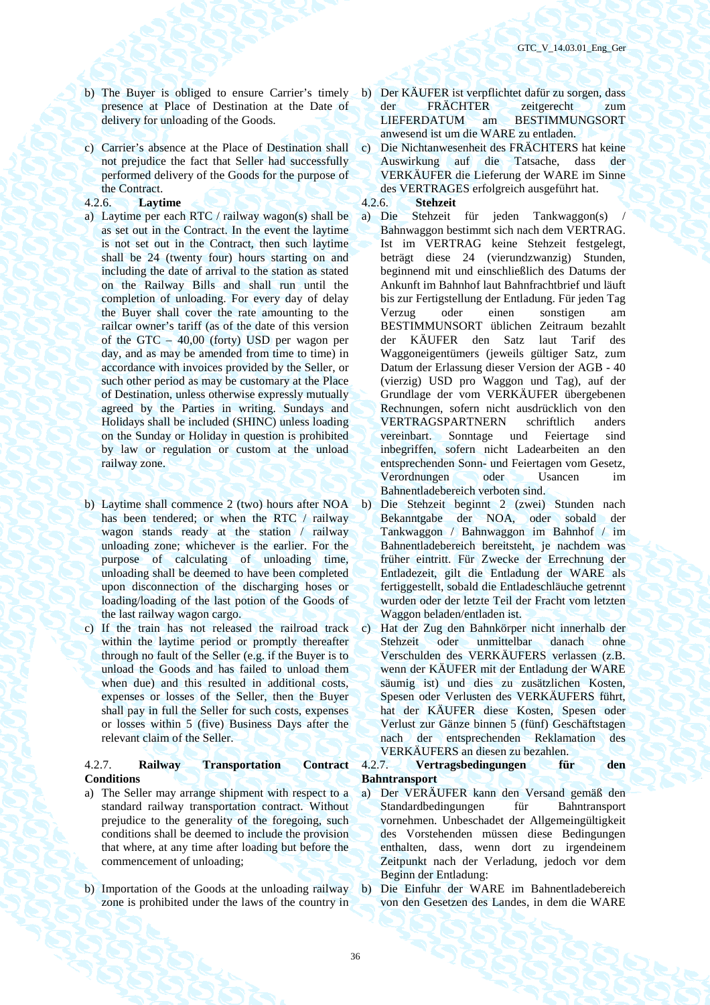- b) The Buyer is obliged to ensure Carrier's timely presence at Place of Destination at the Date of delivery for unloading of the Goods.
- c) Carrier's absence at the Place of Destination shall not prejudice the fact that Seller had successfully performed delivery of the Goods for the purpose of the Contract.

### 4.2.6. **Laytime** 4.2.6. **Stehzeit**

- a) Laytime per each RTC / railway wagon(s) shall be as set out in the Contract. In the event the laytime is not set out in the Contract, then such laytime shall be 24 (twenty four) hours starting on and including the date of arrival to the station as stated on the Railway Bills and shall run until the completion of unloading. For every day of delay the Buyer shall cover the rate amounting to the railcar owner's tariff (as of the date of this version of the GTC – 40,00 (forty) USD per wagon per day, and as may be amended from time to time) in accordance with invoices provided by the Seller, or such other period as may be customary at the Place of Destination, unless otherwise expressly mutually agreed by the Parties in writing. Sundays and Holidays shall be included (SHINC) unless loading on the Sunday or Holiday in question is prohibited by law or regulation or custom at the unload railway zone.
- b) Laytime shall commence 2 (two) hours after NOA b) Die Stehzeit beginnt 2 (zwei) Stunden nach has been tendered; or when the RTC / railway wagon stands ready at the station / railway unloading zone; whichever is the earlier. For the purpose of calculating of unloading time, unloading shall be deemed to have been completed upon disconnection of the discharging hoses or loading/loading of the last potion of the Goods of the last railway wagon cargo.
- c) If the train has not released the railroad track within the laytime period or promptly thereafter through no fault of the Seller (e.g. if the Buyer is to unload the Goods and has failed to unload them when due) and this resulted in additional costs, expenses or losses of the Seller, then the Buyer shall pay in full the Seller for such costs, expenses or losses within 5 (five) Business Days after the relevant claim of the Seller.

### 4.2.7. **Railway Transportation Contract Conditions**

- a) The Seller may arrange shipment with respect to a standard railway transportation contract. Without prejudice to the generality of the foregoing, such conditions shall be deemed to include the provision that where, at any time after loading but before the commencement of unloading;
- b) Importation of the Goods at the unloading railway zone is prohibited under the laws of the country in
- b) Der KÄUFER ist verpflichtet dafür zu sorgen, dass der FRÄCHTER zeitgerecht zum LIEFERDATUM am BESTIMMUNGSORT anwesend ist um die WARE zu entladen.
- c) Die Nichtanwesenheit des FRÄCHTERS hat keine Auswirkung auf die Tatsache, dass der VERKÄUFER die Lieferung der WARE im Sinne des VERTRAGES erfolgreich ausgeführt hat.

- a) Die Stehzeit für jeden Tankwaggon(s) Bahnwaggon bestimmt sich nach dem VERTRAG. Ist im VERTRAG keine Stehzeit festgelegt, beträgt diese 24 (vierundzwanzig) Stunden, beginnend mit und einschließlich des Datums der Ankunft im Bahnhof laut Bahnfrachtbrief und läuft bis zur Fertigstellung der Entladung. Für jeden Tag Verzug oder einen sonstigen am BESTIMMUNSORT üblichen Zeitraum bezahlt der KÄUFER den Satz laut Tarif des Waggoneigentümers (jeweils gültiger Satz, zum Datum der Erlassung dieser Version der AGB - 40 (vierzig) USD pro Waggon und Tag), auf der Grundlage der vom VERKÄUFER übergebenen Rechnungen, sofern nicht ausdrücklich von den VERTRAGSPARTNERN schriftlich anders vereinbart. Sonntage und Feiertage sind inbegriffen, sofern nicht Ladearbeiten an den entsprechenden Sonn- und Feiertagen vom Gesetz,<br>Verordnungen oder Usancen im Verordnungen oder Usancen im Bahnentladebereich verboten sind.
- Bekanntgabe der NOA, oder sobald der Tankwaggon / Bahnwaggon im Bahnhof / im Bahnentladebereich bereitsteht, je nachdem was früher eintritt. Für Zwecke der Errechnung der Entladezeit, gilt die Entladung der WARE als fertiggestellt, sobald die Entladeschläuche getrennt wurden oder der letzte Teil der Fracht vom letzten Waggon beladen/entladen ist.
- c) Hat der Zug den Bahnkörper nicht innerhalb der Stehzeit oder unmittelbar danach ohne Verschulden des VERKÄUFERS verlassen (z.B. wenn der KÄUFER mit der Entladung der WARE säumig ist) und dies zu zusätzlichen Kosten, Spesen oder Verlusten des VERKÄUFERS führt, hat der KÄUFER diese Kosten, Spesen oder Verlust zur Gänze binnen 5 (fünf) Geschäftstagen nach der entsprechenden Reklamation des VERKÄUFERS an diesen zu bezahlen.<br>4.2.7. **Vertragsbedingungen** für

### 4.2.7. **Vertragsbedingungen für den Bahntransport**

- а) Der VERÄUFER kann den Versand gemäß den Standardbedingungen für Bahntransport vornehmen. Unbeschadet der Allgemeingültigkeit des Vorstehenden müssen diese Bedingungen enthalten, dass, wenn dort zu irgendeinem Zeitpunkt nach der Verladung, jedoch vor dem Beginn der Entladung:
- b) Die Einfuhr der WARE im Bahnentladebereich von den Gesetzen des Landes, in dem die WARE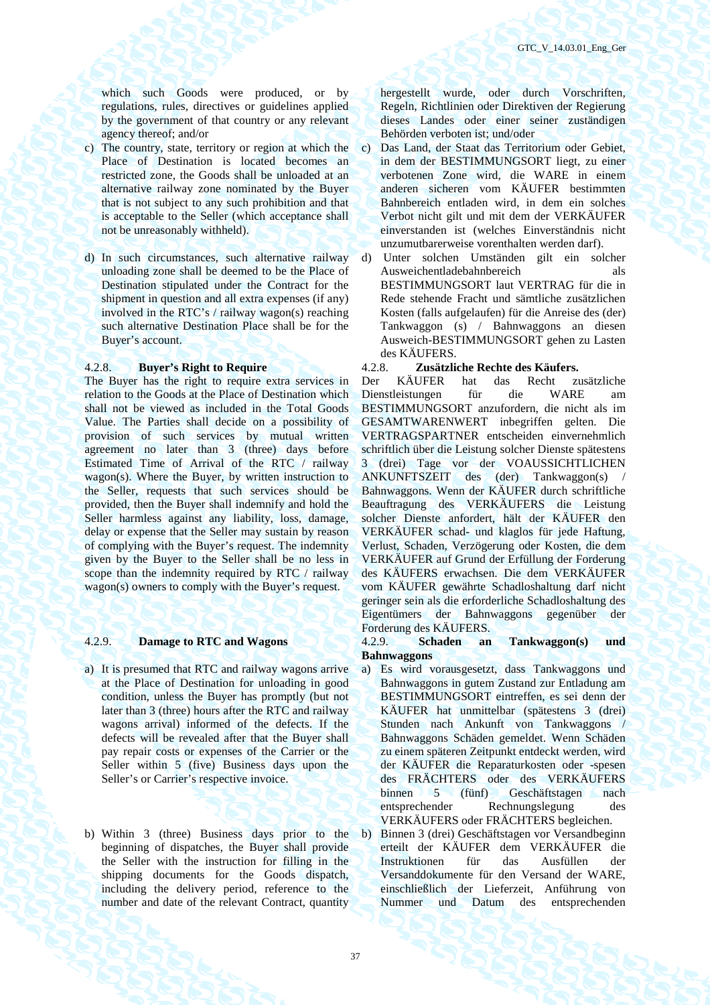which such Goods were produced, or by regulations, rules, directives or guidelines applied by the government of that country or any relevant agency thereof; and/or

- c) The country, state, territory or region at which the Place of Destination is located becomes an restricted zone, the Goods shall be unloaded at an alternative railway zone nominated by the Buyer that is not subject to any such prohibition and that is acceptable to the Seller (which acceptance shall not be unreasonably withheld).
- d) In such circumstances, such alternative railway unloading zone shall be deemed to be the Place of Destination stipulated under the Contract for the shipment in question and all extra expenses (if any) involved in the RTC's / railway wagon(s) reaching such alternative Destination Place shall be for the Buyer's account.

The Buyer has the right to require extra services in relation to the Goods at the Place of Destination which shall not be viewed as included in the Total Goods Value. The Parties shall decide on a possibility of provision of such services by mutual written agreement no later than 3 (three) days before Estimated Time of Arrival of the RTC / railway wagon(s). Where the Buyer, by written instruction to the Seller, requests that such services should be provided, then the Buyer shall indemnify and hold the Seller harmless against any liability, loss, damage, delay or expense that the Seller may sustain by reason of complying with the Buyer's request. The indemnity given by the Buyer to the Seller shall be no less in scope than the indemnity required by RTC / railway wagon(s) owners to comply with the Buyer's request.

- a) It is presumed that RTC and railway wagons arrive at the Place of Destination for unloading in good condition, unless the Buyer has promptly (but not later than 3 (three) hours after the RTC and railway wagons arrival) informed of the defects. If the defects will be revealed after that the Buyer shall pay repair costs or expenses of the Carrier or the Seller within 5 (five) Business days upon the Seller's or Carrier's respective invoice.
- b) Within 3 (three) Business days prior to the beginning of dispatches, the Buyer shall provide the Seller with the instruction for filling in the shipping documents for the Goods dispatch, including the delivery period, reference to the number and date of the relevant Contract, quantity

hergestellt wurde, oder durch Vorschriften, Regeln, Richtlinien oder Direktiven der Regierung dieses Landes oder einer seiner zuständigen Behörden verboten ist; und/oder

- c) Das Land, der Staat das Territorium oder Gebiet, in dem der BESTIMMUNGSORT liegt, zu einer verbotenen Zone wird, die WARE in einem anderen sicheren vom KÄUFER bestimmten Bahnbereich entladen wird, in dem ein solches Verbot nicht gilt und mit dem der VERKÄUFER einverstanden ist (welches Einverständnis nicht unzumutbarerweise vorenthalten werden darf).
- d) Unter solchen Umständen gilt ein solcher Ausweichentladebahnbereich als BESTIMMUNGSORT laut VERTRAG für die in Rede stehende Fracht und sämtliche zusätzlichen Kosten (falls aufgelaufen) für die Anreise des (der) Tankwaggon (s) / Bahnwaggons an diesen Ausweich-BESTIMMUNGSORT gehen zu Lasten des KÄUFERS.

### 4.2.8. **Buyer's Right to Require** 4.2.8. **Zusätzliche Rechte des Käufers.**

Der KÄUFER hat das Recht zusätzliche Dienstleistungen für die WARE am BESTIMMUNGSORT anzufordern, die nicht als im GESAMTWARENWERT inbegriffen gelten. Die VERTRAGSPARTNER entscheiden einvernehmlich schriftlich über die Leistung solcher Dienste spätestens 3 (drei) Tage vor der VOAUSSICHTLICHEN ANKUNFTSZEIT des (der) Tankwaggon(s) / Bahnwaggons. Wenn der KÄUFER durch schriftliche Beauftragung des VERKÄUFERS die Leistung solcher Dienste anfordert, hält der KÄUFER den VERKÄUFER schad- und klaglos für jede Haftung, Verlust, Schaden, Verzögerung oder Kosten, die dem VERKÄUFER auf Grund der Erfüllung der Forderung des KÄUFERS erwachsen. Die dem VERKÄUFER vom KÄUFER gewährte Schadloshaltung darf nicht geringer sein als die erforderliche Schadloshaltung des Eigentümers der Bahnwaggons gegenüber der Forderung des KÄUFERS.

# 4.2.9. **Damage to RTC and Wagons** 4.2.9. **Schaden an Tankwaggon(s) und Bahnwaggons**

- a) Es wird vorausgesetzt, dass Tankwaggons und Bahnwaggons in gutem Zustand zur Entladung am BESTIMMUNGSORT eintreffen, es sei denn der KÄUFER hat unmittelbar (spätestens 3 (drei) Stunden nach Ankunft von Tankwaggons / Bahnwaggons Schäden gemeldet. Wenn Schäden zu einem späteren Zeitpunkt entdeckt werden, wird der KÄUFER die Reparaturkosten oder -spesen des FRÄCHTERS oder des VERKÄUFERS binnen 5 (fünf) Geschäftstagen nach entsprechender Rechnungslegung des VERKÄUFERS oder FRÄCHTERS begleichen.
	- b) Binnen 3 (drei) Geschäftstagen vor Versandbeginn erteilt der KÄUFER dem VERKÄUFER die Instruktionen für das Ausfüllen der Versanddokumente für den Versand der WARE, einschließlich der Lieferzeit, Anführung von Nummer und Datum des entsprechenden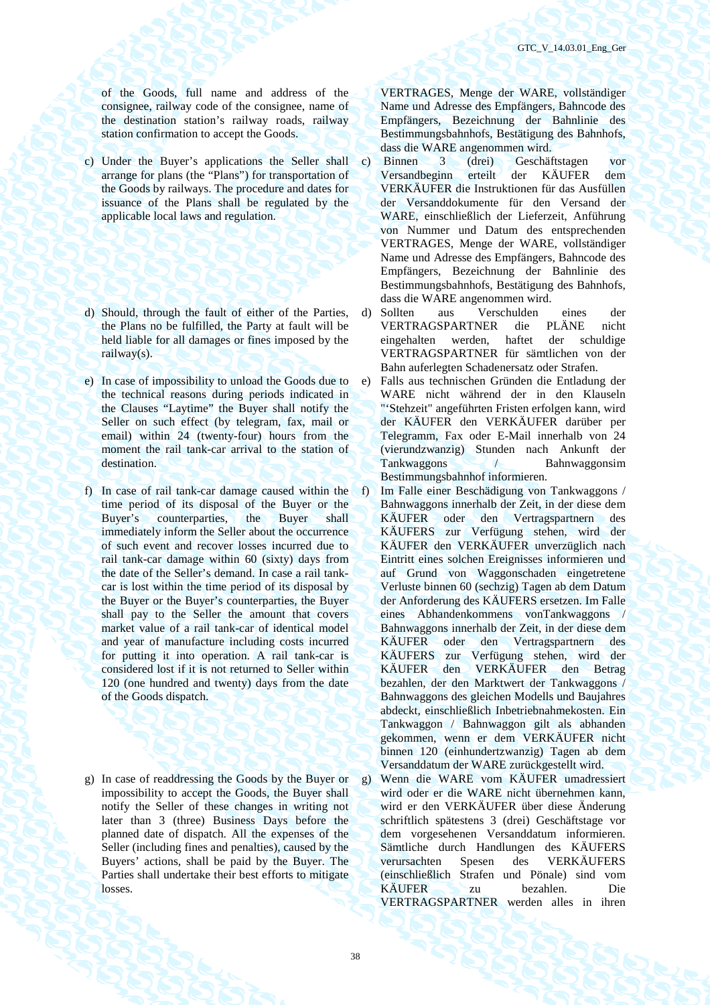of the Goods, full name and address of the consignee, railway code of the consignee, name of the destination station's railway roads, railway station confirmation to accept the Goods.

- c) Under the Buyer's applications the Seller shall arrange for plans (the "Plans") for transportation of the Goods by railways. The procedure and dates for issuance of the Plans shall be regulated by the applicable local laws and regulation.
- d) Should, through the fault of either of the Parties, the Plans no be fulfilled, the Party at fault will be held liable for all damages or fines imposed by the railway(s).
- e) In case of impossibility to unload the Goods due to the technical reasons during periods indicated in the Clauses "Laytime" the Buyer shall notify the Seller on such effect (by telegram, fax, mail or email) within 24 (twenty-four) hours from the moment the rail tank-car arrival to the station of destination.
- f) In case of rail tank-car damage caused within the time period of its disposal of the Buyer or the Buyer's counterparties, the Buyer shall immediately inform the Seller about the occurrence of such event and recover losses incurred due to rail tank-car damage within 60 (sixty) days from the date of the Seller's demand. In case a rail tankcar is lost within the time period of its disposal by the Buyer or the Buyer's counterparties, the Buyer shall pay to the Seller the amount that covers market value of a rail tank-car of identical model and year of manufacture including costs incurred for putting it into operation. A rail tank-car is considered lost if it is not returned to Seller within 120 (one hundred and twenty) days from the date of the Goods dispatch.
- g) In case of readdressing the Goods by the Buyer or impossibility to accept the Goods, the Buyer shall notify the Seller of these changes in writing not later than 3 (three) Business Days before the planned date of dispatch. All the expenses of the Seller (including fines and penalties), caused by the Buyers' actions, shall be paid by the Buyer. The Parties shall undertake their best efforts to mitigate losses.

VERTRAGES, Menge der WARE, vollständiger Name und Adresse des Empfängers, Bahncode des Empfängers, Bezeichnung der Bahnlinie des Bestimmungsbahnhofs, Bestätigung des Bahnhofs, dass die WARE angenommen wird.

- c) Binnen 3 (drei) Geschäftstagen vor Versandbeginn erteilt der KÄUFER dem VERKÄUFER die Instruktionen für das Ausfüllen der Versanddokumente für den Versand der WARE, einschließlich der Lieferzeit, Anführung von Nummer und Datum des entsprechenden VERTRAGES, Menge der WARE, vollständiger Name und Adresse des Empfängers, Bahncode des Empfängers, Bezeichnung der Bahnlinie des Bestimmungsbahnhofs, Bestätigung des Bahnhofs, dass die WARE angenommen wird.
- d) Sollten aus Verschulden eines der VERTRAGSPARTNER die PLÄNE nicht eingehalten werden, haftet der schuldige VERTRAGSPARTNER für sämtlichen von der Bahn auferlegten Schadenersatz oder Strafen.
- e) Falls aus technischen Gründen die Entladung der WARE nicht während der in den Klauseln "'Stehzeit" angeführten Fristen erfolgen kann, wird der KÄUFER den VERKÄUFER darüber per Telegramm, Fax oder E-Mail innerhalb von 24 (vierundzwanzig) Stunden nach Ankunft der Tankwaggons / Bahnwaggonsim Bestimmungsbahnhof informieren.
- f) Im Falle einer Beschädigung von Tankwaggons / Bahnwaggons innerhalb der Zeit, in der diese dem KÄUFER oder den Vertragspartnern des KÄUFERS zur Verfügung stehen, wird der KÄUFER den VERKÄUFER unverzüglich nach Eintritt eines solchen Ereignisses informieren und auf Grund von Waggonschaden eingetretene Verluste binnen 60 (sechzig) Tagen ab dem Datum der Anforderung des KÄUFERS ersetzen. Im Falle eines Abhandenkommens vonTankwaggons / Bahnwaggons innerhalb der Zeit, in der diese dem KÄUFER oder den Vertragspartnern des KÄUFERS zur Verfügung stehen, wird der KÄUFER den VERKÄUFER den Betrag bezahlen, der den Marktwert der Tankwaggons / Bahnwaggons des gleichen Modells und Baujahres abdeckt, einschließlich Inbetriebnahmekosten. Ein Tankwaggon / Bahnwaggon gilt als abhanden gekommen, wenn er dem VERKÄUFER nicht binnen 120 (einhundertzwanzig) Tagen ab dem Versanddatum der WARE zurückgestellt wird.
- g) Wenn die WARE vom KÄUFER umadressiert wird oder er die WARE nicht übernehmen kann, wird er den VERKÄUFER über diese Änderung schriftlich spätestens 3 (drei) Geschäftstage vor dem vorgesehenen Versanddatum informieren. Sämtliche durch Handlungen des KÄUFERS verursachten Spesen des VERKÄUFERS (einschließlich Strafen und Pönale) sind vom KÄUFER zu bezahlen. Die VERTRAGSPARTNER werden alles in ihren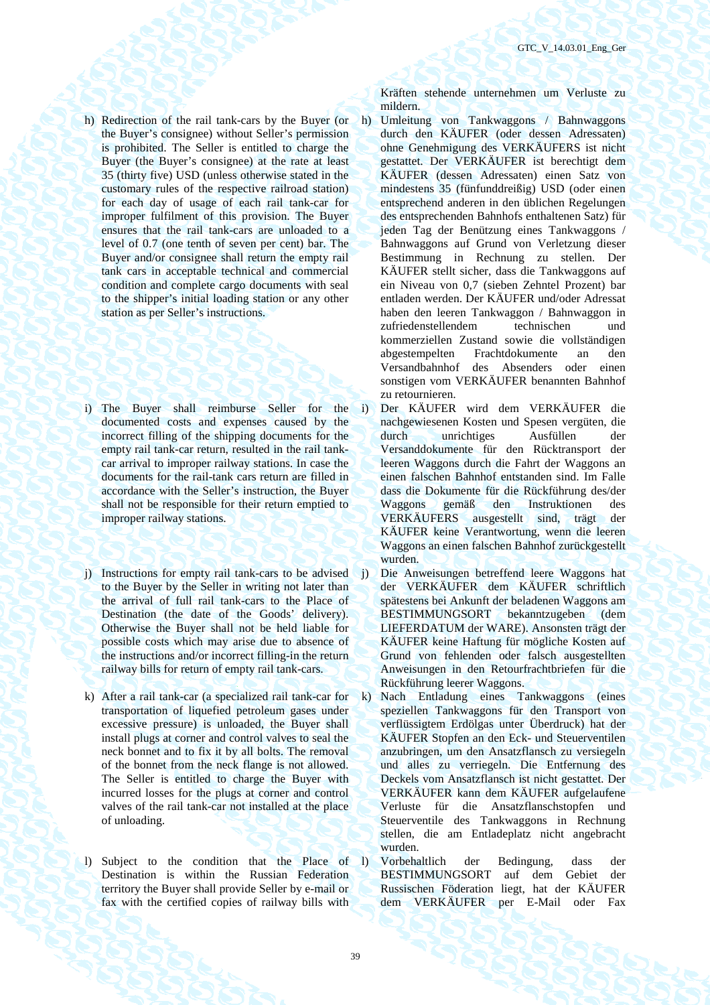- h) Redirection of the rail tank-cars by the Buyer (or the Buyer's consignee) without Seller's permission is prohibited. The Seller is entitled to charge the Buyer (the Buyer's consignee) at the rate at least 35 (thirty five) USD (unless otherwise stated in the customary rules of the respective railroad station) for each day of usage of each rail tank-car for improper fulfilment of this provision. The Buyer ensures that the rail tank-cars are unloaded to a level of 0.7 (one tenth of seven per cent) bar. The Buyer and/or consignee shall return the empty rail tank cars in acceptable technical and commercial condition and complete cargo documents with seal to the shipper's initial loading station or any other station as per Seller's instructions.
- i) The Buyer shall reimburse Seller for the i) documented costs and expenses caused by the incorrect filling of the shipping documents for the empty rail tank-car return, resulted in the rail tankcar arrival to improper railway stations. In case the documents for the rail-tank cars return are filled in accordance with the Seller's instruction, the Buyer shall not be responsible for their return emptied to improper railway stations.
- j) Instructions for empty rail tank-cars to be advised to the Buyer by the Seller in writing not later than the arrival of full rail tank-cars to the Place of Destination (the date of the Goods' delivery). Otherwise the Buyer shall not be held liable for possible costs which may arise due to absence of the instructions and/or incorrect filling-in the return railway bills for return of empty rail tank-cars.
- k) After a rail tank-car (a specialized rail tank-car for transportation of liquefied petroleum gases under excessive pressure) is unloaded, the Buyer shall install plugs at corner and control valves to seal the neck bonnet and to fix it by all bolts. The removal of the bonnet from the neck flange is not allowed. The Seller is entitled to charge the Buyer with incurred losses for the plugs at corner and control valves of the rail tank-car not installed at the place of unloading.
- l) Subject to the condition that the Place of Destination is within the Russian Federation territory the Buyer shall provide Seller by e-mail or fax with the certified copies of railway bills with

Kräften stehende unternehmen um Verluste zu mildern.

- h) Umleitung von Tankwaggons / Bahnwaggons durch den KÄUFER (oder dessen Adressaten) ohne Genehmigung des VERKÄUFERS ist nicht gestattet. Der VERKÄUFER ist berechtigt dem KÄUFER (dessen Adressaten) einen Satz von mindestens 35 (fünfunddreißig) USD (oder einen entsprechend anderen in den üblichen Regelungen des entsprechenden Bahnhofs enthaltenen Satz) für jeden Tag der Benützung eines Tankwaggons / Bahnwaggons auf Grund von Verletzung dieser Bestimmung in Rechnung zu stellen. Der KÄUFER stellt sicher, dass die Tankwaggons auf ein Niveau von 0,7 (sieben Zehntel Prozent) bar entladen werden. Der KÄUFER und/oder Adressat haben den leeren Tankwaggon / Bahnwaggon in zufriedenstellendem technischen und kommerziellen Zustand sowie die vollständigen abgestempelten Frachtdokumente an den Versandbahnhof des Absenders oder einen sonstigen vom VERKÄUFER benannten Bahnhof zu retournieren.
	- i) Der KÄUFER wird dem VERKÄUFER die nachgewiesenen Kosten und Spesen vergüten, die durch unrichtiges Ausfüllen der Versanddokumente für den Rücktransport der leeren Waggons durch die Fahrt der Waggons an einen falschen Bahnhof entstanden sind. Im Falle dass die Dokumente für die Rückführung des/der Waggons gemäß den Instruktionen des VERKÄUFERS ausgestellt sind, trägt der KÄUFER keine Verantwortung, wenn die leeren Waggons an einen falschen Bahnhof zurückgestellt wurden.
- j) Die Anweisungen betreffend leere Waggons hat der VERKÄUFER dem KÄUFER schriftlich spätestens bei Ankunft der beladenen Waggons am BESTIMMUNGSORT bekanntzugeben (dem LIEFERDATUM der WARE). Ansonsten trägt der KÄUFER keine Haftung für mögliche Kosten auf Grund von fehlenden oder falsch ausgestellten Anweisungen in den Retourfrachtbriefen für die Rückführung leerer Waggons.
- k) Nach Entladung eines Tankwaggons (eines speziellen Tankwaggons für den Transport von verflüssigtem Erdölgas unter Überdruck) hat der KÄUFER Stopfen an den Eck- und Steuerventilen anzubringen, um den Ansatzflansch zu versiegeln und alles zu verriegeln. Die Entfernung des Deckels vom Ansatzflansch ist nicht gestattet. Der VERKÄUFER kann dem KÄUFER aufgelaufene Verluste für die Ansatzflanschstopfen und Steuerventile des Tankwaggons in Rechnung stellen, die am Entladeplatz nicht angebracht wurden.
- l) Vorbehaltlich der Bedingung, dass der BESTIMMUNGSORT auf dem Gebiet der Russischen Föderation liegt, hat der KÄUFER dem VERKÄUFER per E-Mail oder Fax

39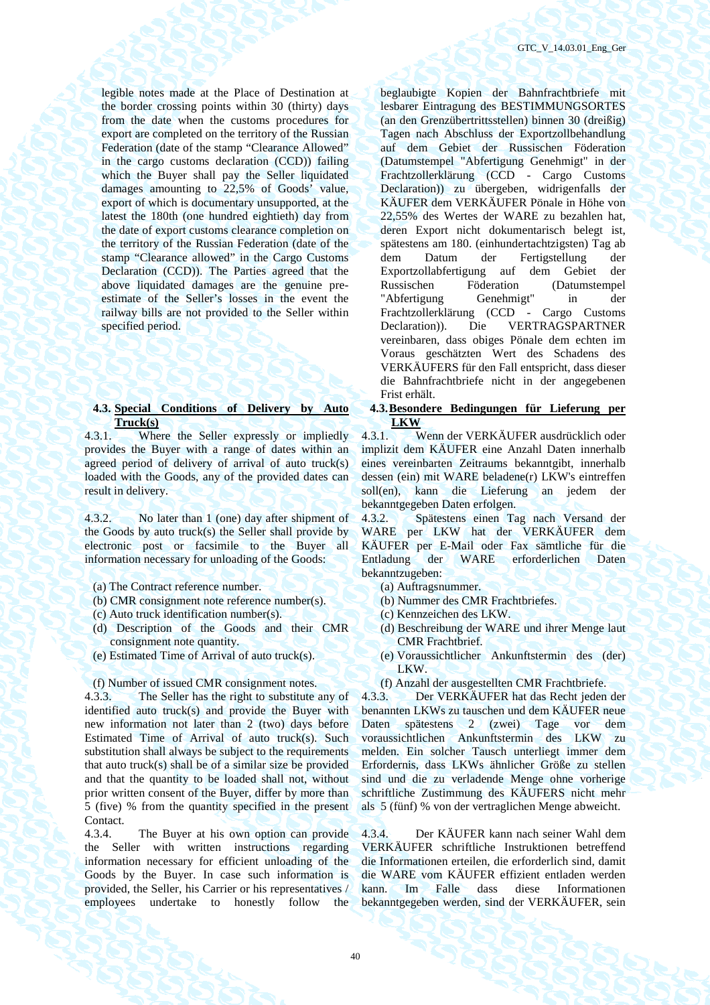legible notes made at the Place of Destination at the border crossing points within 30 (thirty) days from the date when the customs procedures for export are completed on the territory of the Russian Federation (date of the stamp "Clearance Allowed" in the cargo customs declaration (CCD)) failing which the Buyer shall pay the Seller liquidated damages amounting to 22,5% of Goods' value, export of which is documentary unsupported, at the latest the 180th (one hundred eightieth) day from the date of export customs clearance completion on the territory of the Russian Federation (date of the stamp "Clearance allowed" in the Cargo Customs Declaration (CCD)). The Parties agreed that the above liquidated damages are the genuine preestimate of the Seller's losses in the event the railway bills are not provided to the Seller within specified period.

# **4.3. Special Conditions of Delivery by Auto Truck(s)**

4.3.1. Where the Seller expressly or impliedly provides the Buyer with a range of dates within an agreed period of delivery of arrival of auto truck(s) loaded with the Goods, any of the provided dates can result in delivery.

4.3.2. No later than 1 (one) day after shipment of the Goods by auto truck(s) the Seller shall provide by electronic post or facsimile to the Buyer all information necessary for unloading of the Goods:

- (a) The Contract reference number. (a) Auftragsnummer.
- (b) CMR consignment note reference number(s). (b) Nummer des CMR Frachtbriefes.
- (c) Auto truck identification number(s). (c) Kennzeichen des LKW.
- (d) Description of the Goods and their CMR consignment note quantity.
- 

4.3.3. The Seller has the right to substitute any of identified auto truck(s) and provide the Buyer with new information not later than 2 (two) days before Estimated Time of Arrival of auto truck(s). Such substitution shall always be subject to the requirements that auto truck(s) shall be of a similar size be provided and that the quantity to be loaded shall not, without prior written consent of the Buyer, differ by more than 5 (five) % from the quantity specified in the present Contact.

4.3.4. The Buyer at his own option can provide the Seller with written instructions regarding information necessary for efficient unloading of the Goods by the Buyer. In case such information is provided, the Seller, his Carrier or his representatives / employees undertake to honestly follow the beglaubigte Kopien der Bahnfrachtbriefe mit lesbarer Eintragung des BESTIMMUNGSORTES (an den Grenzübertrittsstellen) binnen 30 (dreißig) Tagen nach Abschluss der Exportzollbehandlung auf dem Gebiet der Russischen Föderation (Datumstempel "Abfertigung Genehmigt" in der Frachtzollerklärung (CCD - Cargo Customs Declaration)) zu übergeben, widrigenfalls der KÄUFER dem VERKÄUFER Pönale in Höhe von 22,55% des Wertes der WARE zu bezahlen hat, deren Export nicht dokumentarisch belegt ist, spätestens am 180. (einhundertachtzigsten) Tag ab dem Datum der Fertigstellung der Exportzollabfertigung auf dem Gebiet der Russischen Föderation (Datumstempel "Abfertigung Genehmigt" in der Frachtzollerklärung (CCD - Cargo Customs Declaration)). Die VERTRAGSPARTNER vereinbaren, dass obiges Pönale dem echten im Voraus geschätzten Wert des Schadens des VERKÄUFERS für den Fall entspricht, dass dieser die Bahnfrachtbriefe nicht in der angegebenen Frist erhält.

**4.3.Besondere Bedingungen für Lieferung per LKW** 

4.3.1. Wenn der VERKÄUFER ausdrücklich oder implizit dem KÄUFER eine Anzahl Daten innerhalb eines vereinbarten Zeitraums bekanntgibt, innerhalb dessen (ein) mit WARE beladene(r) LKW's eintreffen soll(en), kann die Lieferung an jedem der bekanntgegeben Daten erfolgen.

4.3.2. Spätestens einen Tag nach Versand der WARE per LKW hat der VERKÄUFER dem KÄUFER per E-Mail oder Fax sämtliche für die Entladung der WARE erforderlichen Daten bekanntzugeben:

- 
- 
- 
- (d) Beschreibung der WARE und ihrer Menge laut CMR Frachtbrief.
- (e) Estimated Time of Arrival of auto truck(s). (e) Voraussichtlicher Ankunftstermin des (der) LKW.
- (f) Number of issued CMR consignment notes. (f) Anzahl der ausgestellten CMR Frachtbriefe.

4.3.3. Der VERKÄUFER hat das Recht jeden der benannten LKWs zu tauschen und dem KÄUFER neue Daten spätestens 2 (zwei) Tage vor dem voraussichtlichen Ankunftstermin des LKW zu melden. Ein solcher Tausch unterliegt immer dem Erfordernis, dass LKWs ähnlicher Größe zu stellen sind und die zu verladende Menge ohne vorherige schriftliche Zustimmung des KÄUFERS nicht mehr als 5 (fünf) % von der vertraglichen Menge abweicht.

4.3.4. Der KÄUFER kann nach seiner Wahl dem VERKÄUFER schriftliche Instruktionen betreffend die Informationen erteilen, die erforderlich sind, damit die WARE vom KÄUFER effizient entladen werden kann. Im Falle dass diese Informationen bekanntgegeben werden, sind der VERKÄUFER, sein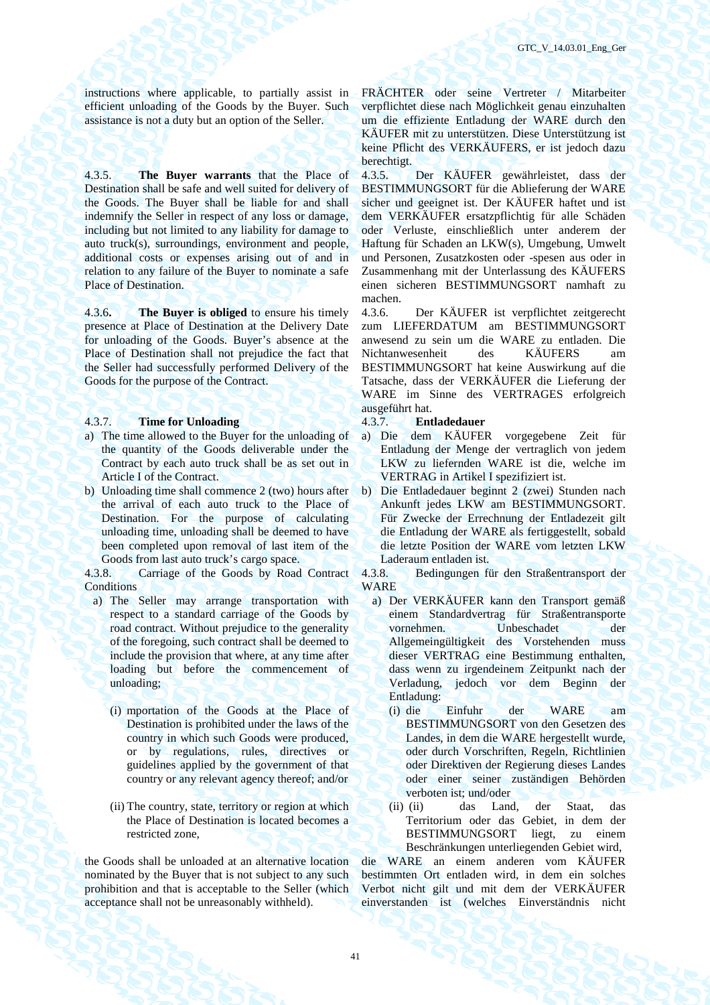instructions where applicable, to partially assist in efficient unloading of the Goods by the Buyer. Such assistance is not a duty but an option of the Seller.

4.3.5. **The Buyer warrants** that the Place of Destination shall be safe and well suited for delivery of the Goods. The Buyer shall be liable for and shall indemnify the Seller in respect of any loss or damage, including but not limited to any liability for damage to auto truck(s), surroundings, environment and people, additional costs or expenses arising out of and in relation to any failure of the Buyer to nominate a safe Place of Destination.

4.3.6**. The Buyer is obliged** to ensure his timely presence at Place of Destination at the Delivery Date for unloading of the Goods. Buyer's absence at the Place of Destination shall not prejudice the fact that the Seller had successfully performed Delivery of the Goods for the purpose of the Contract.

# 4.3.7. **Time for Unloading** 4.3.7. **Entladedauer**

- a) The time allowed to the Buyer for the unloading of the quantity of the Goods deliverable under the Contract by each auto truck shall be as set out in Article I of the Contract.
- b) Unloading time shall commence 2 (two) hours after the arrival of each auto truck to the Place of Destination. For the purpose of calculating unloading time, unloading shall be deemed to have been completed upon removal of last item of the Goods from last auto truck's cargo space.

4.3.8. Carriage of the Goods by Road Contract **Conditions** 

- a) The Seller may arrange transportation with respect to a standard carriage of the Goods by road contract. Without prejudice to the generality of the foregoing, such contract shall be deemed to include the provision that where, at any time after loading but before the commencement of unloading;
	- (i) mportation of the Goods at the Place of Destination is prohibited under the laws of the country in which such Goods were produced, or by regulations, rules, directives or guidelines applied by the government of that country or any relevant agency thereof; and/or
	- (ii) The country, state, territory or region at which the Place of Destination is located becomes a restricted zone,

the Goods shall be unloaded at an alternative location nominated by the Buyer that is not subject to any such prohibition and that is acceptable to the Seller (which acceptance shall not be unreasonably withheld).

FRÄCHTER oder seine Vertreter / Mitarbeiter verpflichtet diese nach Möglichkeit genau einzuhalten um die effiziente Entladung der WARE durch den KÄUFER mit zu unterstützen. Diese Unterstützung ist keine Pflicht des VERKÄUFERS, er ist jedoch dazu berechtigt.

4.3.5. Der KÄUFER gewährleistet, dass der BESTIMMUNGSORT für die Ablieferung der WARE sicher und geeignet ist. Der KÄUFER haftet und ist dem VERKÄUFER ersatzpflichtig für alle Schäden oder Verluste, einschließlich unter anderem der Haftung für Schaden an LKW(s), Umgebung, Umwelt und Personen, Zusatzkosten oder -spesen aus oder in Zusammenhang mit der Unterlassung des KÄUFERS einen sicheren BESTIMMUNGSORT namhaft zu machen.

4.3.6. Der KÄUFER ist verpflichtet zeitgerecht zum LIEFERDATUM am BESTIMMUNGSORT anwesend zu sein um die WARE zu entladen. Die Nichtanwesenheit des KÄUFERS am BESTIMMUNGSORT hat keine Auswirkung auf die Tatsache, dass der VERKÄUFER die Lieferung der WARE im Sinne des VERTRAGES erfolgreich ausgeführt hat.

- a) Die dem KÄUFER vorgegebene Zeit für Entladung der Menge der vertraglich von jedem LKW zu liefernden WARE ist die, welche im VERTRAG in Artikel I spezifiziert ist.
- b) Die Entladedauer beginnt 2 (zwei) Stunden nach Ankunft jedes LKW am BESTIMMUNGSORT. Für Zwecke der Errechnung der Entladezeit gilt die Entladung der WARE als fertiggestellt, sobald die letzte Position der WARE vom letzten LKW Laderaum entladen ist.

4.3.8. Bedingungen für den Straßentransport der WARE

- a) Der VERKÄUFER kann den Transport gemäß einem Standardvertrag für Straßentransporte vornehmen. Unbeschadet der Allgemeingültigkeit des Vorstehenden muss dieser VERTRAG eine Bestimmung enthalten, dass wenn zu irgendeinem Zeitpunkt nach der Verladung, jedoch vor dem Beginn der Entladung:
	- (i) die Einfuhr der WARE am BESTIMMUNGSORT von den Gesetzen des Landes, in dem die WARE hergestellt wurde, oder durch Vorschriften, Regeln, Richtlinien oder Direktiven der Regierung dieses Landes oder einer seiner zuständigen Behörden verboten ist; und/oder
	- (ii) (ii) das Land, der Staat, das Territorium oder das Gebiet, in dem der BESTIMMUNGSORT liegt, zu einem Beschränkungen unterliegenden Gebiet wird,

die WARE an einem anderen vom KÄUFER bestimmten Ort entladen wird, in dem ein solches Verbot nicht gilt und mit dem der VERKÄUFER einverstanden ist (welches Einverständnis nicht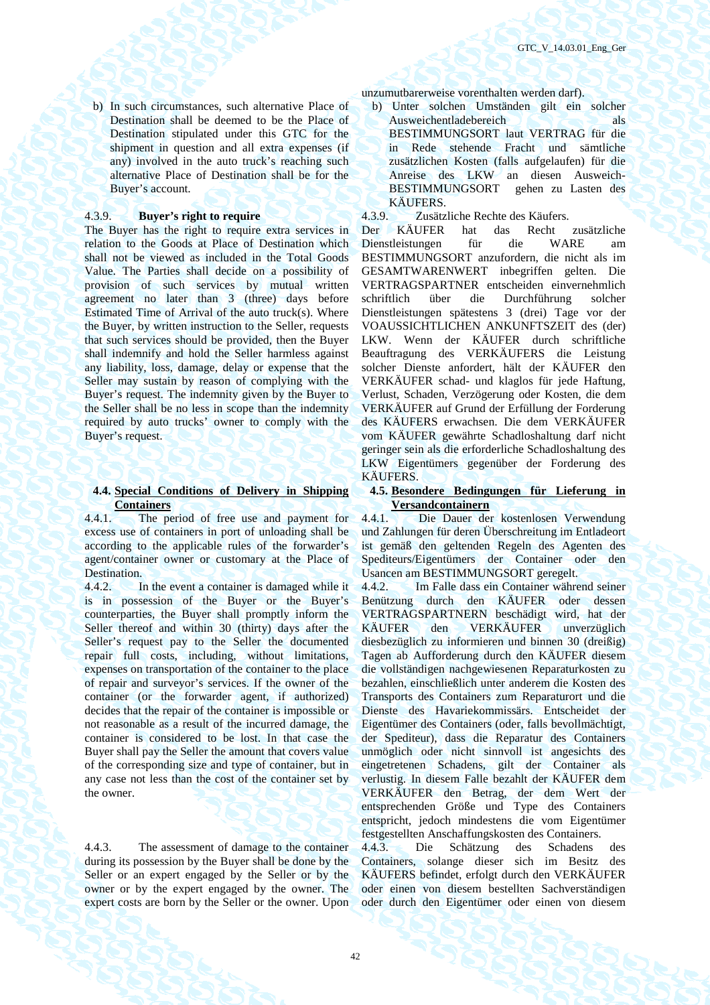b) In such circumstances, such alternative Place of Destination shall be deemed to be the Place of Destination stipulated under this GTC for the shipment in question and all extra expenses (if any) involved in the auto truck's reaching such alternative Place of Destination shall be for the Buyer's account.

The Buyer has the right to require extra services in relation to the Goods at Place of Destination which shall not be viewed as included in the Total Goods Value. The Parties shall decide on a possibility of provision of such services by mutual written agreement no later than 3 (three) days before Estimated Time of Arrival of the auto truck(s). Where the Buyer, by written instruction to the Seller, requests that such services should be provided, then the Buyer shall indemnify and hold the Seller harmless against any liability, loss, damage, delay or expense that the Seller may sustain by reason of complying with the Buyer's request. The indemnity given by the Buyer to the Seller shall be no less in scope than the indemnity required by auto trucks' owner to comply with the Buyer's request.

# **4.4. Special Conditions of Delivery in Shipping Containers**

4.4.1. The period of free use and payment for excess use of containers in port of unloading shall be according to the applicable rules of the forwarder's agent/container owner or customary at the Place of Destination.

4.4.2. In the event a container is damaged while it is in possession of the Buyer or the Buyer's counterparties, the Buyer shall promptly inform the Seller thereof and within 30 (thirty) days after the Seller's request pay to the Seller the documented repair full costs, including, without limitations, expenses on transportation of the container to the place of repair and surveyor's services. If the owner of the container (or the forwarder agent, if authorized) decides that the repair of the container is impossible or not reasonable as a result of the incurred damage, the container is considered to be lost. In that case the Buyer shall pay the Seller the amount that covers value of the corresponding size and type of container, but in any case not less than the cost of the container set by the owner.

4.4.3. The assessment of damage to the container during its possession by the Buyer shall be done by the Seller or an expert engaged by the Seller or by the owner or by the expert engaged by the owner. The expert costs are born by the Seller or the owner. Upon

unzumutbarerweise vorenthalten werden darf).

b) Unter solchen Umständen gilt ein solcher Ausweichentladebereich als BESTIMMUNGSORT laut VERTRAG für die in Rede stehende Fracht und sämtliche zusätzlichen Kosten (falls aufgelaufen) für die Anreise des LKW an diesen Ausweich-BESTIMMUNGSORT gehen zu Lasten des

KÄUFERS.<br>4.3.9. Zusätz 4.3.9. **Buyer's right to require** 4.3.9. Zusätzliche Rechte des Käufers.

> Der KÄUFER hat das Recht zusätzliche Dienstleistungen für die WARE am BESTIMMUNGSORT anzufordern, die nicht als im GESAMTWARENWERT inbegriffen gelten. Die VERTRAGSPARTNER entscheiden einvernehmlich schriftlich über die Durchführung solcher Dienstleistungen spätestens 3 (drei) Tage vor der VOAUSSICHTLICHEN ANKUNFTSZEIT des (der) LKW. Wenn der KÄUFER durch schriftliche Beauftragung des VERKÄUFERS die Leistung solcher Dienste anfordert, hält der KÄUFER den VERKÄUFER schad- und klaglos für jede Haftung, Verlust, Schaden, Verzögerung oder Kosten, die dem VERKÄUFER auf Grund der Erfüllung der Forderung des KÄUFERS erwachsen. Die dem VERKÄUFER vom KÄUFER gewährte Schadloshaltung darf nicht geringer sein als die erforderliche Schadloshaltung des LKW Eigentümers gegenüber der Forderung des KÄUFERS.

# **4.5. Besondere Bedingungen für Lieferung in Versandcontainern**

4.4.1. Die Dauer der kostenlosen Verwendung und Zahlungen für deren Überschreitung im Entladeort ist gemäß den geltenden Regeln des Agenten des Spediteurs/Eigentümers der Container oder den Usancen am BESTIMMUNGSORT geregelt.

4.4.2. Im Falle dass ein Container während seiner Benützung durch den KÄUFER oder dessen VERTRAGSPARTNERN beschädigt wird, hat der KÄUFER den VERKÄUFER unverzüglich diesbezüglich zu informieren und binnen 30 (dreißig) Tagen ab Aufforderung durch den KÄUFER diesem die vollständigen nachgewiesenen Reparaturkosten zu bezahlen, einschließlich unter anderem die Kosten des Transports des Containers zum Reparaturort und die Dienste des Havariekommissärs. Entscheidet der Eigentümer des Containers (oder, falls bevollmächtigt, der Spediteur), dass die Reparatur des Containers unmöglich oder nicht sinnvoll ist angesichts des eingetretenen Schadens, gilt der Container als verlustig. In diesem Falle bezahlt der KÄUFER dem VERKÄUFER den Betrag, der dem Wert der entsprechenden Größe und Type des Containers entspricht, jedoch mindestens die vom Eigentümer festgestellten Anschaffungskosten des Containers.

4.4.3. Die Schätzung des Schadens des Containers, solange dieser sich im Besitz des KÄUFERS befindet, erfolgt durch den VERKÄUFER oder einen von diesem bestellten Sachverständigen oder durch den Eigentümer oder einen von diesem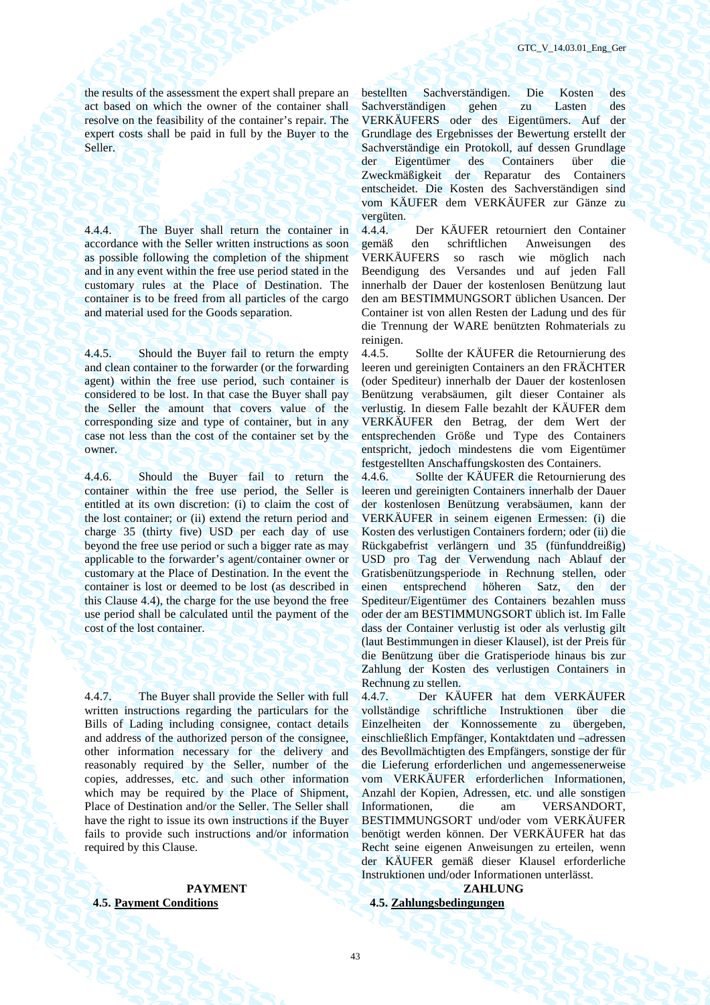the results of the assessment the expert shall prepare an act based on which the owner of the container shall resolve on the feasibility of the container's repair. The expert costs shall be paid in full by the Buyer to the Seller.

4.4.4. The Buyer shall return the container in accordance with the Seller written instructions as soon as possible following the completion of the shipment and in any event within the free use period stated in the customary rules at the Place of Destination. The container is to be freed from all particles of the cargo and material used for the Goods separation.

4.4.5. Should the Buyer fail to return the empty and clean container to the forwarder (or the forwarding agent) within the free use period, such container is considered to be lost. In that case the Buyer shall pay the Seller the amount that covers value of the corresponding size and type of container, but in any case not less than the cost of the container set by the owner.

4.4.6. Should the Buyer fail to return the container within the free use period, the Seller is entitled at its own discretion: (i) to claim the cost of the lost container; or (ii) extend the return period and charge 35 (thirty five) USD per each day of use beyond the free use period or such a bigger rate as may applicable to the forwarder's agent/container owner or customary at the Place of Destination. In the event the container is lost or deemed to be lost (as described in this Clause 4.4), the charge for the use beyond the free use period shall be calculated until the payment of the cost of the lost container.

4.4.7. The Buyer shall provide the Seller with full written instructions regarding the particulars for the Bills of Lading including consignee, contact details and address of the authorized person of the consignee, other information necessary for the delivery and reasonably required by the Seller, number of the copies, addresses, etc. and such other information which may be required by the Place of Shipment, Place of Destination and/or the Seller. The Seller shall have the right to issue its own instructions if the Buyer fails to provide such instructions and/or information required by this Clause.

# **4.5. Payment Conditions 4.5. Zahlungsbedingungen**

bestellten Sachverständigen. Die Kosten des Sachverständigen gehen zu Lasten des VERKÄUFERS oder des Eigentümers. Auf der Grundlage des Ergebnisses der Bewertung erstellt der Sachverständige ein Protokoll, auf dessen Grundlage der Eigentümer des Containers über die Zweckmäßigkeit der Reparatur des Containers entscheidet. Die Kosten des Sachverständigen sind vom KÄUFER dem VERKÄUFER zur Gänze zu vergüten.

4.4.4. Der KÄUFER retourniert den Container gemäß den schriftlichen Anweisungen des VERKÄUFERS so rasch wie möglich nach Beendigung des Versandes und auf jeden Fall innerhalb der Dauer der kostenlosen Benützung laut den am BESTIMMUNGSORT üblichen Usancen. Der Container ist von allen Resten der Ladung und des für die Trennung der WARE benützten Rohmaterials zu reinigen.<br>4.4.5.

4.4.5. Sollte der KÄUFER die Retournierung des leeren und gereinigten Containers an den FRÄCHTER (oder Spediteur) innerhalb der Dauer der kostenlosen Benützung verabsäumen, gilt dieser Container als verlustig. In diesem Falle bezahlt der KÄUFER dem VERKÄUFER den Betrag, der dem Wert der entsprechenden Größe und Type des Containers entspricht, jedoch mindestens die vom Eigentümer festgestellten Anschaffungskosten des Containers.

4.4.6. Sollte der KÄUFER die Retournierung des leeren und gereinigten Containers innerhalb der Dauer der kostenlosen Benützung verabsäumen, kann der VERKÄUFER in seinem eigenen Ermessen: (i) die Kosten des verlustigen Containers fordern; oder (ii) die Rückgabefrist verlängern und 35 (fünfunddreißig) USD pro Tag der Verwendung nach Ablauf der Gratisbenützungsperiode in Rechnung stellen, oder einen entsprechend höheren Satz, den der Spediteur/Eigentümer des Containers bezahlen muss oder der am BESTIMMUNGSORT üblich ist. Im Falle dass der Container verlustig ist oder als verlustig gilt (laut Bestimmungen in dieser Klausel), ist der Preis für die Benützung über die Gratisperiode hinaus bis zur Zahlung der Kosten des verlustigen Containers in Rechnung zu stellen.

4.4.7. Der KÄUFER hat dem VERKÄUFER vollständige schriftliche Instruktionen über die Einzelheiten der Konnossemente zu übergeben, einschließlich Empfänger, Kontaktdaten und –adressen des Bevollmächtigten des Empfängers, sonstige der für die Lieferung erforderlichen und angemessenerweise vom VERKÄUFER erforderlichen Informationen, Anzahl der Kopien, Adressen, etc. und alle sonstigen Informationen, die am VERSANDORT, BESTIMMUNGSORT und/oder vom VERKÄUFER benötigt werden können. Der VERKÄUFER hat das Recht seine eigenen Anweisungen zu erteilen, wenn der KÄUFER gemäß dieser Klausel erforderliche Instruktionen und/oder Informationen unterlässt.

PAYMENT **EXAMPLE 2018 ZAHLUNG**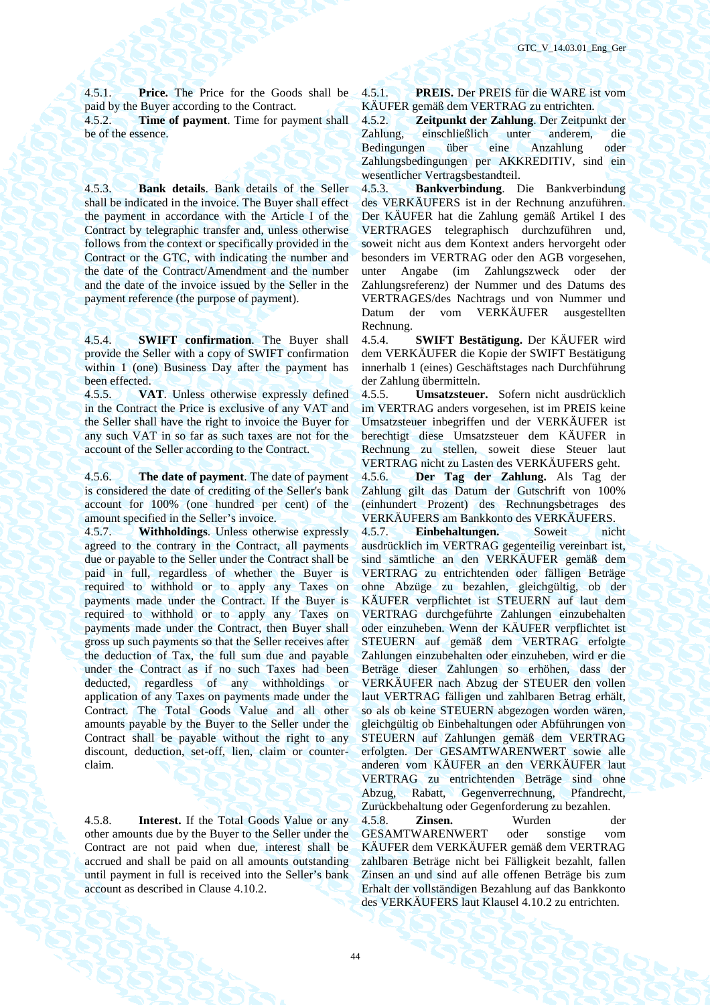4.5.1. **Price.** The Price for the Goods shall be paid by the Buyer according to the Contract.

4.5.2. **Time of payment**. Time for payment shall be of the essence.

4.5.3. **Bank details**. Bank details of the Seller shall be indicated in the invoice. The Buyer shall effect the payment in accordance with the Article I of the Contract by telegraphic transfer and, unless otherwise follows from the context or specifically provided in the Contract or the GTC, with indicating the number and the date of the Contract/Amendment and the number and the date of the invoice issued by the Seller in the payment reference (the purpose of payment).

4.5.4. **SWIFT confirmation**. The Buyer shall provide the Seller with a copy of SWIFT confirmation within 1 (one) Business Day after the payment has been effected.

4.5.5. **VAT**. Unless otherwise expressly defined in the Contract the Price is exclusive of any VAT and the Seller shall have the right to invoice the Buyer for any such VAT in so far as such taxes are not for the account of the Seller according to the Contract.

4.5.6. **The date of payment**. The date of payment is considered the date of crediting of the Seller's bank account for 100% (one hundred per cent) of the amount specified in the Seller's invoice.

4.5.7. **Withholdings**. Unless otherwise expressly agreed to the contrary in the Contract, all payments due or payable to the Seller under the Contract shall be paid in full, regardless of whether the Buyer is required to withhold or to apply any Taxes on payments made under the Contract. If the Buyer is required to withhold or to apply any Taxes on payments made under the Contract, then Buyer shall gross up such payments so that the Seller receives after the deduction of Tax, the full sum due and payable under the Contract as if no such Taxes had been deducted, regardless of any withholdings or application of any Taxes on payments made under the Contract. The Total Goods Value and all other amounts payable by the Buyer to the Seller under the Contract shall be payable without the right to any discount, deduction, set-off, lien, claim or counterclaim.

4.5.8. **Interest.** If the Total Goods Value or any other amounts due by the Buyer to the Seller under the Contract are not paid when due, interest shall be accrued and shall be paid on all amounts outstanding until payment in full is received into the Seller's bank account as described in Clause 4.10.2.

4.5.1. **PREIS.** Der PREIS für die WARE ist vom KÄUFER gemäß dem VERTRAG zu entrichten.

4.5.2. **Zeitpunkt der Zahlung**. Der Zeitpunkt der Zahlung, einschließlich unter anderem, die Bedingungen über eine Anzahlung oder Zahlungsbedingungen per AKKREDITIV, sind ein wesentlicher Vertragsbestandteil.

4.5.3. **Bankverbindung**. Die Bankverbindung des VERKÄUFERS ist in der Rechnung anzuführen. Der KÄUFER hat die Zahlung gemäß Artikel I des VERTRAGES telegraphisch durchzuführen und, soweit nicht aus dem Kontext anders hervorgeht oder besonders im VERTRAG oder den AGB vorgesehen, unter Angabe (im Zahlungszweck oder der Zahlungsreferenz) der Nummer und des Datums des VERTRAGES/des Nachtrags und von Nummer und Datum der vom VERKÄUFER ausgestellten Rechnung.

4.5.4. **SWIFT Bestätigung.** Der KÄUFER wird dem VERKÄUFER die Kopie der SWIFT Bestätigung innerhalb 1 (eines) Geschäftstages nach Durchführung der Zahlung übermitteln.

4.5.5. **Umsatzsteuer.** Sofern nicht ausdrücklich im VERTRAG anders vorgesehen, ist im PREIS keine Umsatzsteuer inbegriffen und der VERKÄUFER ist berechtigt diese Umsatzsteuer dem KÄUFER in Rechnung zu stellen, soweit diese Steuer laut VERTRAG nicht zu Lasten des VERKÄUFERS geht.<br>4.5.6. Der Tag der Zahlung. Als Tag der

4.5.6. **Der Tag der Zahlung.** Als Tag der Zahlung gilt das Datum der Gutschrift von 100% (einhundert Prozent) des Rechnungsbetrages des VERKÄUFERS am Bankkonto des VERKÄUFERS.

4.5.7. **Einbehaltungen.** Soweit nicht ausdrücklich im VERTRAG gegenteilig vereinbart ist, sind sämtliche an den VERKÄUFER gemäß dem VERTRAG zu entrichtenden oder fälligen Beträge ohne Abzüge zu bezahlen, gleichgültig, ob der KÄUFER verpflichtet ist STEUERN auf laut dem VERTRAG durchgeführte Zahlungen einzubehalten oder einzuheben. Wenn der KÄUFER verpflichtet ist STEUERN auf gemäß dem VERTRAG erfolgte Zahlungen einzubehalten oder einzuheben, wird er die Beträge dieser Zahlungen so erhöhen, dass der VERKÄUFER nach Abzug der STEUER den vollen laut VERTRAG fälligen und zahlbaren Betrag erhält, so als ob keine STEUERN abgezogen worden wären, gleichgültig ob Einbehaltungen oder Abführungen von STEUERN auf Zahlungen gemäß dem VERTRAG erfolgten. Der GESAMTWARENWERT sowie alle anderen vom KÄUFER an den VERKÄUFER laut VERTRAG zu entrichtenden Beträge sind ohne Abzug, Rabatt, Gegenverrechnung, Pfandrecht, Zurückbehaltung oder Gegenforderung zu bezahlen.

4.5.8. **Zinsen.** Wurden der GESAMTWARENWERT oder sonstige vom KÄUFER dem VERKÄUFER gemäß dem VERTRAG zahlbaren Beträge nicht bei Fälligkeit bezahlt, fallen Zinsen an und sind auf alle offenen Beträge bis zum Erhalt der vollständigen Bezahlung auf das Bankkonto des VERKÄUFERS laut Klausel 4.10.2 zu entrichten.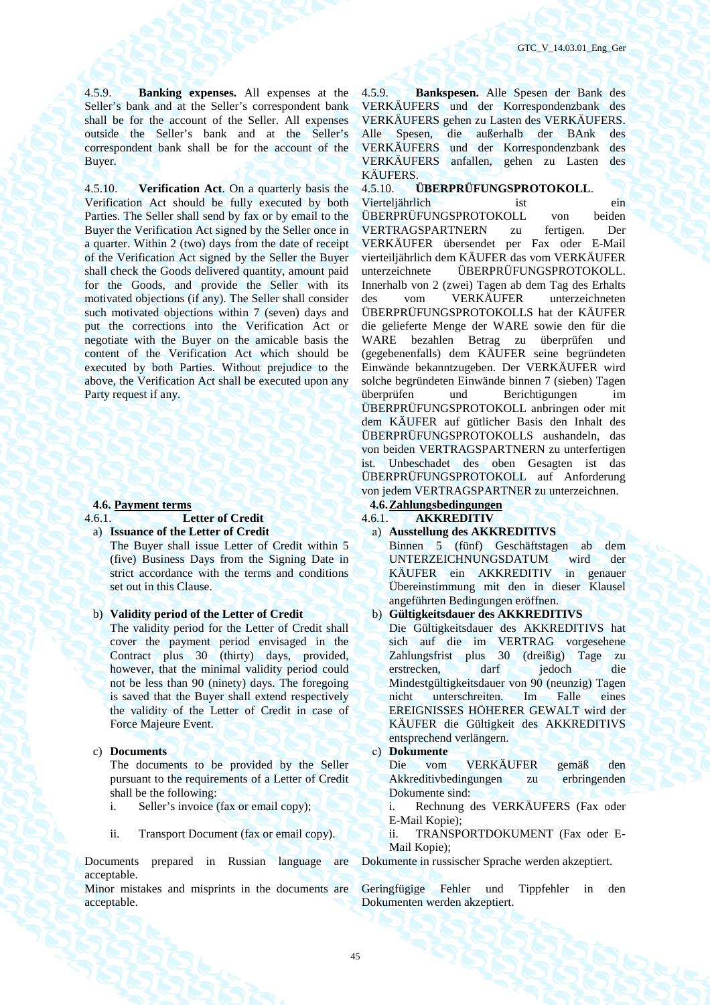4.5.9. **Banking expenses.** All expenses at the Seller's bank and at the Seller's correspondent bank shall be for the account of the Seller. All expenses outside the Seller's bank and at the Seller's correspondent bank shall be for the account of the Buyer.

4.5.10. **Verification Act**. On a quarterly basis the Verification Act should be fully executed by both Parties. The Seller shall send by fax or by email to the Buyer the Verification Act signed by the Seller once in a quarter. Within 2 (two) days from the date of receipt of the Verification Act signed by the Seller the Buyer shall check the Goods delivered quantity, amount paid for the Goods, and provide the Seller with its motivated objections (if any). The Seller shall consider such motivated objections within 7 (seven) days and put the corrections into the Verification Act or negotiate with the Buyer on the amicable basis the content of the Verification Act which should be executed by both Parties. Without prejudice to the above, the Verification Act shall be executed upon any Party request if any.

### **4.6. Payment terms 4.6.Zahlungsbedingungen**

- 4.6.1. **Letter of Credit** 4.6.1. **AKKREDITIV**
- a) **Issuance of the Letter of Credit** а) **Ausstellung des AKKREDITIVS** 
	- The Buyer shall issue Letter of Credit within 5 (five) Business Days from the Signing Date in strict accordance with the terms and conditions set out in this Clause.

- The validity period for the Letter of Credit shall cover the payment period envisaged in the Contract plus 30 (thirty) days, provided, however, that the minimal validity period could not be less than 90 (ninety) days. The foregoing is saved that the Buyer shall extend respectively the validity of the Letter of Credit in case of Force Majeure Event.
- 

c) **Documents** с) **Dokumente**  The documents to be provided by the Seller pursuant to the requirements of a Letter of Credit shall be the following:

- 
- 

Documents prepared in Russian language are acceptable.

Minor mistakes and misprints in the documents are acceptable.

4.5.9. **Bankspesen.** Alle Spesen der Bank des VERKÄUFERS und der Korrespondenzbank des VERKÄUFERS gehen zu Lasten des VERKÄUFERS. Alle Spesen, die außerhalb der BAnk des VERKÄUFERS und der Korrespondenzbank des VERKÄUFERS anfallen, gehen zu Lasten des KÄUFERS.

4.5.10. **ÜBERPRÜFUNGSPROTOKOLL**. Vierteljährlich ist ein ÜBERPRÜFUNGSPROTOKOLL von beiden VERTRAGSPARTNERN zu fertigen. Der VERKÄUFER übersendet per Fax oder E-Mail vierteiljährlich dem KÄUFER das vom VERKÄUFER unterzeichnete ÜBERPRÜFUNGSPROTOKOLL. Innerhalb von 2 (zwei) Tagen ab dem Tag des Erhalts des vom VERKÄUFER unterzeichneten ÜBERPRÜFUNGSPROTOKOLLS hat der KÄUFER die gelieferte Menge der WARE sowie den für die WARE bezahlen Betrag zu überprüfen und (gegebenenfalls) dem KÄUFER seine begründeten Einwände bekanntzugeben. Der VERKÄUFER wird solche begründeten Einwände binnen 7 (sieben) Tagen überprüfen und Berichtigungen im ÜBERPRÜFUNGSPROTOKOLL anbringen oder mit dem KÄUFER auf gütlicher Basis den Inhalt des ÜBERPRÜFUNGSPROTOKOLLS aushandeln, das von beiden VERTRAGSPARTNERN zu unterfertigen ist. Unbeschadet des oben Gesagten ist das ÜBERPRÜFUNGSPROTOKOLL auf Anforderung von jedem VERTRAGSPARTNER zu unterzeichnen.

Binnen 5 (fünf) Geschäftstagen ab dem UNTERZEICHNUNGSDATUM wird der KÄUFER ein AKKREDITIV in genauer Übereinstimmung mit den in dieser Klausel angeführten Bedingungen eröffnen.

# b) **Validity period of the Letter of Credit** b) **Gültigkeitsdauer des AKKREDITIVS**

Die Gültigkeitsdauer des AKKREDITIVS hat sich auf die im VERTRAG vorgesehene Zahlungsfrist plus 30 (dreißig) Tage zu erstrecken, darf jedoch die Mindestgültigkeitsdauer von 90 (neunzig) Tagen nicht unterschreiten. Im Falle eines EREIGNISSES HÖHERER GEWALT wird der KÄUFER die Gültigkeit des AKKREDITIVS entsprechend verlängern.

Die vom VERKÄUFER gemäß den Akkreditivbedingungen zu erbringenden Dokumente sind:

i. Seller's invoice (fax or email copy); i. Rechnung des VERKÄUFERS (Fax oder E-Mail Kopie);

ii. Transport Document (fax or email copy). ii. TRANSPORTDOKUMENT (Fax oder E-Mail Kopie);

Dokumente in russischer Sprache werden akzeptiert.

Geringfügige Fehler und Tippfehler in den Dokumenten werden akzeptiert.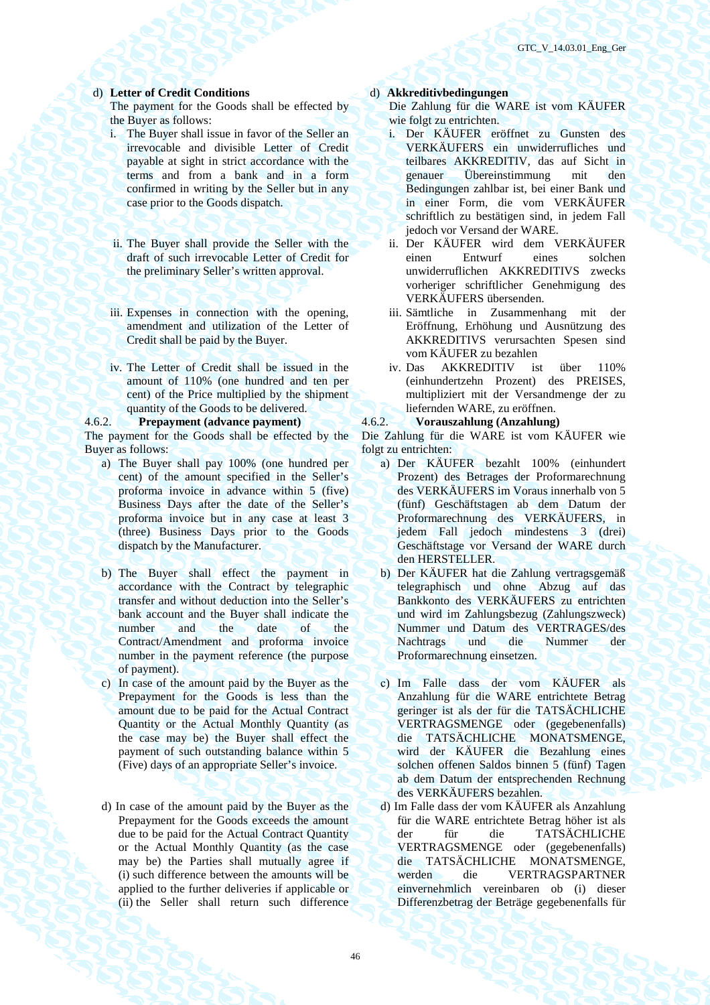# d) **Letter of Credit Conditions** d) **Akkreditivbedingungen**

The payment for the Goods shall be effected by the Buyer as follows:

- i. The Buyer shall issue in favor of the Seller an irrevocable and divisible Letter of Credit payable at sight in strict accordance with the terms and from a bank and in a form confirmed in writing by the Seller but in any case prior to the Goods dispatch.
- ii. The Buyer shall provide the Seller with the draft of such irrevocable Letter of Credit for the preliminary Seller's written approval.
- iii. Expenses in connection with the opening, amendment and utilization of the Letter of Credit shall be paid by the Buyer.
- iv. The Letter of Credit shall be issued in the amount of 110% (one hundred and ten per cent) of the Price multiplied by the shipment quantity of the Goods to be delivered.

### 4.6.2. **Prepayment (advance payment)** 4.6.2. **Vorauszahlung (Anzahlung)**

The payment for the Goods shall be effected by the Buyer as follows:

- a) The Buyer shall pay 100% (one hundred per cent) of the amount specified in the Seller's proforma invoice in advance within 5 (five) Business Days after the date of the Seller's proforma invoice but in any case at least 3 (three) Business Days prior to the Goods dispatch by the Manufacturer.
- b) The Buyer shall effect the payment in accordance with the Contract by telegraphic transfer and without deduction into the Seller's bank account and the Buyer shall indicate the number and the date of the Contract/Amendment and proforma invoice number in the payment reference (the purpose of payment).

c) In case of the amount paid by the Buyer as the Prepayment for the Goods is less than the amount due to be paid for the Actual Contract Quantity or the Actual Monthly Quantity (as the case may be) the Buyer shall effect the payment of such outstanding balance within 5 (Five) days of an appropriate Seller's invoice.

d) In case of the amount paid by the Buyer as the Prepayment for the Goods exceeds the amount due to be paid for the Actual Contract Quantity or the Actual Monthly Quantity (as the case may be) the Parties shall mutually agree if (i) such difference between the amounts will be applied to the further deliveries if applicable or (ii) the Seller shall return such difference

Die Zahlung für die WARE ist vom KÄUFER wie folgt zu entrichten.

- i. Der KÄUFER eröffnet zu Gunsten des VERKÄUFERS ein unwiderrufliches und teilbares AKKREDITIV, das auf Sicht in genauer Übereinstimmung mit den Bedingungen zahlbar ist, bei einer Bank und in einer Form, die vom VERKÄUFER schriftlich zu bestätigen sind, in jedem Fall jedoch vor Versand der WARE.
- ii. Der KÄUFER wird dem VERKÄUFER einen Entwurf eines solchen unwiderruflichen AKKREDITIVS zwecks vorheriger schriftlicher Genehmigung des VERKÄUFERS übersenden.
- iii. Sämtliche in Zusammenhang mit der Eröffnung, Erhöhung und Ausnützung des AKKREDITIVS verursachten Spesen sind vom KÄUFER zu bezahlen
- iv. Das AKKREDITIV ist über 110% (einhundertzehn Prozent) des PREISES, multipliziert mit der Versandmenge der zu liefernden WARE, zu eröffnen.

Die Zahlung für die WARE ist vom KÄUFER wie folgt zu entrichten:

- а) Der KÄUFER bezahlt 100% (einhundert Prozent) des Betrages der Proformarechnung des VERKÄUFERS im Voraus innerhalb von 5 (fünf) Geschäftstagen ab dem Datum der Proformarechnung des VERKÄUFERS, in jedem Fall jedoch mindestens 3 (drei) Geschäftstage vor Versand der WARE durch den HERSTELLER.
- b) Der KÄUFER hat die Zahlung vertragsgemäß telegraphisch und ohne Abzug auf das Bankkonto des VERKÄUFERS zu entrichten und wird im Zahlungsbezug (Zahlungszweck) Nummer und Datum des VERTRAGES/des Nachtrags und die Nummer der Proformarechnung einsetzen.
- с) Im Falle dass der vom KÄUFER als Anzahlung für die WARE entrichtete Betrag geringer ist als der für die TATSÄCHLICHE VERTRAGSMENGE oder (gegebenenfalls) die TATSÄCHLICHE MONATSMENGE, wird der KÄUFER die Bezahlung eines solchen offenen Saldos binnen 5 (fünf) Tagen ab dem Datum der entsprechenden Rechnung des VERKÄUFERS bezahlen.
- d) Im Falle dass der vom KÄUFER als Anzahlung für die WARE entrichtete Betrag höher ist als der für die TATSÄCHLICHE VERTRAGSMENGE oder (gegebenenfalls) die TATSÄCHLICHE MONATSMENGE, werden die VERTRAGSPARTNER einvernehmlich vereinbaren ob (i) dieser Differenzbetrag der Beträge gegebenenfalls für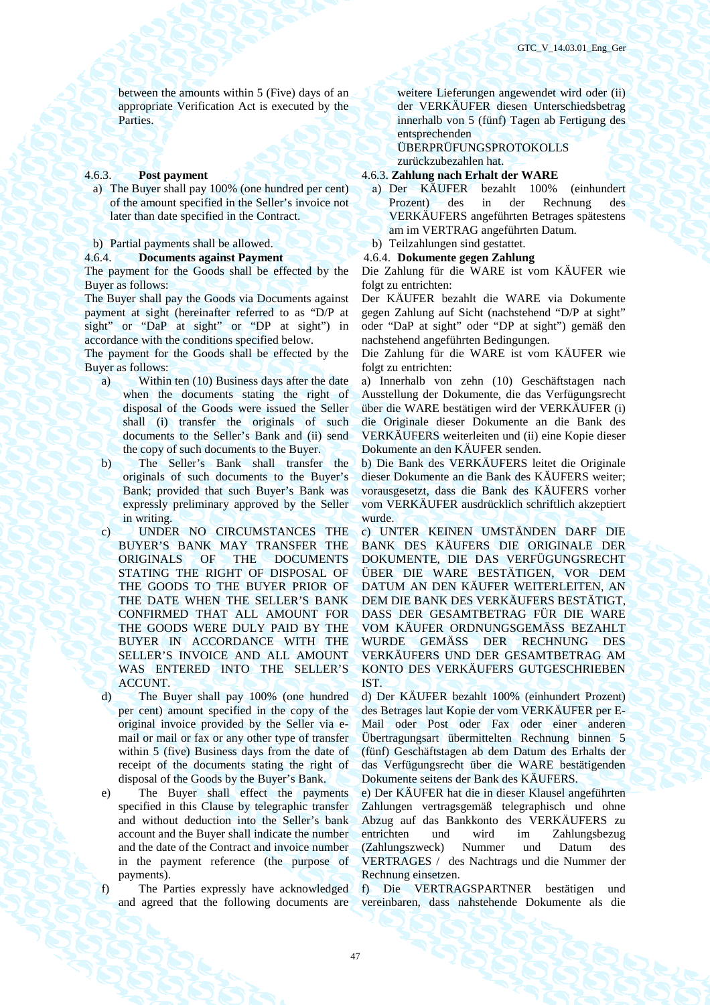between the amounts within 5 (Five) days of an appropriate Verification Act is executed by the Parties.

a) The Buyer shall pay 100% (one hundred per cent) of the amount specified in the Seller's invoice not later than date specified in the Contract.

b) Partial payments shall be allowed. b) Teilzahlungen sind gestattet.

### 4.6.4. **Documents against Payment** 4.6.4. **Dokumente gegen Zahlung**

The payment for the Goods shall be effected by the Buyer as follows:

The Buyer shall pay the Goods via Documents against payment at sight (hereinafter referred to as "D/P at sight" or "DaP at sight" or "DP at sight") in accordance with the conditions specified below.

The payment for the Goods shall be effected by the Buyer as follows:

- a) Within ten (10) Business days after the date when the documents stating the right of disposal of the Goods were issued the Seller shall (i) transfer the originals of such documents to the Seller's Bank and (ii) send the copy of such documents to the Buyer.
- b) The Seller's Bank shall transfer the originals of such documents to the Buyer's Bank; provided that such Buyer's Bank was expressly preliminary approved by the Seller in writing.
- c) UNDER NO CIRCUMSTANCES THE BUYER'S BANK MAY TRANSFER THE ORIGINALS OF THE DOCUMENTS STATING THE RIGHT OF DISPOSAL OF THE GOODS TO THE BUYER PRIOR OF THE DATE WHEN THE SELLER'S BANK CONFIRMED THAT ALL AMOUNT FOR THE GOODS WERE DULY PAID BY THE BUYER IN ACCORDANCE WITH THE SELLER'S INVOICE AND ALL AMOUNT WAS ENTERED INTO THE SELLER'S ACCUNT.
- d) The Buyer shall pay 100% (one hundred per cent) amount specified in the copy of the original invoice provided by the Seller via email or mail or fax or any other type of transfer within 5 (five) Business days from the date of receipt of the documents stating the right of disposal of the Goods by the Buyer's Bank.

e) The Buyer shall effect the payments specified in this Clause by telegraphic transfer and without deduction into the Seller's bank account and the Buyer shall indicate the number and the date of the Contract and invoice number in the payment reference (the purpose of payments).

f) The Parties expressly have acknowledged and agreed that the following documents are

weitere Lieferungen angewendet wird oder (ii) der VERKÄUFER diesen Unterschiedsbetrag innerhalb von 5 (fünf) Tagen ab Fertigung des entsprechenden

ÜBERPRÜFUNGSPROTOKOLLS

zurückzubezahlen hat.

# 4.6.3. **Post payment** 4.6.3. **Zahlung nach Erhalt der WARE**

- а) Der KÄUFER bezahlt 100% (einhundert Prozent) des in der Rechnung des VERKÄUFERS angeführten Betrages spätestens am im VERTRAG angeführten Datum.
- 
- 

Die Zahlung für die WARE ist vom KÄUFER wie folgt zu entrichten:

Der KÄUFER bezahlt die WARE via Dokumente gegen Zahlung auf Sicht (nachstehend "D/P at sight" oder "DaP at sight" oder "DP at sight") gemäß den nachstehend angeführten Bedingungen.

Die Zahlung für die WARE ist vom KÄUFER wie folgt zu entrichten:

а) Innerhalb von zehn (10) Geschäftstagen nach Ausstellung der Dokumente, die das Verfügungsrecht über die WARE bestätigen wird der VERKÄUFER (i) die Originale dieser Dokumente an die Bank des VERKÄUFERS weiterleiten und (ii) eine Kopie dieser Dokumente an den KÄUFER senden.

b) Die Bank des VERKÄUFERS leitet die Originale dieser Dokumente an die Bank des KÄUFERS weiter; vorausgesetzt, dass die Bank des KÄUFERS vorher vom VERKÄUFER ausdrücklich schriftlich akzeptiert wurde.

c) UNTER KEINEN UMSTÄNDEN DARF DIE BANK DES KÄUFERS DIE ORIGINALE DER DOKUMENTE, DIE DAS VERFÜGUNGSRECHT ÜBER DIE WARE BESTÄTIGEN, VOR DEM DATUM AN DEN KÄUFER WEITERLEITEN, AN DEM DIE BANK DES VERKÄUFERS BESTÄTIGT, DASS DER GESAMTBETRAG FÜR DIE WARE VOM KÄUFER ORDNUNGSGEMÄSS BEZAHLT WURDE GEMÄSS DER RECHNUNG DES VERKÄUFERS UND DER GESAMTBETRAG AM KONTO DES VERKÄUFERS GUTGESCHRIEBEN IST.

d) Der KÄUFER bezahlt 100% (einhundert Prozent) des Betrages laut Kopie der vom VERKÄUFER per E-Mail oder Post oder Fax oder einer anderen Übertragungsart übermittelten Rechnung binnen 5 (fünf) Geschäftstagen ab dem Datum des Erhalts der das Verfügungsrecht über die WARE bestätigenden Dokumente seitens der Bank des KÄUFERS.

e) Der KÄUFER hat die in dieser Klausel angeführten Zahlungen vertragsgemäß telegraphisch und ohne Abzug auf das Bankkonto des VERKÄUFERS zu entrichten und wird im Zahlungsbezug (Zahlungszweck) Nummer und Datum des VERTRAGES / des Nachtrags und die Nummer der Rechnung einsetzen.

f) Die VERTRAGSPARTNER bestätigen und vereinbaren, dass nahstehende Dokumente als die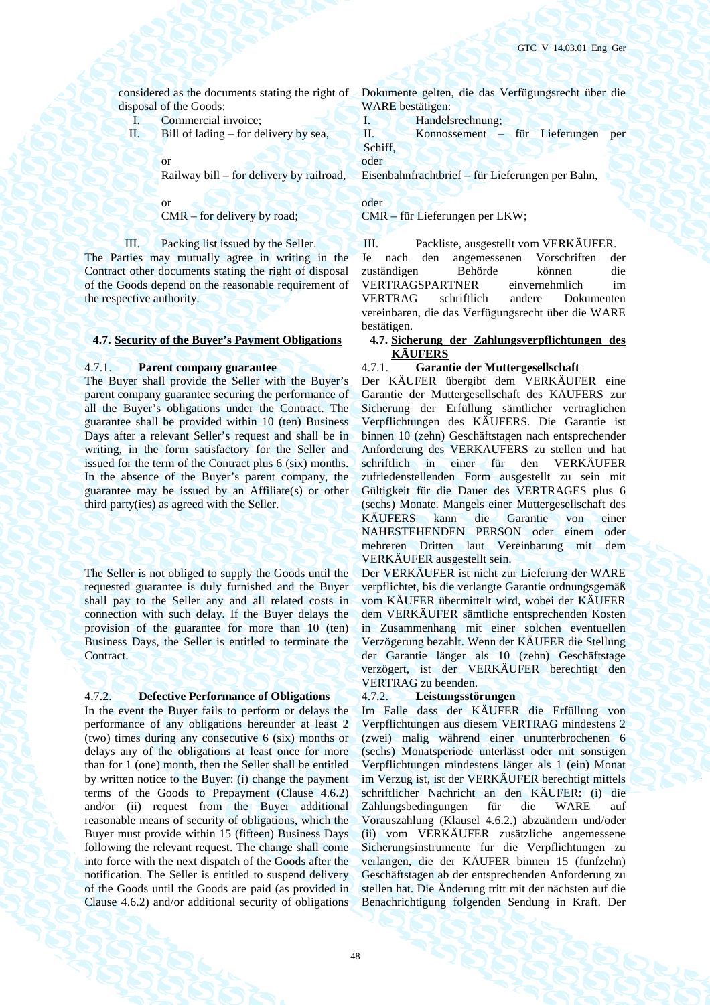considered as the documents stating the right of disposal of the Goods:

I. Commercial invoice;

II. Bill of lading – for delivery by sea,

or

Railway bill – for delivery by railroad,

or

CMR – for delivery by road;

III. Packing list issued by the Seller.

The Parties may mutually agree in writing in the Contract other documents stating the right of disposal of the Goods depend on the reasonable requirement of the respective authority.

The Buyer shall provide the Seller with the Buyer's parent company guarantee securing the performance of all the Buyer's obligations under the Contract. The guarantee shall be provided within 10 (ten) Business Days after a relevant Seller's request and shall be in writing, in the form satisfactory for the Seller and issued for the term of the Contract plus 6 (six) months. In the absence of the Buyer's parent company, the guarantee may be issued by an Affiliate(s) or other third party(ies) as agreed with the Seller.

The Seller is not obliged to supply the Goods until the requested guarantee is duly furnished and the Buyer shall pay to the Seller any and all related costs in connection with such delay. If the Buyer delays the provision of the guarantee for more than 10 (ten) Business Days, the Seller is entitled to terminate the Contract.

# 4.7.2. **Defective Performance of Obligations** 4.7.2. **Leistungsstörungen**

In the event the Buyer fails to perform or delays the performance of any obligations hereunder at least 2 (two) times during any consecutive 6 (six) months or delays any of the obligations at least once for more than for 1 (one) month, then the Seller shall be entitled by written notice to the Buyer: (i) change the payment terms of the Goods to Prepayment (Clause 4.6.2) and/or (ii) request from the Buyer additional reasonable means of security of obligations, which the Buyer must provide within 15 (fifteen) Business Days following the relevant request. The change shall come into force with the next dispatch of the Goods after the notification. The Seller is entitled to suspend delivery of the Goods until the Goods are paid (as provided in Clause 4.6.2) and/or additional security of obligations

Dokumente gelten, die das Verfügungsrecht über die WARE bestätigen:

I. Handelsrechnung;

II. Konnossement – für Lieferungen per Schiff,

oder

Eisenbahnfrachtbrief – für Lieferungen per Bahn,

oder

CMR – für Lieferungen per LKW;

III. Packliste, ausgestellt vom VERKÄUFER. Je nach den angemessenen Vorschriften der zuständigen Behörde können die VERTRAGSPARTNER einvernehmlich im VERTRAG schriftlich andere Dokumenten vereinbaren, die das Verfügungsrecht über die WARE bestätigen.

**4.7. Security of the Buyer's Payment Obligations 4.7. Sicherung der Zahlungsverpflichtungen des KÄUFERS** 

# 4.7.1. **Parent company guarantee** 4.7.1. **Garantie der Muttergesellschaft**

Der KÄUFER übergibt dem VERKÄUFER eine Garantie der Muttergesellschaft des KÄUFERS zur Sicherung der Erfüllung sämtlicher vertraglichen Verpflichtungen des KÄUFERS. Die Garantie ist binnen 10 (zehn) Geschäftstagen nach entsprechender Anforderung des VERKÄUFERS zu stellen und hat schriftlich in einer für den VERKÄUFER zufriedenstellenden Form ausgestellt zu sein mit Gültigkeit für die Dauer des VERTRAGES plus 6 (sechs) Monate. Mangels einer Muttergesellschaft des KÄUFERS kann die Garantie von einer NAHESTEHENDEN PERSON oder einem oder mehreren Dritten laut Vereinbarung mit dem VERKÄUFER ausgestellt sein.

Der VERKÄUFER ist nicht zur Lieferung der WARE verpflichtet, bis die verlangte Garantie ordnungsgemäß vom KÄUFER übermittelt wird, wobei der KÄUFER dem VERKÄUFER sämtliche entsprechenden Kosten in Zusammenhang mit einer solchen eventuellen Verzögerung bezahlt. Wenn der KÄUFER die Stellung der Garantie länger als 10 (zehn) Geschäftstage verzögert, ist der VERKÄUFER berechtigt den VERTRAG zu beenden.

Im Falle dass der KÄUFER die Erfüllung von Verpflichtungen aus diesem VERTRAG mindestens 2 (zwei) malig während einer ununterbrochenen 6 (sechs) Monatsperiode unterlässt oder mit sonstigen Verpflichtungen mindestens länger als 1 (ein) Monat im Verzug ist, ist der VERKÄUFER berechtigt mittels schriftlicher Nachricht an den KÄUFER: (i) die Zahlungsbedingungen für die WARE auf Vorauszahlung (Klausel 4.6.2.) abzuändern und/oder (ii) vom VERKÄUFER zusätzliche angemessene Sicherungsinstrumente für die Verpflichtungen zu verlangen, die der KÄUFER binnen 15 (fünfzehn) Geschäftstagen ab der entsprechenden Anforderung zu stellen hat. Die Änderung tritt mit der nächsten auf die Benachrichtigung folgenden Sendung in Kraft. Der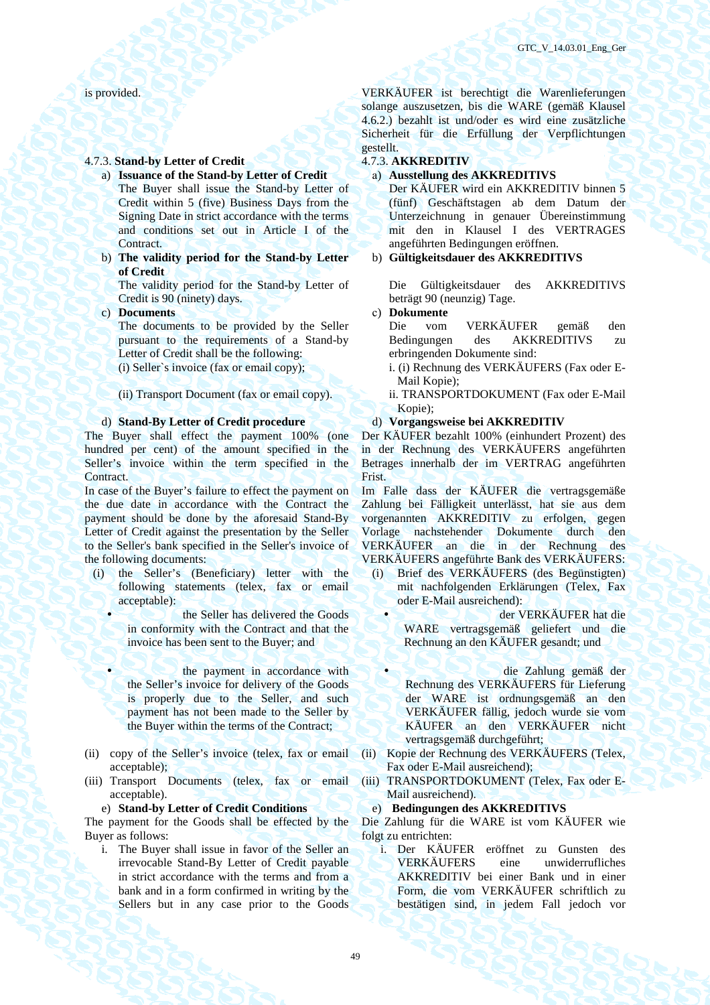### 4.7.3. **Stand-by Letter of Credit** 4.7.3. **AKKREDITIV**

- a) **Issuance of the Stand-by Letter of Credit** а) **Ausstellung des AKKREDITIVS**  The Buyer shall issue the Stand-by Letter of Credit within 5 (five) Business Days from the Signing Date in strict accordance with the terms and conditions set out in Article I of the Contract.
- b) **The validity period for the Stand-by Letter of Credit**

The validity period for the Stand-by Letter of Credit is 90 (ninety) days.

The documents to be provided by the Seller pursuant to the requirements of a Stand-by Letter of Credit shall be the following:

The Buyer shall effect the payment 100% (one hundred per cent) of the amount specified in the Seller's invoice within the term specified in the **Contract** 

In case of the Buyer's failure to effect the payment on the due date in accordance with the Contract the payment should be done by the aforesaid Stand-By Letter of Credit against the presentation by the Seller to the Seller's bank specified in the Seller's invoice of the following documents:

- (i) the Seller's (Beneficiary) letter with the following statements (telex, fax or email acceptable):
	- the Seller has delivered the Goods in conformity with the Contract and that the invoice has been sent to the Buyer; and
		- the payment in accordance with the Seller's invoice for delivery of the Goods is properly due to the Seller, and such payment has not been made to the Seller by the Buyer within the terms of the Contract;
- (ii) copy of the Seller's invoice (telex, fax or email acceptable);
- (iii) Transport Documents (telex, fax or email acceptable).

# e) **Stand-by Letter of Credit Conditions** e) **Bedingungen des AKKREDITIVS**

The payment for the Goods shall be effected by the Buyer as follows:

i. The Buyer shall issue in favor of the Seller an irrevocable Stand-By Letter of Credit payable in strict accordance with the terms and from a bank and in a form confirmed in writing by the Sellers but in any case prior to the Goods

is provided. VERKÄUFER ist berechtigt die Warenlieferungen solange auszusetzen, bis die WARE (gemäß Klausel 4.6.2.) bezahlt ist und/oder es wird eine zusätzliche Sicherheit für die Erfüllung der Verpflichtungen gestellt.

Der KÄUFER wird ein AKKREDITIV binnen 5 (fünf) Geschäftstagen ab dem Datum der Unterzeichnung in genauer Übereinstimmung mit den in Klausel I des VERTRAGES angeführten Bedingungen eröffnen.

## b) **Gültigkeitsdauer des AKKREDITIVS**

Die Gültigkeitsdauer des AKKREDITIVS beträgt 90 (neunzig) Tage.

c) **Documents** с) **Dokumente** 

Die vom VERKÄUFER gemäß den Bedingungen des AKKREDITIVS zu erbringenden Dokumente sind:

- (i) Seller`s invoice (fax or email copy); i. (i) Rechnung des VERKÄUFERS (Fax oder E-Mail Kopie);
- (ii) Transport Document (fax or email copy). ii. TRANSPORTDOKUMENT (Fax oder E-Mail Kopie);
- d) **Stand-By Letter of Credit procedure** d) **Vorgangsweise bei AKKREDITIV**

Der KÄUFER bezahlt 100% (einhundert Prozent) des in der Rechnung des VERKÄUFERS angeführten Betrages innerhalb der im VERTRAG angeführten **Frist** 

Im Falle dass der KÄUFER die vertragsgemäße Zahlung bei Fälligkeit unterlässt, hat sie aus dem vorgenannten AKKREDITIV zu erfolgen, gegen Vorlage nachstehender Dokumente durch den VERKÄUFER an die in der Rechnung des VERKÄUFERS angeführte Bank des VERKÄUFERS:

- (i) Brief des VERKÄUFERS (des Begünstigten) mit nachfolgenden Erklärungen (Telex, Fax oder E-Mail ausreichend):
	- der VERKÄUFER hat die WARE vertragsgemäß geliefert und die Rechnung an den KÄUFER gesandt; und
	- die Zahlung gemäß der Rechnung des VERKÄUFERS für Lieferung der WARE ist ordnungsgemäß an den VERKÄUFER fällig, jedoch wurde sie vom KÄUFER an den VERKÄUFER nicht vertragsgemäß durchgeführt;
- (ii) Kopie der Rechnung des VERKÄUFERS (Telex, Fax oder E-Mail ausreichend);
- (iii) TRANSPORTDOKUMENT (Telex, Fax oder E-Mail ausreichend).

Die Zahlung für die WARE ist vom KÄUFER wie folgt zu entrichten:

i. Der KÄUFER eröffnet zu Gunsten des VERKÄUFERS eine unwiderrufliches AKKREDITIV bei einer Bank und in einer Form, die vom VERKÄUFER schriftlich zu bestätigen sind, in jedem Fall jedoch vor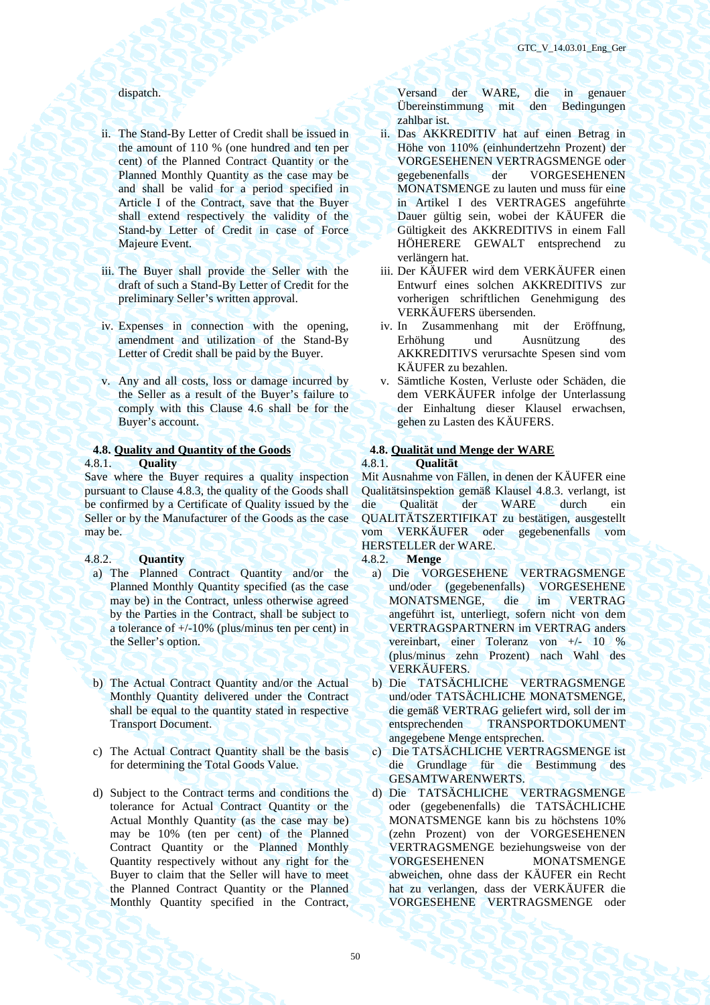- ii. The Stand-By Letter of Credit shall be issued in the amount of 110 % (one hundred and ten per cent) of the Planned Contract Quantity or the Planned Monthly Quantity as the case may be and shall be valid for a period specified in Article I of the Contract, save that the Buyer shall extend respectively the validity of the Stand-by Letter of Credit in case of Force Majeure Event.
- iii. The Buyer shall provide the Seller with the draft of such a Stand-By Letter of Credit for the preliminary Seller's written approval.
- iv. Expenses in connection with the opening, amendment and utilization of the Stand-By Letter of Credit shall be paid by the Buyer.
- v. Any and all costs, loss or damage incurred by the Seller as a result of the Buyer's failure to comply with this Clause 4.6 shall be for the Buyer's account.

### **4.8. Quality and Quantity of the Goods 4.8. Qualität und Menge der WARE**  4.8.1. **Quality** 4.8.1. **Qualität**

Save where the Buyer requires a quality inspection pursuant to Clause 4.8.3, the quality of the Goods shall be confirmed by a Certificate of Quality issued by the Seller or by the Manufacturer of the Goods as the case may be.

### 4.8.2. **Quantity** 4.8.2. **Menge**

- a) The Planned Contract Quantity and/or the Planned Monthly Quantity specified (as the case may be) in the Contract, unless otherwise agreed by the Parties in the Contract, shall be subject to a tolerance of +/-10% (plus/minus ten per cent) in the Seller's option.
- b) The Actual Contract Quantity and/or the Actual Monthly Quantity delivered under the Contract shall be equal to the quantity stated in respective Transport Document.
- c) The Actual Contract Quantity shall be the basis for determining the Total Goods Value.
- d) Subject to the Contract terms and conditions the tolerance for Actual Contract Quantity or the Actual Monthly Quantity (as the case may be) may be 10% (ten per cent) of the Planned Contract Quantity or the Planned Monthly Quantity respectively without any right for the Buyer to claim that the Seller will have to meet the Planned Contract Quantity or the Planned Monthly Quantity specified in the Contract,

dispatch. Versand der WARE, die in genauer Übereinstimmung mit den Bedingungen zahlbar ist.

- ii. Das AKKREDITIV hat auf einen Betrag in Höhe von 110% (einhundertzehn Prozent) der VORGESEHENEN VERTRAGSMENGE oder gegebenenfalls der VORGESEHENEN MONATSMENGE zu lauten und muss für eine in Artikel I des VERTRAGES angeführte Dauer gültig sein, wobei der KÄUFER die Gültigkeit des AKKREDITIVS in einem Fall HÖHERERE GEWALT entsprechend zu verlängern hat.
- iii. Der KÄUFER wird dem VERKÄUFER einen Entwurf eines solchen AKKREDITIVS zur vorherigen schriftlichen Genehmigung des VERKÄUFERS übersenden.
- iv. In Zusammenhang mit der Eröffnung, Erhöhung und Ausnützung des AKKREDITIVS verursachte Spesen sind vom KÄUFER zu bezahlen.
- v. Sämtliche Kosten, Verluste oder Schäden, die dem VERKÄUFER infolge der Unterlassung der Einhaltung dieser Klausel erwachsen, gehen zu Lasten des KÄUFERS.

Mit Ausnahme von Fällen, in denen der KÄUFER eine Qualitätsinspektion gemäß Klausel 4.8.3. verlangt, ist die Qualität der WARE durch ein QUALITÄTSZERTIFIKAT zu bestätigen, ausgestellt vom VERKÄUFER oder gegebenenfalls vom HERSTELLER der WARE.

- а) Die VORGESEHENE VERTRAGSMENGE und/oder (gegebenenfalls) VORGESEHENE MONATSMENGE, die im VERTRAG angeführt ist, unterliegt, sofern nicht von dem VERTRAGSPARTNERN im VERTRAG anders vereinbart, einer Toleranz von +/- 10 % (plus/minus zehn Prozent) nach Wahl des VERKÄUFERS.
- b) Die TATSÄCHLICHE VERTRAGSMENGE und/oder TATSÄCHLICHE MONATSMENGE, die gemäß VERTRAG geliefert wird, soll der im entsprechenden TRANSPORTDOKUMENT angegebene Menge entsprechen.
- с) Die TATSÄCHLICHE VERTRAGSMENGE ist die Grundlage für die Bestimmung des GESAMTWARENWERTS.
- d) Die TATSÄCHLICHE VERTRAGSMENGE oder (gegebenenfalls) die TATSÄCHLICHE MONATSMENGE kann bis zu höchstens 10% (zehn Prozent) von der VORGESEHENEN VERTRAGSMENGE beziehungsweise von der VORGESEHENEN MONATSMENGE abweichen, ohne dass der KÄUFER ein Recht hat zu verlangen, dass der VERKÄUFER die VORGESEHENE VERTRAGSMENGE oder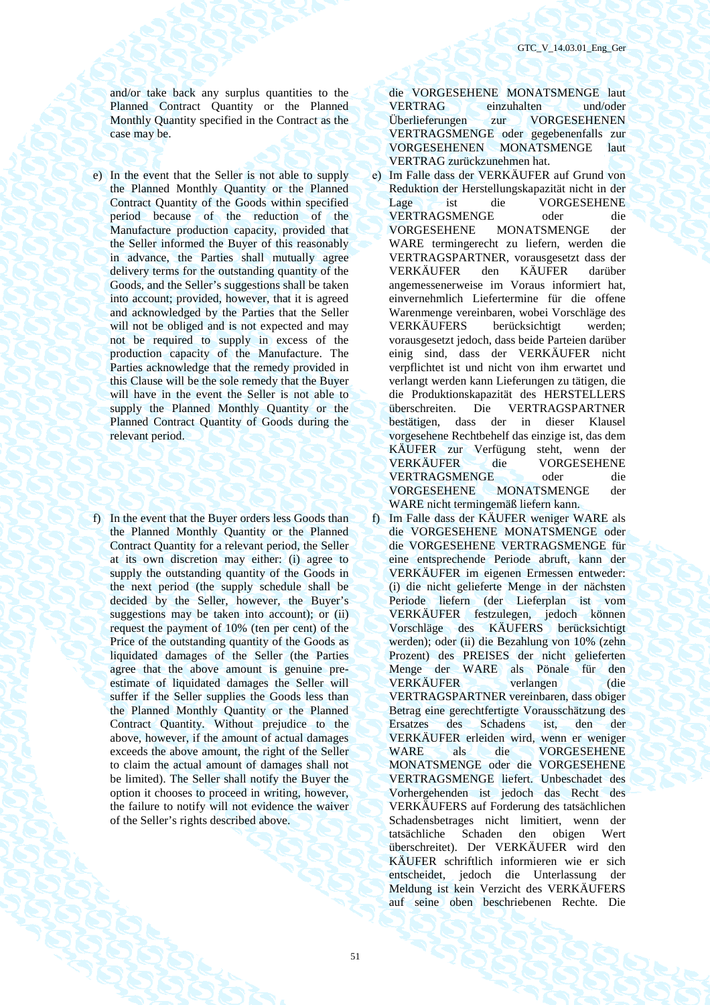and/or take back any surplus quantities to the Planned Contract Quantity or the Planned Monthly Quantity specified in the Contract as the case may be.

- e) In the event that the Seller is not able to supply the Planned Monthly Quantity or the Planned Contract Quantity of the Goods within specified period because of the reduction of the Manufacture production capacity, provided that the Seller informed the Buyer of this reasonably in advance, the Parties shall mutually agree delivery terms for the outstanding quantity of the Goods, and the Seller's suggestions shall be taken into account; provided, however, that it is agreed and acknowledged by the Parties that the Seller will not be obliged and is not expected and may not be required to supply in excess of the production capacity of the Manufacture. The Parties acknowledge that the remedy provided in this Clause will be the sole remedy that the Buyer will have in the event the Seller is not able to supply the Planned Monthly Quantity or the Planned Contract Quantity of Goods during the relevant period.
- f) In the event that the Buyer orders less Goods than the Planned Monthly Quantity or the Planned Contract Quantity for a relevant period, the Seller at its own discretion may either: (i) agree to supply the outstanding quantity of the Goods in the next period (the supply schedule shall be decided by the Seller, however, the Buyer's suggestions may be taken into account); or (ii) request the payment of 10% (ten per cent) of the Price of the outstanding quantity of the Goods as liquidated damages of the Seller (the Parties agree that the above amount is genuine preestimate of liquidated damages the Seller will suffer if the Seller supplies the Goods less than the Planned Monthly Quantity or the Planned Contract Quantity. Without prejudice to the above, however, if the amount of actual damages exceeds the above amount, the right of the Seller to claim the actual amount of damages shall not be limited). The Seller shall notify the Buyer the option it chooses to proceed in writing, however, the failure to notify will not evidence the waiver of the Seller's rights described above.

die VORGESEHENE MONATSMENGE laut VERTRAG einzuhalten und/oder Überlieferungen zur VORGESEHENEN VERTRAGSMENGE oder gegebenenfalls zur VORGESEHENEN MONATSMENGE laut VERTRAG zurückzunehmen hat.

- е) Im Falle dass der VERKÄUFER auf Grund von Reduktion der Herstellungskapazität nicht in der Lage ist die VORGESEHENE VERTRAGSMENGE oder die VORGESEHENE MONATSMENGE der WARE termingerecht zu liefern, werden die VERTRAGSPARTNER, vorausgesetzt dass der VERKÄUFER den KÄUFER darüber angemessenerweise im Voraus informiert hat, einvernehmlich Liefertermine für die offene Warenmenge vereinbaren, wobei Vorschläge des VERKÄUFERS berücksichtigt werden; vorausgesetzt jedoch, dass beide Parteien darüber einig sind, dass der VERKÄUFER nicht verpflichtet ist und nicht von ihm erwartet und verlangt werden kann Lieferungen zu tätigen, die die Produktionskapazität des HERSTELLERS überschreiten. Die VERTRAGSPARTNER bestätigen, dass der in dieser Klausel vorgesehene Rechtbehelf das einzige ist, das dem KÄUFER zur Verfügung steht, wenn der VERKÄUFER die VORGESEHENE VERTRAGSMENGE oder die VORGESEHENE MONATSMENGE der WARE nicht termingemäß liefern kann.
- f) Im Falle dass der KÄUFER weniger WARE als die VORGESEHENE MONATSMENGE oder die VORGESEHENE VERTRAGSMENGE für eine entsprechende Periode abruft, kann der VERKÄUFER im eigenen Ermessen entweder: (i) die nicht gelieferte Menge in der nächsten Periode liefern (der Lieferplan ist vom VERKÄUFER festzulegen, jedoch können Vorschläge des KÄUFERS berücksichtigt werden); oder (ii) die Bezahlung von 10% (zehn Prozent) des PREISES der nicht gelieferten Menge der WARE als Pönale für den VERKÄUFER verlangen (die VERTRAGSPARTNER vereinbaren, dass obiger Betrag eine gerechtfertigte Vorausschätzung des Ersatzes des Schadens ist, den der VERKÄUFER erleiden wird, wenn er weniger WARE als die VORGESEHENE MONATSMENGE oder die VORGESEHENE VERTRAGSMENGE liefert. Unbeschadet des Vorhergehenden ist jedoch das Recht des VERKÄUFERS auf Forderung des tatsächlichen Schadensbetrages nicht limitiert, wenn der tatsächliche Schaden den obigen Wert überschreitet). Der VERKÄUFER wird den KÄUFER schriftlich informieren wie er sich entscheidet, jedoch die Unterlassung der Meldung ist kein Verzicht des VERKÄUFERS auf seine oben beschriebenen Rechte. Die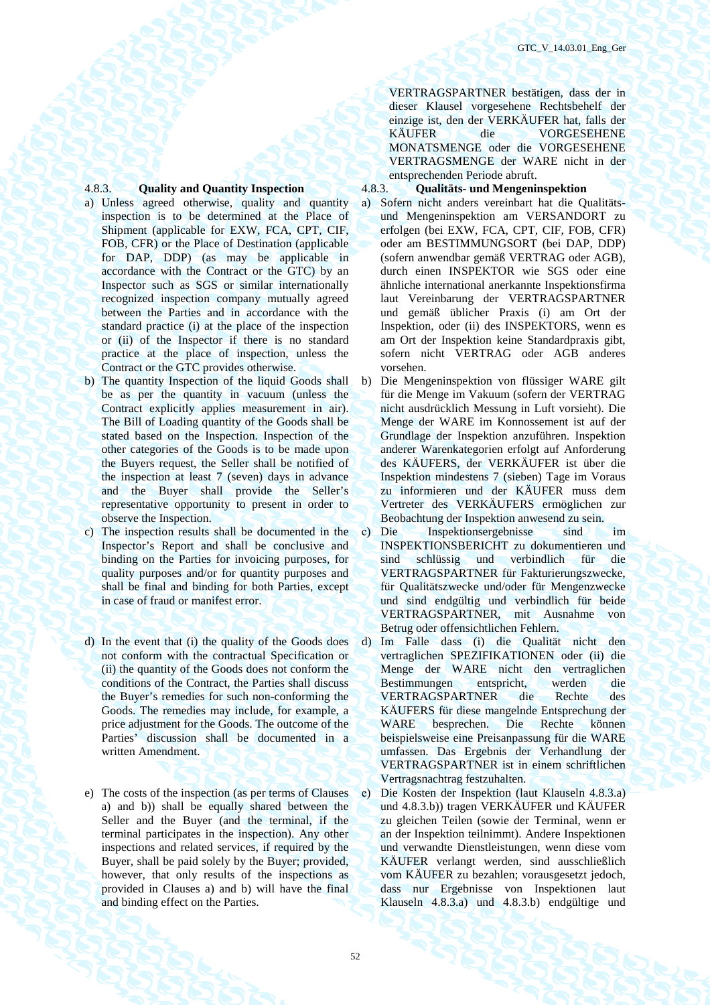- a) Unless agreed otherwise, quality and quantity inspection is to be determined at the Place of Shipment (applicable for EXW, FCA, CPT, CIF, FOB, CFR) or the Place of Destination (applicable for DAP, DDP) (as may be applicable in accordance with the Contract or the GTC) by an Inspector such as SGS or similar internationally recognized inspection company mutually agreed between the Parties and in accordance with the standard practice (i) at the place of the inspection or (ii) of the Inspector if there is no standard practice at the place of inspection, unless the Contract or the GTC provides otherwise.
- b) The quantity Inspection of the liquid Goods shall be as per the quantity in vacuum (unless the Contract explicitly applies measurement in air). The Bill of Loading quantity of the Goods shall be stated based on the Inspection. Inspection of the other categories of the Goods is to be made upon the Buyers request, the Seller shall be notified of the inspection at least 7 (seven) days in advance and the Buyer shall provide the Seller's representative opportunity to present in order to observe the Inspection.
- c) The inspection results shall be documented in the Inspector's Report and shall be conclusive and binding on the Parties for invoicing purposes, for quality purposes and/or for quantity purposes and shall be final and binding for both Parties, except in case of fraud or manifest error.
- d) In the event that (i) the quality of the Goods does not conform with the contractual Specification or (ii) the quantity of the Goods does not conform the conditions of the Contract, the Parties shall discuss the Buyer's remedies for such non-conforming the Goods. The remedies may include, for example, a price adjustment for the Goods. The outcome of the Parties' discussion shall be documented in a written Amendment.
- e) The costs of the inspection (as per terms of Clauses a) and b)) shall be equally shared between the Seller and the Buyer (and the terminal, if the terminal participates in the inspection). Any other inspections and related services, if required by the Buyer, shall be paid solely by the Buyer; provided, however, that only results of the inspections as provided in Clauses a) and b) will have the final and binding effect on the Parties.

VERTRAGSPARTNER bestätigen, dass der in dieser Klausel vorgesehene Rechtsbehelf der einzige ist, den der VERKÄUFER hat, falls der KÄUFER die VORGESEHENE MONATSMENGE oder die VORGESEHENE VERTRAGSMENGE der WARE nicht in der entsprechenden Periode abruft.

# 4.8.3. **Quality and Quantity Inspection** 4.8.3. **Qualitäts- und Mengeninspektion**

- а) Sofern nicht anders vereinbart hat die Qualitätsund Mengeninspektion am VERSANDORT zu erfolgen (bei EXW, FCA, CPT, CIF, FOB, CFR) oder am BESTIMMUNGSORT (bei DAP, DDP) (sofern anwendbar gemäß VERTRAG oder AGB), durch einen INSPEKTOR wie SGS oder eine ähnliche international anerkannte Inspektionsfirma laut Vereinbarung der VERTRAGSPARTNER und gemäß üblicher Praxis (i) am Ort der Inspektion, oder (ii) des INSPEKTORS, wenn es am Ort der Inspektion keine Standardpraxis gibt, sofern nicht VERTRAG oder AGB anderes vorsehen.
- b) Die Mengeninspektion von flüssiger WARE gilt für die Menge im Vakuum (sofern der VERTRAG nicht ausdrücklich Messung in Luft vorsieht). Die Menge der WARE im Konnossement ist auf der Grundlage der Inspektion anzuführen. Inspektion anderer Warenkategorien erfolgt auf Anforderung des KÄUFERS, der VERKÄUFER ist über die Inspektion mindestens 7 (sieben) Tage im Voraus zu informieren und der KÄUFER muss dem Vertreter des VERKÄUFERS ermöglichen zur Beobachtung der Inspektion anwesend zu sein.
- с) Die Inspektionsergebnisse sind im INSPEKTIONSBERICHT zu dokumentieren und sind schlüssig und verbindlich für die VERTRAGSPARTNER für Fakturierungszwecke, für Qualitätszwecke und/oder für Mengenzwecke und sind endgültig und verbindlich für beide VERTRAGSPARTNER, mit Ausnahme von Betrug oder offensichtlichen Fehlern.
- d) Im Falle dass (i) die Qualität nicht den vertraglichen SPEZIFIKATIONEN oder (ii) die Menge der WARE nicht den vertraglichen Bestimmungen entspricht, werden die VERTRAGSPARTNER die Rechte des KÄUFERS für diese mangelnde Entsprechung der WARE besprechen. Die Rechte können beispielsweise eine Preisanpassung für die WARE umfassen. Das Ergebnis der Verhandlung der VERTRAGSPARTNER ist in einem schriftlichen Vertragsnachtrag festzuhalten.
- е) Die Kosten der Inspektion (laut Klauseln 4.8.3.a) und 4.8.3.b)) tragen VERKÄUFER und KÄUFER zu gleichen Teilen (sowie der Terminal, wenn er an der Inspektion teilnimmt). Andere Inspektionen und verwandte Dienstleistungen, wenn diese vom KÄUFER verlangt werden, sind ausschließlich vom KÄUFER zu bezahlen; vorausgesetzt jedoch, dass nur Ergebnisse von Inspektionen laut Klauseln 4.8.3.a) und 4.8.3.b) endgültige und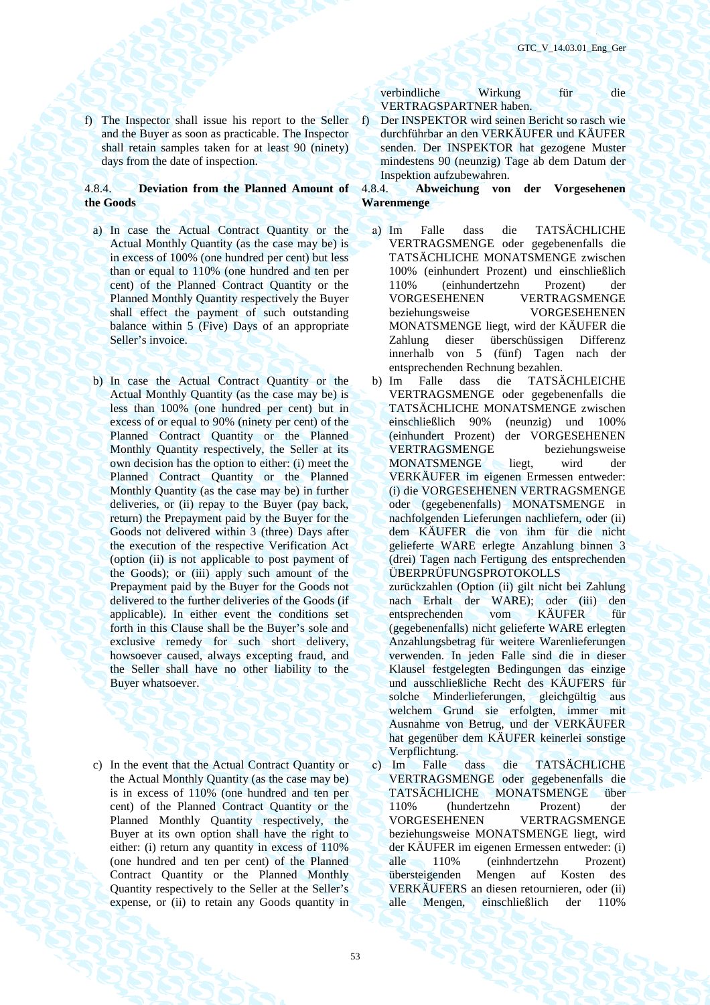f) The Inspector shall issue his report to the Seller and the Buyer as soon as practicable. The Inspector shall retain samples taken for at least 90 (ninety) days from the date of inspection.

# 4.8.4. **Deviation from the Planned Amount of the Goods**

- a) In case the Actual Contract Quantity or the Actual Monthly Quantity (as the case may be) is in excess of 100% (one hundred per cent) but less than or equal to 110% (one hundred and ten per cent) of the Planned Contract Quantity or the Planned Monthly Quantity respectively the Buyer shall effect the payment of such outstanding balance within 5 (Five) Days of an appropriate Seller's invoice.
- b) In case the Actual Contract Quantity or the Actual Monthly Quantity (as the case may be) is less than 100% (one hundred per cent) but in excess of or equal to 90% (ninety per cent) of the Planned Contract Quantity or the Planned Monthly Quantity respectively, the Seller at its own decision has the option to either: (i) meet the Planned Contract Quantity or the Planned Monthly Quantity (as the case may be) in further deliveries, or (ii) repay to the Buyer (pay back, return) the Prepayment paid by the Buyer for the Goods not delivered within 3 (three) Days after the execution of the respective Verification Act (option (ii) is not applicable to post payment of the Goods); or (iii) apply such amount of the Prepayment paid by the Buyer for the Goods not delivered to the further deliveries of the Goods (if applicable). In either event the conditions set forth in this Сlause shall be the Buyer's sole and exclusive remedy for such short delivery, howsoever caused, always excepting fraud, and the Seller shall have no other liability to the Buyer whatsoever.
- c) In the event that the Actual Contract Quantity or the Actual Monthly Quantity (as the case may be) is in excess of 110% (one hundred and ten per cent) of the Planned Contract Quantity or the Planned Monthly Quantity respectively, the Buyer at its own option shall have the right to either: (i) return any quantity in excess of 110% (one hundred and ten per cent) of the Planned Contract Quantity or the Planned Monthly Quantity respectively to the Seller at the Seller's expense, or (ii) to retain any Goods quantity in

verbindliche Wirkung für die VERTRAGSPARTNER haben.

f) Der INSPEKTOR wird seinen Bericht so rasch wie durchführbar an den VERKÄUFER und KÄUFER senden. Der INSPEKTOR hat gezogene Muster mindestens 90 (neunzig) Tage ab dem Datum der Inspektion aufzubewahren.

# 4.8.4. **Abweichung von der Vorgesehenen Warenmenge**

- а) Im Falle dass die TATSÄCHLICHE VERTRAGSMENGE oder gegebenenfalls die TATSÄCHLICHE MONATSMENGE zwischen 100% (einhundert Prozent) und einschließlich 110% (einhundertzehn Prozent) der VORGESEHENEN VERTRAGSMENGE beziehungsweise VORGESEHENEN MONATSMENGE liegt, wird der KÄUFER die Zahlung dieser überschüssigen Differenz innerhalb von 5 (fünf) Tagen nach der entsprechenden Rechnung bezahlen.
- b) Im Falle dass die TATSÄCHLEICHE VERTRAGSMENGE oder gegebenenfalls die TATSÄCHLICHE MONATSMENGE zwischen einschließlich 90% (neunzig) und 100% (einhundert Prozent) der VORGESEHENEN VERTRAGSMENGE beziehungsweise MONATSMENGE liegt, wird der VERKÄUFER im eigenen Ermessen entweder: (i) die VORGESEHENEN VERTRAGSMENGE oder (gegebenenfalls) MONATSMENGE in nachfolgenden Lieferungen nachliefern, oder (ii) dem KÄUFER die von ihm für die nicht gelieferte WARE erlegte Anzahlung binnen 3 (drei) Tagen nach Fertigung des entsprechenden ÜBERPRÜFUNGSPROTOKOLLS

zurückzahlen (Option (ii) gilt nicht bei Zahlung nach Erhalt der WARE); oder (iii) den entsprechenden vom KÄUFER für (gegebenenfalls) nicht gelieferte WARE erlegten Anzahlungsbetrag für weitere Warenlieferungen verwenden. In jeden Falle sind die in dieser Klausel festgelegten Bedingungen das einzige und ausschließliche Recht des KÄUFERS für solche Minderlieferungen, gleichgültig aus welchem Grund sie erfolgten, immer mit Ausnahme von Betrug, und der VERKÄUFER hat gegenüber dem KÄUFER keinerlei sonstige Verpflichtung.

с) Im Falle dass die TATSÄCHLICHE VERTRAGSMENGE oder gegebenenfalls die TATSÄCHLICHE MONATSMENGE über 110% (hundertzehn Prozent) der VORGESEHENEN VERTRAGSMENGE beziehungsweise MONATSMENGE liegt, wird der KÄUFER im eigenen Ermessen entweder: (i) alle 110% (einhndertzehn Prozent) übersteigenden Mengen auf Kosten des VERKÄUFERS an diesen retournieren, oder (ii) alle Mengen, einschließlich der 110%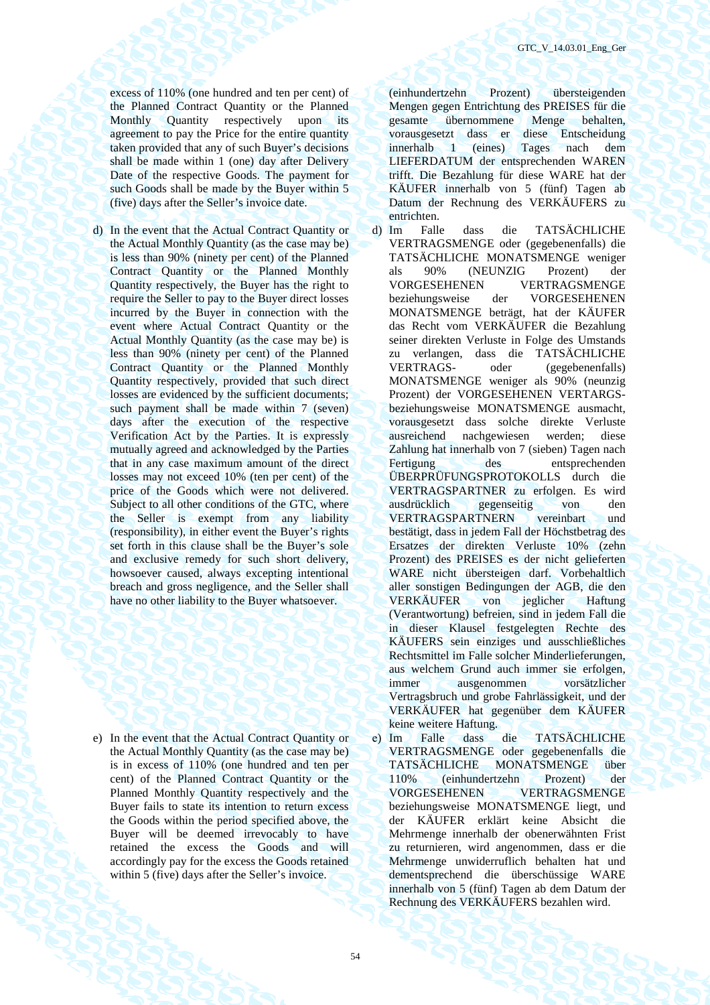excess of 110% (one hundred and ten per cent) of the Planned Contract Quantity or the Planned Monthly Quantity respectively upon its agreement to pay the Price for the entire quantity taken provided that any of such Buyer's decisions shall be made within 1 (one) day after Delivery Date of the respective Goods. The payment for such Goods shall be made by the Buyer within 5 (five) days after the Seller's invoice date.

d) In the event that the Actual Contract Quantity or the Actual Monthly Quantity (as the case may be) is less than 90% (ninety per cent) of the Planned Contract Quantity or the Planned Monthly Quantity respectively, the Buyer has the right to require the Seller to pay to the Buyer direct losses incurred by the Buyer in connection with the event where Actual Contract Quantity or the Actual Monthly Quantity (as the case may be) is less than 90% (ninety per cent) of the Planned Contract Quantity or the Planned Monthly Quantity respectively, provided that such direct losses are evidenced by the sufficient documents; such payment shall be made within 7 (seven) days after the execution of the respective Verification Act by the Parties. It is expressly mutually agreed and acknowledged by the Parties that in any case maximum amount of the direct losses may not exceed 10% (ten per cent) of the price of the Goods which were not delivered. Subject to all other conditions of the GTC, where the Seller is exempt from any liability (responsibility), in either event the Buyer's rights set forth in this clause shall be the Buyer's sole and exclusive remedy for such short delivery, howsoever caused, always excepting intentional breach and gross negligence, and the Seller shall have no other liability to the Buyer whatsoever.

e) In the event that the Actual Contract Quantity or the Actual Monthly Quantity (as the case may be) is in excess of 110% (one hundred and ten per cent) of the Planned Contract Quantity or the Planned Monthly Quantity respectively and the Buyer fails to state its intention to return excess the Goods within the period specified above, the Buyer will be deemed irrevocably to have retained the excess the Goods and will accordingly pay for the excess the Goods retained within 5 (five) days after the Seller's invoice.

(einhundertzehn Prozent) übersteigenden Mengen gegen Entrichtung des PREISES für die gesamte übernommene Menge behalten, vorausgesetzt dass er diese Entscheidung innerhalb 1 (eines) Tages nach dem LIEFERDATUM der entsprechenden WAREN trifft. Die Bezahlung für diese WARE hat der KÄUFER innerhalb von 5 (fünf) Tagen ab Datum der Rechnung des VERKÄUFERS zu entrichten.

d) Im Falle dass die TATSÄCHLICHE VERTRAGSMENGE oder (gegebenenfalls) die TATSÄCHLICHE MONATSMENGE weniger als 90% (NEUNZIG Prozent) der VORGESEHENEN VERTRAGSMENGE beziehungsweise der VORGESEHENEN MONATSMENGE beträgt, hat der KÄUFER das Recht vom VERKÄUFER die Bezahlung seiner direkten Verluste in Folge des Umstands zu verlangen, dass die TATSÄCHLICHE VERTRAGS- oder (gegebenenfalls) MONATSMENGE weniger als 90% (neunzig Prozent) der VORGESEHENEN VERTARGSbeziehungsweise MONATSMENGE ausmacht, vorausgesetzt dass solche direkte Verluste ausreichend nachgewiesen werden; diese Zahlung hat innerhalb von 7 (sieben) Tagen nach des entsprechenden ÜBERPRÜFUNGSPROTOKOLLS durch die VERTRAGSPARTNER zu erfolgen. Es wird ausdrücklich gegenseitig von den VERTRAGSPARTNERN vereinbart und bestätigt, dass in jedem Fall der Höchstbetrag des Ersatzes der direkten Verluste 10% (zehn Prozent) des PREISES es der nicht gelieferten WARE nicht übersteigen darf. Vorbehaltlich aller sonstigen Bedingungen der AGB, die den VERKÄUFER von jeglicher Haftung (Verantwortung) befreien, sind in jedem Fall die in dieser Klausel festgelegten Rechte des KÄUFERS sein einziges und ausschließliches Rechtsmittel im Falle solcher Minderlieferungen, aus welchem Grund auch immer sie erfolgen, immer ausgenommen vorsätzlicher Vertragsbruch und grobe Fahrlässigkeit, und der VERKÄUFER hat gegenüber dem KÄUFER keine weitere Haftung.

е) Im Falle dass die TATSÄCHLICHE VERTRAGSMENGE oder gegebenenfalls die TATSÄCHLICHE MONATSMENGE über 110% (einhundertzehn Prozent) der VORGESEHENEN VERTRAGSMENGE beziehungsweise MONATSMENGE liegt, und der KÄUFER erklärt keine Absicht die Mehrmenge innerhalb der obenerwähnten Frist zu returnieren, wird angenommen, dass er die Mehrmenge unwiderruflich behalten hat und dementsprechend die überschüssige WARE innerhalb von 5 (fünf) Tagen ab dem Datum der Rechnung des VERKÄUFERS bezahlen wird.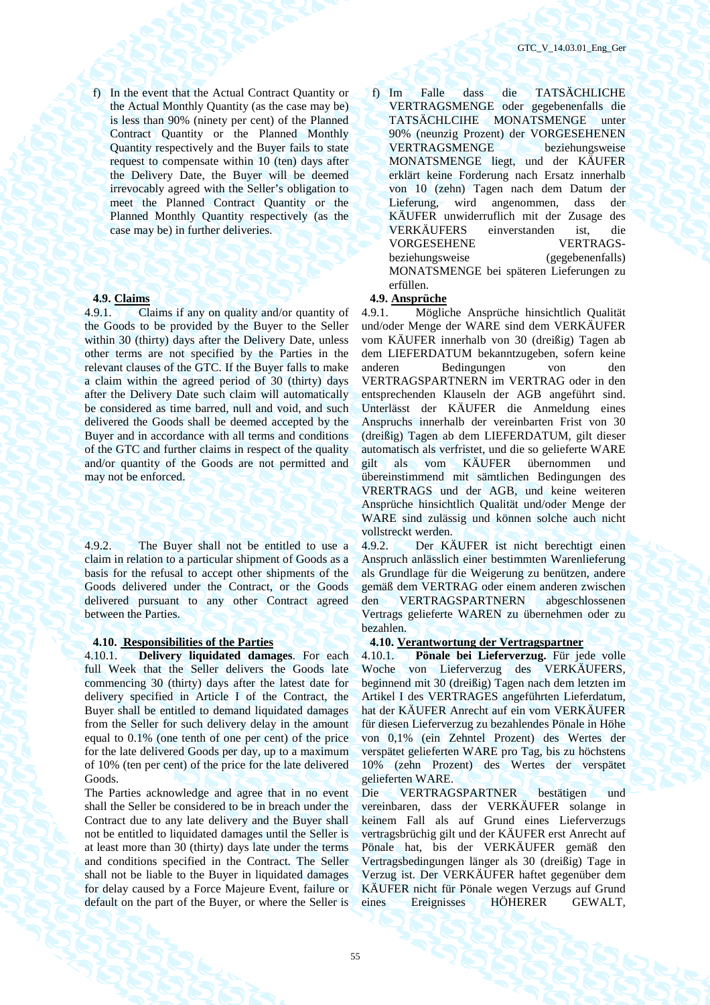f) In the event that the Actual Contract Quantity or the Actual Monthly Quantity (as the case may be) is less than 90% (ninety per cent) of the Planned Contract Quantity or the Planned Monthly Quantity respectively and the Buyer fails to state request to compensate within 10 (ten) days after the Delivery Date, the Buyer will be deemed irrevocably agreed with the Seller's obligation to meet the Planned Contract Quantity or the Planned Monthly Quantity respectively (as the case may be) in further deliveries.

4.9.1. Claims if any on quality and/or quantity of the Goods to be provided by the Buyer to the Seller within 30 (thirty) days after the Delivery Date, unless other terms are not specified by the Parties in the relevant clauses of the GTC. If the Buyer falls to make a claim within the agreed period of 30 (thirty) days after the Delivery Date such claim will automatically be considered as time barred, null and void, and such delivered the Goods shall be deemed accepted by the Buyer and in accordance with all terms and conditions of the GTC and further claims in respect of the quality and/or quantity of the Goods are not permitted and may not be enforced.

4.9.2. The Buyer shall not be entitled to use a claim in relation to a particular shipment of Goods as a basis for the refusal to accept other shipments of the Goods delivered under the Contract, or the Goods delivered pursuant to any other Contract agreed between the Parties.

4.10.1. **Delivery liquidated damages**. For each full Week that the Seller delivers the Goods late commencing 30 (thirty) days after the latest date for delivery specified in Article I of the Contract, the Buyer shall be entitled to demand liquidated damages from the Seller for such delivery delay in the amount equal to 0.1% (one tenth of one per cent) of the price for the late delivered Goods per day, up to a maximum of 10% (ten per cent) of the price for the late delivered Goods.

The Parties acknowledge and agree that in no event shall the Seller be considered to be in breach under the Contract due to any late delivery and the Buyer shall not be entitled to liquidated damages until the Seller is at least more than 30 (thirty) days late under the terms and conditions specified in the Contract. The Seller shall not be liable to the Buyer in liquidated damages for delay caused by a Force Majeure Event, failure or default on the part of the Buyer, or where the Seller is

f) Im Falle dass die TATSÄCHLICHE VERTRAGSMENGE oder gegebenenfalls die TATSÄCHLCIHE MONATSMENGE unter 90% (neunzig Prozent) der VORGESEHENEN VERTRAGSMENGE beziehungsweise MONATSMENGE liegt, und der KÄUFER erklärt keine Forderung nach Ersatz innerhalb von 10 (zehn) Tagen nach dem Datum der Lieferung, wird angenommen, dass der KÄUFER unwiderruflich mit der Zusage des VERKÄUFERS einverstanden ist, die VORGESEHENE VERTRAGSbeziehungsweise (gegebenenfalls) MONATSMENGE bei späteren Lieferungen zu erfüllen.

# **4.9. Claims 4.9. Ansprüche**

4.9.1. Mögliche Ansprüche hinsichtlich Qualität und/oder Menge der WARE sind dem VERKÄUFER vom KÄUFER innerhalb von 30 (dreißig) Tagen ab dem LIEFERDATUM bekanntzugeben, sofern keine anderen Bedingungen von den VERTRAGSPARTNERN im VERTRAG oder in den entsprechenden Klauseln der AGB angeführt sind. Unterlässt der KÄUFER die Anmeldung eines Anspruchs innerhalb der vereinbarten Frist von 30 (dreißig) Tagen ab dem LIEFERDATUM, gilt dieser automatisch als verfristet, und die so gelieferte WARE gilt als vom KÄUFER übernommen und übereinstimmend mit sämtlichen Bedingungen des VRERTRAGS und der AGB, und keine weiteren Ansprüche hinsichtlich Qualität und/oder Menge der WARE sind zulässig und können solche auch nicht vollstreckt werden.

4.9.2. Der KÄUFER ist nicht berechtigt einen Anspruch anlässlich einer bestimmten Warenlieferung als Grundlage für die Weigerung zu benützen, andere gemäß dem VERTRAG oder einem anderen zwischen den VERTRAGSPARTNERN abgeschlossenen Vertrags gelieferte WAREN zu übernehmen oder zu bezahlen.

### **4.10. Responsibilities of the Parties 4.10. Verantwortung der Vertragspartner**

4.10.1. **Pönale bei Lieferverzug.** Für jede volle Woche von Lieferverzug des VERKÄUFERS, beginnend mit 30 (dreißig) Tagen nach dem letzten im Artikel I des VERTRAGES angeführten Lieferdatum, hat der KÄUFER Anrecht auf ein vom VERKÄUFER für diesen Lieferverzug zu bezahlendes Pönale in Höhe von 0,1% (ein Zehntel Prozent) des Wertes der verspätet gelieferten WARE pro Tag, bis zu höchstens 10% (zehn Prozent) des Wertes der verspätet gelieferten WARE.

Die VERTRAGSPARTNER bestätigen und vereinbaren, dass der VERKÄUFER solange in keinem Fall als auf Grund eines Lieferverzugs vertragsbrüchig gilt und der KÄUFER erst Anrecht auf Pönale hat, bis der VERKÄUFER gemäß den Vertragsbedingungen länger als 30 (dreißig) Tage in Verzug ist. Der VERKÄUFER haftet gegenüber dem KÄUFER nicht für Pönale wegen Verzugs auf Grund eines Ereignisses HÖHERER GEWALT,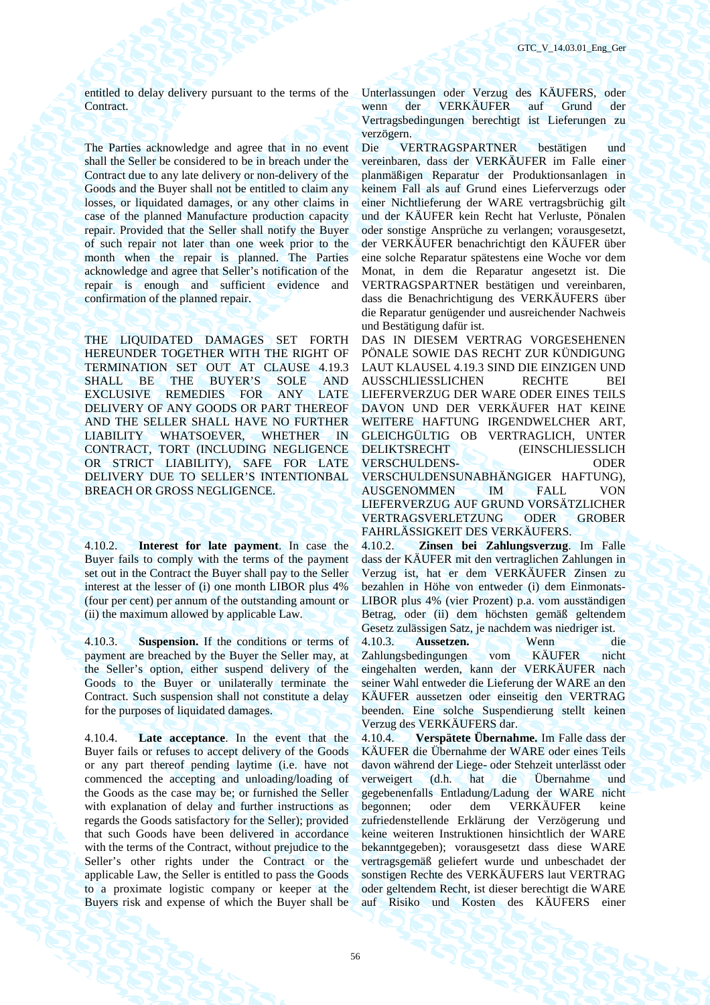entitled to delay delivery pursuant to the terms of the Contract.

The Parties acknowledge and agree that in no event shall the Seller be considered to be in breach under the Contract due to any late delivery or non-delivery of the Goods and the Buyer shall not be entitled to claim any losses, or liquidated damages, or any other claims in case of the planned Manufacture production capacity repair. Provided that the Seller shall notify the Buyer of such repair not later than one week prior to the month when the repair is planned. The Parties acknowledge and agree that Seller's notification of the repair is enough and sufficient evidence and confirmation of the planned repair.

THE LIQUIDATED DAMAGES SET FORTH HEREUNDER TOGETHER WITH THE RIGHT OF TERMINATION SET OUT AT CLAUSE 4.19.3 SHALL BE THE BUYER'S SOLE AND EXCLUSIVE REMEDIES FOR ANY LATE DELIVERY OF ANY GOODS OR PART THEREOF AND THE SELLER SHALL HAVE NO FURTHER LIABILITY WHATSOEVER, WHETHER IN CONTRACT, TORT (INCLUDING NEGLIGENCE OR STRICT LIABILITY), SAFE FOR LATE DELIVERY DUE TO SELLER'S INTENTIONBAL BREACH OR GROSS NEGLIGENCE.

4.10.2. **Interest for late payment**. In case the Buyer fails to comply with the terms of the payment set out in the Contract the Buyer shall pay to the Seller interest at the lesser of (i) one month LIBOR plus 4% (four per cent) per annum of the outstanding amount or (ii) the maximum allowed by applicable Law.

4.10.3. **Suspension.** If the conditions or terms of payment are breached by the Buyer the Seller may, at the Seller's option, either suspend delivery of the Goods to the Buyer or unilaterally terminate the Contract. Such suspension shall not constitute a delay for the purposes of liquidated damages.

4.10.4. **Late acceptance**. In the event that the Buyer fails or refuses to accept delivery of the Goods or any part thereof pending laytime (i.e. have not commenced the accepting and unloading/loading of the Goods as the case may be; or furnished the Seller with explanation of delay and further instructions as regards the Goods satisfactory for the Seller); provided that such Goods have been delivered in accordance with the terms of the Contract, without prejudice to the Seller's other rights under the Contract or the applicable Law, the Seller is entitled to pass the Goods to a proximate logistic company or keeper at the Buyers risk and expense of which the Buyer shall be

Unterlassungen oder Verzug des KÄUFERS, oder wenn der VERKÄUFER auf Grund der Vertragsbedingungen berechtigt ist Lieferungen zu verzögern.

Die VERTRAGSPARTNER bestätigen und vereinbaren, dass der VERKÄUFER im Falle einer planmäßigen Reparatur der Produktionsanlagen in keinem Fall als auf Grund eines Lieferverzugs oder einer Nichtlieferung der WARE vertragsbrüchig gilt und der KÄUFER kein Recht hat Verluste, Pönalen oder sonstige Ansprüche zu verlangen; vorausgesetzt, der VERKÄUFER benachrichtigt den KÄUFER über eine solche Reparatur spätestens eine Woche vor dem Monat, in dem die Reparatur angesetzt ist. Die VERTRAGSPARTNER bestätigen und vereinbaren, dass die Benachrichtigung des VERKÄUFERS über die Reparatur genügender und ausreichender Nachweis und Bestätigung dafür ist.

DAS IN DIESEM VERTRAG VORGESEHENEN PÖNALE SOWIE DAS RECHT ZUR KÜNDIGUNG LAUT KLAUSEL 4.19.3 SIND DIE EINZIGEN UND AUSSCHLIESSLICHEN RECHTE BEI LIEFERVERZUG DER WARE ODER EINES TEILS DAVON UND DER VERKÄUFER HAT KEINE WEITERE HAFTUNG IRGENDWELCHER ART, GLEICHGÜLTIG OB VERTRAGLICH, UNTER DELIKTSRECHT (EINSCHLIESSLICH VERSCHULDENS- ODER VERSCHULDENSUNABHÄNGIGER HAFTUNG), AUSGENOMMEN IM FALL VON LIEFERVERZUG AUF GRUND VORSÄTZLICHER VERTRAGSVERLETZUNG ODER GROBER FAHRLÄSSIGKEIT DES VERKÄUFERS.

4.10.2. **Zinsen bei Zahlungsverzug**. Im Falle dass der KÄUFER mit den vertraglichen Zahlungen in Verzug ist, hat er dem VERKÄUFER Zinsen zu bezahlen in Höhe von entweder (i) dem Einmonats-LIBOR plus 4% (vier Prozent) p.a. vom ausständigen Betrag, oder (ii) dem höchsten gemäß geltendem Gesetz zulässigen Satz, je nachdem was niedriger ist. 4.10.3. **Aussetzen.** Wenn die

Zahlungsbedingungen vom KÄUFER nicht eingehalten werden, kann der VERKÄUFER nach seiner Wahl entweder die Lieferung der WARE an den KÄUFER aussetzen oder einseitig den VERTRAG beenden. Eine solche Suspendierung stellt keinen Verzug des VERKÄUFERS dar.

4.10.4. **Verspätete Übernahme.** Im Falle dass der KÄUFER die Übernahme der WARE oder eines Teils davon während der Liege- oder Stehzeit unterlässt oder verweigert (d.h. hat die Übernahme und gegebenenfalls Entladung/Ladung der WARE nicht begonnen; oder dem VERKÄUFER keine zufriedenstellende Erklärung der Verzögerung und keine weiteren Instruktionen hinsichtlich der WARE bekanntgegeben); vorausgesetzt dass diese WARE vertragsgemäß geliefert wurde und unbeschadet der sonstigen Rechte des VERKÄUFERS laut VERTRAG oder geltendem Recht, ist dieser berechtigt die WARE auf Risiko und Kosten des KÄUFERS einer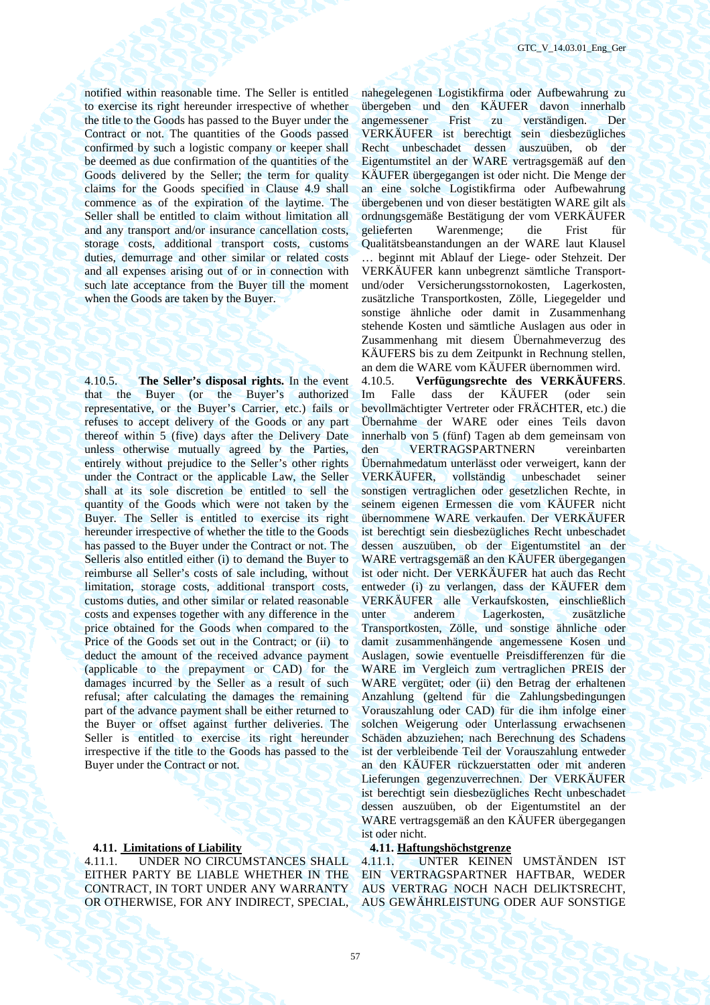notified within reasonable time. The Seller is entitled to exercise its right hereunder irrespective of whether the title to the Goods has passed to the Buyer under the Contract or not. The quantities of the Goods passed confirmed by such a logistic company or keeper shall be deemed as due confirmation of the quantities of the Goods delivered by the Seller; the term for quality claims for the Goods specified in Clause 4.9 shall commence as of the expiration of the laytime. The Seller shall be entitled to claim without limitation all and any transport and/or insurance cancellation costs, storage costs, additional transport costs, customs duties, demurrage and other similar or related costs and all expenses arising out of or in connection with such late acceptance from the Buyer till the moment when the Goods are taken by the Buyer.

4.10.5. **The Seller's disposal rights.** In the event that the Buyer (or the Buyer's authorized representative, or the Buyer's Carrier, etc.) fails or refuses to accept delivery of the Goods or any part thereof within 5 (five) days after the Delivery Date unless otherwise mutually agreed by the Parties, entirely without prejudice to the Seller's other rights under the Contract or the applicable Law, the Seller shall at its sole discretion be entitled to sell the quantity of the Goods which were not taken by the Buyer. The Seller is entitled to exercise its right hereunder irrespective of whether the title to the Goods has passed to the Buyer under the Contract or not. The Selleris also entitled either (i) to demand the Buyer to reimburse all Seller's costs of sale including, without limitation, storage costs, additional transport costs, customs duties, and other similar or related reasonable costs and expenses together with any difference in the price obtained for the Goods when compared to the Price of the Goods set out in the Contract; or (ii) to deduct the amount of the received advance payment (applicable to the prepayment or CAD) for the damages incurred by the Seller as a result of such refusal; after calculating the damages the remaining part of the advance payment shall be either returned to the Buyer or offset against further deliveries. The Seller is entitled to exercise its right hereunder irrespective if the title to the Goods has passed to the Buyer under the Contract or not.

# **4.11. Limitations of Liability 4.11. Haftungshöchstgrenze**

4.11.1. UNDER NO CIRCUMSTANCES SHALL EITHER PARTY BE LIABLE WHETHER IN THE CONTRACT, IN TORT UNDER ANY WARRANTY OR OTHERWISE, FOR ANY INDIRECT, SPECIAL, nahegelegenen Logistikfirma oder Aufbewahrung zu übergeben und den KÄUFER davon innerhalb angemessener Frist zu verständigen. Der VERKÄUFER ist berechtigt sein diesbezügliches Recht unbeschadet dessen auszuüben, ob der Eigentumstitel an der WARE vertragsgemäß auf den KÄUFER übergegangen ist oder nicht. Die Menge der an eine solche Logistikfirma oder Aufbewahrung übergebenen und von dieser bestätigten WARE gilt als ordnungsgemäße Bestätigung der vom VERKÄUFER gelieferten Warenmenge; die Frist für Qualitätsbeanstandungen an der WARE laut Klausel … beginnt mit Ablauf der Liege- oder Stehzeit. Der VERKÄUFER kann unbegrenzt sämtliche Transportund/oder Versicherungsstornokosten, Lagerkosten, zusätzliche Transportkosten, Zölle, Liegegelder und sonstige ähnliche oder damit in Zusammenhang stehende Kosten und sämtliche Auslagen aus oder in Zusammenhang mit diesem Übernahmeverzug des KÄUFERS bis zu dem Zeitpunkt in Rechnung stellen, an dem die WARE vom KÄUFER übernommen wird. 4.10.5. **Verfügungsrechte des VERKÄUFERS**.

Im Falle dass der KÄUFER (oder sein bevollmächtigter Vertreter oder FRÄCHTER, etc.) die Übernahme der WARE oder eines Teils davon innerhalb von 5 (fünf) Tagen ab dem gemeinsam von den VERTRAGSPARTNERN vereinbarten Übernahmedatum unterlässt oder verweigert, kann der VERKÄUFER, vollständig unbeschadet seiner sonstigen vertraglichen oder gesetzlichen Rechte, in seinem eigenen Ermessen die vom KÄUFER nicht übernommene WARE verkaufen. Der VERKÄUFER ist berechtigt sein diesbezügliches Recht unbeschadet dessen auszuüben, ob der Eigentumstitel an der WARE vertragsgemäß an den KÄUFER übergegangen ist oder nicht. Der VERKÄUFER hat auch das Recht entweder (i) zu verlangen, dass der KÄUFER dem VERKÄUFER alle Verkaufskosten, einschließlich unter anderem Lagerkosten, zusätzliche Transportkosten, Zölle, und sonstige ähnliche oder damit zusammenhängende angemessene Kosen und Auslagen, sowie eventuelle Preisdifferenzen für die WARE im Vergleich zum vertraglichen PREIS der WARE vergütet; oder (ii) den Betrag der erhaltenen Anzahlung (geltend für die Zahlungsbedingungen Vorauszahlung oder CAD) für die ihm infolge einer solchen Weigerung oder Unterlassung erwachsenen Schäden abzuziehen; nach Berechnung des Schadens ist der verbleibende Teil der Vorauszahlung entweder an den KÄUFER rückzuerstatten oder mit anderen Lieferungen gegenzuverrechnen. Der VERKÄUFER ist berechtigt sein diesbezügliches Recht unbeschadet dessen auszuüben, ob der Eigentumstitel an der WARE vertragsgemäß an den KÄUFER übergegangen ist oder nicht.

4.11.1. UNTER KEINEN UMSTÄNDEN IST EIN VERTRAGSPARTNER HAFTBAR, WEDER AUS VERTRAG NOCH NACH DELIKTSRECHT, AUS GEWÄHRLEISTUNG ODER AUF SONSTIGE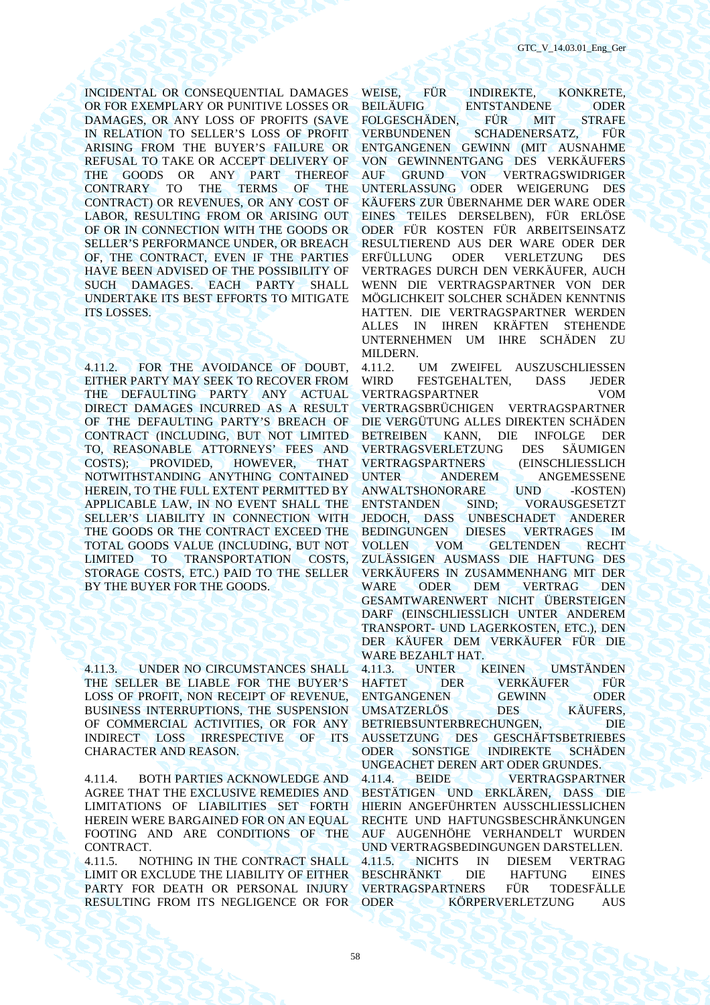INCIDENTAL OR CONSEQUENTIAL DAMAGES OR FOR EXEMPLARY OR PUNITIVE LOSSES OR DAMAGES, OR ANY LOSS OF PROFITS (SAVE IN RELATION TO SELLER'S LOSS OF PROFIT ARISING FROM THE BUYER'S FAILURE OR REFUSAL TO TAKE OR ACCEPT DELIVERY OF THE GOODS OR ANY PART THEREOF CONTRARY TO THE TERMS OF THE CONTRACT) OR REVENUES, OR ANY COST OF LABOR, RESULTING FROM OR ARISING OUT OF OR IN CONNECTION WITH THE GOODS OR SELLER'S PERFORMANCE UNDER, OR BREACH OF, THE CONTRACT, EVEN IF THE PARTIES HAVE BEEN ADVISED OF THE POSSIBILITY OF SUCH DAMAGES. EACH PARTY SHALL UNDERTAKE ITS BEST EFFORTS TO MITIGATE ITS LOSSES.

4.11.2. FOR THE AVOIDANCE OF DOUBT, EITHER PARTY MAY SEEK TO RECOVER FROM THE DEFAULTING PARTY ANY ACTUAL DIRECT DAMAGES INCURRED AS A RESULT OF THE DEFAULTING PARTY'S BREACH OF CONTRACT (INCLUDING, BUT NOT LIMITED TO, REASONABLE ATTORNEYS' FEES AND COSTS); PROVIDED, HOWEVER, THAT NOTWITHSTANDING ANYTHING CONTAINED HEREIN, TO THE FULL EXTENT PERMITTED BY APPLICABLE LAW, IN NO EVENT SHALL THE SELLER'S LIABILITY IN CONNECTION WITH THE GOODS OR THE CONTRACT EXCEED THE TOTAL GOODS VALUE (INCLUDING, BUT NOT LIMITED TO TRANSPORTATION COSTS, STORAGE COSTS, ETC.) PAID TO THE SELLER BY THE BUYER FOR THE GOODS.

4.11.3. UNDER NO CIRCUMSTANCES SHALL THE SELLER BE LIABLE FOR THE BUYER'S LOSS OF PROFIT, NON RECEIPT OF REVENUE, BUSINESS INTERRUPTIONS, THE SUSPENSION OF COMMERCIAL ACTIVITIES, OR FOR ANY INDIRECT LOSS IRRESPECTIVE OF ITS CHARACTER AND REASON.

4.11.4. BOTH PARTIES ACKNOWLEDGE AND AGREE THAT THE EXCLUSIVE REMEDIES AND LIMITATIONS OF LIABILITIES SET FORTH HEREIN WERE BARGAINED FOR ON AN EQUAL FOOTING AND ARE CONDITIONS OF THE CONTRACT.

4.11.5. NOTHING IN THE CONTRACT SHALL LIMIT OR EXCLUDE THE LIABILITY OF EITHER PARTY FOR DEATH OR PERSONAL INJURY RESULTING FROM ITS NEGLIGENCE OR FOR

WEISE, FÜR INDIREKTE, KONKRETE, BEILÄUFIG ENTSTANDENE ODER FOLGESCHÄDEN, FÜR MIT STRAFE VERBUNDENEN SCHADENERSATZ, FÜR ENTGANGENEN GEWINN (MIT AUSNAHME VON GEWINNENTGANG DES VERKÄUFERS AUF GRUND VON VERTRAGSWIDRIGER UNTERLASSUNG ODER WEIGERUNG DES KÄUFERS ZUR ÜBERNAHME DER WARE ODER EINES TEILES DERSELBEN), FÜR ERLÖSE ODER FÜR KOSTEN FÜR ARBEITSEINSATZ RESULTIEREND AUS DER WARE ODER DER ERFÜLLUNG ODER VERLETZUNG DES VERTRAGES DURCH DEN VERKÄUFER, AUCH WENN DIE VERTRAGSPARTNER VON DER MÖGLICHKEIT SOLCHER SCHÄDEN KENNTNIS HATTEN. DIE VERTRAGSPARTNER WERDEN ALLES IN IHREN KRÄFTEN STEHENDE UNTERNEHMEN UM IHRE SCHÄDEN ZU MILDERN.

4.11.2. UM ZWEIFEL AUSZUSCHLIESSEN WIRD FESTGEHALTEN, DASS JEDER VERTRAGSPARTNER VOM VERTRAGSBRÜCHIGEN VERTRAGSPARTNER DIE VERGÜTUNG ALLES DIREKTEN SCHÄDEN BETREIBEN KANN, DIE INFOLGE DER VERTRAGSVERLETZUNG DES SÄUMIGEN VERTRAGSPARTNERS<br>UNTER ANDEREM **ANGEMESSENE** ANWALTSHONORARE UND -KOSTEN) ENTSTANDEN SIND; VORAUSGESETZT JEDOCH, DASS UNBESCHADET ANDERER BEDINGUNGEN DIESES VERTRAGES IM VOLLEN VOM GELTENDEN RECHT ZULÄSSIGEN AUSMASS DIE HAFTUNG DES VERKÄUFERS IN ZUSAMMENHANG MIT DER WARE ODER DEM VERTRAG DEN GESAMTWARENWERT NICHT ÜBERSTEIGEN DARF (EINSCHLIESSLICH UNTER ANDEREM TRANSPORT- UND LAGERKOSTEN, ETC.), DEN DER KÄUFER DEM VERKÄUFER FÜR DIE WARE BEZAHLT HAT. 4.11.3. UNTER KEINEN UMSTÄNDEN HAFTET DER VERKÄUFER FÜR ENTGANGENEN GEWINN ODER UMSATZERLÖS DES KÄUFERS, BETRIEBSUNTERBRECHUNGEN, DIE

AUSSETZUNG DES GESCHÄFTSBETRIEBES ODER SONSTIGE INDIREKTE SCHÄDEN UNGEACHET DEREN ART ODER GRUNDES. 4.11.4. BEIDE VERTRAGSPARTNER BESTÄTIGEN UND ERKLÄREN, DASS DIE

HIERIN ANGEFÜHRTEN AUSSCHLIESSLICHEN RECHTE UND HAFTUNGSBESCHRÄNKUNGEN AUF AUGENHÖHE VERHANDELT WURDEN UND VERTRAGSBEDINGUNGEN DARSTELLEN. 4.11.5. NICHTS IN DIESEM VERTRAG BESCHRÄNKT DIE HAFTUNG EINES VERTRAGSPARTNERS FÜR TODESFÄLLE ODER KÖRPERVERLETZUNG AUS

58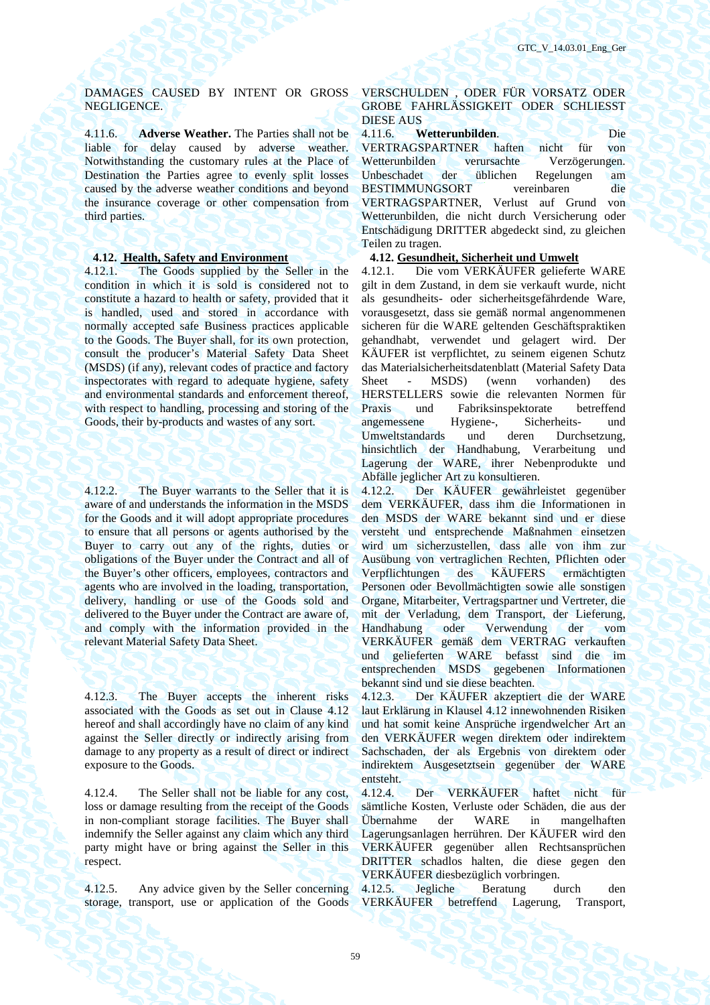# DAMAGES CAUSED BY INTENT OR GROSS NEGLIGENCE.

4.11.6. **Adverse Weather.** The Parties shall not be liable for delay caused by adverse weather. Notwithstanding the customary rules at the Place of Destination the Parties agree to evenly split losses caused by the adverse weather conditions and beyond the insurance coverage or other compensation from third parties.

4.12.1. The Goods supplied by the Seller in the condition in which it is sold is considered not to constitute a hazard to health or safety, provided that it is handled, used and stored in accordance with normally accepted safe Business practices applicable to the Goods. The Buyer shall, for its own protection, consult the producer's Material Safety Data Sheet (MSDS) (if any), relevant codes of practice and factory inspectorates with regard to adequate hygiene, safety and environmental standards and enforcement thereof, with respect to handling, processing and storing of the Goods, their by-products and wastes of any sort.

4.12.2. The Buyer warrants to the Seller that it is aware of and understands the information in the MSDS for the Goods and it will adopt appropriate procedures to ensure that all persons or agents authorised by the Buyer to carry out any of the rights, duties or obligations of the Buyer under the Contract and all of the Buyer's other officers, employees, contractors and agents who are involved in the loading, transportation, delivery, handling or use of the Goods sold and delivered to the Buyer under the Contract are aware of, and comply with the information provided in the relevant Material Safety Data Sheet.

4.12.3. The Buyer accepts the inherent risks associated with the Goods as set out in Clause 4.12 hereof and shall accordingly have no claim of any kind against the Seller directly or indirectly arising from damage to any property as a result of direct or indirect exposure to the Goods.

4.12.4. The Seller shall not be liable for any cost, loss or damage resulting from the receipt of the Goods in non-compliant storage facilities. The Buyer shall indemnify the Seller against any claim which any third party might have or bring against the Seller in this respect.

4.12.5. Any advice given by the Seller concerning storage, transport, use or application of the Goods

# VERSCHULDEN , ODER FÜR VORSATZ ODER GROBE FAHRLÄSSIGKEIT ODER SCHLIESST DIESE AUS

# 4.11.6. **Wetterunbilden**. Die

VERTRAGSPARTNER haften nicht für von Wetterunbilden verursachte Verzögerungen. Unbeschadet der üblichen Regelungen am BESTIMMUNGSORT vereinbaren die VERTRAGSPARTNER, Verlust auf Grund von Wetterunbilden, die nicht durch Versicherung oder Entschädigung DRITTER abgedeckt sind, zu gleichen Teilen zu tragen.

# **4.12. Health, Safety and Environment 4.12. Gesundheit, Sicherheit und Umwelt**

4.12.1. Die vom VERKÄUFER gelieferte WARE gilt in dem Zustand, in dem sie verkauft wurde, nicht als gesundheits- oder sicherheitsgefährdende Ware, vorausgesetzt, dass sie gemäß normal angenommenen sicheren für die WARE geltenden Geschäftspraktiken gehandhabt, verwendet und gelagert wird. Der KÄUFER ist verpflichtet, zu seinem eigenen Schutz das Materialsicherheitsdatenblatt (Material Safety Data Sheet - MSDS) (wenn vorhanden) des HERSTELLERS sowie die relevanten Normen für Praxis und Fabriksinspektorate betreffend angemessene Hygiene-, Sicherheits- und Umweltstandards und deren Durchsetzung, hinsichtlich der Handhabung, Verarbeitung und Lagerung der WARE, ihrer Nebenprodukte und Abfälle jeglicher Art zu konsultieren.

4.12.2. Der KÄUFER gewährleistet gegenüber dem VERKÄUFER, dass ihm die Informationen in den MSDS der WARE bekannt sind und er diese versteht und entsprechende Maßnahmen einsetzen wird um sicherzustellen, dass alle von ihm zur Ausübung von vertraglichen Rechten, Pflichten oder Verpflichtungen des KÄUFERS ermächtigten Personen oder Bevollmächtigten sowie alle sonstigen Organe, Mitarbeiter, Vertragspartner und Vertreter, die mit der Verladung, dem Transport, der Lieferung, Handhabung oder Verwendung der vom VERKÄUFER gemäß dem VERTRAG verkauften und gelieferten WARE befasst sind die im entsprechenden MSDS gegebenen Informationen bekannt sind und sie diese beachten.

4.12.3. Der KÄUFER akzeptiert die der WARE laut Erklärung in Klausel 4.12 innewohnenden Risiken und hat somit keine Ansprüche irgendwelcher Art an den VERKÄUFER wegen direktem oder indirektem Sachschaden, der als Ergebnis von direktem oder indirektem Ausgesetztsein gegenüber der WARE entsteht.

4.12.4. Der VERKÄUFER haftet nicht für sämtliche Kosten, Verluste oder Schäden, die aus der Übernahme der WARE in mangelhaften Lagerungsanlagen herrühren. Der KÄUFER wird den VERKÄUFER gegenüber allen Rechtsansprüchen DRITTER schadlos halten, die diese gegen den VERKÄUFER diesbezüglich vorbringen.

4.12.5. Jegliche Beratung durch den VERKÄUFER betreffend Lagerung, Transport,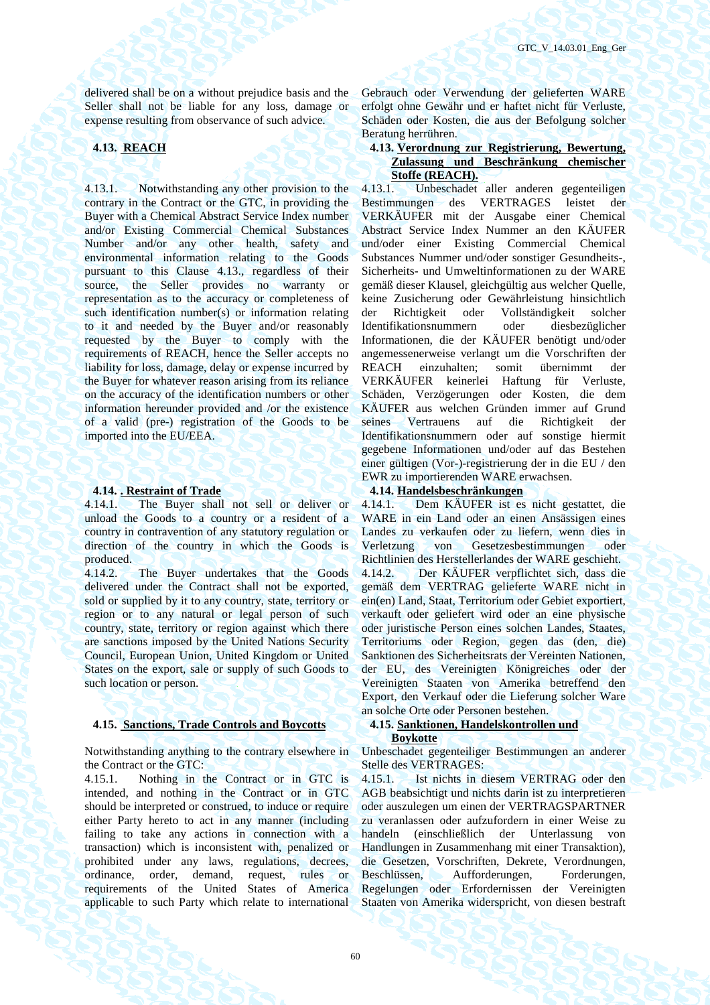delivered shall be on a without prejudice basis and the Seller shall not be liable for any loss, damage or expense resulting from observance of such advice.

4.13.1. Notwithstanding any other provision to the contrary in the Contract or the GTC, in providing the Buyer with a Chemical Abstract Service Index number and/or Existing Commercial Chemical Substances Number and/or any other health, safety and environmental information relating to the Goods pursuant to this Clause 4.13., regardless of their source, the Seller provides no warranty or representation as to the accuracy or completeness of such identification number(s) or information relating to it and needed by the Buyer and/or reasonably requested by the Buyer to comply with the requirements of REACH, hence the Seller accepts no liability for loss, damage, delay or expense incurred by the Buyer for whatever reason arising from its reliance on the accuracy of the identification numbers or other information hereunder provided and /or the existence of a valid (pre-) registration of the Goods to be imported into the EU/EEA.

**4.14. . Restraint of Trade 4.14.1.** The Buyer shall not sell or deliver or 4.14.1. Dem KÄUFER ist es The Buyer shall not sell or deliver or unload the Goods to a country or a resident of a country in contravention of any statutory regulation or direction of the country in which the Goods is produced.

4.14.2. The Buyer undertakes that the Goods delivered under the Contract shall not be exported, sold or supplied by it to any country, state, territory or region or to any natural or legal person of such country, state, territory or region against which there are sanctions imposed by the United Nations Security Council, European Union, United Kingdom or United States on the export, sale or supply of such Goods to such location or person.

# **4.15. Sanctions, Trade Controls and Boycotts 4.15. Sanktionen, Handelskontrollen und**

Notwithstanding anything to the contrary elsewhere in the Contract or the GTC:

4.15.1. Nothing in the Contract or in GTC is intended, and nothing in the Contract or in GTC should be interpreted or construed, to induce or require either Party hereto to act in any manner (including failing to take any actions in connection with a transaction) which is inconsistent with, penalized or prohibited under any laws, regulations, decrees, ordinance, order, demand, request, rules or requirements of the United States of America applicable to such Party which relate to international Gebrauch oder Verwendung der gelieferten WARE erfolgt ohne Gewähr und er haftet nicht für Verluste, Schäden oder Kosten, die aus der Befolgung solcher Beratung herrühren.

# **4.13. REACH 4.13. Verordnung zur Registrierung, Bewertung, Zulassung und Beschränkung chemischer Stoffe (REACH).**<br>4.13.1 **Unbeschadet**

4.13.1. Unbeschadet aller anderen gegenteiligen Bestimmungen des VERTRAGES leistet der VERKÄUFER mit der Ausgabe einer Chemical Abstract Service Index Nummer an den KÄUFER und/oder einer Existing Commercial Chemical Substances Nummer und/oder sonstiger Gesundheits-, Sicherheits- und Umweltinformationen zu der WARE gemäß dieser Klausel, gleichgültig aus welcher Quelle, keine Zusicherung oder Gewährleistung hinsichtlich der Richtigkeit oder Vollständigkeit solcher Identifikationsnummern oder diesbezüglicher Informationen, die der KÄUFER benötigt und/oder angemessenerweise verlangt um die Vorschriften der REACH einzuhalten; somit übernimmt der VERKÄUFER keinerlei Haftung für Verluste, Schäden, Verzögerungen oder Kosten, die dem KÄUFER aus welchen Gründen immer auf Grund seines Vertrauens auf die Richtigkeit der Identifikationsnummern oder auf sonstige hiermit gegebene Informationen und/oder auf das Bestehen einer gültigen (Vor-)-registrierung der in die EU / den EWR zu importierenden WARE erwachsen.

4.14.1. Dem KÄUFER ist es nicht gestattet, die WARE in ein Land oder an einen Ansässigen eines Landes zu verkaufen oder zu liefern, wenn dies in Verletzung von Gesetzesbestimmungen oder Richtlinien des Herstellerlandes der WARE geschieht. 4.14.2. Der KÄUFER verpflichtet sich, dass die gemäß dem VERTRAG gelieferte WARE nicht in ein(en) Land, Staat, Territorium oder Gebiet exportiert, verkauft oder geliefert wird oder an eine physische oder juristische Person eines solchen Landes, Staates, Territoriums oder Region, gegen das (den, die) Sanktionen des Sicherheitsrats der Vereinten Nationen, der EU, des Vereinigten Königreiches oder der Vereinigten Staaten von Amerika betreffend den Export, den Verkauf oder die Lieferung solcher Ware an solche Orte oder Personen bestehen.

# **Boykotte**

Unbeschadet gegenteiliger Bestimmungen an anderer Stelle des VERTRAGES:

4.15.1. Ist nichts in diesem VERTRAG oder den AGB beabsichtigt und nichts darin ist zu interpretieren oder auszulegen um einen der VERTRAGSPARTNER zu veranlassen oder aufzufordern in einer Weise zu handeln (einschließlich der Unterlassung von Handlungen in Zusammenhang mit einer Transaktion), die Gesetzen, Vorschriften, Dekrete, Verordnungen, Beschlüssen, Aufforderungen, Forderungen, Regelungen oder Erfordernissen der Vereinigten Staaten von Amerika widerspricht, von diesen bestraft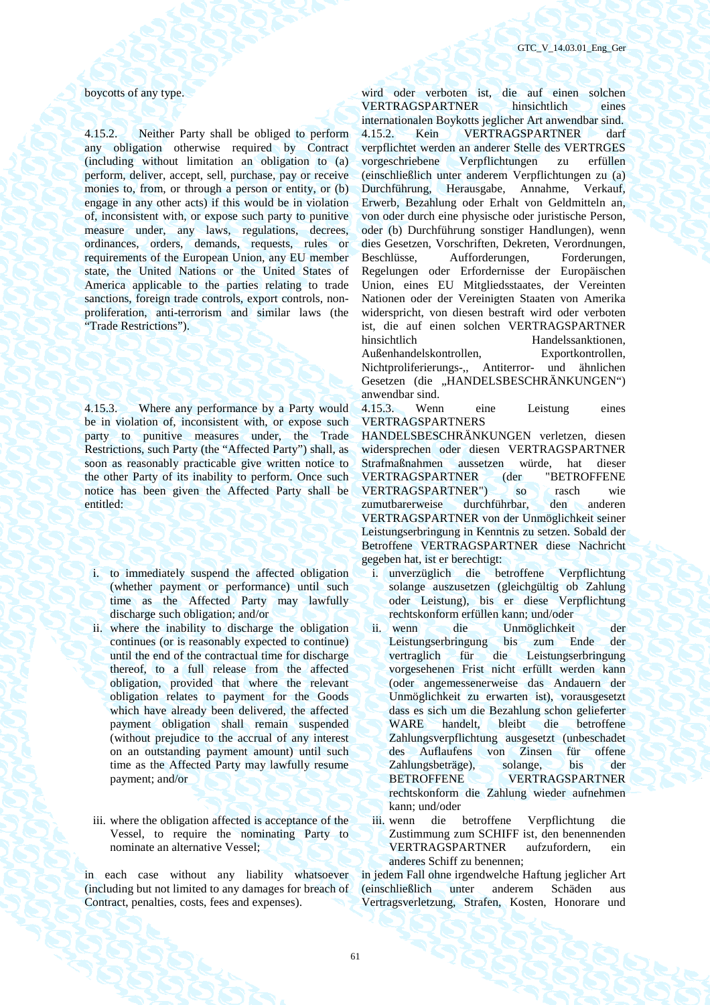4.15.2. Neither Party shall be obliged to perform any obligation otherwise required by Contract (including without limitation an obligation to (a) perform, deliver, accept, sell, purchase, pay or receive monies to, from, or through a person or entity, or (b) engage in any other acts) if this would be in violation of, inconsistent with, or expose such party to punitive measure under, any laws, regulations, decrees, ordinances, orders, demands, requests, rules or requirements of the European Union, any EU member state, the United Nations or the United States of America applicable to the parties relating to trade sanctions, foreign trade controls, export controls, nonproliferation, anti-terrorism and similar laws (the "Trade Restrictions").

4.15.3. Where any performance by a Party would be in violation of, inconsistent with, or expose such party to punitive measures under, the Trade Restrictions, such Party (the "Affected Party") shall, as soon as reasonably practicable give written notice to the other Party of its inability to perform. Once such notice has been given the Affected Party shall be entitled:

- i. to immediately suspend the affected obligation (whether payment or performance) until such time as the Affected Party may lawfully discharge such obligation; and/or
- ii. where the inability to discharge the obligation continues (or is reasonably expected to continue) until the end of the contractual time for discharge thereof, to a full release from the affected obligation, provided that where the relevant obligation relates to payment for the Goods which have already been delivered, the affected payment obligation shall remain suspended (without prejudice to the accrual of any interest on an outstanding payment amount) until such time as the Affected Party may lawfully resume payment; and/or
- iii. where the obligation affected is acceptance of the Vessel, to require the nominating Party to nominate an alternative Vessel;

in each case without any liability whatsoever (including but not limited to any damages for breach of Contract, penalties, costs, fees and expenses).

boycotts of any type. wird oder verboten ist, die auf einen solchen VERTRAGSPARTNER hinsichtlich eines internationalen Boykotts jeglicher Art anwendbar sind. 4.15.2. Kein VERTRAGSPARTNER darf verpflichtet werden an anderer Stelle des VERTRGES vorgeschriebene Verpflichtungen zu erfüllen (einschließlich unter anderem Verpflichtungen zu (a) Durchführung, Herausgabe, Annahme, Verkauf, Erwerb, Bezahlung oder Erhalt von Geldmitteln an, von oder durch eine physische oder juristische Person, oder (b) Durchführung sonstiger Handlungen), wenn dies Gesetzen, Vorschriften, Dekreten, Verordnungen, Beschlüsse, Aufforderungen, Forderungen, Regelungen oder Erfordernisse der Europäischen Union, eines EU Mitgliedsstaates, der Vereinten Nationen oder der Vereinigten Staaten von Amerika widerspricht, von diesen bestraft wird oder verboten ist, die auf einen solchen VERTRAGSPARTNER hinsichtlich Handelssanktionen. Außenhandelskontrollen, Exportkontrollen, Nichtproliferierungs-,, Antiterror- und ähnlichen Gesetzen (die "HANDELSBESCHRÄNKUNGEN") anwendbar sind.

> 4.15.3. Wenn eine Leistung eines VERTRAGSPARTNERS

> HANDELSBESCHRÄNKUNGEN verletzen, diesen widersprechen oder diesen VERTRAGSPARTNER Strafmaßnahmen aussetzen würde, hat dieser VERTRAGSPARTNER (der VERTRAGSPARTNER") so rasch wie zumutbarerweise durchführbar, den anderen VERTRAGSPARTNER von der Unmöglichkeit seiner Leistungserbringung in Kenntnis zu setzen. Sobald der Betroffene VERTRAGSPARTNER diese Nachricht gegeben hat, ist er berechtigt:

- i. unverzüglich die betroffene Verpflichtung solange auszusetzen (gleichgültig ob Zahlung oder Leistung), bis er diese Verpflichtung rechtskonform erfüllen kann; und/oder
- ii. wenn die Unmöglichkeit der<br>Leistungserbringung bis zum Ende der Leistungserbringung bis zum Ende der vertraglich für die Leistungserbringung vorgesehenen Frist nicht erfüllt werden kann (oder angemessenerweise das Andauern der Unmöglichkeit zu erwarten ist), vorausgesetzt dass es sich um die Bezahlung schon gelieferter WARE handelt, bleibt die betroffene Zahlungsverpflichtung ausgesetzt (unbeschadet des Auflaufens von Zinsen für offene<br>Zahlungsbeträge), solange, bis der Zahlungsbeträge), solange, bis der BETROFFENE VERTRAGSPARTNER rechtskonform die Zahlung wieder aufnehmen kann; und/oder
- iii. wenn die betroffene Verpflichtung die Zustimmung zum SCHIFF ist, den benennenden VERTRAGSPARTNER aufzufordern, ein anderes Schiff zu benennen;

in jedem Fall ohne irgendwelche Haftung jeglicher Art (einschließlich unter anderem Schäden aus Vertragsverletzung, Strafen, Kosten, Honorare und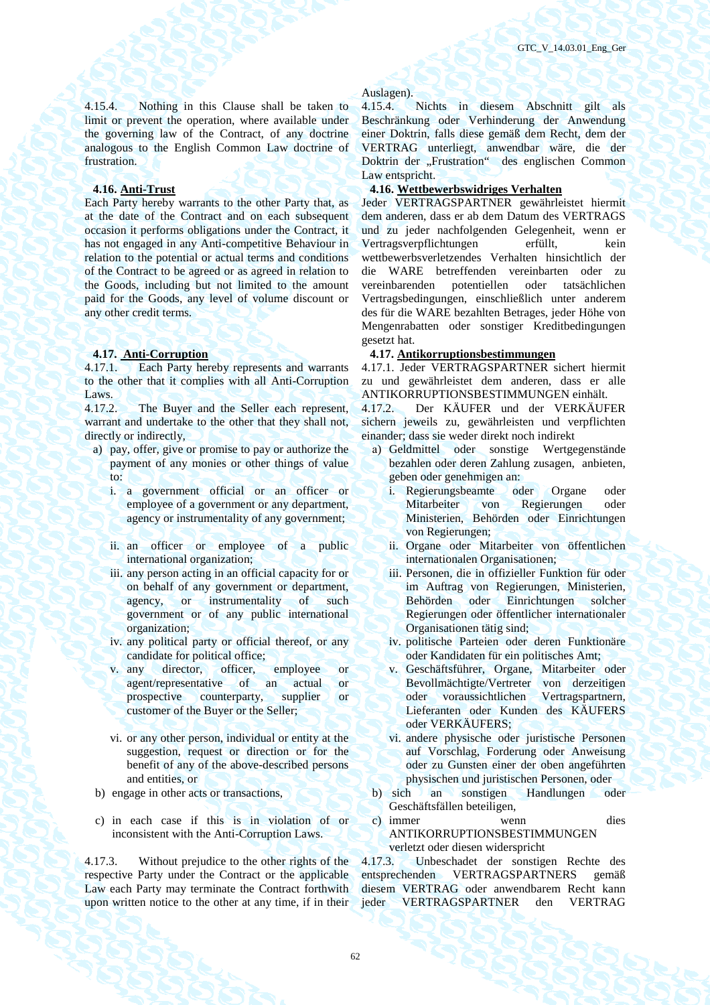4.15.4. Nothing in this Clause shall be taken to limit or prevent the operation, where available under the governing law of the Contract, of any doctrine analogous to the English Common Law doctrine of frustration.

Each Party hereby warrants to the other Party that, as at the date of the Contract and on each subsequent occasion it performs obligations under the Contract, it has not engaged in any Anti-competitive Behaviour in relation to the potential or actual terms and conditions of the Contract to be agreed or as agreed in relation to the Goods, including but not limited to the amount paid for the Goods, any level of volume discount or any other credit terms.

4.17.1. Each Party hereby represents and warrants to the other that it complies with all Anti-Corruption Laws.

4.17.2. The Buyer and the Seller each represent, warrant and undertake to the other that they shall not, directly or indirectly,

- a) pay, offer, give or promise to pay or authorize the payment of any monies or other things of value to:
	- i. a government official or an officer or employee of a government or any department, agency or instrumentality of any government;
	- ii. an officer or employee of a public international organization;
	- iii. any person acting in an official capacity for or on behalf of any government or department, agency, or instrumentality of such government or of any public international organization;
	- iv. any political party or official thereof, or any candidate for political office;
	- v. any director, officer, employee or agent/representative of an actual or prospective counterparty, supplier or customer of the Buyer or the Seller;
	- vi. or any other person, individual or entity at the suggestion, request or direction or for the benefit of any of the above-described persons and entities, or
- 
- c) in each case if this is in violation of or inconsistent with the Anti-Corruption Laws.

4.17.3. Without prejudice to the other rights of the respective Party under the Contract or the applicable Law each Party may terminate the Contract forthwith upon written notice to the other at any time, if in their

### Auslagen).

4.15.4. Nichts in diesem Abschnitt gilt als Beschränkung oder Verhinderung der Anwendung einer Doktrin, falls diese gemäß dem Recht, dem der VERTRAG unterliegt, anwendbar wäre, die der Doktrin der "Frustration" des englischen Common Law entspricht.

# **4.16. Anti-Trust 4.16. Wettbewerbswidriges Verhalten**

Jeder VERTRAGSPARTNER gewährleistet hiermit dem anderen, dass er ab dem Datum des VERTRAGS und zu jeder nachfolgenden Gelegenheit, wenn er Vertragsverpflichtungen erfüllt, kein wettbewerbsverletzendes Verhalten hinsichtlich der die WARE betreffenden vereinbarten oder zu vereinbarenden potentiellen oder tatsächlichen Vertragsbedingungen, einschließlich unter anderem des für die WARE bezahlten Betrages, jeder Höhe von Mengenrabatten oder sonstiger Kreditbedingungen gesetzt hat.

### **4.17. Anti-Corruption 4.17. Antikorruptionsbestimmungen**

4.17.1. Jeder VERTRAGSPARTNER sichert hiermit zu und gewährleistet dem anderen, dass er alle ANTIKORRUPTIONSBESTIMMUNGEN einhält.

4.17.2. Der KÄUFER und der VERKÄUFER sichern jeweils zu, gewährleisten und verpflichten einander; dass sie weder direkt noch indirekt

- а) Geldmittel oder sonstige Wertgegenstände bezahlen oder deren Zahlung zusagen, anbieten, geben oder genehmigen an:
	- i. Regierungsbeamte oder Organe oder Mitarbeiter von Regierungen oder Ministerien, Behörden oder Einrichtungen von Regierungen;
	- ii. Organe oder Mitarbeiter von öffentlichen internationalen Organisationen;
	- iii. Personen, die in offizieller Funktion für oder im Auftrag von Regierungen, Ministerien, Behörden oder Einrichtungen solcher Regierungen oder öffentlicher internationaler Organisationen tätig sind;
	- iv. politische Parteien oder deren Funktionäre oder Kandidaten für ein politisches Amt;
	- v. Geschäftsführer, Organe, Mitarbeiter oder Bevollmächtigte/Vertreter von derzeitigen oder voraussichtlichen Vertragspartnern, Lieferanten oder Kunden des KÄUFERS oder VERKÄUFERS;
	- vi. andere physische oder juristische Personen auf Vorschlag, Forderung oder Anweisung oder zu Gunsten einer der oben angeführten physischen und juristischen Personen, oder
- b) engage in other acts or transactions, b) sich an sonstigen Handlungen oder Geschäftsfällen beteiligen,
	- c) immer wenn dies ANTIKORRUPTIONSBESTIMMUNGEN verletzt oder diesen widerspricht

4.17.3. Unbeschadet der sonstigen Rechte des entsprechenden VERTRAGSPARTNERS gemäß diesem VERTRAG oder anwendbarem Recht kann jeder VERTRAGSPARTNER den VERTRAG

62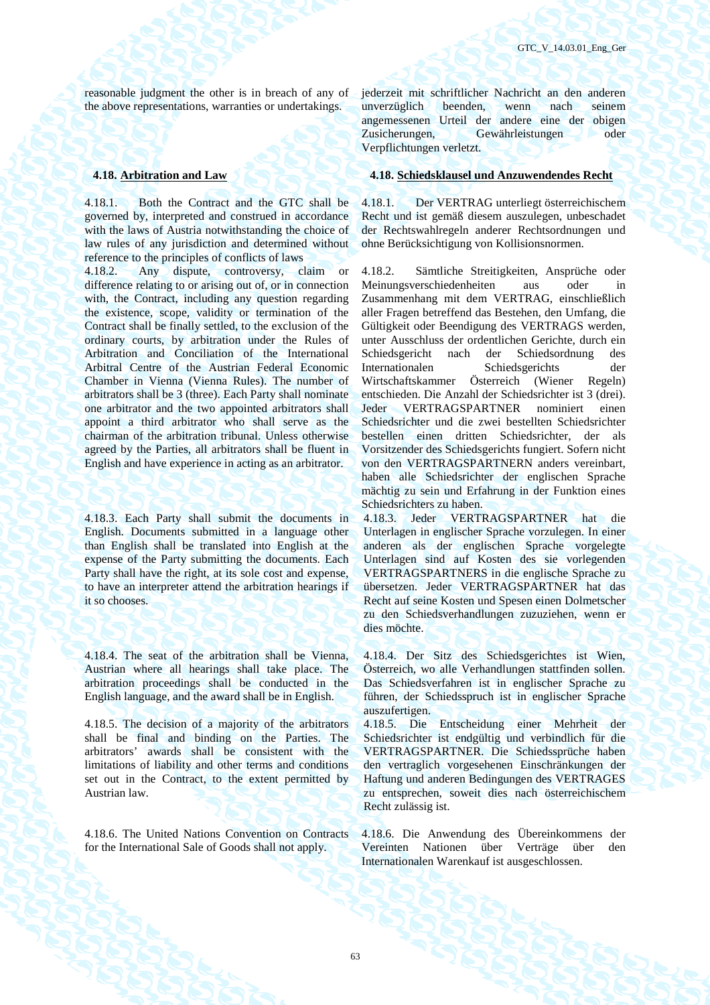reasonable judgment the other is in breach of any of the above representations, warranties or undertakings.

4.18.1. Both the Contract and the GTC shall be governed by, interpreted and construed in accordance with the laws of Austria notwithstanding the choice of law rules of any jurisdiction and determined without reference to the principles of conflicts of laws

4.18.2. Any dispute, controversy, claim or difference relating to or arising out of, or in connection with, the Contract, including any question regarding the existence, scope, validity or termination of the Contract shall be finally settled, to the exclusion of the ordinary courts, by arbitration under the Rules of Arbitration and Conciliation of the International Arbitral Centre of the Austrian Federal Economic Chamber in Vienna (Vienna Rules). The number of arbitrators shall be 3 (three). Each Party shall nominate one arbitrator and the two appointed arbitrators shall appoint a third arbitrator who shall serve as the chairman of the arbitration tribunal. Unless otherwise agreed by the Parties, all arbitrators shall be fluent in English and have experience in acting as an arbitrator.

4.18.3. Each Party shall submit the documents in English. Documents submitted in a language other than English shall be translated into English at the expense of the Party submitting the documents. Each Party shall have the right, at its sole cost and expense, to have an interpreter attend the arbitration hearings if it so chooses.

4.18.4. The seat of the arbitration shall be Vienna, Austrian where all hearings shall take place. The arbitration proceedings shall be conducted in the English language, and the award shall be in English.

4.18.5. The decision of a majority of the arbitrators shall be final and binding on the Parties. The arbitrators' awards shall be consistent with the limitations of liability and other terms and conditions set out in the Contract, to the extent permitted by Austrian law.

4.18.6. The United Nations Convention on Contracts for the International Sale of Goods shall not apply.

jederzeit mit schriftlicher Nachricht an den anderen unverzüglich beenden, wenn nach seinem angemessenen Urteil der andere eine der obigen Zusicherungen, Gewährleistungen oder Verpflichtungen verletzt.

# **4.18. Arbitration and Law 4.18. Schiedsklausel und Anzuwendendes Recht**

4.18.1. Der VERTRAG unterliegt österreichischem Recht und ist gemäß diesem auszulegen, unbeschadet der Rechtswahlregeln anderer Rechtsordnungen und ohne Berücksichtigung von Kollisionsnormen.

4.18.2. Sämtliche Streitigkeiten, Ansprüche oder Meinungsverschiedenheiten aus oder in Zusammenhang mit dem VERTRAG, einschließlich aller Fragen betreffend das Bestehen, den Umfang, die Gültigkeit oder Beendigung des VERTRAGS werden, unter Ausschluss der ordentlichen Gerichte, durch ein Schiedsgericht nach der Schiedsordnung des Internationalen Schiedsgerichts der Wirtschaftskammer Österreich (Wiener Regeln) entschieden. Die Anzahl der Schiedsrichter ist 3 (drei). Jeder VERTRAGSPARTNER nominiert einen Schiedsrichter und die zwei bestellten Schiedsrichter bestellen einen dritten Schiedsrichter, der als Vorsitzender des Schiedsgerichts fungiert. Sofern nicht von den VERTRAGSPARTNERN anders vereinbart, haben alle Schiedsrichter der englischen Sprache mächtig zu sein und Erfahrung in der Funktion eines Schiedsrichters zu haben.

4.18.3. Jeder VERTRAGSPARTNER hat die Unterlagen in englischer Sprache vorzulegen. In einer anderen als der englischen Sprache vorgelegte Unterlagen sind auf Kosten des sie vorlegenden VERTRAGSPARTNERS in die englische Sprache zu übersetzen. Jeder VERTRAGSPARTNER hat das Recht auf seine Kosten und Spesen einen Dolmetscher zu den Schiedsverhandlungen zuzuziehen, wenn er dies möchte.

4.18.4. Der Sitz des Schiedsgerichtes ist Wien, Österreich, wo alle Verhandlungen stattfinden sollen. Das Schiedsverfahren ist in englischer Sprache zu führen, der Schiedsspruch ist in englischer Sprache auszufertigen.

4.18.5. Die Entscheidung einer Mehrheit der Schiedsrichter ist endgültig und verbindlich für die VERTRAGSPARTNER. Die Schiedssprüche haben den vertraglich vorgesehenen Einschränkungen der Haftung und anderen Bedingungen des VERTRAGES zu entsprechen, soweit dies nach österreichischem Recht zulässig ist.

4.18.6. Die Anwendung des Übereinkommens der Vereinten Nationen über Verträge über den Internationalen Warenkauf ist ausgeschlossen.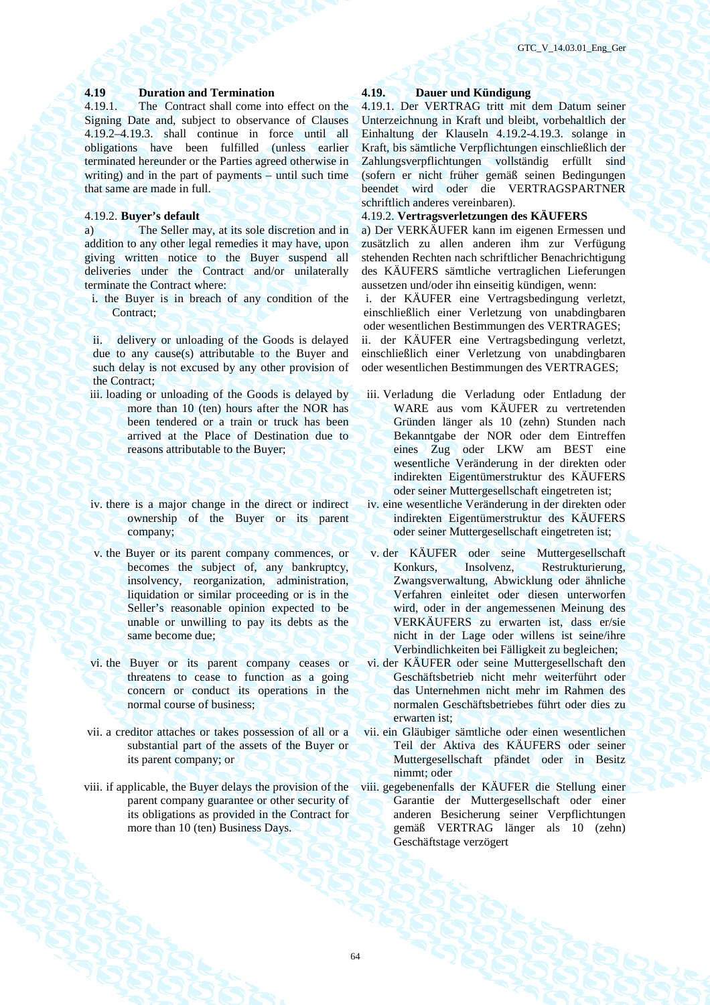# **4.19 Duration and Termination 4.19. Dauer und Kündigung**

4.19.1. The Contract shall come into effect on the Signing Date and, subject to observance of Clauses 4.19.2–4.19.3. shall continue in force until all obligations have been fulfilled (unless earlier terminated hereunder or the Parties agreed otherwise in writing) and in the part of payments – until such time that same are made in full.

a) The Seller may, at its sole discretion and in addition to any other legal remedies it may have, upon giving written notice to the Buyer suspend all deliveries under the Contract and/or unilaterally terminate the Contract where:

i. the Buyer is in breach of any condition of the Contract:

ii. delivery or unloading of the Goods is delayed due to any cause(s) attributable to the Buyer and such delay is not excused by any other provision of the Contract;

- iii. loading or unloading of the Goods is delayed by more than 10 (ten) hours after the NOR has been tendered or a train or truck has been arrived at the Place of Destination due to reasons attributable to the Buyer;
- iv. there is a major change in the direct or indirect ownership of the Buyer or its parent company;
- v. the Buyer or its parent company commences, or becomes the subject of, any bankruptcy, insolvency, reorganization, administration, liquidation or similar proceeding or is in the Seller's reasonable opinion expected to be unable or unwilling to pay its debts as the same become due;
- vi. the Buyer or its parent company ceases or threatens to cease to function as a going concern or conduct its operations in the normal course of business;
- vii. a creditor attaches or takes possession of all or a substantial part of the assets of the Buyer or its parent company; or
- viii. if applicable, the Buyer delays the provision of the parent company guarantee or other security of its obligations as provided in the Contract for more than 10 (ten) Business Days.

4.19.1. Der VERTRAG tritt mit dem Datum seiner Unterzeichnung in Kraft und bleibt, vorbehaltlich der Einhaltung der Klauseln 4.19.2-4.19.3. solange in Kraft, bis sämtliche Verpflichtungen einschließlich der Zahlungsverpflichtungen vollständig erfüllt sind (sofern er nicht früher gemäß seinen Bedingungen beendet wird oder die VERTRAGSPARTNER schriftlich anderes vereinbaren).

# 4.19.2. **Buyer's default** 4.19.2. **Vertragsverletzungen des KÄUFERS**

a) Der VERKÄUFER kann im eigenen Ermessen und zusätzlich zu allen anderen ihm zur Verfügung stehenden Rechten nach schriftlicher Benachrichtigung des KÄUFERS sämtliche vertraglichen Lieferungen aussetzen und/oder ihn einseitig kündigen, wenn:

i. der KÄUFER eine Vertragsbedingung verletzt, einschließlich einer Verletzung von unabdingbaren oder wesentlichen Bestimmungen des VERTRAGES;

ii. der KÄUFER eine Vertragsbedingung verletzt, einschließlich einer Verletzung von unabdingbaren oder wesentlichen Bestimmungen des VERTRAGES;

- iii. Verladung die Verladung oder Entladung der WARE aus vom KÄUFER zu vertretenden Gründen länger als 10 (zehn) Stunden nach Bekanntgabe der NOR oder dem Eintreffen eines Zug oder LKW am BEST eine wesentliche Veränderung in der direkten oder indirekten Eigentümerstruktur des KÄUFERS oder seiner Muttergesellschaft eingetreten ist;
- iv. eine wesentliche Veränderung in der direkten oder indirekten Eigentümerstruktur des KÄUFERS oder seiner Muttergesellschaft eingetreten ist;
- v. der KÄUFER oder seine Muttergesellschaft Konkurs, Insolvenz, Restrukturierung, Zwangsverwaltung, Abwicklung oder ähnliche Verfahren einleitet oder diesen unterworfen wird, oder in der angemessenen Meinung des VERKÄUFERS zu erwarten ist, dass er/sie nicht in der Lage oder willens ist seine/ihre Verbindlichkeiten bei Fälligkeit zu begleichen;
- vi. der KÄUFER oder seine Muttergesellschaft den Geschäftsbetrieb nicht mehr weiterführt oder das Unternehmen nicht mehr im Rahmen des normalen Geschäftsbetriebes führt oder dies zu erwarten ist;
- vii. ein Gläubiger sämtliche oder einen wesentlichen Teil der Aktiva des KÄUFERS oder seiner Muttergesellschaft pfändet oder in Besitz nimmt; oder
- viii. gegebenenfalls der KÄUFER die Stellung einer Garantie der Muttergesellschaft oder einer anderen Besicherung seiner Verpflichtungen gemäß VERTRAG länger als 10 (zehn) Geschäftstage verzögert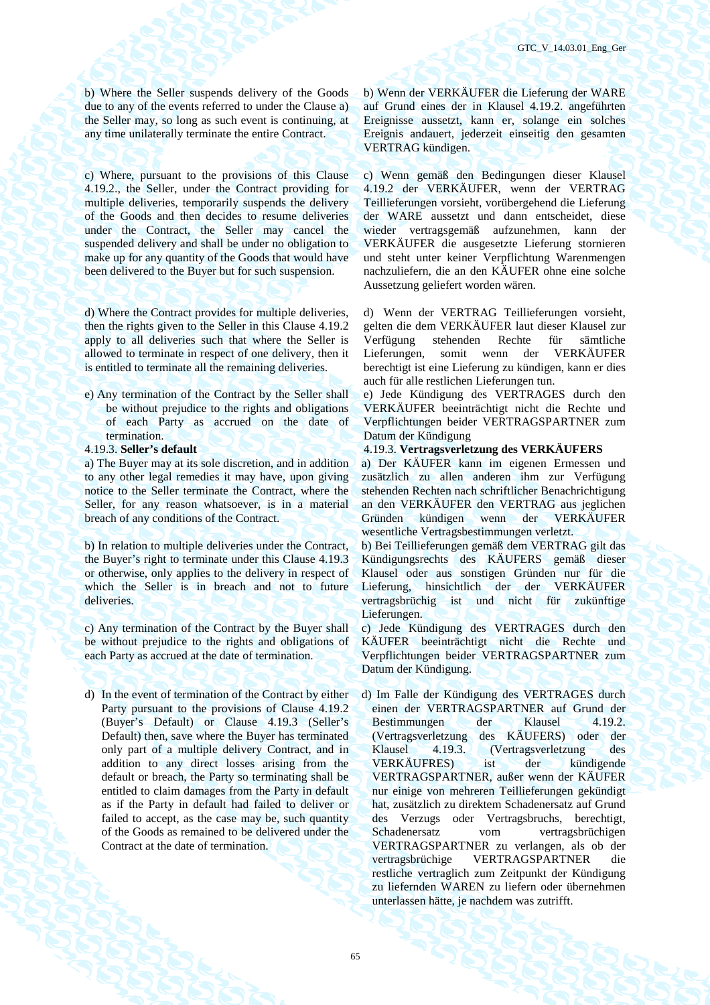b) Where the Seller suspends delivery of the Goods due to any of the events referred to under the Clause a) the Seller may, so long as such event is continuing, at any time unilaterally terminate the entire Contract.

c) Where, pursuant to the provisions of this Clause 4.19.2., the Seller, under the Contract providing for multiple deliveries, temporarily suspends the delivery of the Goods and then decides to resume deliveries under the Contract, the Seller may cancel the suspended delivery and shall be under no obligation to make up for any quantity of the Goods that would have been delivered to the Buyer but for such suspension.

d) Where the Contract provides for multiple deliveries, then the rights given to the Seller in this Clause 4.19.2 apply to all deliveries such that where the Seller is allowed to terminate in respect of one delivery, then it is entitled to terminate all the remaining deliveries.

- e) Any termination of the Contract by the Seller shall be without prejudice to the rights and obligations of each Party as accrued on the date of termination.
- 

a) The Buyer may at its sole discretion, and in addition to any other legal remedies it may have, upon giving notice to the Seller terminate the Contract, where the Seller, for any reason whatsoever, is in a material breach of any conditions of the Contract.

b) In relation to multiple deliveries under the Contract, the Buyer's right to terminate under this Clause 4.19.3 or otherwise, only applies to the delivery in respect of which the Seller is in breach and not to future deliveries.

c) Any termination of the Contract by the Buyer shall be without prejudice to the rights and obligations of each Party as accrued at the date of termination.

d) In the event of termination of the Contract by either Party pursuant to the provisions of Clause 4.19.2 (Buyer's Default) or Clause 4.19.3 (Seller's Default) then, save where the Buyer has terminated only part of a multiple delivery Contract, and in addition to any direct losses arising from the default or breach, the Party so terminating shall be entitled to claim damages from the Party in default as if the Party in default had failed to deliver or failed to accept, as the case may be, such quantity of the Goods as remained to be delivered under the Contract at the date of termination.

b) Wenn der VERKÄUFER die Lieferung der WARE auf Grund eines der in Klausel 4.19.2. angeführten Ereignisse aussetzt, kann er, solange ein solches Ereignis andauert, jederzeit einseitig den gesamten VERTRAG kündigen.

c) Wenn gemäß den Bedingungen dieser Klausel 4.19.2 der VERKÄUFER, wenn der VERTRAG Teillieferungen vorsieht, vorübergehend die Lieferung der WARE aussetzt und dann entscheidet, diese wieder vertragsgemäß aufzunehmen, kann der VERKÄUFER die ausgesetzte Lieferung stornieren und steht unter keiner Verpflichtung Warenmengen nachzuliefern, die an den KÄUFER ohne eine solche Aussetzung geliefert worden wären.

d) Wenn der VERTRAG Teillieferungen vorsieht, gelten die dem VERKÄUFER laut dieser Klausel zur Verfügung stehenden Rechte für sämtliche Lieferungen, somit wenn der VERKÄUFER berechtigt ist eine Lieferung zu kündigen, kann er dies auch für alle restlichen Lieferungen tun.

e) Jede Kündigung des VERTRAGES durch den VERKÄUFER beeinträchtigt nicht die Rechte und Verpflichtungen beider VERTRAGSPARTNER zum Datum der Kündigung

4.19.3. **Seller's default** 4.19.3. **Vertragsverletzung des VERKÄUFERS**

a) Der KÄUFER kann im eigenen Ermessen und zusätzlich zu allen anderen ihm zur Verfügung stehenden Rechten nach schriftlicher Benachrichtigung an den VERKÄUFER den VERTRAG aus jeglichen Gründen kündigen wenn der VERKÄUFER wesentliche Vertragsbestimmungen verletzt.

b) Bei Teillieferungen gemäß dem VERTRAG gilt das Kündigungsrechts des KÄUFERS gemäß dieser Klausel oder aus sonstigen Gründen nur für die Lieferung, hinsichtlich der der VERKÄUFER vertragsbrüchig ist und nicht für zukünftige Lieferungen.

c) Jede Kündigung des VERTRAGES durch den KÄUFER beeinträchtigt nicht die Rechte und Verpflichtungen beider VERTRAGSPARTNER zum Datum der Kündigung.

d) Im Falle der Kündigung des VERTRAGES durch einen der VERTRAGSPARTNER auf Grund der<br>Bestimmungen der Klausel 4.19.2. Bestimmungen der Klausel (Vertragsverletzung des KÄUFERS) oder der Klausel 4.19.3. (Vertragsverletzung des VERKÄUFRES) ist der kündigende VERTRAGSPARTNER, außer wenn der KÄUFER nur einige von mehreren Teillieferungen gekündigt hat, zusätzlich zu direktem Schadenersatz auf Grund des Verzugs oder Vertragsbruchs, berechtigt, Schadenersatz vom vertragsbrüchigen VERTRAGSPARTNER zu verlangen, als ob der vertragsbrüchige VERTRAGSPARTNER die restliche vertraglich zum Zeitpunkt der Kündigung zu liefernden WAREN zu liefern oder übernehmen unterlassen hätte, je nachdem was zutrifft.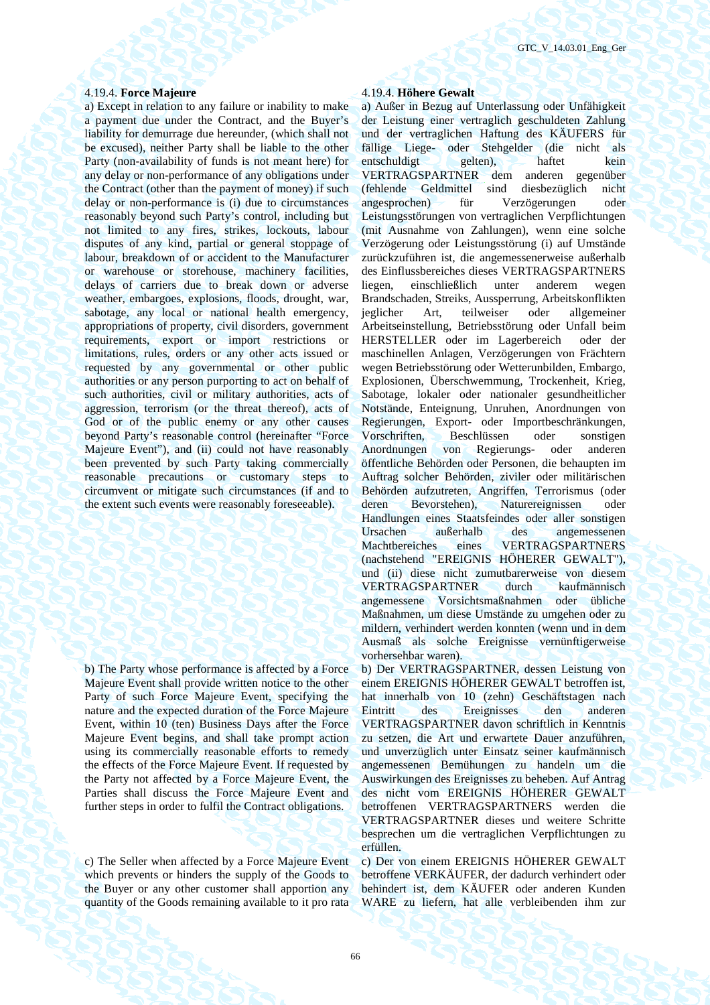### 4.19.4. **Force Majeure** 4.19.4. **Höhere Gewalt**

a) Except in relation to any failure or inability to make a payment due under the Contract, and the Buyer's liability for demurrage due hereunder, (which shall not be excused), neither Party shall be liable to the other Party (non-availability of funds is not meant here) for any delay or non-performance of any obligations under the Contract (other than the payment of money) if such delay or non-performance is (i) due to circumstances reasonably beyond such Party's control, including but not limited to any fires, strikes, lockouts, labour disputes of any kind, partial or general stoppage of labour, breakdown of or accident to the Manufacturer or warehouse or storehouse, machinery facilities, delays of carriers due to break down or adverse weather, embargoes, explosions, floods, drought, war, sabotage, any local or national health emergency, appropriations of property, civil disorders, government requirements, export or import restrictions or limitations, rules, orders or any other acts issued or requested by any governmental or other public authorities or any person purporting to act on behalf of such authorities, civil or military authorities, acts of aggression, terrorism (or the threat thereof), acts of God or of the public enemy or any other causes beyond Party's reasonable control (hereinafter "Force Majeure Event"), and (ii) could not have reasonably been prevented by such Party taking commercially reasonable precautions or customary steps to circumvent or mitigate such circumstances (if and to the extent such events were reasonably foreseeable).

b) The Party whose performance is affected by a Force Majeure Event shall provide written notice to the other Party of such Force Majeure Event, specifying the nature and the expected duration of the Force Majeure Event, within 10 (ten) Business Days after the Force Majeure Event begins, and shall take prompt action using its commercially reasonable efforts to remedy the effects of the Force Majeure Event. If requested by the Party not affected by a Force Majeure Event, the Parties shall discuss the Force Majeure Event and further steps in order to fulfil the Contract obligations.

c) The Seller when affected by a Force Majeure Event which prevents or hinders the supply of the Goods to the Buyer or any other customer shall apportion any quantity of the Goods remaining available to it pro rata

a) Außer in Bezug auf Unterlassung oder Unfähigkeit der Leistung einer vertraglich geschuldeten Zahlung und der vertraglichen Haftung des KÄUFERS für fällige Liege- oder Stehgelder (die nicht als entschuldigt gelten), haftet kein VERTRAGSPARTNER dem anderen gegenüber (fehlende Geldmittel sind diesbezüglich nicht angesprochen) für Verzögerungen oder Leistungsstörungen von vertraglichen Verpflichtungen (mit Ausnahme von Zahlungen), wenn eine solche Verzögerung oder Leistungsstörung (i) auf Umstände zurückzuführen ist, die angemessenerweise außerhalb des Einflussbereiches dieses VERTRAGSPARTNERS liegen, einschließlich unter anderem wegen Brandschaden, Streiks, Aussperrung, Arbeitskonflikten jeglicher Art, teilweiser oder allgemeiner Arbeitseinstellung, Betriebsstörung oder Unfall beim HERSTELLER oder im Lagerbereich oder der maschinellen Anlagen, Verzögerungen von Frächtern wegen Betriebsstörung oder Wetterunbilden, Embargo, Explosionen, Überschwemmung, Trockenheit, Krieg, Sabotage, lokaler oder nationaler gesundheitlicher Notstände, Enteignung, Unruhen, Anordnungen von Regierungen, Export- oder Importbeschränkungen, Vorschriften, Beschlüssen oder sonstigen Anordnungen von Regierungs- oder anderen öffentliche Behörden oder Personen, die behaupten im Auftrag solcher Behörden, ziviler oder militärischen Behörden aufzutreten, Angriffen, Terrorismus (oder deren Bevorstehen), Naturereignissen oder Handlungen eines Staatsfeindes oder aller sonstigen Ursachen außerhalb des angemessenen Machtbereiches eines VERTRAGSPARTNERS (nachstehend "EREIGNIS HÖHERER GEWALT"), und (ii) diese nicht zumutbarerweise von diesem VERTRAGSPARTNER durch kaufmännisch angemessene Vorsichtsmaßnahmen oder übliche Maßnahmen, um diese Umstände zu umgehen oder zu mildern, verhindert werden konnten (wenn und in dem Ausmaß als solche Ereignisse vernünftigerweise vorhersehbar waren).

b) Der VERTRAGSPARTNER, dessen Leistung von einem EREIGNIS HÖHERER GEWALT betroffen ist, hat innerhalb von 10 (zehn) Geschäftstagen nach Eintritt des Ereignisses den anderen VERTRAGSPARTNER davon schriftlich in Kenntnis zu setzen, die Art und erwartete Dauer anzuführen, und unverzüglich unter Einsatz seiner kaufmännisch angemessenen Bemühungen zu handeln um die Auswirkungen des Ereignisses zu beheben. Auf Antrag des nicht vom EREIGNIS HÖHERER GEWALT betroffenen VERTRAGSPARTNERS werden die VERTRAGSPARTNER dieses und weitere Schritte besprechen um die vertraglichen Verpflichtungen zu erfüllen.

c) Der von einem EREIGNIS HÖHERER GEWALT betroffene VERKÄUFER, der dadurch verhindert oder behindert ist, dem KÄUFER oder anderen Kunden WARE zu liefern, hat alle verbleibenden ihm zur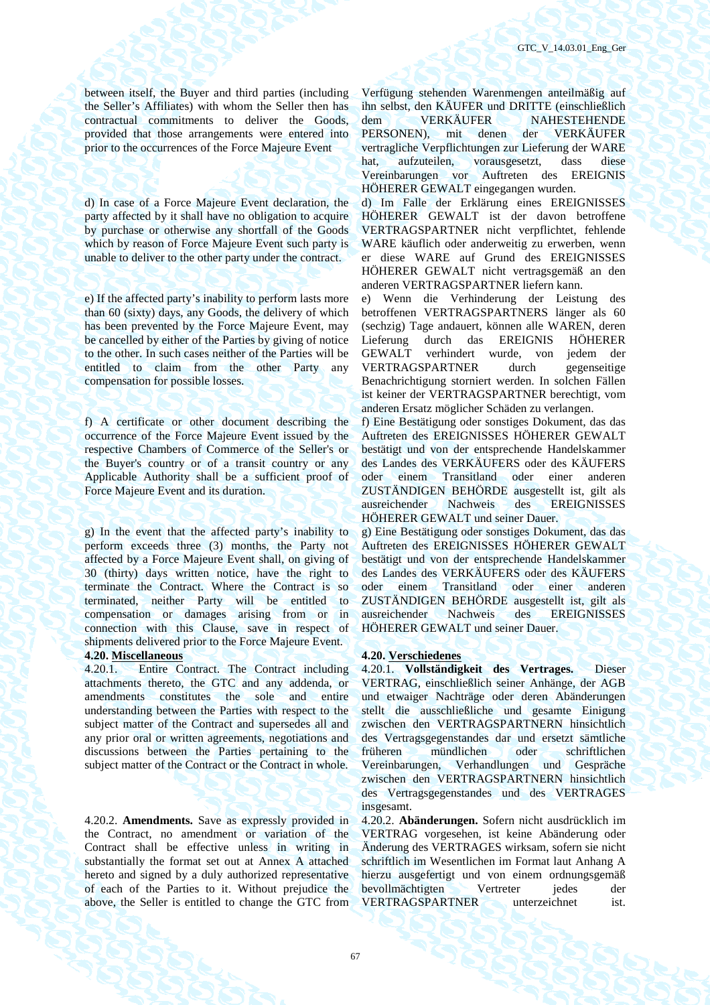between itself, the Buyer and third parties (including the Seller's Affiliates) with whom the Seller then has contractual commitments to deliver the Goods, provided that those arrangements were entered into prior to the occurrences of the Force Majeure Event

d) In case of a Force Majeure Event declaration, the party affected by it shall have no obligation to acquire by purchase or otherwise any shortfall of the Goods which by reason of Force Majeure Event such party is unable to deliver to the other party under the contract.

e) If the affected party's inability to perform lasts more than 60 (sixty) days, any Goods, the delivery of which has been prevented by the Force Majeure Event, may be cancelled by either of the Parties by giving of notice to the other. In such cases neither of the Parties will be entitled to claim from the other Party any compensation for possible losses.

f) A certificate or other document describing the occurrence of the Force Majeure Event issued by the respective Chambers of Commerce of the Seller's or the Buyer's country or of a transit country or any Applicable Authority shall be a sufficient proof of Force Majeure Event and its duration.

g) In the event that the affected party's inability to perform exceeds three (3) months, the Party not affected by a Force Majeure Event shall, on giving of 30 (thirty) days written notice, have the right to terminate the Contract. Where the Contract is so terminated, neither Party will be entitled to compensation or damages arising from or in connection with this Clause, save in respect of shipments delivered prior to the Force Majeure Event.

4.20.1. Entire Contract. The Contract including attachments thereto, the GTC and any addenda, or amendments constitutes the sole and entire understanding between the Parties with respect to the subject matter of the Contract and supersedes all and any prior oral or written agreements, negotiations and discussions between the Parties pertaining to the subject matter of the Contract or the Contract in whole.

4.20.2. **Amendments.** Save as expressly provided in the Contract, no amendment or variation of the Contract shall be effective unless in writing in substantially the format set out at Annex A attached hereto and signed by a duly authorized representative of each of the Parties to it. Without prejudice the above, the Seller is entitled to change the GTC from Verfügung stehenden Warenmengen anteilmäßig auf ihn selbst, den KÄUFER und DRITTE (einschließlich dem VERKÄUFER NAHESTEHENDE PERSONEN), mit denen der VERKÄUFER vertragliche Verpflichtungen zur Lieferung der WARE hat, aufzuteilen, vorausgesetzt, dass diese Vereinbarungen vor Auftreten des EREIGNIS HÖHERER GEWALT eingegangen wurden.

d) Im Falle der Erklärung eines EREIGNISSES HÖHERER GEWALT ist der davon betroffene VERTRAGSPARTNER nicht verpflichtet, fehlende WARE käuflich oder anderweitig zu erwerben, wenn er diese WARE auf Grund des EREIGNISSES HÖHERER GEWALT nicht vertragsgemäß an den anderen VERTRAGSPARTNER liefern kann.

e) Wenn die Verhinderung der Leistung des betroffenen VERTRAGSPARTNERS länger als 60 (sechzig) Tage andauert, können alle WAREN, deren Lieferung durch das EREIGNIS HÖHERER GEWALT verhindert wurde, von jedem der VERTRAGSPARTNER durch gegenseitige Benachrichtigung storniert werden. In solchen Fällen ist keiner der VERTRAGSPARTNER berechtigt, vom anderen Ersatz möglicher Schäden zu verlangen.

f) Eine Bestätigung oder sonstiges Dokument, das das Auftreten des EREIGNISSES HÖHERER GEWALT bestätigt und von der entsprechende Handelskammer des Landes des VERKÄUFERS oder des KÄUFERS oder einem Transitland oder einer anderen ZUSTÄNDIGEN BEHÖRDE ausgestellt ist, gilt als ausreichender Nachweis des EREIGNISSES HÖHERER GEWALT und seiner Dauer.

g) Eine Bestätigung oder sonstiges Dokument, das das Auftreten des EREIGNISSES HÖHERER GEWALT bestätigt und von der entsprechende Handelskammer des Landes des VERKÄUFERS oder des KÄUFERS oder einem Transitland oder einer anderen ZUSTÄNDIGEN BEHÖRDE ausgestellt ist, gilt als ausreichender Nachweis des EREIGNISSES HÖHERER GEWALT und seiner Dauer.

### **4.20. Miscellaneous 4.20. Verschiedenes**

4.20.1. **Vollständigkeit des Vertrages.** Dieser VERTRAG, einschließlich seiner Anhänge, der AGB und etwaiger Nachträge oder deren Abänderungen stellt die ausschließliche und gesamte Einigung zwischen den VERTRAGSPARTNERN hinsichtlich des Vertragsgegenstandes dar und ersetzt sämtliche früheren mündlichen oder schriftlichen Vereinbarungen, Verhandlungen und Gespräche zwischen den VERTRAGSPARTNERN hinsichtlich des Vertragsgegenstandes und des VERTRAGES insgesamt.

4.20.2. **Abänderungen.** Sofern nicht ausdrücklich im VERTRAG vorgesehen, ist keine Abänderung oder Änderung des VERTRAGES wirksam, sofern sie nicht schriftlich im Wesentlichen im Format laut Anhang A hierzu ausgefertigt und von einem ordnungsgemäß bevollmächtigten Vertreter jedes der VERTRAGSPARTNER unterzeichnet ist.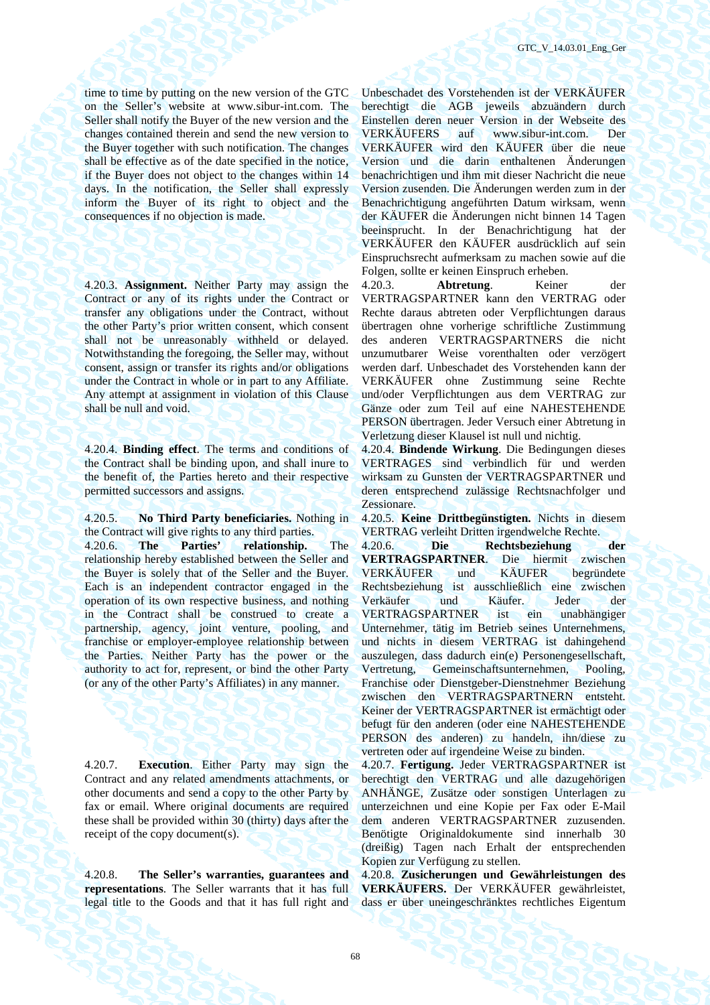time to time by putting on the new version of the GTC on the Seller's website at www.sibur-int.com. The Seller shall notify the Buyer of the new version and the changes contained therein and send the new version to the Buyer together with such notification. The changes shall be effective as of the date specified in the notice, if the Buyer does not object to the changes within 14 days. In the notification, the Seller shall expressly inform the Buyer of its right to object and the consequences if no objection is made.

4.20.3. **Assignment.** Neither Party may assign the Contract or any of its rights under the Contract or transfer any obligations under the Contract, without the other Party's prior written consent, which consent shall not be unreasonably withheld or delayed. Notwithstanding the foregoing, the Seller may, without consent, assign or transfer its rights and/or obligations under the Contract in whole or in part to any Affiliate. Any attempt at assignment in violation of this Clause shall be null and void.

4.20.4. **Binding effect**. The terms and conditions of the Contract shall be binding upon, and shall inure to the benefit of, the Parties hereto and their respective permitted successors and assigns.

4.20.5. **No Third Party beneficiaries.** Nothing in the Contract will give rights to any third parties.

4.20.6. **The Parties' relationship.** The relationship hereby established between the Seller and the Buyer is solely that of the Seller and the Buyer. Each is an independent contractor engaged in the operation of its own respective business, and nothing in the Contract shall be construed to create a partnership, agency, joint venture, pooling, and franchise or employer-employee relationship between the Parties. Neither Party has the power or the authority to act for, represent, or bind the other Party (or any of the other Party's Affiliates) in any manner.

4.20.7. **Execution**. Either Party may sign the Contract and any related amendments attachments, or other documents and send a copy to the other Party by fax or email. Where original documents are required these shall be provided within 30 (thirty) days after the receipt of the copy document(s).

4.20.8. **The Seller's warranties, guarantees and representations**. The Seller warrants that it has full legal title to the Goods and that it has full right and Unbeschadet des Vorstehenden ist der VERKÄUFER berechtigt die AGB jeweils abzuändern durch Einstellen deren neuer Version in der Webseite des VERKÄUFERS auf www.sibur-int.com. Der VERKÄUFER wird den KÄUFER über die neue Version und die darin enthaltenen Änderungen benachrichtigen und ihm mit dieser Nachricht die neue Version zusenden. Die Änderungen werden zum in der Benachrichtigung angeführten Datum wirksam, wenn der KÄUFER die Änderungen nicht binnen 14 Tagen beeinsprucht. In der Benachrichtigung hat der VERKÄUFER den KÄUFER ausdrücklich auf sein Einspruchsrecht aufmerksam zu machen sowie auf die Folgen, sollte er keinen Einspruch erheben.

4.20.3. **Abtretung**. Keiner der VERTRAGSPARTNER kann den VERTRAG oder Rechte daraus abtreten oder Verpflichtungen daraus übertragen ohne vorherige schriftliche Zustimmung des anderen VERTRAGSPARTNERS die nicht unzumutbarer Weise vorenthalten oder verzögert werden darf. Unbeschadet des Vorstehenden kann der VERKÄUFER ohne Zustimmung seine Rechte und/oder Verpflichtungen aus dem VERTRAG zur Gänze oder zum Teil auf eine NAHESTEHENDE PERSON übertragen. Jeder Versuch einer Abtretung in Verletzung dieser Klausel ist null und nichtig.

4.20.4. **Bindende Wirkung**. Die Bedingungen dieses VERTRAGES sind verbindlich für und werden wirksam zu Gunsten der VERTRAGSPARTNER und deren entsprechend zulässige Rechtsnachfolger und Zessionare.

4.20.5. **Keine Drittbegünstigten.** Nichts in diesem VERTRAG verleiht Dritten irgendwelche Rechte.

4.20.6. **Die Rechtsbeziehung der VERTRAGSPARTNER**. Die hiermit zwischen VERKÄUFER und KÄUFER begründete Rechtsbeziehung ist ausschließlich eine zwischen Verkäufer und Käufer. Jeder der VERTRAGSPARTNER ist ein unabhängiger Unternehmer, tätig im Betrieb seines Unternehmens, und nichts in diesem VERTRAG ist dahingehend auszulegen, dass dadurch ein(e) Personengesellschaft, Vertretung, Gemeinschaftsunternehmen, Pooling, Franchise oder Dienstgeber-Dienstnehmer Beziehung zwischen den VERTRAGSPARTNERN entsteht. Keiner der VERTRAGSPARTNER ist ermächtigt oder befugt für den anderen (oder eine NAHESTEHENDE PERSON des anderen) zu handeln, ihn/diese zu vertreten oder auf irgendeine Weise zu binden.

4.20.7. **Fertigung.** Jeder VERTRAGSPARTNER ist berechtigt den VERTRAG und alle dazugehörigen ANHÄNGE, Zusätze oder sonstigen Unterlagen zu unterzeichnen und eine Kopie per Fax oder E-Mail dem anderen VERTRAGSPARTNER zuzusenden. Benötigte Originaldokumente sind innerhalb 30 (dreißig) Tagen nach Erhalt der entsprechenden Kopien zur Verfügung zu stellen.

4.20.8. **Zusicherungen und Gewährleistungen des VERKÄUFERS.** Der VERKÄUFER gewährleistet, dass er über uneingeschränktes rechtliches Eigentum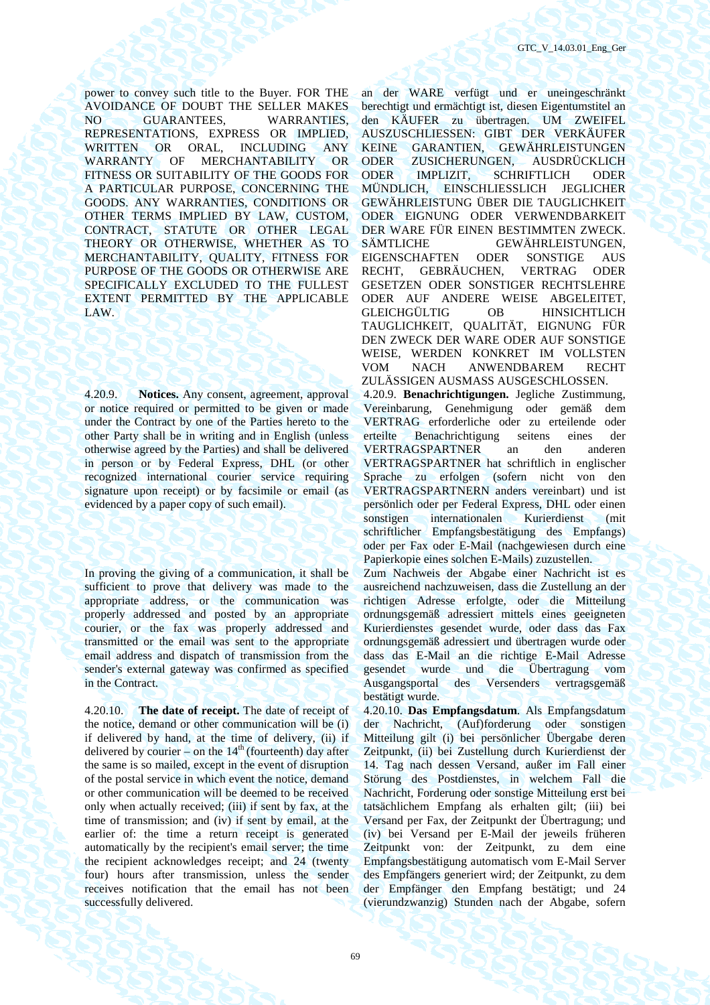power to convey such title to the Buyer. FOR THE AVOIDANCE OF DOUBT THE SELLER MAKES NO GUARANTEES, WARRANTIES, REPRESENTATIONS, EXPRESS OR IMPLIED, WRITTEN OR ORAL, INCLUDING ANY WARRANTY OF MERCHANTABILITY OR FITNESS OR SUITABILITY OF THE GOODS FOR A PARTICULAR PURPOSE, CONCERNING THE GOODS. ANY WARRANTIES, CONDITIONS OR OTHER TERMS IMPLIED BY LAW, CUSTOM, CONTRACT, STATUTE OR OTHER LEGAL THEORY OR OTHERWISE, WHETHER AS TO MERCHANTABILITY, QUALITY, FITNESS FOR PURPOSE OF THE GOODS OR OTHERWISE ARE SPECIFICALLY EXCLUDED TO THE FULLEST EXTENT PERMITTED BY THE APPLICABLE LAW.

4.20.9. **Notices.** Any consent, agreement, approval or notice required or permitted to be given or made under the Contract by one of the Parties hereto to the other Party shall be in writing and in English (unless otherwise agreed by the Parties) and shall be delivered in person or by Federal Express, DHL (or other recognized international courier service requiring signature upon receipt) or by facsimile or email (as evidenced by a paper copy of such email).

In proving the giving of a communication, it shall be sufficient to prove that delivery was made to the appropriate address, or the communication was properly addressed and posted by an appropriate courier, or the fax was properly addressed and transmitted or the email was sent to the appropriate email address and dispatch of transmission from the sender's external gateway was confirmed as specified in the Contract.

4.20.10. **The date of receipt.** The date of receipt of the notice, demand or other communication will be (i) if delivered by hand, at the time of delivery, (ii) if delivered by courier – on the  $14<sup>th</sup>$  (fourteenth) day after the same is so mailed, except in the event of disruption of the postal service in which event the notice, demand or other communication will be deemed to be received only when actually received; (iii) if sent by fax, at the time of transmission; and (iv) if sent by email, at the earlier of: the time a return receipt is generated automatically by the recipient's email server; the time the recipient acknowledges receipt; and 24 (twenty four) hours after transmission, unless the sender receives notification that the email has not been successfully delivered.

an der WARE verfügt und er uneingeschränkt berechtigt und ermächtigt ist, diesen Eigentumstitel an den KÄUFER zu übertragen. UM ZWEIFEL AUSZUSCHLIESSEN: GIBT DER VERKÄUFER KEINE GARANTIEN, GEWÄHRLEISTUNGEN ODER ZUSICHERUNGEN, AUSDRÜCKLICH ODER IMPLIZIT, SCHRIFTLICH ODER MÜNDLICH, EINSCHLIESSLICH JEGLICHER GEWÄHRLEISTUNG ÜBER DIE TAUGLICHKEIT ODER EIGNUNG ODER VERWENDBARKEIT DER WARE FÜR EINEN BESTIMMTEN ZWECK. SÄMTLICHE GEWÄHRLEISTUNGEN, EIGENSCHAFTEN ODER SONSTIGE AUS RECHT, GEBRÄUCHEN, VERTRAG ODER GESETZEN ODER SONSTIGER RECHTSLEHRE ODER AUF ANDERE WEISE ABGELEITET, GLEICHGÜLTIG OB HINSICHTLICH TAUGLICHKEIT, QUALITÄT, EIGNUNG FÜR DEN ZWECK DER WARE ODER AUF SONSTIGE WEISE, WERDEN KONKRET IM VOLLSTEN VOM NACH ANWENDBAREM RECHT ZULÄSSIGEN AUSMASS AUSGESCHLOSSEN.

4.20.9. **Benachrichtigungen.** Jegliche Zustimmung, Vereinbarung, Genehmigung oder gemäß dem VERTRAG erforderliche oder zu erteilende oder erteilte Benachrichtigung seitens eines der VERTRAGSPARTNER an den anderen VERTRAGSPARTNER hat schriftlich in englischer Sprache zu erfolgen (sofern nicht von den VERTRAGSPARTNERN anders vereinbart) und ist persönlich oder per Federal Express, DHL oder einen sonstigen internationalen Kurierdienst (mit schriftlicher Empfangsbestätigung des Empfangs) oder per Fax oder E-Mail (nachgewiesen durch eine Papierkopie eines solchen E-Mails) zuzustellen.

Zum Nachweis der Abgabe einer Nachricht ist es ausreichend nachzuweisen, dass die Zustellung an der richtigen Adresse erfolgte, oder die Mitteilung ordnungsgemäß adressiert mittels eines geeigneten Kurierdienstes gesendet wurde, oder dass das Fax ordnungsgemäß adressiert und übertragen wurde oder dass das E-Mail an die richtige E-Mail Adresse gesendet wurde und die Übertragung vom Ausgangsportal des Versenders vertragsgemäß bestätigt wurde.

4.20.10. **Das Empfangsdatum**. Als Empfangsdatum der Nachricht, (Auf)forderung oder sonstigen Mitteilung gilt (i) bei persönlicher Übergabe deren Zeitpunkt, (ii) bei Zustellung durch Kurierdienst der 14. Tag nach dessen Versand, außer im Fall einer Störung des Postdienstes, in welchem Fall die Nachricht, Forderung oder sonstige Mitteilung erst bei tatsächlichem Empfang als erhalten gilt; (iii) bei Versand per Fax, der Zeitpunkt der Übertragung; und (iv) bei Versand per E-Mail der jeweils früheren Zeitpunkt von: der Zeitpunkt, zu dem eine Empfangsbestätigung automatisch vom E-Mail Server des Empfängers generiert wird; der Zeitpunkt, zu dem der Empfänger den Empfang bestätigt; und 24 (vierundzwanzig) Stunden nach der Abgabe, sofern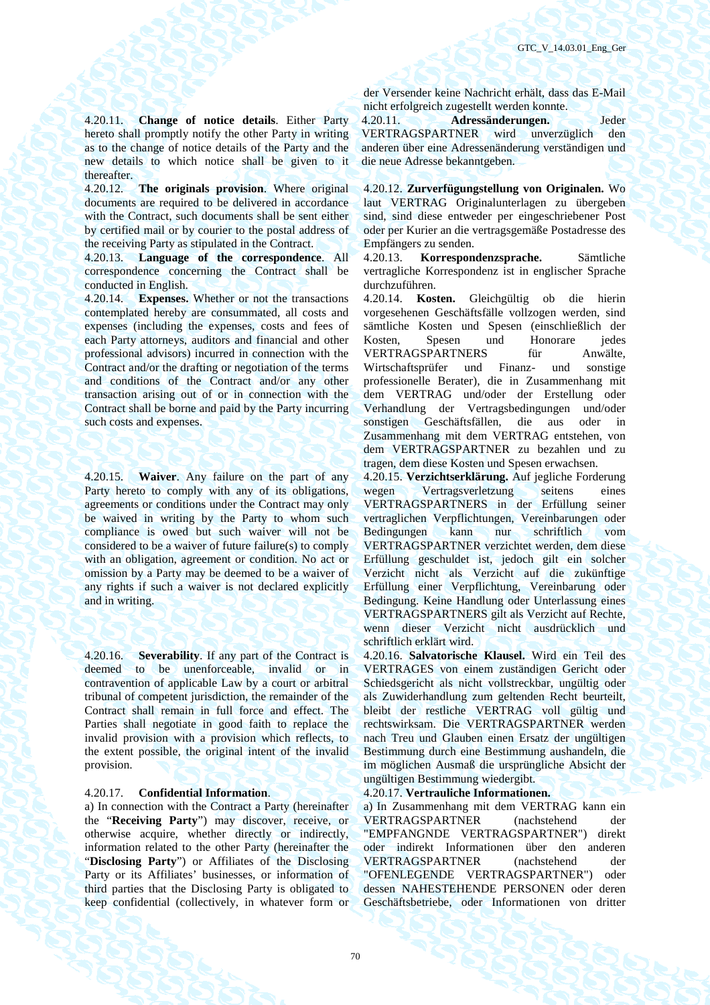4.20.11. **Change of notice details**. Either Party hereto shall promptly notify the other Party in writing as to the change of notice details of the Party and the new details to which notice shall be given to it thereafter.

4.20.12. **The originals provision**. Where original documents are required to be delivered in accordance with the Contract, such documents shall be sent either by certified mail or by courier to the postal address of the receiving Party as stipulated in the Contract.

4.20.13. **Language of the correspondence**. All correspondence concerning the Contract shall be conducted in English.

4.20.14. **Expenses.** Whether or not the transactions contemplated hereby are consummated, all costs and expenses (including the expenses, costs and fees of each Party attorneys, auditors and financial and other professional advisors) incurred in connection with the Contract and/or the drafting or negotiation of the terms and conditions of the Contract and/or any other transaction arising out of or in connection with the Contract shall be borne and paid by the Party incurring such costs and expenses.

4.20.15. **Waiver**. Any failure on the part of any Party hereto to comply with any of its obligations, agreements or conditions under the Contract may only be waived in writing by the Party to whom such compliance is owed but such waiver will not be considered to be a waiver of future failure(s) to comply with an obligation, agreement or condition. No act or omission by a Party may be deemed to be a waiver of any rights if such a waiver is not declared explicitly and in writing.

4.20.16. **Severability**. If any part of the Contract is deemed to be unenforceable, invalid or in contravention of applicable Law by a court or arbitral tribunal of competent jurisdiction, the remainder of the Contract shall remain in full force and effect. The Parties shall negotiate in good faith to replace the invalid provision with a provision which reflects, to the extent possible, the original intent of the invalid provision.

# 4.20.17. **Confidential Information**. 4.20.17. **Vertrauliche Informationen.**

a) In connection with the Contract a Party (hereinafter the "**Receiving Party**") may discover, receive, or otherwise acquire, whether directly or indirectly, information related to the other Party (hereinafter the "**Disclosing Party**") or Affiliates of the Disclosing Party or its Affiliates' businesses, or information of third parties that the Disclosing Party is obligated to keep confidential (collectively, in whatever form or

der Versender keine Nachricht erhält, dass das E-Mail nicht erfolgreich zugestellt werden konnte.

4.20.11. **Adressänderungen.** Jeder VERTRAGSPARTNER wird unverzüglich den anderen über eine Adressenänderung verständigen und die neue Adresse bekanntgeben.

4.20.12. **Zurverfügungstellung von Originalen.** Wo laut VERTRAG Originalunterlagen zu übergeben sind, sind diese entweder per eingeschriebener Post oder per Kurier an die vertragsgemäße Postadresse des Empfängers zu senden.

4.20.13. **Korrespondenzsprache.** Sämtliche vertragliche Korrespondenz ist in englischer Sprache durchzuführen.

4.20.14. **Kosten.** Gleichgültig ob die hierin vorgesehenen Geschäftsfälle vollzogen werden, sind sämtliche Kosten und Spesen (einschließlich der Kosten, Spesen und Honorare jedes VERTRAGSPARTNERS für Anwälte, Wirtschaftsprüfer und Finanz- und sonstige professionelle Berater), die in Zusammenhang mit dem VERTRAG und/oder der Erstellung oder Verhandlung der Vertragsbedingungen und/oder sonstigen Geschäftsfällen, die aus oder in Zusammenhang mit dem VERTRAG entstehen, von dem VERTRAGSPARTNER zu bezahlen und zu tragen, dem diese Kosten und Spesen erwachsen.

4.20.15. **Verzichtserklärung.** Auf jegliche Forderung wegen Vertragsverletzung seitens eines VERTRAGSPARTNERS in der Erfüllung seiner vertraglichen Verpflichtungen, Vereinbarungen oder Bedingungen kann nur schriftlich vom VERTRAGSPARTNER verzichtet werden, dem diese Erfüllung geschuldet ist, jedoch gilt ein solcher Verzicht nicht als Verzicht auf die zukünftige Erfüllung einer Verpflichtung, Vereinbarung oder Bedingung. Keine Handlung oder Unterlassung eines VERTRAGSPARTNERS gilt als Verzicht auf Rechte, wenn dieser Verzicht nicht ausdrücklich und schriftlich erklärt wird.

4.20.16. **Salvatorische Klausel.** Wird ein Teil des VERTRAGES von einem zuständigen Gericht oder Schiedsgericht als nicht vollstreckbar, ungültig oder als Zuwiderhandlung zum geltenden Recht beurteilt, bleibt der restliche VERTRAG voll gültig und rechtswirksam. Die VERTRAGSPARTNER werden nach Treu und Glauben einen Ersatz der ungültigen Bestimmung durch eine Bestimmung aushandeln, die im möglichen Ausmaß die ursprüngliche Absicht der ungültigen Bestimmung wiedergibt.

a) In Zusammenhang mit dem VERTRAG kann ein VERTRAGSPARTNER (nachstehend der "EMPFANGNDE VERTRAGSPARTNER") direkt oder indirekt Informationen über den anderen VERTRAGSPARTNER (nachstehend der "OFENLEGENDE VERTRAGSPARTNER") oder dessen NAHESTEHENDE PERSONEN oder deren Geschäftsbetriebe, oder Informationen von dritter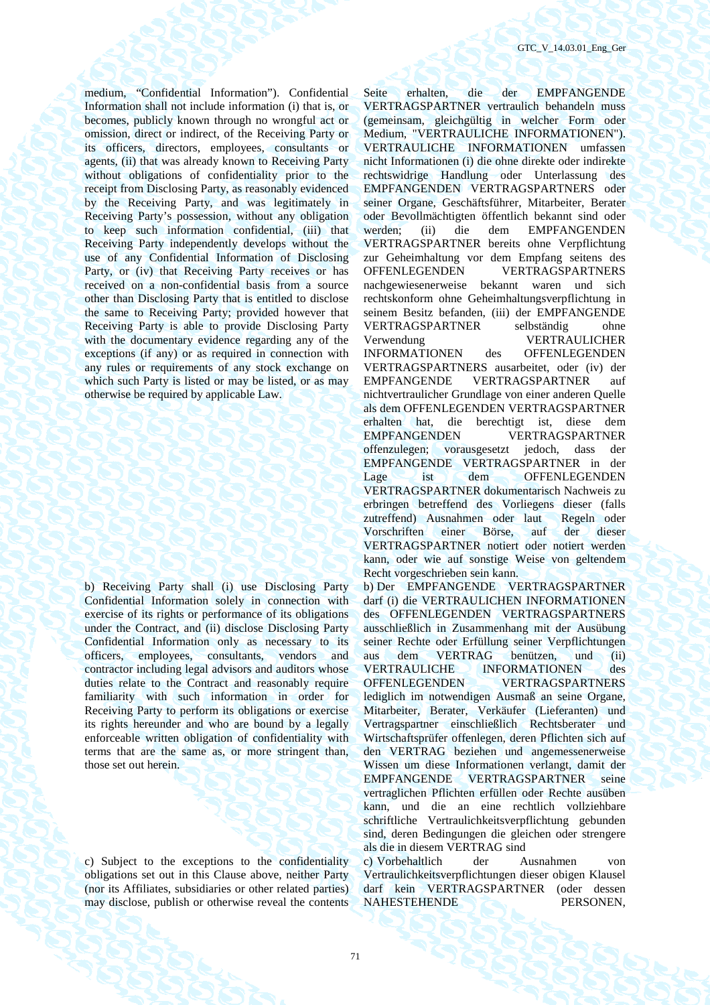medium, "Confidential Information"). Confidential Information shall not include information (i) that is, or becomes, publicly known through no wrongful act or omission, direct or indirect, of the Receiving Party or its officers, directors, employees, consultants or agents, (ii) that was already known to Receiving Party without obligations of confidentiality prior to the receipt from Disclosing Party, as reasonably evidenced by the Receiving Party, and was legitimately in Receiving Party's possession, without any obligation to keep such information confidential, (iii) that Receiving Party independently develops without the use of any Confidential Information of Disclosing Party, or (iv) that Receiving Party receives or has received on a non-confidential basis from a source other than Disclosing Party that is entitled to disclose the same to Receiving Party; provided however that Receiving Party is able to provide Disclosing Party with the documentary evidence regarding any of the exceptions (if any) or as required in connection with any rules or requirements of any stock exchange on which such Party is listed or may be listed, or as may otherwise be required by applicable Law.

b) Receiving Party shall (i) use Disclosing Party Confidential Information solely in connection with exercise of its rights or performance of its obligations under the Contract, and (ii) disclose Disclosing Party Confidential Information only as necessary to its officers, employees, consultants, vendors and contractor including legal advisors and auditors whose duties relate to the Contract and reasonably require familiarity with such information in order for Receiving Party to perform its obligations or exercise its rights hereunder and who are bound by a legally enforceable written obligation of confidentiality with terms that are the same as, or more stringent than, those set out herein.

c) Subject to the exceptions to the confidentiality obligations set out in this Clause above, neither Party (nor its Affiliates, subsidiaries or other related parties) may disclose, publish or otherwise reveal the contents

Seite erhalten, die der EMPFANGENDE VERTRAGSPARTNER vertraulich behandeln muss (gemeinsam, gleichgültig in welcher Form oder Medium, "VERTRAULICHE INFORMATIONEN"). VERTRAULICHE INFORMATIONEN umfassen nicht Informationen (i) die ohne direkte oder indirekte rechtswidrige Handlung oder Unterlassung des EMPFANGENDEN VERTRAGSPARTNERS oder seiner Organe, Geschäftsführer, Mitarbeiter, Berater oder Bevollmächtigten öffentlich bekannt sind oder werden; (ii) die dem EMPFANGENDEN VERTRAGSPARTNER bereits ohne Verpflichtung zur Geheimhaltung vor dem Empfang seitens des OFFENLEGENDEN VERTRAGSPARTNERS nachgewiesenerweise bekannt waren und sich rechtskonform ohne Geheimhaltungsverpflichtung in seinem Besitz befanden, (iii) der EMPFANGENDE VERTRAGSPARTNER selbständig ohne Verwendung VERTRAULICHER INFORMATIONEN des OFFENLEGENDEN VERTRAGSPARTNERS ausarbeitet, oder (iv) der EMPFANGENDE VERTRAGSPARTNER auf nichtvertraulicher Grundlage von einer anderen Quelle als dem OFFENLEGENDEN VERTRAGSPARTNER erhalten hat, die berechtigt ist, diese dem EMPFANGENDEN VERTRAGSPARTNER offenzulegen; vorausgesetzt jedoch, dass der EMPFANGENDE VERTRAGSPARTNER in der Lage ist dem OFFENLEGENDEN VERTRAGSPARTNER dokumentarisch Nachweis zu erbringen betreffend des Vorliegens dieser (falls zutreffend) Ausnahmen oder laut Regeln oder Vorschriften einer Börse, auf der dieser VERTRAGSPARTNER notiert oder notiert werden kann, oder wie auf sonstige Weise von geltendem Recht vorgeschrieben sein kann. b) Der EMPFANGENDE VERTRAGSPARTNER darf (i) die VERTRAULICHEN INFORMATIONEN des OFFENLEGENDEN VERTRAGSPARTNERS ausschließlich in Zusammenhang mit der Ausübung seiner Rechte oder Erfüllung seiner Verpflichtungen aus dem VERTRAG benützen, und (ii) VERTRAULICHE INFORMATIONEN des OFFENLEGENDEN VERTRAGSPARTNERS lediglich im notwendigen Ausmaß an seine Organe, Mitarbeiter, Berater, Verkäufer (Lieferanten) und Vertragspartner einschließlich Rechtsberater und Wirtschaftsprüfer offenlegen, deren Pflichten sich auf den VERTRAG beziehen und angemessenerweise Wissen um diese Informationen verlangt, damit der EMPFANGENDE VERTRAGSPARTNER seine vertraglichen Pflichten erfüllen oder Rechte ausüben kann, und die an eine rechtlich vollziehbare schriftliche Vertraulichkeitsverpflichtung gebunden

als die in diesem VERTRAG sind c) Vorbehaltlich der Ausnahmen von Vertraulichkeitsverpflichtungen dieser obigen Klausel darf kein VERTRAGSPARTNER (oder dessen NAHESTEHENDE PERSONEN,

sind, deren Bedingungen die gleichen oder strengere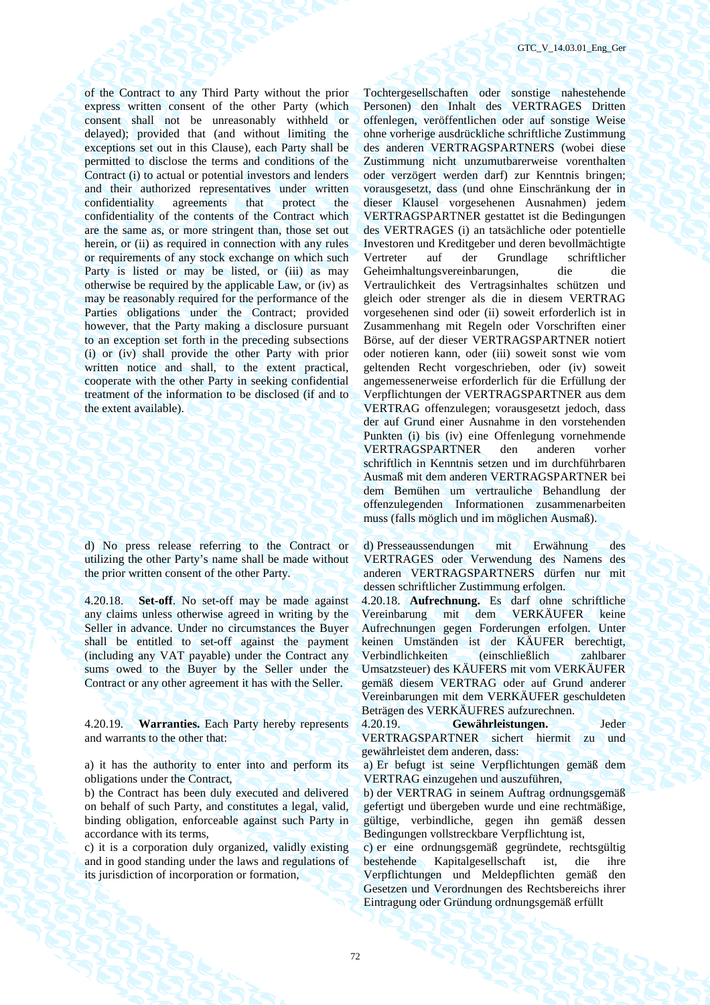of the Contract to any Third Party without the prior express written consent of the other Party (which consent shall not be unreasonably withheld or delayed); provided that (and without limiting the exceptions set out in this Clause), each Party shall be permitted to disclose the terms and conditions of the Contract (i) to actual or potential investors and lenders and their authorized representatives under written confidentiality agreements that protect the confidentiality of the contents of the Contract which are the same as, or more stringent than, those set out herein, or (ii) as required in connection with any rules or requirements of any stock exchange on which such Party is listed or may be listed, or (iii) as may otherwise be required by the applicable Law, or (iv) as may be reasonably required for the performance of the Parties obligations under the Contract; provided however, that the Party making a disclosure pursuant to an exception set forth in the preceding subsections (i) or (iv) shall provide the other Party with prior written notice and shall, to the extent practical, cooperate with the other Party in seeking confidential treatment of the information to be disclosed (if and to the extent available).

d) No press release referring to the Contract or utilizing the other Party's name shall be made without the prior written consent of the other Party.

4.20.18. **Set-off**. No set-off may be made against any claims unless otherwise agreed in writing by the Seller in advance. Under no circumstances the Buyer shall be entitled to set-off against the payment (including any VAT payable) under the Contract any sums owed to the Buyer by the Seller under the Contract or any other agreement it has with the Seller.

4.20.19. **Warranties.** Each Party hereby represents and warrants to the other that:

a) it has the authority to enter into and perform its obligations under the Contract,

b) the Contract has been duly executed and delivered on behalf of such Party, and constitutes a legal, valid, binding obligation, enforceable against such Party in accordance with its terms,

c) it is a corporation duly organized, validly existing and in good standing under the laws and regulations of its jurisdiction of incorporation or formation,

Tochtergesellschaften oder sonstige nahestehende Personen) den Inhalt des VERTRAGES Dritten offenlegen, veröffentlichen oder auf sonstige Weise ohne vorherige ausdrückliche schriftliche Zustimmung des anderen VERTRAGSPARTNERS (wobei diese Zustimmung nicht unzumutbarerweise vorenthalten oder verzögert werden darf) zur Kenntnis bringen; vorausgesetzt, dass (und ohne Einschränkung der in dieser Klausel vorgesehenen Ausnahmen) jedem VERTRAGSPARTNER gestattet ist die Bedingungen des VERTRAGES (i) an tatsächliche oder potentielle Investoren und Kreditgeber und deren bevollmächtigte Vertreter auf der Grundlage schriftlicher Geheimhaltungsvereinbarungen, die die Vertraulichkeit des Vertragsinhaltes schützen und gleich oder strenger als die in diesem VERTRAG vorgesehenen sind oder (ii) soweit erforderlich ist in Zusammenhang mit Regeln oder Vorschriften einer Börse, auf der dieser VERTRAGSPARTNER notiert oder notieren kann, oder (iii) soweit sonst wie vom geltenden Recht vorgeschrieben, oder (iv) soweit angemessenerweise erforderlich für die Erfüllung der Verpflichtungen der VERTRAGSPARTNER aus dem VERTRAG offenzulegen; vorausgesetzt jedoch, dass der auf Grund einer Ausnahme in den vorstehenden Punkten (i) bis (iv) eine Offenlegung vornehmende VERTRAGSPARTNER den anderen vorher schriftlich in Kenntnis setzen und im durchführbaren Ausmaß mit dem anderen VERTRAGSPARTNER bei dem Bemühen um vertrauliche Behandlung der offenzulegenden Informationen zusammenarbeiten muss (falls möglich und im möglichen Ausmaß).

d) Presseaussendungen mit Erwähnung des VERTRAGES oder Verwendung des Namens des anderen VERTRAGSPARTNERS dürfen nur mit dessen schriftlicher Zustimmung erfolgen.

4.20.18. **Aufrechnung.** Es darf ohne schriftliche Vereinbarung mit dem VERKÄUFER keine Aufrechnungen gegen Forderungen erfolgen. Unter keinen Umständen ist der KÄUFER berechtigt, Verbindlichkeiten (einschließlich zahlbarer Umsatzsteuer) des KÄUFERS mit vom VERKÄUFER gemäß diesem VERTRAG oder auf Grund anderer Vereinbarungen mit dem VERKÄUFER geschuldeten Beträgen des VERKÄUFRES aufzurechnen.

4.20.19. **Gewährleistungen.** Jeder VERTRAGSPARTNER sichert hiermit zu und gewährleistet dem anderen, dass:

a) Er befugt ist seine Verpflichtungen gemäß dem VERTRAG einzugehen und auszuführen,

b) der VERTRAG in seinem Auftrag ordnungsgemäß gefertigt und übergeben wurde und eine rechtmäßige, gültige, verbindliche, gegen ihn gemäß dessen Bedingungen vollstreckbare Verpflichtung ist,

c) er eine ordnungsgemäß gegründete, rechtsgültig bestehende Kapitalgesellschaft ist, die ihre Verpflichtungen und Meldepflichten gemäß den Gesetzen und Verordnungen des Rechtsbereichs ihrer Eintragung oder Gründung ordnungsgemäß erfüllt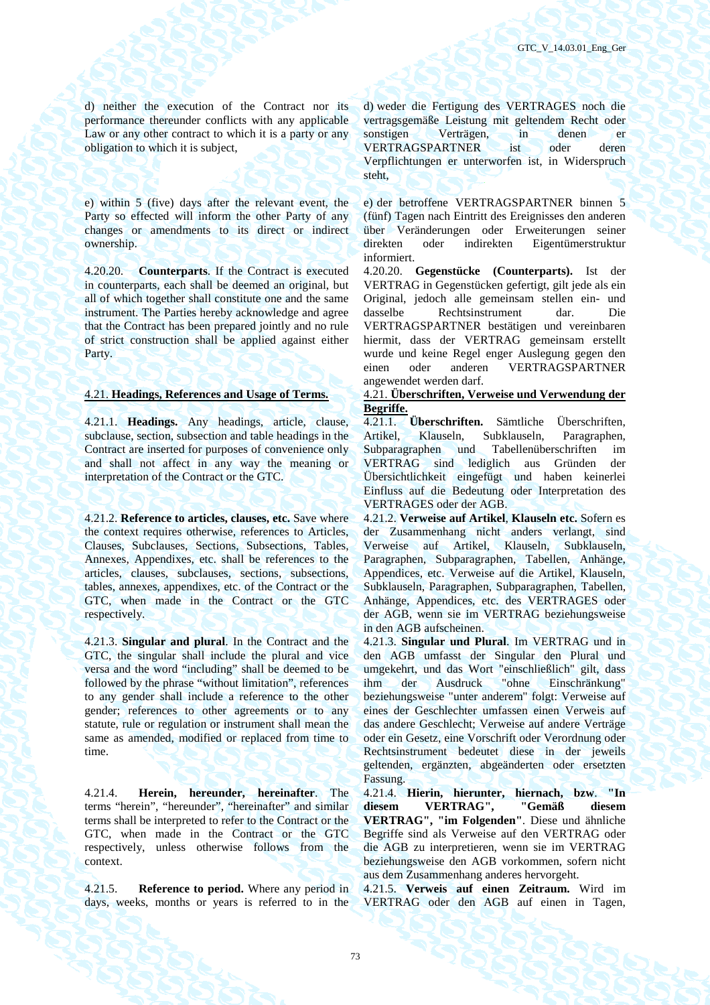d) neither the execution of the Contract nor its performance thereunder conflicts with any applicable Law or any other contract to which it is a party or any obligation to which it is subject,

e) within 5 (five) days after the relevant event, the Party so effected will inform the other Party of any changes or amendments to its direct or indirect ownership.

4.20.20. **Counterparts**. If the Contract is executed in counterparts, each shall be deemed an original, but all of which together shall constitute one and the same instrument. The Parties hereby acknowledge and agree that the Contract has been prepared jointly and no rule of strict construction shall be applied against either Party.

4.21.1. **Headings.** Any headings, article, clause, subclause, section, subsection and table headings in the Contract are inserted for purposes of convenience only and shall not affect in any way the meaning or interpretation of the Contract or the GTC.

4.21.2. **Reference to articles, clauses, etc.** Save where the context requires otherwise, references to Articles, Clauses, Subclauses, Sections, Subsections, Tables, Annexes, Appendixes, etc. shall be references to the articles, clauses, subclauses, sections, subsections, tables, annexes, appendixes, etc. of the Contract or the GTC, when made in the Contract or the GTC respectively.

4.21.3. **Singular and plural**. In the Contract and the GTC, the singular shall include the plural and vice versa and the word "including" shall be deemed to be followed by the phrase "without limitation", references to any gender shall include a reference to the other gender; references to other agreements or to any statute, rule or regulation or instrument shall mean the same as amended, modified or replaced from time to time.

4.21.4. **Herein, hereunder, hereinafter**. The terms "herein", "hereunder", "hereinafter" and similar terms shall be interpreted to refer to the Contract or the GTC, when made in the Contract or the GTC respectively, unless otherwise follows from the context.

4.21.5. **Reference to period.** Where any period in days, weeks, months or years is referred to in the d) weder die Fertigung des VERTRAGES noch die vertragsgemäße Leistung mit geltendem Recht oder sonstigen Verträgen, in denen er VERTRAGSPARTNER ist oder deren Verpflichtungen er unterworfen ist, in Widerspruch steht,

e) der betroffene VERTRAGSPARTNER binnen 5 (fünf) Tagen nach Eintritt des Ereignisses den anderen über Veränderungen oder Erweiterungen seiner direkten oder indirekten Eigentümerstruktur informiert.

4.20.20. **Gegenstücke (Counterparts).** Ist der VERTRAG in Gegenstücken gefertigt, gilt jede als ein Original, jedoch alle gemeinsam stellen ein- und dasselbe Rechtsinstrument dar. Die VERTRAGSPARTNER bestätigen und vereinbaren hiermit, dass der VERTRAG gemeinsam erstellt wurde und keine Regel enger Auslegung gegen den einen oder anderen VERTRAGSPARTNER angewendet werden darf.

### 4.21. **Headings, References and Usage of Terms.** 4.21. **Überschriften, Verweise und Verwendung der Begriffe.**

4.21.1. **Überschriften.** Sämtliche Überschriften, Artikel, Klauseln, Subklauseln, Paragraphen, Subparagraphen und Tabellenüberschriften im VERTRAG sind lediglich aus Gründen der Übersichtlichkeit eingefügt und haben keinerlei Einfluss auf die Bedeutung oder Interpretation des VERTRAGES oder der AGB.

4.21.2. **Verweise auf Artikel**, **Klauseln etc.** Sofern es der Zusammenhang nicht anders verlangt, sind Verweise auf Artikel, Klauseln, Subklauseln, Paragraphen, Subparagraphen, Tabellen, Anhänge, Appendices, etc. Verweise auf die Artikel, Klauseln, Subklauseln, Paragraphen, Subparagraphen, Tabellen, Anhänge, Appendices, etc. des VERTRAGES oder der AGB, wenn sie im VERTRAG beziehungsweise in den AGB aufscheinen.

4.21.3. **Singular und Plural**. Im VERTRAG und in den AGB umfasst der Singular den Plural und umgekehrt, und das Wort "einschließlich" gilt, dass ihm der Ausdruck "ohne Einschränkung" beziehungsweise "unter anderem" folgt: Verweise auf eines der Geschlechter umfassen einen Verweis auf das andere Geschlecht; Verweise auf andere Verträge oder ein Gesetz, eine Vorschrift oder Verordnung oder Rechtsinstrument bedeutet diese in der jeweils geltenden, ergänzten, abgeänderten oder ersetzten Fassung.

4.21.4. **Hierin, hierunter, hiernach, bzw**. **"In diesem VERTRAG", "Gemäß diesem VERTRAG", "im Folgenden"**. Diese und ähnliche Begriffe sind als Verweise auf den VERTRAG oder die AGB zu interpretieren, wenn sie im VERTRAG beziehungsweise den AGB vorkommen, sofern nicht aus dem Zusammenhang anderes hervorgeht.

4.21.5. **Verweis auf einen Zeitraum.** Wird im VERTRAG oder den AGB auf einen in Tagen,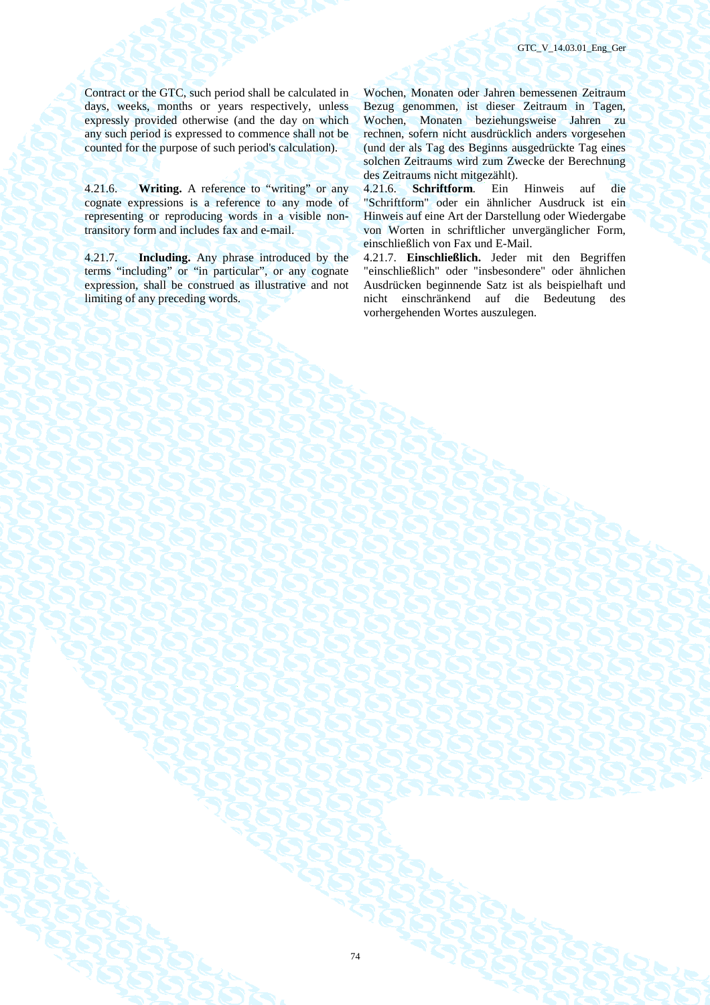GTC\_V\_14.03.01\_Eng\_Ger

Contract or the GTC, such period shall be calculated in days, weeks, months or years respectively, unless expressly provided otherwise (and the day on which any such period is expressed to commence shall not be counted for the purpose of such period's calculation).

4.21.6. **Writing.** A reference to "writing" or any cognate expressions is a reference to any mode of representing or reproducing words in a visible nontransitory form and includes fax and e-mail.

4.21.7. **Including.** Any phrase introduced by the terms "including" or "in particular", or any cognate expression, shall be construed as illustrative and not limiting of any preceding words.

Wochen, Monaten oder Jahren bemessenen Zeitraum Bezug genommen, ist dieser Zeitraum in Tagen, Wochen, Monaten beziehungsweise Jahren zu rechnen, sofern nicht ausdrücklich anders vorgesehen (und der als Tag des Beginns ausgedrückte Tag eines solchen Zeitraums wird zum Zwecke der Berechnung des Zeitraums nicht mitgezählt).

4.21.6. **Schriftform**. Ein Hinweis auf die "Schriftform" oder ein ähnlicher Ausdruck ist ein Hinweis auf eine Art der Darstellung oder Wiedergabe von Worten in schriftlicher unvergänglicher Form, einschließlich von Fax und E-Mail.

4.21.7. **Einschließlich.** Jeder mit den Begriffen "einschließlich" oder "insbesondere" oder ähnlichen Ausdrücken beginnende Satz ist als beispielhaft und nicht einschränkend auf die Bedeutung des vorhergehenden Wortes auszulegen.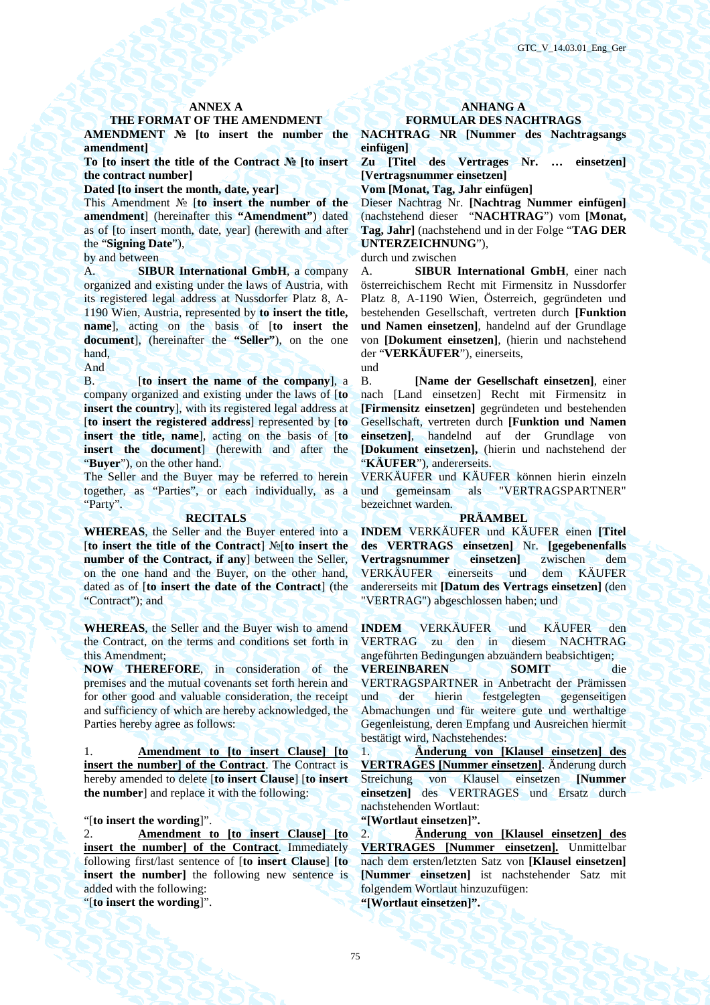## THE FORMAT OF THE AMENDMENT **FORMULAR DES NACHTRAGS**

**AMENDMENT № [to insert the number the amendment]** 

**To [to insert the title of the Contract № [to insert the contract number]** 

Dated [to insert the month, date, year] **Vom [Monat, Tag, Jahr einfügen]** 

This Amendment № [**to insert the number of the amendment**] (hereinafter this **"Amendment"**) dated as of [to insert month, date, year] (herewith and after the "**Signing Date**"),

A. **SIBUR International GmbH**, a company organized and existing under the laws of Austria, with its registered legal address at Nussdorfer Platz 8, A-1190 Wien, Austria, represented by **to insert the title, name**], acting on the basis of [**to insert the document**], (hereinafter the **"Seller"**), on the one hand,

And  $\bigcup_{n=1}^{\infty}$  and  $\bigcup_{n=1}^{\infty}$  and  $\bigcup_{n=1}^{\infty}$  and  $\bigcup_{n=1}^{\infty}$  and  $\bigcup_{n=1}^{\infty}$  and  $\bigcup_{n=1}^{\infty}$  and  $\bigcup_{n=1}^{\infty}$  and  $\bigcup_{n=1}^{\infty}$  and  $\bigcup_{n=1}^{\infty}$  and  $\bigcup_{n=1}^{\infty}$  and  $\bigcup_{n=1}^{\infty}$  a

B. [**to insert the name of the company**], a company organized and existing under the laws of [**to insert the country**], with its registered legal address at [**to insert the registered address**] represented by [**to insert the title, name**], acting on the basis of [**to insert the document**] (herewith and after the "**Buyer**"), on the other hand.

The Seller and the Buyer may be referred to herein together, as "Parties", or each individually, as a "Party".

**WHEREAS**, the Seller and the Buyer entered into a [**to insert the title of the Contract**] №[**to insert the number of the Contract, if any**] between the Seller, on the one hand and the Buyer, on the other hand, dated as of [**to insert the date of the Contract**] (the "Contract"); and

**WHEREAS**, the Seller and the Buyer wish to amend the Contract, on the terms and conditions set forth in this Amendment;

**NOW THEREFORE**, in consideration of the premises and the mutual covenants set forth herein and for other good and valuable consideration, the receipt and sufficiency of which are hereby acknowledged, the Parties hereby agree as follows:

1. **Amendment to [to insert Clause] [to insert the number] of the Contract**. The Contract is hereby amended to delete [**to insert Clause**] [**to insert the number**] and replace it with the following:

"[**to insert the wording**]". **"[Wortlaut einsetzen]".** 

2. **Amendment to [to insert Clause] [to insert the number] of the Contract**. Immediately following first/last sentence of [**to insert Clause**] **[to insert the number**] the following new sentence is added with the following: "[**to insert the wording**]". **"[Wortlaut einsetzen]".** 

## ANNEX A **ANHANG A**

# **NACHTRAG NR [Nummer des Nachtragsangs**

**einfügen]** 

**Zu [Titel des Vertrages Nr. … einsetzen] [Vertragsnummer einsetzen]** 

Dieser Nachtrag Nr. **[Nachtrag Nummer einfügen]** (nachstehend dieser "**NACHTRAG**") vom **[Monat, Tag, Jahr]** (nachstehend und in der Folge "**TAG DER UNTERZEICHNUNG**"),

by and between durch und zwischen

A. **SIBUR International GmbH**, einer nach österreichischem Recht mit Firmensitz in Nussdorfer Platz 8, A-1190 Wien, Österreich, gegründeten und bestehenden Gesellschaft, vertreten durch **[Funktion und Namen einsetzen]**, handelnd auf der Grundlage von **[Dokument einsetzen]**, (hierin und nachstehend der "**VERKÄUFER**"), einerseits,

B. **[Name der Gesellschaft einsetzen]**, einer nach [Land einsetzen] Recht mit Firmensitz in **[Firmensitz einsetzen]** gegründeten und bestehenden Gesellschaft, vertreten durch **[Funktion und Namen einsetzen]**, handelnd auf der Grundlage von **[Dokument einsetzen],** (hierin und nachstehend der "**KÄUFER**"), andererseits.

VERKÄUFER und KÄUFER können hierin einzeln und gemeinsam als "VERTRAGSPARTNER" bezeichnet warden.

### **RECITALS PRÄAMBEL**

**INDEM** VERKÄUFER und KÄUFER einen **[Titel des VERTRAGS einsetzen]** Nr. **[gegebenenfalls Vertragsnummer einsetzen]** zwischen dem VERKÄUFER einerseits und dem KÄUFER andererseits mit **[Datum des Vertrags einsetzen]** (den "VERTRAG") abgeschlossen haben; und

**INDEM** VERKÄUFER und KÄUFER den VERTRAG zu den in diesem NACHTRAG angeführten Bedingungen abzuändern beabsichtigen;

**VEREINBAREN SOMIT** die VERTRAGSPARTNER in Anbetracht der Prämissen und der hierin festgelegten gegenseitigen Abmachungen und für weitere gute und werthaltige Gegenleistung, deren Empfang und Ausreichen hiermit bestätigt wird, Nachstehendes:

1. **Änderung von [Klausel einsetzen] des VERTRAGES [Nummer einsetzen]**. Änderung durch Streichung von Klausel einsetzen **[Nummer einsetzen]** des VERTRAGES und Ersatz durch nachstehenden Wortlaut:

2. **Änderung von [Klausel einsetzen] des VERTRAGES [Nummer einsetzen].** Unmittelbar nach dem ersten/letzten Satz von **[Klausel einsetzen] [Nummer einsetzen]** ist nachstehender Satz mit folgendem Wortlaut hinzuzufügen: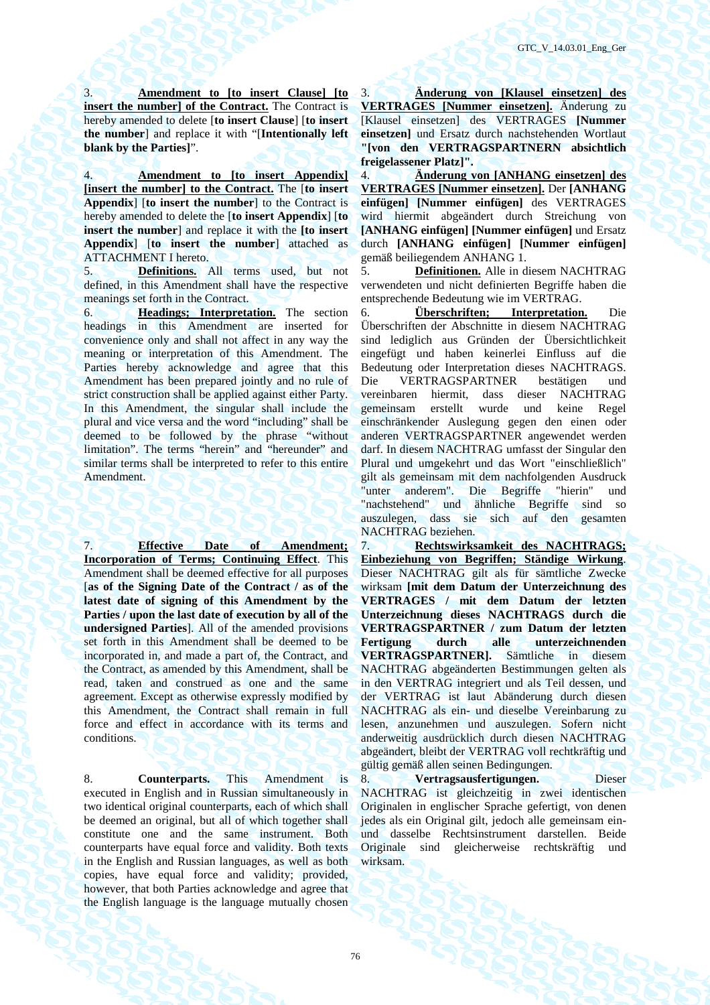3. **Amendment to [to insert Clause] [to insert the number] of the Contract.** The Contract is hereby amended to delete [**to insert Clause**] [**to insert the number**] and replace it with "[**Intentionally left blank by the Parties]**".

4. **Amendment to [to insert Appendix] [insert the number] to the Contract.** The [**to insert Appendix**] [**to insert the number**] to the Contract is hereby amended to delete the [**to insert Appendix**] [**to insert the number**] and replace it with the **[to insert Appendix**] [**to insert the number**] attached as ATTACHMENT I hereto.

5. **Definitions.** All terms used, but not defined, in this Amendment shall have the respective meanings set forth in the Contract.

6. **Headings; Interpretation.** The section headings in this Amendment are inserted for convenience only and shall not affect in any way the meaning or interpretation of this Amendment. The Parties hereby acknowledge and agree that this Amendment has been prepared jointly and no rule of strict construction shall be applied against either Party. In this Amendment, the singular shall include the plural and vice versa and the word "including" shall be deemed to be followed by the phrase "without limitation". The terms "herein" and "hereunder" and similar terms shall be interpreted to refer to this entire Amendment.

7. **Effective Date of Amendment; Incorporation of Terms; Continuing Effect**. This Amendment shall be deemed effective for all purposes [**as of the Signing Date of the Contract / as of the**  latest date of signing of this Amendment by the **Parties / upon the last date of execution by all of the undersigned Parties**]. All of the amended provisions set forth in this Amendment shall be deemed to be incorporated in, and made a part of, the Contract, and the Contract, as amended by this Amendment, shall be read, taken and construed as one and the same agreement. Except as otherwise expressly modified by this Amendment, the Contract shall remain in full force and effect in accordance with its terms and conditions.

8. **Counterparts.** This Amendment is executed in English and in Russian simultaneously in two identical original counterparts, each of which shall be deemed an original, but all of which together shall constitute one and the same instrument. Both counterparts have equal force and validity. Both texts in the English and Russian languages, as well as both copies, have equal force and validity; provided, however, that both Parties acknowledge and agree that the English language is the language mutually chosen

3. **Änderung von [Klausel einsetzen] des VERTRAGES [Nummer einsetzen].** Änderung zu [Klausel einsetzen] des VERTRAGES **[Nummer einsetzen]** und Ersatz durch nachstehenden Wortlaut **"[von den VERTRAGSPARTNERN absichtlich freigelassener Platz]".**

4. **Änderung von [ANHANG einsetzen] des VERTRAGES [Nummer einsetzen].** Der **[ANHANG einfügen] [Nummer einfügen]** des VERTRAGES wird hiermit abgeändert durch Streichung von **[ANHANG einfügen] [Nummer einfügen]** und Ersatz durch **[ANHANG einfügen] [Nummer einfügen]** gemäß beiliegendem ANHANG 1.

5. **Definitionen.** Alle in diesem NACHTRAG verwendeten und nicht definierten Begriffe haben die entsprechende Bedeutung wie im VERTRAG.

6. **Überschriften; Interpretation.** Die Überschriften der Abschnitte in diesem NACHTRAG sind lediglich aus Gründen der Übersichtlichkeit eingefügt und haben keinerlei Einfluss auf die Bedeutung oder Interpretation dieses NACHTRAGS. Die VERTRAGSPARTNER bestätigen und vereinbaren hiermit, dass dieser NACHTRAG gemeinsam erstellt wurde und keine Regel einschränkender Auslegung gegen den einen oder anderen VERTRAGSPARTNER angewendet werden darf. In diesem NACHTRAG umfasst der Singular den Plural und umgekehrt und das Wort "einschließlich" gilt als gemeinsam mit dem nachfolgenden Ausdruck "unter anderem". Die Begriffe "hierin" und "nachstehend" und ähnliche Begriffe sind so auszulegen, dass sie sich auf den gesamten NACHTRAG beziehen.

7. **Rechtswirksamkeit des NACHTRAGS; Einbeziehung von Begriffen; Ständige Wirkung**. Dieser NACHTRAG gilt als für sämtliche Zwecke wirksam **[mit dem Datum der Unterzeichnung des VERTRAGES / mit dem Datum der letzten Unterzeichnung dieses NACHTRAGS durch die VERTRAGSPARTNER / zum Datum der letzten Fertigung durch alle unterzeichnenden VERTRAGSPARTNER].** Sämtliche in diesem NACHTRAG abgeänderten Bestimmungen gelten als in den VERTRAG integriert und als Teil dessen, und der VERTRAG ist laut Abänderung durch diesen NACHTRAG als ein- und dieselbe Vereinbarung zu lesen, anzunehmen und auszulegen. Sofern nicht anderweitig ausdrücklich durch diesen NACHTRAG abgeändert, bleibt der VERTRAG voll rechtkräftig und gültig gemäß allen seinen Bedingungen.

8. **Vertragsausfertigungen.** Dieser NACHTRAG ist gleichzeitig in zwei identischen Originalen in englischer Sprache gefertigt, von denen jedes als ein Original gilt, jedoch alle gemeinsam einund dasselbe Rechtsinstrument darstellen. Beide Originale sind gleicherweise rechtskräftig und wirksam.